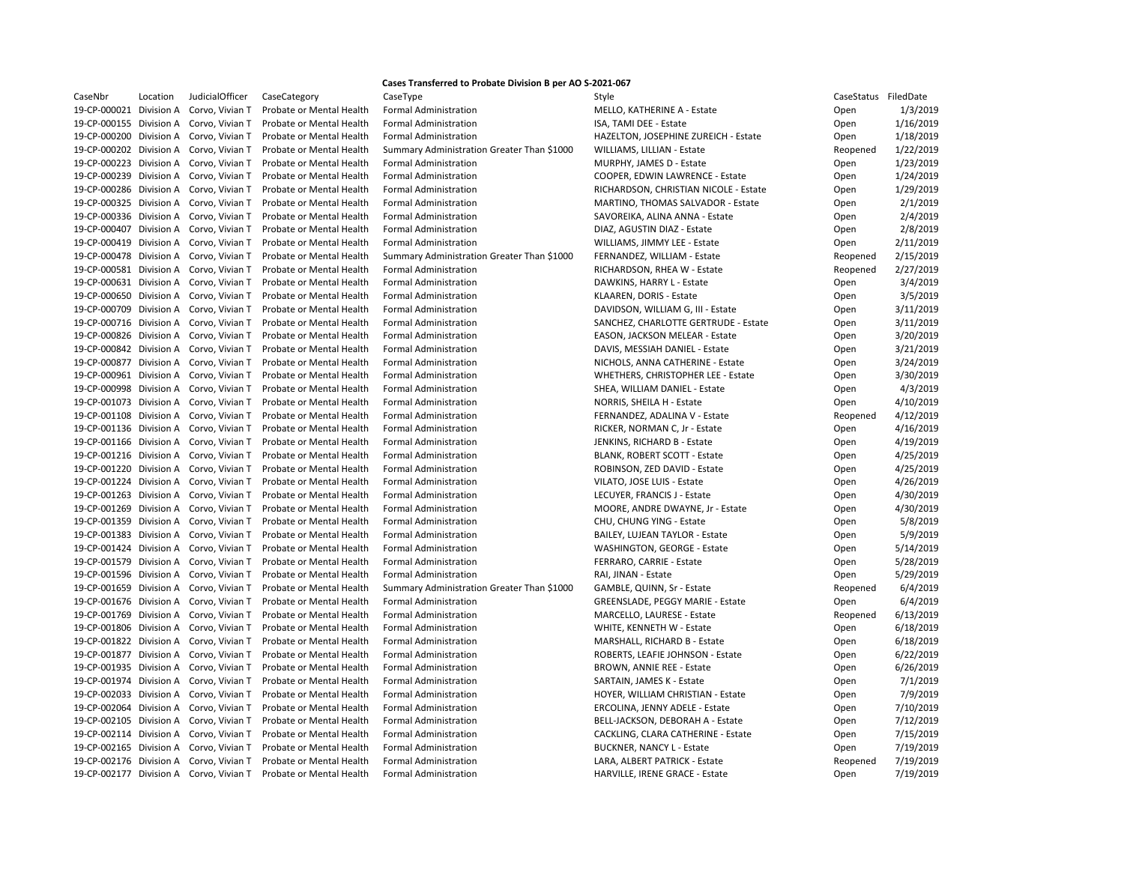|                         |            |                                         |                          | Cases Transferred to Probate Division B per AO S-2021-067 |                                          |            |           |
|-------------------------|------------|-----------------------------------------|--------------------------|-----------------------------------------------------------|------------------------------------------|------------|-----------|
| CaseNbr                 | Location   | <b>JudicialOfficer</b>                  | CaseCategory             | CaseType                                                  | Style                                    | CaseStatus | FiledDate |
| 19-CP-000021            | Division A | Corvo, Vivian T                         | Probate or Mental Health | <b>Formal Administration</b>                              | MELLO, KATHERINE A - Estate              | Open       | 1/3/2019  |
|                         |            | 19-CP-000155 Division A Corvo, Vivian T | Probate or Mental Health | <b>Formal Administration</b>                              | ISA, TAMI DEE - Estate                   | Open       | 1/16/2019 |
| 19-CP-000200            | Division A | Corvo, Vivian T                         | Probate or Mental Health | <b>Formal Administration</b>                              | HAZELTON, JOSEPHINE ZUREICH - Estate     | Open       | 1/18/2019 |
|                         |            | 19-CP-000202 Division A Corvo, Vivian T | Probate or Mental Health | Summary Administration Greater Than \$1000                | WILLIAMS, LILLIAN - Estate               | Reopened   | 1/22/2019 |
|                         |            | 19-CP-000223 Division A Corvo, Vivian T | Probate or Mental Health | <b>Formal Administration</b>                              | MURPHY, JAMES D - Estate                 | Open       | 1/23/2019 |
| 19-CP-000239 Division A |            | Corvo, Vivian T                         | Probate or Mental Health | <b>Formal Administration</b>                              | COOPER, EDWIN LAWRENCE - Estate          | Open       | 1/24/2019 |
|                         |            | 19-CP-000286 Division A Corvo, Vivian T | Probate or Mental Health | <b>Formal Administration</b>                              | RICHARDSON, CHRISTIAN NICOLE - Estate    | Open       | 1/29/2019 |
|                         |            | 19-CP-000325 Division A Corvo, Vivian T | Probate or Mental Health | <b>Formal Administration</b>                              | <b>MARTINO, THOMAS SALVADOR - Estate</b> | Open       | 2/1/2019  |
|                         |            | 19-CP-000336 Division A Corvo, Vivian T | Probate or Mental Health | <b>Formal Administration</b>                              | SAVOREIKA, ALINA ANNA - Estate           | Open       | 2/4/2019  |
|                         |            | 19-CP-000407 Division A Corvo, Vivian T | Probate or Mental Health | <b>Formal Administration</b>                              | DIAZ, AGUSTIN DIAZ - Estate              | Open       | 2/8/2019  |
| 19-CP-000419 Division A |            | Corvo, Vivian T                         | Probate or Mental Health | <b>Formal Administration</b>                              | WILLIAMS, JIMMY LEE - Estate             | Open       | 2/11/2019 |
|                         |            | 19-CP-000478 Division A Corvo, Vivian T | Probate or Mental Health | Summary Administration Greater Than \$1000                | FERNANDEZ, WILLIAM - Estate              | Reopened   | 2/15/2019 |
|                         |            | 19-CP-000581 Division A Corvo, Vivian T | Probate or Mental Health | <b>Formal Administration</b>                              | RICHARDSON, RHEA W - Estate              | Reopened   | 2/27/2019 |
|                         |            | 19-CP-000631 Division A Corvo, Vivian T | Probate or Mental Health | <b>Formal Administration</b>                              | DAWKINS, HARRY L - Estate                | Open       | 3/4/2019  |
|                         |            | 19-CP-000650 Division A Corvo, Vivian T | Probate or Mental Health | <b>Formal Administration</b>                              | KLAAREN, DORIS - Estate                  | Open       | 3/5/2019  |
| 19-CP-000709 Division A |            | Corvo, Vivian T                         | Probate or Mental Health | <b>Formal Administration</b>                              | DAVIDSON, WILLIAM G, III - Estate        | Open       | 3/11/2019 |
|                         |            | 19-CP-000716 Division A Corvo, Vivian T | Probate or Mental Health | <b>Formal Administration</b>                              | SANCHEZ, CHARLOTTE GERTRUDE - Estate     | Open       | 3/11/2019 |
|                         |            | 19-CP-000826 Division A Corvo, Vivian T | Probate or Mental Health | <b>Formal Administration</b>                              | EASON, JACKSON MELEAR - Estate           | Open       | 3/20/2019 |
|                         |            | 19-CP-000842 Division A Corvo, Vivian T | Probate or Mental Health | <b>Formal Administration</b>                              | DAVIS, MESSIAH DANIEL - Estate           | Open       | 3/21/2019 |
|                         |            | 19-CP-000877 Division A Corvo, Vivian T | Probate or Mental Health | <b>Formal Administration</b>                              | NICHOLS, ANNA CATHERINE - Estate         | Open       | 3/24/2019 |
| 19-CP-000961 Division A |            | Corvo, Vivian T                         | Probate or Mental Health | <b>Formal Administration</b>                              | WHETHERS, CHRISTOPHER LEE - Estate       | Open       | 3/30/2019 |
|                         |            | 19-CP-000998 Division A Corvo, Vivian T | Probate or Mental Health | <b>Formal Administration</b>                              | SHEA, WILLIAM DANIEL - Estate            | Open       | 4/3/2019  |
|                         |            | 19-CP-001073 Division A Corvo, Vivian T | Probate or Mental Health | <b>Formal Administration</b>                              | NORRIS, SHEILA H - Estate                | Open       | 4/10/2019 |
|                         |            | 19-CP-001108 Division A Corvo, Vivian T | Probate or Mental Health | <b>Formal Administration</b>                              | FERNANDEZ, ADALINA V - Estate            | Reopened   | 4/12/2019 |
|                         |            | 19-CP-001136 Division A Corvo, Vivian T | Probate or Mental Health | <b>Formal Administration</b>                              | RICKER, NORMAN C, Jr - Estate            | Open       | 4/16/2019 |
| 19-CP-001166 Division A |            | Corvo, Vivian T                         | Probate or Mental Health | <b>Formal Administration</b>                              | JENKINS, RICHARD B - Estate              | Open       | 4/19/2019 |
|                         |            | 19-CP-001216 Division A Corvo, Vivian T | Probate or Mental Health | <b>Formal Administration</b>                              | <b>BLANK, ROBERT SCOTT - Estate</b>      | Open       | 4/25/2019 |
|                         |            | 19-CP-001220 Division A Corvo, Vivian T | Probate or Mental Health | <b>Formal Administration</b>                              | ROBINSON, ZED DAVID - Estate             | Open       | 4/25/2019 |
|                         |            | 19-CP-001224 Division A Corvo, Vivian T | Probate or Mental Health | <b>Formal Administration</b>                              | VILATO, JOSE LUIS - Estate               | Open       | 4/26/2019 |
|                         |            | 19-CP-001263 Division A Corvo, Vivian T | Probate or Mental Health | <b>Formal Administration</b>                              | LECUYER, FRANCIS J - Estate              | Open       | 4/30/2019 |
|                         |            | 19-CP-001269 Division A Corvo, Vivian T | Probate or Mental Health | <b>Formal Administration</b>                              | MOORE, ANDRE DWAYNE, Jr - Estate         | Open       | 4/30/2019 |
|                         |            | 19-CP-001359 Division A Corvo, Vivian T | Probate or Mental Health | <b>Formal Administration</b>                              | CHU, CHUNG YING - Estate                 |            | 5/8/2019  |
|                         |            | 19-CP-001383 Division A Corvo, Vivian T | Probate or Mental Health | <b>Formal Administration</b>                              |                                          | Open       |           |
|                         |            |                                         |                          |                                                           | <b>BAILEY, LUJEAN TAYLOR - Estate</b>    | Open       | 5/9/2019  |
| 19-CP-001424 Division A |            | Corvo, Vivian T                         | Probate or Mental Health | <b>Formal Administration</b>                              | <b>WASHINGTON, GEORGE - Estate</b>       | Open       | 5/14/2019 |
|                         |            | 19-CP-001579 Division A Corvo, Vivian T | Probate or Mental Health | <b>Formal Administration</b>                              | FERRARO, CARRIE - Estate                 | Open       | 5/28/2019 |
|                         |            | 19-CP-001596 Division A Corvo, Vivian T | Probate or Mental Health | <b>Formal Administration</b>                              | RAI, JINAN - Estate                      | Open       | 5/29/2019 |
|                         |            | 19-CP-001659 Division A Corvo, Vivian T | Probate or Mental Health | Summary Administration Greater Than \$1000                | GAMBLE, QUINN, Sr - Estate               | Reopened   | 6/4/2019  |
|                         |            | 19-CP-001676 Division A Corvo, Vivian T | Probate or Mental Health | <b>Formal Administration</b>                              | <b>GREENSLADE, PEGGY MARIE - Estate</b>  | Open       | 6/4/2019  |
|                         |            | 19-CP-001769 Division A Corvo, Vivian T | Probate or Mental Health | <b>Formal Administration</b>                              | MARCELLO, LAURESE - Estate               | Reopened   | 6/13/2019 |
|                         |            | 19-CP-001806 Division A Corvo, Vivian T | Probate or Mental Health | <b>Formal Administration</b>                              | WHITE, KENNETH W - Estate                | Open       | 6/18/2019 |
|                         |            | 19-CP-001822 Division A Corvo, Vivian T | Probate or Mental Health | <b>Formal Administration</b>                              | MARSHALL, RICHARD B - Estate             | Open       | 6/18/2019 |
|                         |            | 19-CP-001877 Division A Corvo, Vivian T | Probate or Mental Health | <b>Formal Administration</b>                              | ROBERTS, LEAFIE JOHNSON - Estate         | Open       | 6/22/2019 |
|                         |            | 19-CP-001935 Division A Corvo, Vivian T | Probate or Mental Health | <b>Formal Administration</b>                              | <b>BROWN, ANNIE REE - Estate</b>         | Open       | 6/26/2019 |
| 19-CP-001974 Division A |            | Corvo, Vivian T                         | Probate or Mental Health | <b>Formal Administration</b>                              | SARTAIN, JAMES K - Estate                | Open       | 7/1/2019  |
|                         |            | 19-CP-002033 Division A Corvo, Vivian T | Probate or Mental Health | <b>Formal Administration</b>                              | HOYER, WILLIAM CHRISTIAN - Estate        | Open       | 7/9/2019  |
|                         |            | 19-CP-002064 Division A Corvo, Vivian T | Probate or Mental Health | <b>Formal Administration</b>                              | ERCOLINA, JENNY ADELE - Estate           | Open       | 7/10/2019 |
|                         |            | 19-CP-002105 Division A Corvo, Vivian T | Probate or Mental Health | <b>Formal Administration</b>                              | BELL-JACKSON, DEBORAH A - Estate         | Open       | 7/12/2019 |
|                         |            | 19-CP-002114 Division A Corvo, Vivian T | Probate or Mental Health | <b>Formal Administration</b>                              | CACKLING, CLARA CATHERINE - Estate       | Open       | 7/15/2019 |
|                         |            | 19-CP-002165 Division A Corvo, Vivian T | Probate or Mental Health | <b>Formal Administration</b>                              | <b>BUCKNER, NANCY L - Estate</b>         | Open       | 7/19/2019 |
|                         |            | 19-CP-002176 Division A Corvo, Vivian T | Probate or Mental Health | <b>Formal Administration</b>                              | LARA, ALBERT PATRICK - Estate            | Reopened   | 7/19/2019 |
|                         |            | 19-CP-002177 Division A Corvo, Vivian T | Probate or Mental Health | <b>Formal Administration</b>                              | HARVILLE, IRENE GRACE - Estate           | Open       | 7/19/2019 |

| CaseStatus | FiledDate |
|------------|-----------|
| Open       | 1/3/2019  |
| Open       | 1/16/2019 |
| Open       | 1/18/2019 |
| Reopened   | 1/22/2019 |
| Open       | 1/23/2019 |
| Open       | 1/24/2019 |
| Open       | 1/29/2019 |
| Open       | 2/1/2019  |
| Open       | 2/4/2019  |
| Open       | 2/8/2019  |
| Open       | 2/11/2019 |
| Reopened   | 2/15/2019 |
| Reopened   | 2/27/2019 |
| Open       | 3/4/2019  |
| Open       | 3/5/2019  |
| Open       | 3/11/2019 |
| Open       | 3/11/2019 |
|            |           |
| Open       | 3/20/2019 |
| Open       | 3/21/2019 |
| Open       | 3/24/2019 |
| Open       | 3/30/2019 |
| Open       | 4/3/2019  |
| Open       | 4/10/2019 |
| Reopened   | 4/12/2019 |
| Open       | 4/16/2019 |
| Open       | 4/19/2019 |
| Open       | 4/25/2019 |
| Open       | 4/25/2019 |
| Open       | 4/26/2019 |
| Open       | 4/30/2019 |
| Open       | 4/30/2019 |
| Open       | 5/8/2019  |
| Open       | 5/9/2019  |
| Open       | 5/14/2019 |
| Open       | 5/28/2019 |
| Open       | 5/29/2019 |
| Reopened   | 6/4/2019  |
| Open       | 6/4/2019  |
| Reopened   | 6/13/2019 |
| Open       | 6/18/2019 |
| Open       | 6/18/2019 |
| Open       | 6/22/2019 |
| Open       | 6/26/2019 |
| Open       | 7/1/2019  |
| Open       | 7/9/2019  |
| Open       | 7/10/2019 |
| Open       | 7/12/2019 |
| Open       | 7/15/2019 |
| Open       | 7/19/2019 |
| Reopened   | 7/19/2019 |
|            | 7/19/2019 |
| Open       |           |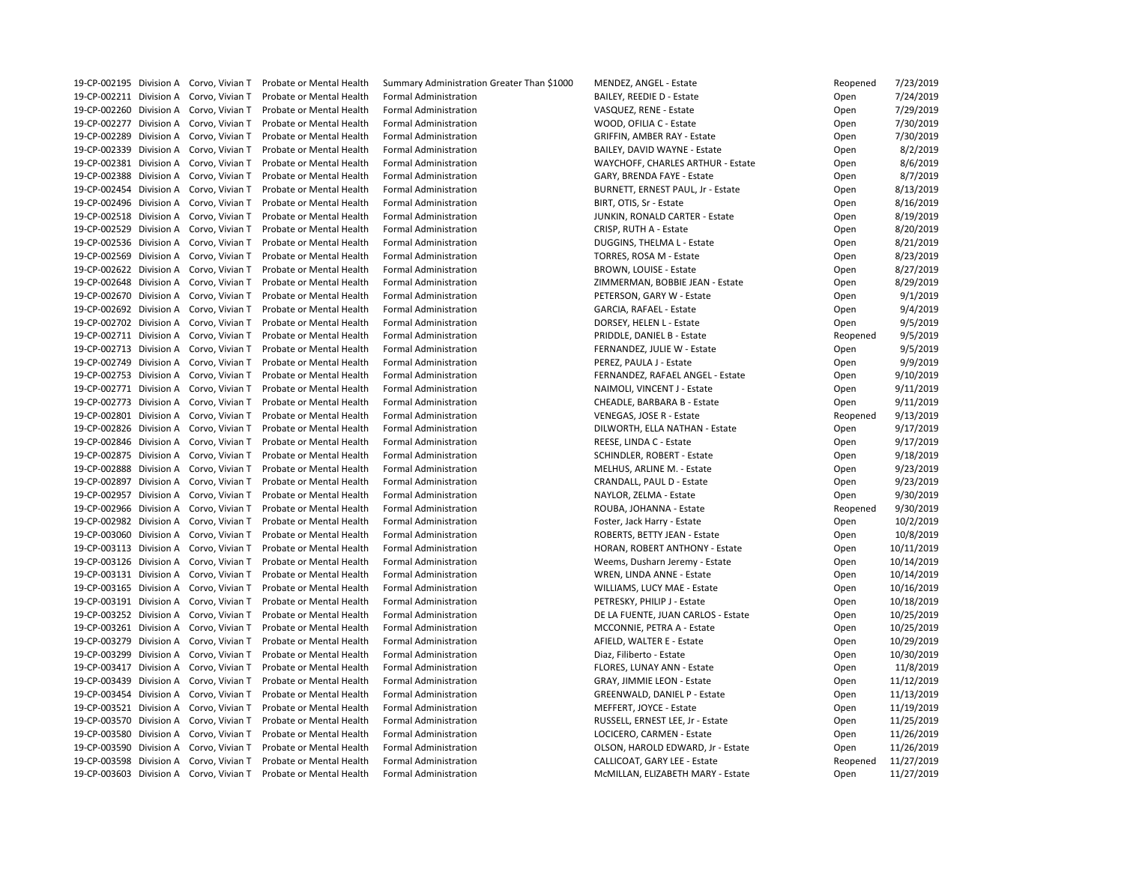19-CP-002195 Division A Corvo, Vivian T Probate or Mental Health Summary Administration Greater Than \$1000 MENDEZ, ANGEL - Estate 19-CP-002211 Division A Corvo, Vivian T Probate or Mental Health Formal Administration BAILEY, REEDIE D - Estate 19-CP-002260 Division A Corvo, Vivian T Probate or Mental Health Formal Administration VASQUEZ, RENE - Estate 19-CP-002277 Division A Corvo, Vivian T Probate or Mental Health Formal Administration WOOD, OFILIA C - Estate 19-CP-002289 Division A Corvo, Vivian T Probate or Mental Health Formal Administration GRIFFIN, AMBER RAY - Estate 19-CP-002339 Division A Corvo, Vivian T Probate or Mental Health Formal Administration BAILEY, DAVID WAYNE - Estate 19-CP-002381 Division A Corvo, Vivian T Probate or Mental Health Formal Administration WAYCHOFF, CHARLES ARTHUR - Estate 19-CP-002388 Division A Corvo, Vivian T Probate or Mental Health Formal Administration GARY, BRENDA FAYE - Estate 19-CP-002454 Division A Corvo, Vivian T Probate or Mental Health Formal Administration BURNETT, ERNEST PAUL, Jr - Estate 19-CP-002496 Division A Corvo, Vivian T Probate or Mental Health Formal Administration BIRT, OTIS, Sr - Estate 19-CP-002518 Division A Corvo, Vivian T Probate or Mental Health Formal Administration JUNKIN, RONALD CARTER - Estate 19-CP-002529 Division A Corvo, Vivian T Probate or Mental Health Formal Administration CRISP, RUTH A - Estate 19-CP-002536 Division A Corvo, Vivian T Probate or Mental Health Formal Administration DUGGINS, THELMA L - Estate 19-CP-002569 Division A Corvo, Vivian T Probate or Mental Health Formal Administration TORRES, ROSA M - Estate 19-CP-002622 Division A Corvo, Vivian T Probate or Mental Health Formal Administration BROWN, LOUISE - Estate 19-CP-002648 Division A Corvo, Vivian T Probate or Mental Health Formal Administration ZIMMERMAN, BOBBIE JEAN - Estate 19-CP-002670 Division A Corvo, Vivian T Probate or Mental Health Formal Administration PETERSON, GARY W - Estate 19-CP-002692 Division A Corvo, Vivian T Probate or Mental Health Formal Administration GARCIA, RAFAEL - Estate 19-CP-002702 Division A Corvo, Vivian T Probate or Mental Health Formal Administration DORSEY, HELEN L - Estate 19-CP-002711 Division A Corvo, Vivian T Probate or Mental Health Formal Administration PRIDDLE, DANIEL B - Estate 19-CP-002713 Division A Corvo, Vivian T Probate or Mental Health Formal Administration FERNANDEZ, JULIE W - Estate 19-CP-002749 Division A Corvo, Vivian T Probate or Mental Health Formal Administration PEREZ, PAULA J - Estate 19-CP-002753 Division A Corvo, Vivian T Probate or Mental Health Formal Administration FERNANDEZ, RAFAEL ANGEL - Estate 19-CP-002771 Division A Corvo, Vivian T Probate or Mental Health Formal Administration Nation NAIMOLI, VINCENT J - Estate 19-CP-002773 Division A Corvo, Vivian T Probate or Mental Health Formal Administration CHEADLE, BARBARA B - Estate 19-CP-002801 Division A Corvo, Vivian T Probate or Mental Health Formal Administration VENEGAS, JOSE R - Estate 19-CP-002826 Division A Corvo, Vivian T Probate or Mental Health Formal Administration DILWORTH, ELLA NATHAN - Estate 19-CP-002846 Division A Corvo, Vivian T Probate or Mental Health Formal Administration REESE, LINDA C - Estate 19-CP-002875 Division A Corvo, Vivian T Probate or Mental Health Formal Administration SCHINDLER, ROBERT - Estate 19-CP-002888 Division A Corvo, Vivian T Probate or Mental Health Formal Administration MELHUS, ARLINE M. - Estate 19-CP-002897 Division A Corvo, Vivian T Probate or Mental Health Formal Administration CRANDALL, PAUL D - Estate 19-CP-002957 Division A Corvo, Vivian T Probate or Mental Health Formal Administration NAYLOR, ZELMA - Estate 19-CP-002966 Division A Corvo, Vivian T Probate or Mental Health Formal Administration ROUBA, JOHANNA - Estate 19-CP-002982 Division A Corvo, Vivian T Probate or Mental Health Formal Administration Freedom Rester, Jack Harry - Estate 19-CP-003060 Division A Corvo, Vivian T Probate or Mental Health Formal Administration ROBERTS, BETTY JEAN - Estate 19-CP-003113 Division A Corvo, Vivian T Probate or Mental Health Formal Administration HORAN, ROBERT ANTHONY - Estate 19-CP-003126 Division A Corvo, Vivian T Probate or Mental Health Formal Administration Weems, Dusharn Jeremy - Estate 19-CP-003131 Division A Corvo, Vivian T Probate or Mental Health Formal Administration WREN, LINDA ANNE - Estate 19-CP-003165 Division A Corvo, Vivian T Probate or Mental Health Formal Administration WILLIAMS, LUCY MAE - Estate 19-CP-003191 Division A Corvo, Vivian T Probate or Mental Health Formal Administration PETRESKY, PHILIP J - Estate 19-CP-003252 Division A Corvo, Vivian T Probate or Mental Health Formal Administration DE LA FUENTE, JUAN CARLOS - Estate 19-CP-003261 Division A Corvo, Vivian T Probate or Mental Health Formal Administration MCCONNIE, PETRA A - Estate 19-CP-003279 Division A Corvo, Vivian T Probate or Mental Health Formal Administration AFIELD, WALTER E - Estate 19-CP-003299 Division A Corvo, Vivian T Probate or Mental Health Formal Administration Diaz, Filiberto - Estate 19-CP-003417 Division A Corvo, Vivian T Probate or Mental Health Formal Administration Funch FLORES, LUNAY ANN - Estate 19-CP-003439 Division A Corvo, Vivian T Probate or Mental Health Formal Administration GRAY, JIMMIE LEON - Estate 19-CP-003454 Division A Corvo, Vivian T Probate or Mental Health Formal Administration GREENWALD, DANIEL P - Estate 19-CP-003521 Division A Corvo, Vivian T Probate or Mental Health Formal Administration METERT, JOYCE - Estate 19-CP-003570 Division A Corvo, Vivian T Probate or Mental Health Formal Administration RUSSELL, ERNEST LEE, Jr - Estate 19-CP-003580 Division A Corvo, Vivian T Probate or Mental Health Formal Administration Late LOCICERO, CARMEN - Estate 19-CP-003590 Division A Corvo, Vivian T Probate or Mental Health Formal Administration CLSON, HAROLD EDWARD, Jr - Estate 19-CP-003598 Division A Corvo, Vivian T Probate or Mental Health Formal Administration CALLICOAT, GARY LEE - Estate 19-CP-003603 Division A Corvo, Vivian T Probate or Mental Health Formal Administration MacMILLAN, ELIZABETH MARY - Estate

| Reopened | 7/23/2019  |
|----------|------------|
| Open     | 7/24/2019  |
| Open     | 7/29/2019  |
| Open     | 7/30/2019  |
| Open     | 7/30/2019  |
| Open     | 8/2/2019   |
| Open     | 8/6/2019   |
| Open     | 8/7/2019   |
| Open     | 8/13/2019  |
| Open     | 8/16/2019  |
| Open     | 8/19/2019  |
| Open     | 8/20/2019  |
| Open     | 8/21/2019  |
| Open     | 8/23/2019  |
|          |            |
| Open     | 8/27/2019  |
| Open     | 8/29/2019  |
| Open     | 9/1/2019   |
| Open     | 9/4/2019   |
| Open     | 9/5/2019   |
| Reopened | 9/5/2019   |
| Open     | 9/5/2019   |
| Open     | 9/9/2019   |
| Open     | 9/10/2019  |
| Open     | 9/11/2019  |
| Open     | 9/11/2019  |
| Reopened | 9/13/2019  |
| Open     | 9/17/2019  |
| Open     | 9/17/2019  |
| Open     | 9/18/2019  |
| Open     | 9/23/2019  |
| Open     | 9/23/2019  |
| Open     | 9/30/2019  |
| Reopened | 9/30/2019  |
| Open     | 10/2/2019  |
| Open     | 10/8/2019  |
| Open     | 10/11/2019 |
| Open     | 10/14/2019 |
| Open     | 10/14/2019 |
| Open     | 10/16/2019 |
| Open     | 10/18/2019 |
| Open     | 10/25/2019 |
| Open     | 10/25/2019 |
|          | 10/29/2019 |
| Open     |            |
| Open     | 10/30/2019 |
| Open     | 11/8/2019  |
| Open     | 11/12/2019 |
| Open     | 11/13/2019 |
| Open     | 11/19/2019 |
| Open     | 11/25/2019 |
| Open     | 11/26/2019 |
| Open     | 11/26/2019 |
| Reopened | 11/27/2019 |
| Open     | 11/27/2019 |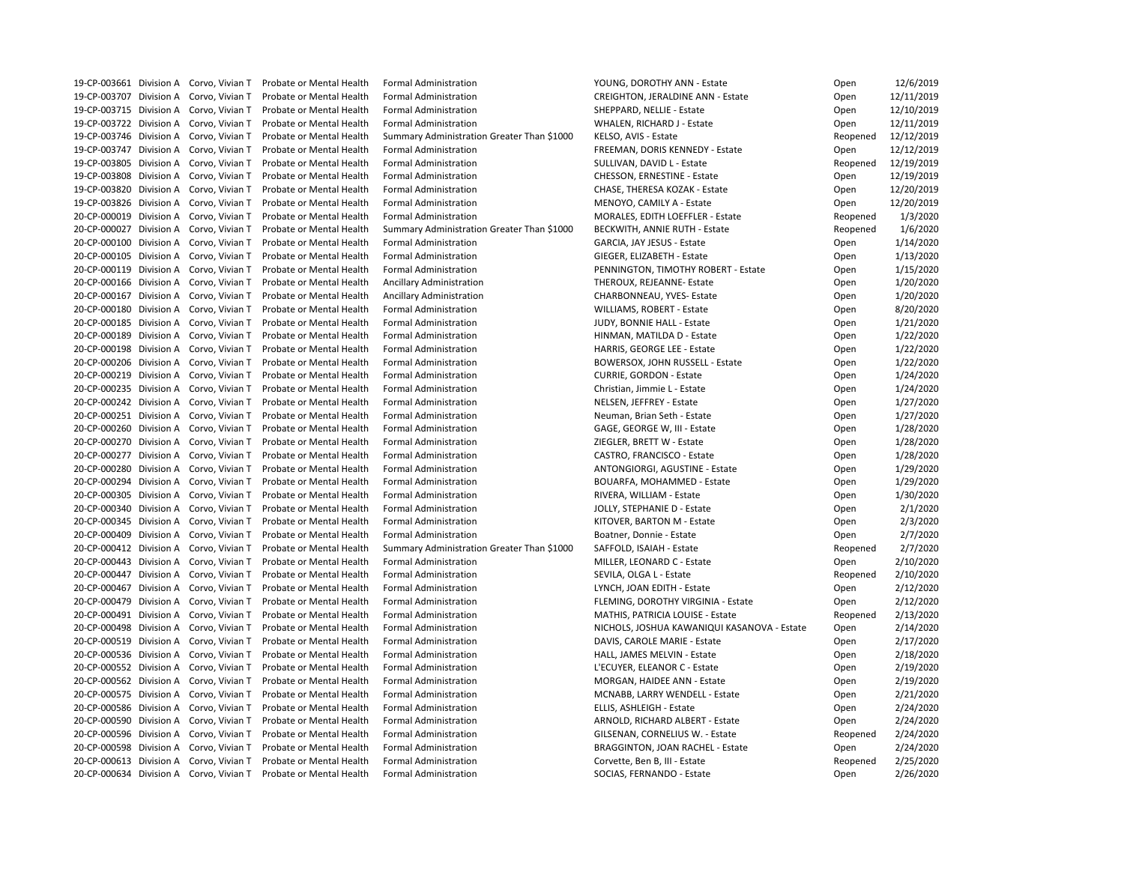|  | 19-CP-003661 Division A Corvo, Vivian T | Probate or Mental Health | <b>Formal Administration</b>               | YOUNG, DOROTHY ANN - Estate                 | Open     | 12/6/2019  |
|--|-----------------------------------------|--------------------------|--------------------------------------------|---------------------------------------------|----------|------------|
|  | 19-CP-003707 Division A Corvo, Vivian T | Probate or Mental Health | <b>Formal Administration</b>               | <b>CREIGHTON, JERALDINE ANN - Estate</b>    | Open     | 12/11/2019 |
|  | 19-CP-003715 Division A Corvo, Vivian T | Probate or Mental Health | <b>Formal Administration</b>               | SHEPPARD, NELLIE - Estate                   | Open     | 12/10/2019 |
|  | 19-CP-003722 Division A Corvo, Vivian T | Probate or Mental Health | <b>Formal Administration</b>               | WHALEN, RICHARD J - Estate                  | Open     | 12/11/2019 |
|  | 19-CP-003746 Division A Corvo, Vivian T | Probate or Mental Health | Summary Administration Greater Than \$1000 | KELSO, AVIS - Estate                        | Reopened | 12/12/2019 |
|  | 19-CP-003747 Division A Corvo, Vivian T | Probate or Mental Health | <b>Formal Administration</b>               | FREEMAN, DORIS KENNEDY - Estate             | Open     | 12/12/2019 |
|  | 19-CP-003805 Division A Corvo, Vivian T | Probate or Mental Health | <b>Formal Administration</b>               | SULLIVAN, DAVID L - Estate                  | Reopened | 12/19/2019 |
|  | 19-CP-003808 Division A Corvo, Vivian T | Probate or Mental Health | <b>Formal Administration</b>               | <b>CHESSON, ERNESTINE - Estate</b>          | Open     | 12/19/2019 |
|  | 19-CP-003820 Division A Corvo, Vivian T | Probate or Mental Health | <b>Formal Administration</b>               | CHASE, THERESA KOZAK - Estate               | Open     | 12/20/2019 |
|  | 19-CP-003826 Division A Corvo, Vivian T | Probate or Mental Health | <b>Formal Administration</b>               | MENOYO, CAMILY A - Estate                   | Open     | 12/20/2019 |
|  | 20-CP-000019 Division A Corvo, Vivian T | Probate or Mental Health | <b>Formal Administration</b>               | <b>MORALES, EDITH LOEFFLER - Estate</b>     | Reopened | 1/3/2020   |
|  | 20-CP-000027 Division A Corvo, Vivian T | Probate or Mental Health | Summary Administration Greater Than \$1000 | <b>BECKWITH, ANNIE RUTH - Estate</b>        | Reopened | 1/6/2020   |
|  | 20-CP-000100 Division A Corvo, Vivian T |                          | <b>Formal Administration</b>               |                                             |          | 1/14/2020  |
|  |                                         | Probate or Mental Health |                                            | GARCIA, JAY JESUS - Estate                  | Open     |            |
|  | 20-CP-000105 Division A Corvo, Vivian T | Probate or Mental Health | <b>Formal Administration</b>               | GIEGER, ELIZABETH - Estate                  | Open     | 1/13/2020  |
|  | 20-CP-000119 Division A Corvo, Vivian T | Probate or Mental Health | <b>Formal Administration</b>               | PENNINGTON, TIMOTHY ROBERT - Estate         | Open     | 1/15/2020  |
|  | 20-CP-000166 Division A Corvo, Vivian T | Probate or Mental Health | <b>Ancillary Administration</b>            | THEROUX, REJEANNE- Estate                   | Open     | 1/20/2020  |
|  | 20-CP-000167 Division A Corvo, Vivian T | Probate or Mental Health | Ancillary Administration                   | CHARBONNEAU, YVES- Estate                   | Open     | 1/20/2020  |
|  | 20-CP-000180 Division A Corvo, Vivian T | Probate or Mental Health | <b>Formal Administration</b>               | WILLIAMS, ROBERT - Estate                   | Open     | 8/20/2020  |
|  | 20-CP-000185 Division A Corvo, Vivian T | Probate or Mental Health | <b>Formal Administration</b>               | JUDY, BONNIE HALL - Estate                  | Open     | 1/21/2020  |
|  | 20-CP-000189 Division A Corvo, Vivian T | Probate or Mental Health | <b>Formal Administration</b>               | HINMAN, MATILDA D - Estate                  | Open     | 1/22/2020  |
|  | 20-CP-000198 Division A Corvo, Vivian T | Probate or Mental Health | <b>Formal Administration</b>               | HARRIS, GEORGE LEE - Estate                 | Open     | 1/22/2020  |
|  | 20-CP-000206 Division A Corvo, Vivian T | Probate or Mental Health | <b>Formal Administration</b>               | BOWERSOX, JOHN RUSSELL - Estate             | Open     | 1/22/2020  |
|  | 20-CP-000219 Division A Corvo, Vivian T | Probate or Mental Health | <b>Formal Administration</b>               | <b>CURRIE, GORDON - Estate</b>              | Open     | 1/24/2020  |
|  | 20-CP-000235 Division A Corvo, Vivian T | Probate or Mental Health | <b>Formal Administration</b>               | Christian, Jimmie L - Estate                | Open     | 1/24/2020  |
|  | 20-CP-000242 Division A Corvo, Vivian T | Probate or Mental Health | <b>Formal Administration</b>               | NELSEN, JEFFREY - Estate                    | Open     | 1/27/2020  |
|  | 20-CP-000251 Division A Corvo, Vivian T | Probate or Mental Health | <b>Formal Administration</b>               | Neuman, Brian Seth - Estate                 | Open     | 1/27/2020  |
|  | 20-CP-000260 Division A Corvo, Vivian T | Probate or Mental Health | <b>Formal Administration</b>               | GAGE, GEORGE W, III - Estate                | Open     | 1/28/2020  |
|  | 20-CP-000270 Division A Corvo, Vivian T | Probate or Mental Health | <b>Formal Administration</b>               | ZIEGLER, BRETT W - Estate                   | Open     | 1/28/2020  |
|  | 20-CP-000277 Division A Corvo, Vivian T | Probate or Mental Health | <b>Formal Administration</b>               | CASTRO, FRANCISCO - Estate                  | Open     | 1/28/2020  |
|  | 20-CP-000280 Division A Corvo, Vivian T | Probate or Mental Health | <b>Formal Administration</b>               | ANTONGIORGI, AGUSTINE - Estate              | Open     | 1/29/2020  |
|  | 20-CP-000294 Division A Corvo, Vivian T | Probate or Mental Health | <b>Formal Administration</b>               | <b>BOUARFA, MOHAMMED - Estate</b>           | Open     | 1/29/2020  |
|  | 20-CP-000305 Division A Corvo, Vivian T | Probate or Mental Health | <b>Formal Administration</b>               | RIVERA, WILLIAM - Estate                    | Open     | 1/30/2020  |
|  | 20-CP-000340 Division A Corvo, Vivian T | Probate or Mental Health | <b>Formal Administration</b>               | JOLLY, STEPHANIE D - Estate                 | Open     | 2/1/2020   |
|  | 20-CP-000345 Division A Corvo, Vivian T | Probate or Mental Health | <b>Formal Administration</b>               | KITOVER, BARTON M - Estate                  | Open     | 2/3/2020   |
|  | 20-CP-000409 Division A Corvo, Vivian T | Probate or Mental Health | <b>Formal Administration</b>               | Boatner, Donnie - Estate                    | Open     | 2/7/2020   |
|  | 20-CP-000412 Division A Corvo, Vivian T | Probate or Mental Health | Summary Administration Greater Than \$1000 | SAFFOLD, ISAIAH - Estate                    | Reopened | 2/7/2020   |
|  | 20-CP-000443 Division A Corvo, Vivian T | Probate or Mental Health | <b>Formal Administration</b>               | MILLER, LEONARD C - Estate                  | Open     | 2/10/2020  |
|  | 20-CP-000447 Division A Corvo, Vivian T | Probate or Mental Health | <b>Formal Administration</b>               | SEVILA, OLGA L - Estate                     | Reopened | 2/10/2020  |
|  | 20-CP-000467 Division A Corvo, Vivian T | Probate or Mental Health | <b>Formal Administration</b>               | LYNCH, JOAN EDITH - Estate                  | Open     | 2/12/2020  |
|  | 20-CP-000479 Division A Corvo, Vivian T | Probate or Mental Health | <b>Formal Administration</b>               | FLEMING, DOROTHY VIRGINIA - Estate          | Open     | 2/12/2020  |
|  | 20-CP-000491 Division A Corvo, Vivian T | Probate or Mental Health | <b>Formal Administration</b>               | <b>MATHIS, PATRICIA LOUISE - Estate</b>     | Reopened | 2/13/2020  |
|  | 20-CP-000498 Division A Corvo, Vivian T | Probate or Mental Health | <b>Formal Administration</b>               | NICHOLS, JOSHUA KAWANIQUI KASANOVA - Estate | Open     | 2/14/2020  |
|  | 20-CP-000519 Division A Corvo, Vivian T | Probate or Mental Health | <b>Formal Administration</b>               | DAVIS, CAROLE MARIE - Estate                | Open     | 2/17/2020  |
|  | 20-CP-000536 Division A Corvo, Vivian T | Probate or Mental Health | <b>Formal Administration</b>               | HALL, JAMES MELVIN - Estate                 | Open     | 2/18/2020  |
|  | 20-CP-000552 Division A Corvo, Vivian T | Probate or Mental Health | <b>Formal Administration</b>               | L'ECUYER, ELEANOR C - Estate                | Open     | 2/19/2020  |
|  | 20-CP-000562 Division A Corvo, Vivian T | Probate or Mental Health | <b>Formal Administration</b>               | MORGAN, HAIDEE ANN - Estate                 | Open     | 2/19/2020  |
|  | 20-CP-000575 Division A Corvo, Vivian T | Probate or Mental Health | <b>Formal Administration</b>               | MCNABB, LARRY WENDELL - Estate              | Open     | 2/21/2020  |
|  | 20-CP-000586 Division A Corvo, Vivian T | Probate or Mental Health | <b>Formal Administration</b>               | ELLIS, ASHLEIGH - Estate                    | Open     | 2/24/2020  |
|  | 20-CP-000590 Division A Corvo, Vivian T | Probate or Mental Health | <b>Formal Administration</b>               | ARNOLD, RICHARD ALBERT - Estate             | Open     | 2/24/2020  |
|  | 20-CP-000596 Division A Corvo, Vivian T | Probate or Mental Health | <b>Formal Administration</b>               | GILSENAN, CORNELIUS W. - Estate             |          | 2/24/2020  |
|  |                                         |                          |                                            |                                             | Reopened |            |
|  | 20-CP-000598 Division A Corvo, Vivian T | Probate or Mental Health | <b>Formal Administration</b>               | <b>BRAGGINTON, JOAN RACHEL - Estate</b>     | Open     | 2/24/2020  |
|  | 20-CP-000613 Division A Corvo, Vivian T | Probate or Mental Health | <b>Formal Administration</b>               | Corvette, Ben B, III - Estate               | Reopened | 2/25/2020  |
|  | 20-CP-000634 Division A Corvo, Vivian T | Probate or Mental Health | <b>Formal Administration</b>               | SOCIAS, FERNANDO - Estate                   | Open     | 2/26/2020  |

| Open     | 12/6/2019  |
|----------|------------|
| Open     | 12/11/2019 |
| Open     | 12/10/2019 |
| Open     | 12/11/2019 |
| Reopened | 12/12/2019 |
| Open     | 12/12/2019 |
| Reopened | 12/19/2019 |
| Open     | 12/19/2019 |
| Open     | 12/20/2019 |
| Open     | 12/20/2019 |
| Reopened | 1/3/2020   |
| Reopened | 1/6/2020   |
| Open     | 1/14/2020  |
|          | 1/13/2020  |
| Open     |            |
| Open     | 1/15/2020  |
| Open     | 1/20/2020  |
| Open     | 1/20/2020  |
| Open     | 8/20/2020  |
| Open     | 1/21/2020  |
| Open     | 1/22/2020  |
| Open     | 1/22/2020  |
| Open     | 1/22/2020  |
| Open     | 1/24/2020  |
| Open     | 1/24/2020  |
| Open     | 1/27/2020  |
| Open     | 1/27/2020  |
| Open     | 1/28/2020  |
| Open     | 1/28/2020  |
| Open     | 1/28/2020  |
| Open     | 1/29/2020  |
| Open     | 1/29/2020  |
| Open     | 1/30/2020  |
| Open     | 2/1/2020   |
| Open     | 2/3/2020   |
| Open     | 2/7/2020   |
| Reopened | 2/7/2020   |
| Open     | 2/10/2020  |
| Reopened | 2/10/2020  |
| Open     | 2/12/2020  |
| Open     | 2/12/2020  |
| Reopened | 2/13/2020  |
| Open     | 2/14/2020  |
| Open     | 2/17/2020  |
| Open     | 2/18/2020  |
| Open     | 2/19/2020  |
|          |            |
| Open     | 2/19/2020  |
| Open     | 2/21/2020  |
| Open     | 2/24/2020  |
| Open     | 2/24/2020  |
| Reopened | 2/24/2020  |
| Open     | 2/24/2020  |
| Reopened | 2/25/2020  |
| Open     | 2/26/2020  |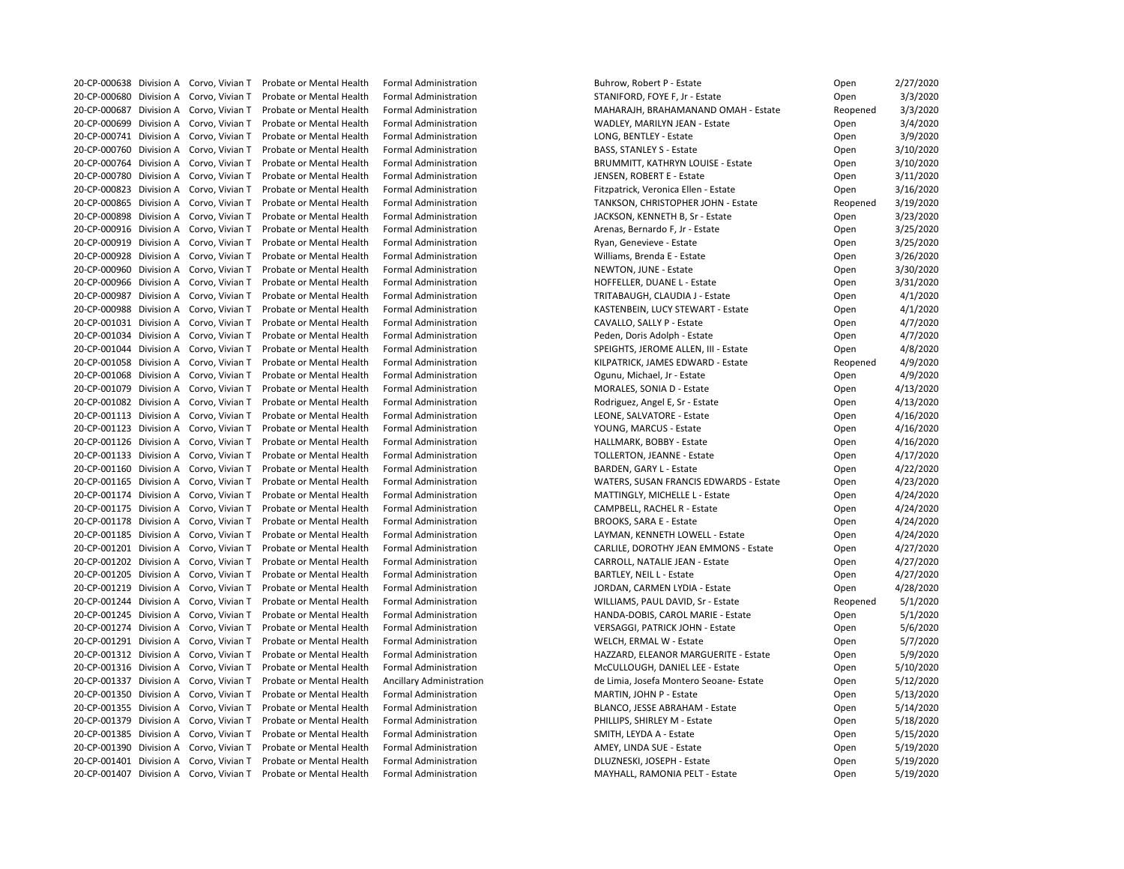20-CP-000638 Division A Corvo, Vivian T Probate or Mental Health Formal Administration Buhrow, Robert P - Estate 20-CP-000680 Division A Corvo, Vivian T Probate or Mental Health Formal Administration STANIFORD, FOYE F, Jr - Estate 20-CP-000687 Division A Corvo, Vivian T Probate or Mental Health Formal Administration MAHARAJH, BRAHAMANAND OMAH - Estate 20-CP-000699 Division A Corvo, Vivian T Probate or Mental Health Formal Administration WADLEY, MARILYN JEAN - Estate 20-CP-000741 Division A Corvo, Vivian T Probate or Mental Health Formal Administration Laboration LONG, BENTLEY - Estate 20-CP-000760 Division A Corvo, Vivian T Probate or Mental Health Formal Administration BASS, STANLEY S - Estate 20-CP-000764 Division A Corvo, Vivian T Probate or Mental Health Formal Administration BRUMMITT, KATHRYN LOUISE - Estate 20-CP-000780 Division A Corvo, Vivian T Probate or Mental Health Formal Administration June 1996 JENSEN, ROBERT E - Estate 20-CP-000823 Division A Corvo, Vivian T Probate or Mental Health Formal Administration Fitzpatrick, Veronica Ellen - Estate 20-CP-000865 Division A Corvo, Vivian T Probate or Mental Health Formal Administration The TANKSON, CHRISTOPHER JOHN - Estate 20-CP-000898 Division A Corvo, Vivian T Probate or Mental Health Formal Administration JACKSON, KENNETH B, Sr - Estate 20-CP-000916 Division A Corvo, Vivian T Probate or Mental Health Formal Administration Arenas, Bernardo F, Jr - Estate 20-CP-000919 Division A Corvo, Vivian T Probate or Mental Health Formal Administration Ryan, Genevieve - Estate 20-CP-000928 Division A Corvo, Vivian T Probate or Mental Health Formal Administration Williams, Brenda E - Estate 20-CP-000960 Division A Corvo, Vivian T Probate or Mental Health Formal Administration NewTON, JUNE - Estate C 20-CP-000966 Division A Corvo, Vivian T Probate or Mental Health Formal Administration https://www.marchiongli 20-CP-000987 Division A Corvo, Vivian T Probate or Mental Health Formal Administration TRITABAUGH, CLAUDIA J - Estate 20-CP-000988 Division A Corvo, Vivian T Probate or Mental Health Formal Administration KASTENBEIN, LUCY STEWART - Estate 20-CP-001031 Division A Corvo, Vivian T Probate or Mental Health Formal Administration CAVALLO, SALLY P - Estate 20-CP-001034 Division A Corvo, Vivian T Probate or Mental Health Formal Administration Peden, Doris Adolph - Estate 20-CP-001044 Division A Corvo, Vivian T Probate or Mental Health Formal Administration SPEIGHTS, JEROME ALLEN, III - Estate 20-CP-001058 Division A Corvo, Vivian T Probate or Mental Health Formal Administration KILPATRICK, JAMES EDWARD - Estate 20-CP-001068 Division A Corvo, Vivian T Probate or Mental Health Formal Administration Cassett Communisty Capunu, Michael, Jr - Estate 20-CP-001079 Division A Corvo, Vivian T Probate or Mental Health Formal Administration MORALES, SONIA D - Estate 20-CP-001082 Division A Corvo, Vivian T Probate or Mental Health Formal Administration Rodriguez, Angel E, Sr - Estate 20-CP-001113 Division A Corvo, Vivian T Probate or Mental Health Formal Administration Leone LEONE, SALVATORE - Estate 20-CP-001123 Division A Corvo, Vivian T Probate or Mental Health Formal Administration The Manus Corvo, VOUNG, MARCUS - Estate 20-CP-001126 Division A Corvo, Vivian T Probate or Mental Health Formal Administration has more that the HALLMARK, BOBBY - Estate 20-CP-001133 Division A Corvo, Vivian T Probate or Mental Health Formal Administration TOLLERTON, JEANNE - Estate 20-CP-001160 Division A Corvo, Vivian T Probate or Mental Health Formal Administration BARDEN, GARY L - Estate 20-CP-001165 Division A Corvo, Vivian T Probate or Mental Health Formal Administration WATERS, SUSAN FRANCIS EDWARDS - Estate 20-CP-001174 Division A Corvo, Vivian T Probate or Mental Health Formal Administration MATTINGLY, MICHELLE L - Estate 20-CP-001175 Division A Corvo, Vivian T Probate or Mental Health Formal Administration CAMPBELL, RACHEL R - Estate 20-CP-001178 Division A Corvo, Vivian T Probate or Mental Health Formal Administration BROOKS, SARA E - Estate 20-CP-001185 Division A Corvo, Vivian T Probate or Mental Health Formal Administration LAYMAN, KENNETH LOWELL - Estate 20-CP-001201 Division A Corvo, Vivian T Probate or Mental Health Formal Administration CARLILE, DOROTHY JEAN EMMONS - Estate 20-CP-001202 Division A Corvo, Vivian T Probate or Mental Health Formal Administration CARROLL, NATALIE JEAN - Estate 20-CP-001205 Division A Corvo, Vivian T Probate or Mental Health Formal Administration BARTLEY, NEIL L - Estate 20-CP-001219 Division A Corvo, Vivian T Probate or Mental Health Formal Administration JORDAN, CARMEN LYDIA - Estate 20-CP-001244 Division A Corvo, Vivian T Probate or Mental Health Formal Administration WILLIAMS, PAUL DAVID, Sr - Estate 20-CP-001245 Division A Corvo, Vivian T Probate or Mental Health Formal Administration HANDA-DOBIS, CAROL MARIE - Estate 20-CP-001274 Division A Corvo, Vivian T Probate or Mental Health Formal Administration VERSAGGI, PATRICK JOHN - Estate 20-CP-001291 Division A Corvo, Vivian T Probate or Mental Health Formal Administration WELCH, ERMAL W - Estate 20-CP-001312 Division A Corvo, Vivian T Probate or Mental Health Formal Administration HAZZARD, ELEANOR MARGUERITE - Estate 20-CP-001316 Division A Corvo, Vivian T Probate or Mental Health Formal Administration MCCULLOUGH, DANIEL LEE - Estate 20-CP-001337 Division A Corvo, Vivian T Probate or Mental Health Ancillary Administration de Limia, Josefa Montero Seoane- Estate 20-CP-001350 Division A Corvo, Vivian T Probate or Mental Health Formal Administration MARTIN, JOHN P - Estate 20-CP-001355 Division A Corvo, Vivian T Probate or Mental Health Formal Administration BLANCO, JESSE ABRAHAM - Estate 20-CP-001379 Division A Corvo, Vivian T Probate or Mental Health Formal Administration PHILLIPS, SHIRLEY M - Estate 20-CP-001385 Division A Corvo, Vivian T Probate or Mental Health Formal Administration SMITH, LEYDA A - Estate 20-CP-001390 Division A Corvo, Vivian T Probate or Mental Health Formal Administration AMEY, LINDA SUE - Estate 20-CP-001401 Division A Corvo, Vivian T Probate or Mental Health Formal Administration DUAL DUZNESKI, JOSEPH - Estate 20-CP-001407 Division A Corvo, Vivian T Probate or Mental Health Formal Administration MAYHALL, RAMONIA PELT - Estate

| Open     | 2/27/2020 |
|----------|-----------|
| Open     | 3/3/2020  |
| Reopened | 3/3/2020  |
| Open     | 3/4/2020  |
| Open     | 3/9/2020  |
| Open     | 3/10/2020 |
| Open     | 3/10/2020 |
| Open     | 3/11/2020 |
| Open     | 3/16/2020 |
| Reopened | 3/19/2020 |
| Open     | 3/23/2020 |
| Open     | 3/25/2020 |
| Open     | 3/25/2020 |
|          | 3/26/2020 |
| Open     |           |
| Open     | 3/30/2020 |
| Open     | 3/31/2020 |
| Open     | 4/1/2020  |
| Open     | 4/1/2020  |
| Open     | 4/7/2020  |
| Open     | 4/7/2020  |
| Open     | 4/8/2020  |
| Reopened | 4/9/2020  |
| Open     | 4/9/2020  |
| Open     | 4/13/2020 |
| Open     | 4/13/2020 |
| Open     | 4/16/2020 |
| Open     | 4/16/2020 |
| Open     | 4/16/2020 |
| Open     | 4/17/2020 |
| Open     | 4/22/2020 |
| Open     | 4/23/2020 |
| Open     | 4/24/2020 |
| Open     | 4/24/2020 |
| Open     | 4/24/2020 |
| Open     | 4/24/2020 |
| Open     | 4/27/2020 |
| Open     | 4/27/2020 |
|          | 4/27/2020 |
| Open     | 4/28/2020 |
| Open     | 5/1/2020  |
| Reopened |           |
| Open     | 5/1/2020  |
| Open     | 5/6/2020  |
| Open     | 5/7/2020  |
| Open     | 5/9/2020  |
| Open     | 5/10/2020 |
| Open     | 5/12/2020 |
| Open     | 5/13/2020 |
| Open     | 5/14/2020 |
| Open     | 5/18/2020 |
| Open     | 5/15/2020 |
| Open     | 5/19/2020 |
| Open     | 5/19/2020 |
| Open     | 5/19/2020 |
|          |           |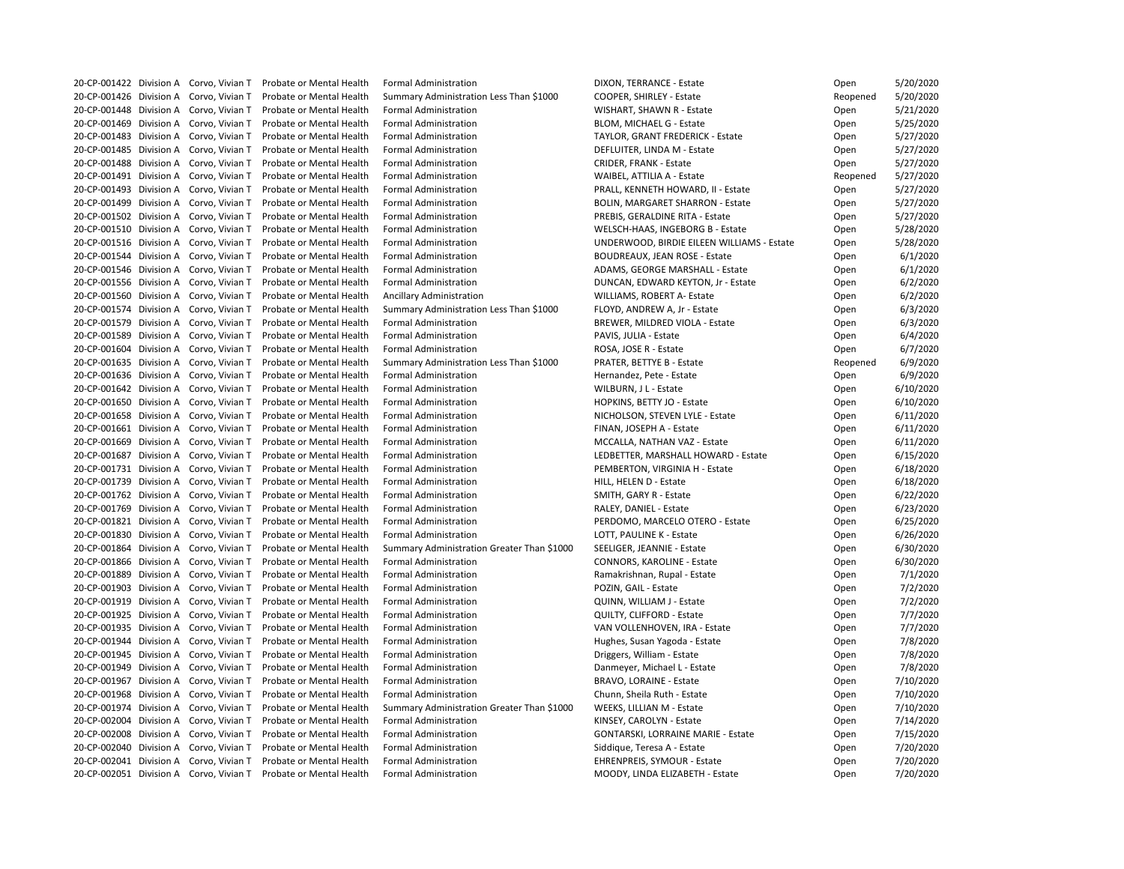| 20-CP-001422 Division A Corvo, Vivian T |                 | Probate or Mental Health                                         | <b>Formal Administration</b>               | DIXON, TERRANCE - Estate                   | Open     | 5/20/2020 |
|-----------------------------------------|-----------------|------------------------------------------------------------------|--------------------------------------------|--------------------------------------------|----------|-----------|
| 20-CP-001426 Division A Corvo, Vivian T |                 | <b>Probate or Mental Health</b>                                  | Summary Administration Less Than \$1000    | COOPER, SHIRLEY - Estate                   | Reopened | 5/20/2020 |
| 20-CP-001448 Division A Corvo, Vivian T |                 | Probate or Mental Health                                         | <b>Formal Administration</b>               | WISHART, SHAWN R - Estate                  | Open     | 5/21/2020 |
| 20-CP-001469 Division A Corvo, Vivian T |                 | Probate or Mental Health                                         | <b>Formal Administration</b>               | BLOM, MICHAEL G - Estate                   | Open     | 5/25/2020 |
| 20-CP-001483 Division A                 | Corvo, Vivian T | Probate or Mental Health                                         | <b>Formal Administration</b>               | <b>TAYLOR, GRANT FREDERICK - Estate</b>    | Open     | 5/27/2020 |
| 20-CP-001485 Division A Corvo, Vivian T |                 | Probate or Mental Health                                         | <b>Formal Administration</b>               | DEFLUITER, LINDA M - Estate                | Open     | 5/27/2020 |
| 20-CP-001488 Division A Corvo, Vivian T |                 | Probate or Mental Health                                         | <b>Formal Administration</b>               | <b>CRIDER, FRANK - Estate</b>              | Open     | 5/27/2020 |
| 20-CP-001491 Division A Corvo, Vivian T |                 | Probate or Mental Health                                         | <b>Formal Administration</b>               | WAIBEL, ATTILIA A - Estate                 | Reopened | 5/27/2020 |
| 20-CP-001493 Division A Corvo, Vivian T |                 | Probate or Mental Health                                         | <b>Formal Administration</b>               | PRALL, KENNETH HOWARD, II - Estate         | Open     | 5/27/2020 |
| 20-CP-001499 Division A Corvo, Vivian T |                 | Probate or Mental Health                                         | <b>Formal Administration</b>               | <b>BOLIN, MARGARET SHARRON - Estate</b>    | Open     | 5/27/2020 |
| 20-CP-001502 Division A Corvo, Vivian T |                 | Probate or Mental Health                                         | <b>Formal Administration</b>               | PREBIS, GERALDINE RITA - Estate            | Open     | 5/27/2020 |
| 20-CP-001510 Division A Corvo, Vivian T |                 | Probate or Mental Health                                         | <b>Formal Administration</b>               | WELSCH-HAAS, INGEBORG B - Estate           | Open     | 5/28/2020 |
| 20-CP-001516 Division A Corvo, Vivian T |                 | Probate or Mental Health                                         | <b>Formal Administration</b>               | UNDERWOOD, BIRDIE EILEEN WILLIAMS - Estate | Open     | 5/28/2020 |
| 20-CP-001544 Division A                 | Corvo, Vivian T | Probate or Mental Health                                         | <b>Formal Administration</b>               | <b>BOUDREAUX, JEAN ROSE - Estate</b>       | Open     | 6/1/2020  |
| 20-CP-001546 Division A Corvo, Vivian T |                 | Probate or Mental Health                                         | <b>Formal Administration</b>               | ADAMS, GEORGE MARSHALL - Estate            |          | 6/1/2020  |
|                                         |                 |                                                                  | <b>Formal Administration</b>               |                                            | Open     |           |
| 20-CP-001556 Division A Corvo, Vivian T |                 | Probate or Mental Health                                         |                                            | DUNCAN, EDWARD KEYTON, Jr - Estate         | Open     | 6/2/202C  |
| 20-CP-001560 Division A Corvo, Vivian T |                 | Probate or Mental Health                                         | <b>Ancillary Administration</b>            | <b>WILLIAMS, ROBERT A- Estate</b>          | Open     | 6/2/202C  |
| 20-CP-001574 Division A Corvo, Vivian T |                 | Probate or Mental Health                                         | Summary Administration Less Than \$1000    | FLOYD, ANDREW A, Jr - Estate               | Open     | 6/3/2020  |
| 20-CP-001579 Division A Corvo, Vivian T |                 | Probate or Mental Health                                         | <b>Formal Administration</b>               | <b>BREWER, MILDRED VIOLA - Estate</b>      | Open     | 6/3/2020  |
| 20-CP-001589 Division A                 | Corvo, Vivian T | Probate or Mental Health                                         | <b>Formal Administration</b>               | PAVIS, JULIA - Estate                      | Open     | 6/4/2020  |
| 20-CP-001604 Division A Corvo, Vivian T |                 | Probate or Mental Health                                         | <b>Formal Administration</b>               | ROSA, JOSE R - Estate                      | Open     | 6/7/2020  |
| 20-CP-001635 Division A Corvo, Vivian T |                 | Probate or Mental Health                                         | Summary Administration Less Than \$1000    | PRATER, BETTYE B - Estate                  | Reopened | 6/9/2020  |
| 20-CP-001636 Division A Corvo, Vivian T |                 | Probate or Mental Health                                         | <b>Formal Administration</b>               | Hernandez, Pete - Estate                   | Open     | 6/9/2020  |
| 20-CP-001642 Division A Corvo, Vivian T |                 | Probate or Mental Health                                         | <b>Formal Administration</b>               | WILBURN, JL - Estate                       | Open     | 6/10/2020 |
| 20-CP-001650 Division A Corvo, Vivian T |                 | Probate or Mental Health                                         | <b>Formal Administration</b>               | HOPKINS, BETTY JO - Estate                 | Open     | 6/10/2020 |
| 20-CP-001658 Division A Corvo, Vivian T |                 | Probate or Mental Health                                         | <b>Formal Administration</b>               | NICHOLSON, STEVEN LYLE - Estate            | Open     | 6/11/2020 |
| 20-CP-001661 Division A Corvo, Vivian T |                 | Probate or Mental Health                                         | <b>Formal Administration</b>               | FINAN, JOSEPH A - Estate                   | Open     | 6/11/2020 |
| 20-CP-001669 Division A Corvo, Vivian T |                 | Probate or Mental Health                                         | <b>Formal Administration</b>               | MCCALLA, NATHAN VAZ - Estate               | Open     | 6/11/2020 |
| 20-CP-001687 Division A                 | Corvo, Vivian T | Probate or Mental Health                                         | <b>Formal Administration</b>               | LEDBETTER, MARSHALL HOWARD - Estate        | Open     | 6/15/2020 |
| 20-CP-001731 Division A Corvo, Vivian T |                 | Probate or Mental Health                                         | <b>Formal Administration</b>               | PEMBERTON, VIRGINIA H - Estate             | Open     | 6/18/2020 |
| 20-CP-001739 Division A Corvo, Vivian T |                 | Probate or Mental Health                                         | <b>Formal Administration</b>               | HILL, HELEN D - Estate                     | Open     | 6/18/2020 |
|                                         |                 | 20-CP-001762 Division A Corvo, Vivian T Probate or Mental Health | <b>Formal Administration</b>               | SMITH, GARY R - Estate                     | Open     | 6/22/2020 |
| 20-CP-001769 Division A                 | Corvo, Vivian T | Probate or Mental Health                                         | <b>Formal Administration</b>               | RALEY, DANIEL - Estate                     | Open     | 6/23/2020 |
| 20-CP-001821 Division A Corvo, Vivian T |                 | Probate or Mental Health                                         | <b>Formal Administration</b>               | PERDOMO, MARCELO OTERO - Estate            | Open     | 6/25/2020 |
| 20-CP-001830 Division A                 | Corvo, Vivian T | Probate or Mental Health                                         | <b>Formal Administration</b>               | LOTT, PAULINE K - Estate                   | Open     | 6/26/2020 |
| 20-CP-001864 Division A                 | Corvo, Vivian T | Probate or Mental Health                                         | Summary Administration Greater Than \$1000 | SEELIGER, JEANNIE - Estate                 | Open     | 6/30/2020 |
| 20-CP-001866 Division A                 | Corvo, Vivian T | Probate or Mental Health                                         | <b>Formal Administration</b>               | <b>CONNORS, KAROLINE - Estate</b>          | Open     | 6/30/2020 |
| 20-CP-001889 Division A                 | Corvo, Vivian T | Probate or Mental Health                                         | <b>Formal Administration</b>               | Ramakrishnan, Rupal - Estate               | Open     | 7/1/2020  |
| 20-CP-001903 Division A                 | Corvo, Vivian T | Probate or Mental Health                                         | <b>Formal Administration</b>               | POZIN, GAIL - Estate                       | Open     | 7/2/2020  |
| 20-CP-001919 Division A                 | Corvo, Vivian T | Probate or Mental Health                                         | <b>Formal Administration</b>               | QUINN, WILLIAM J - Estate                  | Open     | 7/2/2020  |
| 20-CP-001925 Division A                 | Corvo, Vivian T | Probate or Mental Health                                         | <b>Formal Administration</b>               | QUILTY, CLIFFORD - Estate                  |          | 7/7/2020  |
|                                         |                 | Probate or Mental Health                                         |                                            |                                            | Open     | 7/7/2020  |
| 20-CP-001935 Division A                 | Corvo, Vivian T |                                                                  | <b>Formal Administration</b>               | VAN VOLLENHOVEN, IRA - Estate              | Open     |           |
| 20-CP-001944 Division A                 | Corvo, Vivian T | Probate or Mental Health                                         | <b>Formal Administration</b>               | Hughes, Susan Yagoda - Estate              | Open     | 7/8/2020  |
| 20-CP-001945 Division A                 | Corvo, Vivian T | Probate or Mental Health                                         | <b>Formal Administration</b>               | Driggers, William - Estate                 | Open     | 7/8/2020  |
| 20-CP-001949 Division A                 | Corvo, Vivian T | Probate or Mental Health                                         | <b>Formal Administration</b>               | Danmeyer, Michael L - Estate               | Open     | 7/8/2020  |
| 20-CP-001967 Division A                 | Corvo, Vivian T | Probate or Mental Health                                         | <b>Formal Administration</b>               | <b>BRAVO, LORAINE - Estate</b>             | Open     | 7/10/2020 |
| 20-CP-001968 Division A                 | Corvo, Vivian T | Probate or Mental Health                                         | <b>Formal Administration</b>               | Chunn, Sheila Ruth - Estate                | Open     | 7/10/2020 |
| 20-CP-001974 Division A                 | Corvo, Vivian T | Probate or Mental Health                                         | Summary Administration Greater Than \$1000 | WEEKS, LILLIAN M - Estate                  | Open     | 7/10/2020 |
| 20-CP-002004 Division A                 | Corvo, Vivian T | Probate or Mental Health                                         | <b>Formal Administration</b>               | KINSEY, CAROLYN - Estate                   | Open     | 7/14/2020 |
| 20-CP-002008 Division A                 | Corvo, Vivian T | Probate or Mental Health                                         | <b>Formal Administration</b>               | <b>GONTARSKI, LORRAINE MARIE - Estate</b>  | Open     | 7/15/2020 |
| 20-CP-002040 Division A                 | Corvo, Vivian T | Probate or Mental Health                                         | <b>Formal Administration</b>               | Siddique, Teresa A - Estate                | Open     | 7/20/2020 |
| 20-CP-002041 Division A                 | Corvo, Vivian T | Probate or Mental Health                                         | <b>Formal Administration</b>               | <b>EHRENPREIS, SYMOUR - Estate</b>         | Open     | 7/20/2020 |
| 20-CP-002051 Division A Corvo, Vivian T |                 | Probate or Mental Health                                         | <b>Formal Administration</b>               | MOODY, LINDA ELIZABETH - Estate            | Open     | 7/20/2020 |

| Open     | 5/20/2020 |
|----------|-----------|
| Reopened | 5/20/2020 |
| Open     | 5/21/2020 |
| Open     | 5/25/2020 |
| Open     | 5/27/2020 |
| Open     | 5/27/2020 |
| Open     | 5/27/2020 |
| Reopened | 5/27/2020 |
| Open     | 5/27/2020 |
| Open     | 5/27/2020 |
| Open     | 5/27/2020 |
| Open     | 5/28/2020 |
| Open     | 5/28/2020 |
|          | 6/1/2020  |
| Open     |           |
| Open     | 6/1/2020  |
| Open     | 6/2/2020  |
| Open     | 6/2/2020  |
| Open     | 6/3/2020  |
| Open     | 6/3/2020  |
| Open     | 6/4/2020  |
| Open     | 6/7/2020  |
| Reopened | 6/9/2020  |
| Open     | 6/9/2020  |
| Open     | 6/10/2020 |
| Open     | 6/10/2020 |
| Open     | 6/11/2020 |
| Open     | 6/11/2020 |
| Open     | 6/11/2020 |
| Open     | 6/15/2020 |
| Open     | 6/18/2020 |
| Open     | 6/18/2020 |
| Open     | 6/22/2020 |
| Open     | 6/23/2020 |
| Open     | 6/25/2020 |
| Open     | 6/26/2020 |
| Open     | 6/30/2020 |
| Open     | 6/30/2020 |
| Open     | 7/1/2020  |
|          | 7/2/2020  |
| Open     |           |
| Open     | 7/2/2020  |
| Open     | 7/7/2020  |
| Open     | 7/7/2020  |
| Open     | 7/8/2020  |
| Open     | 7/8/2020  |
| Open     | 7/8/2020  |
| Open     | 7/10/2020 |
| Open     | 7/10/2020 |
| Open     | 7/10/2020 |
| Open     | 7/14/2020 |
| Open     | 7/15/2020 |
| Open     | 7/20/2020 |
| Open     | 7/20/2020 |
| Open     | 7/20/2020 |
|          |           |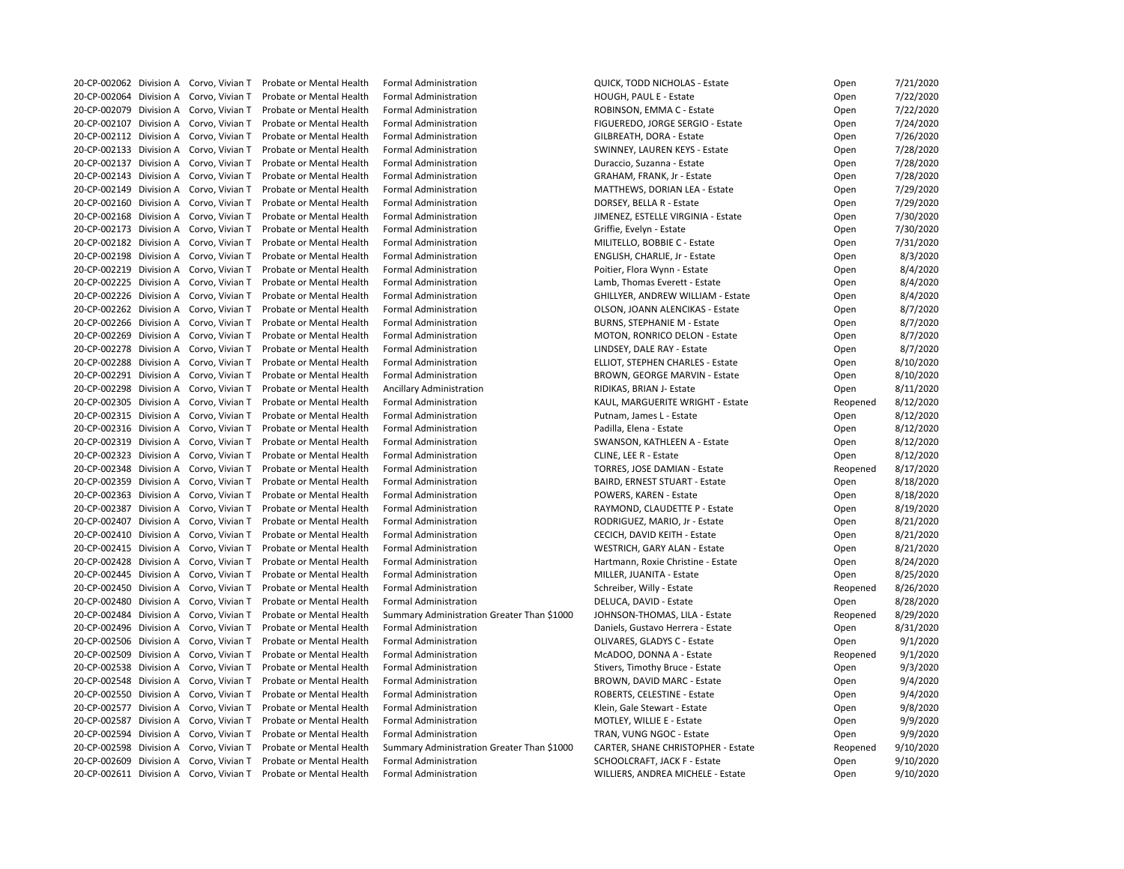| 20-CP-002062 Division A Corvo, Vivian T |                 | <b>Probate or Mental Health</b> | <b>Formal Administration</b>               | <b>QUICK, TODD NICHOLAS - Estate</b>      | Open     | 7/21/2020 |
|-----------------------------------------|-----------------|---------------------------------|--------------------------------------------|-------------------------------------------|----------|-----------|
| 20-CP-002064 Division A                 | Corvo, Vivian T | Probate or Mental Health        | <b>Formal Administration</b>               | HOUGH, PAUL E - Estate                    | Open     | 7/22/2020 |
| 20-CP-002079 Division A Corvo, Vivian T |                 | Probate or Mental Health        | <b>Formal Administration</b>               | ROBINSON, EMMA C - Estate                 | Open     | 7/22/2020 |
| 20-CP-002107 Division A Corvo, Vivian T |                 | Probate or Mental Health        | <b>Formal Administration</b>               | FIGUEREDO, JORGE SERGIO - Estate          | Open     | 7/24/2020 |
| 20-CP-002112 Division A Corvo, Vivian T |                 | Probate or Mental Health        | <b>Formal Administration</b>               | GILBREATH, DORA - Estate                  | Open     | 7/26/2020 |
| 20-CP-002133 Division A                 | Corvo, Vivian T | Probate or Mental Health        | <b>Formal Administration</b>               | SWINNEY, LAUREN KEYS - Estate             | Open     | 7/28/2020 |
| 20-CP-002137 Division A                 | Corvo, Vivian T | Probate or Mental Health        | <b>Formal Administration</b>               | Duraccio, Suzanna - Estate                | Open     | 7/28/2020 |
| 20-CP-002143 Division A Corvo, Vivian T |                 | Probate or Mental Health        | <b>Formal Administration</b>               | GRAHAM, FRANK, Jr - Estate                | Open     | 7/28/2020 |
| 20-CP-002149 Division A                 | Corvo, Vivian T | Probate or Mental Health        | <b>Formal Administration</b>               | MATTHEWS, DORIAN LEA - Estate             | Open     | 7/29/2020 |
| 20-CP-002160 Division A Corvo, Vivian T |                 | Probate or Mental Health        | <b>Formal Administration</b>               | DORSEY, BELLA R - Estate                  | Open     | 7/29/2020 |
| 20-CP-002168 Division A Corvo, Vivian T |                 | Probate or Mental Health        | <b>Formal Administration</b>               | JIMENEZ, ESTELLE VIRGINIA - Estate        | Open     | 7/30/2020 |
| 20-CP-002173 Division A                 | Corvo, Vivian T | Probate or Mental Health        | <b>Formal Administration</b>               | Griffie, Evelyn - Estate                  | Open     | 7/30/2020 |
| 20-CP-002182 Division A Corvo, Vivian T |                 | Probate or Mental Health        | <b>Formal Administration</b>               | MILITELLO, BOBBIE C - Estate              | Open     | 7/31/2020 |
| 20-CP-002198 Division A Corvo, Vivian T |                 | Probate or Mental Health        | <b>Formal Administration</b>               | ENGLISH, CHARLIE, Jr - Estate             | Open     | 8/3/2020  |
| 20-CP-002219 Division A Corvo, Vivian T |                 | Probate or Mental Health        | <b>Formal Administration</b>               | Poitier, Flora Wynn - Estate              | Open     | 8/4/2020  |
| 20-CP-002225 Division A                 | Corvo, Vivian T | Probate or Mental Health        | <b>Formal Administration</b>               | Lamb, Thomas Everett - Estate             | Open     | 8/4/2020  |
| 20-CP-002226 Division A                 | Corvo, Vivian T | Probate or Mental Health        | <b>Formal Administration</b>               | <b>GHILLYER, ANDREW WILLIAM - Estate</b>  | Open     | 8/4/2020  |
| 20-CP-002262 Division A Corvo, Vivian T |                 | Probate or Mental Health        | <b>Formal Administration</b>               | OLSON, JOANN ALENCIKAS - Estate           | Open     | 8/7/2020  |
| 20-CP-002266 Division A Corvo, Vivian T |                 | Probate or Mental Health        | <b>Formal Administration</b>               | <b>BURNS, STEPHANIE M - Estate</b>        | Open     | 8/7/2020  |
| 20-CP-002269 Division A Corvo, Vivian T |                 | Probate or Mental Health        | <b>Formal Administration</b>               | <b>MOTON, RONRICO DELON - Estate</b>      | Open     | 8/7/2020  |
| 20-CP-002278 Division A                 | Corvo, Vivian T | Probate or Mental Health        | <b>Formal Administration</b>               | LINDSEY, DALE RAY - Estate                | Open     | 8/7/2020  |
| 20-CP-002288 Division A                 | Corvo, Vivian T | Probate or Mental Health        | <b>Formal Administration</b>               | <b>ELLIOT, STEPHEN CHARLES - Estate</b>   |          | 8/10/2020 |
| 20-CP-002291 Division A                 |                 | Probate or Mental Health        | <b>Formal Administration</b>               |                                           | Open     |           |
|                                         | Corvo, Vivian T |                                 |                                            | <b>BROWN, GEORGE MARVIN - Estate</b>      | Open     | 8/10/2020 |
| 20-CP-002298 Division A                 | Corvo, Vivian T | Probate or Mental Health        | <b>Ancillary Administration</b>            | RIDIKAS, BRIAN J- Estate                  | Open     | 8/11/2020 |
| 20-CP-002305 Division A Corvo, Vivian T |                 | Probate or Mental Health        | <b>Formal Administration</b>               | KAUL, MARGUERITE WRIGHT - Estate          | Reopened | 8/12/2020 |
| 20-CP-002315 Division A                 | Corvo, Vivian T | Probate or Mental Health        | <b>Formal Administration</b>               | Putnam, James L - Estate                  | Open     | 8/12/2020 |
| 20-CP-002316 Division A                 | Corvo, Vivian T | Probate or Mental Health        | <b>Formal Administration</b>               | Padilla, Elena - Estate                   | Open     | 8/12/2020 |
| 20-CP-002319 Division A                 | Corvo, Vivian T | Probate or Mental Health        | <b>Formal Administration</b>               | SWANSON, KATHLEEN A - Estate              | Open     | 8/12/2020 |
| 20-CP-002323 Division A Corvo, Vivian T |                 | Probate or Mental Health        | <b>Formal Administration</b>               | CLINE, LEE R - Estate                     | Open     | 8/12/2020 |
| 20-CP-002348 Division A Corvo, Vivian T |                 | Probate or Mental Health        | <b>Formal Administration</b>               | <b>TORRES, JOSE DAMIAN - Estate</b>       | Reopened | 8/17/2020 |
| 20-CP-002359 Division A Corvo, Vivian T |                 | Probate or Mental Health        | <b>Formal Administration</b>               | <b>BAIRD, ERNEST STUART - Estate</b>      | Open     | 8/18/2020 |
| 20-CP-002363 Division A Corvo, Vivian T |                 | Probate or Mental Health        | <b>Formal Administration</b>               | POWERS, KAREN - Estate                    | Open     | 8/18/2020 |
| 20-CP-002387 Division A Corvo, Vivian T |                 | Probate or Mental Health        | <b>Formal Administration</b>               | RAYMOND, CLAUDETTE P - Estate             | Open     | 8/19/2020 |
| 20-CP-002407 Division A Corvo, Vivian T |                 | Probate or Mental Health        | <b>Formal Administration</b>               | RODRIGUEZ, MARIO, Jr - Estate             | Open     | 8/21/2020 |
| 20-CP-002410 Division A                 | Corvo, Vivian T | Probate or Mental Health        | <b>Formal Administration</b>               | CECICH, DAVID KEITH - Estate              | Open     | 8/21/2020 |
| 20-CP-002415 Division A                 | Corvo, Vivian T | Probate or Mental Health        | <b>Formal Administration</b>               | WESTRICH, GARY ALAN - Estate              | Open     | 8/21/2020 |
| 20-CP-002428 Division A                 | Corvo, Vivian T | Probate or Mental Health        | <b>Formal Administration</b>               | Hartmann, Roxie Christine - Estate        | Open     | 8/24/2020 |
| 20-CP-002445 Division A                 | Corvo, Vivian T | Probate or Mental Health        | <b>Formal Administration</b>               | MILLER, JUANITA - Estate                  | Open     | 8/25/2020 |
| 20-CP-002450 Division A                 | Corvo, Vivian T | Probate or Mental Health        | <b>Formal Administration</b>               | Schreiber, Willy - Estate                 | Reopened | 8/26/2020 |
| 20-CP-002480 Division A                 | Corvo, Vivian T | Probate or Mental Health        | <b>Formal Administration</b>               | DELUCA, DAVID - Estate                    | Open     | 8/28/2020 |
| 20-CP-002484 Division A                 | Corvo, Vivian T | Probate or Mental Health        | Summary Administration Greater Than \$1000 | JOHNSON-THOMAS, LILA - Estate             | Reopened | 8/29/2020 |
| 20-CP-002496 Division A                 | Corvo, Vivian T | Probate or Mental Health        | <b>Formal Administration</b>               | Daniels, Gustavo Herrera - Estate         | Open     | 8/31/2020 |
| 20-CP-002506 Division A Corvo, Vivian T |                 | Probate or Mental Health        | <b>Formal Administration</b>               | OLIVARES, GLADYS C - Estate               | Open     | 9/1/2020  |
| 20-CP-002509 Division A                 | Corvo, Vivian T | Probate or Mental Health        | <b>Formal Administration</b>               | McADOO, DONNA A - Estate                  | Reopened | 9/1/2020  |
| 20-CP-002538 Division A                 | Corvo, Vivian T | Probate or Mental Health        | <b>Formal Administration</b>               | Stivers, Timothy Bruce - Estate           | Open     | 9/3/2020  |
| 20-CP-002548 Division A                 | Corvo, Vivian T | Probate or Mental Health        | <b>Formal Administration</b>               | <b>BROWN, DAVID MARC - Estate</b>         | Open     | 9/4/2020  |
| 20-CP-002550 Division A                 | Corvo, Vivian T | Probate or Mental Health        | <b>Formal Administration</b>               | ROBERTS, CELESTINE - Estate               | Open     | 9/4/2020  |
| 20-CP-002577 Division A                 | Corvo, Vivian T | Probate or Mental Health        | <b>Formal Administration</b>               | Klein, Gale Stewart - Estate              | Open     | 9/8/2020  |
| 20-CP-002587 Division A                 | Corvo, Vivian T | Probate or Mental Health        | <b>Formal Administration</b>               | MOTLEY, WILLIE E - Estate                 | Open     | 9/9/2020  |
| 20-CP-002594 Division A                 | Corvo, Vivian T | Probate or Mental Health        | <b>Formal Administration</b>               | TRAN, VUNG NGOC - Estate                  | Open     | 9/9/2020  |
| 20-CP-002598 Division A                 | Corvo, Vivian T | Probate or Mental Health        | Summary Administration Greater Than \$1000 | <b>CARTER, SHANE CHRISTOPHER - Estate</b> | Reopened | 9/10/2020 |
| 20-CP-002609 Division A                 | Corvo, Vivian T | Probate or Mental Health        | <b>Formal Administration</b>               | SCHOOLCRAFT, JACK F - Estate              | Open     | 9/10/2020 |
| 20-CP-002611 Division A Corvo, Vivian T |                 | Probate or Mental Health        | <b>Formal Administration</b>               | WILLIERS, ANDREA MICHELE - Estate         | Open     | 9/10/2020 |
|                                         |                 |                                 |                                            |                                           |          |           |

| Open     | 7/21/2020 |
|----------|-----------|
| Open     | 7/22/2020 |
| Open     | 7/22/2020 |
| Open     | 7/24/2020 |
| Open     | 7/26/2020 |
| Open     | 7/28/2020 |
| Open     | 7/28/2020 |
| Open     | 7/28/2020 |
| Open     | 7/29/2020 |
| Open     | 7/29/2020 |
| Open     | 7/30/2020 |
| Open     | 7/30/2020 |
| Open     | 7/31/2020 |
| Open     | 8/3/2020  |
| Open     | 8/4/2020  |
| Open     | 8/4/2020  |
|          | 8/4/2020  |
| Open     |           |
| Open     | 8/7/2020  |
| Open     | 8/7/2020  |
| Open     | 8/7/2020  |
| Open     | 8/7/2020  |
| Open     | 8/10/2020 |
| Open     | 8/10/2020 |
| Open     | 8/11/2020 |
| Reopened | 8/12/2020 |
| Open     | 8/12/2020 |
| Open     | 8/12/2020 |
| Open     | 8/12/2020 |
| Open     | 8/12/2020 |
| Reopened | 8/17/2020 |
| Open     | 8/18/2020 |
| Open     | 8/18/2020 |
| Open     | 8/19/2020 |
| Open     | 8/21/2020 |
| Open     | 8/21/2020 |
| Open     | 8/21/2020 |
| Open     | 8/24/2020 |
| Open     | 8/25/2020 |
| Reopened | 8/26/2020 |
| Open     | 8/28/2020 |
| Reopened | 8/29/2020 |
| Open     | 8/31/2020 |
| Open     | 9/1/2020  |
| Reopened | 9/1/2020  |
| Open     | 9/3/2020  |
| Open     | 9/4/2020  |
| Open     | 9/4/2020  |
| Open     | 9/8/2020  |
| Open     | 9/9/2020  |
| Open     | 9/9/2020  |
| Reopened | 9/10/2020 |
| Open     | 9/10/2020 |
| Open     | 9/10/2020 |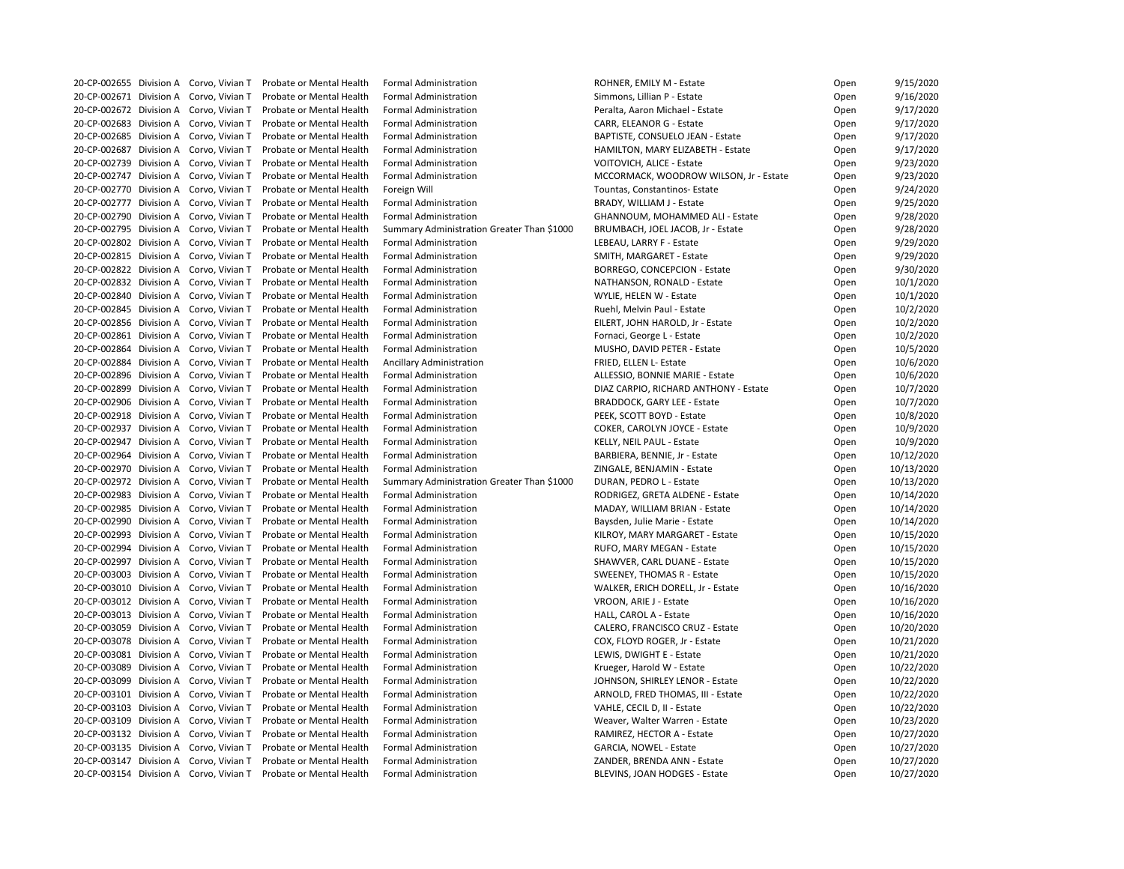|  | 20-CP-002655 Division A Corvo, Vivian T | Probate or Mental Health | <b>Formal Administration</b>               | ROHNER, EMILY M - Estate               | Open | 9/15/2020  |
|--|-----------------------------------------|--------------------------|--------------------------------------------|----------------------------------------|------|------------|
|  | 20-CP-002671 Division A Corvo, Vivian T | Probate or Mental Health | <b>Formal Administration</b>               | Simmons, Lillian P - Estate            | Open | 9/16/2020  |
|  | 20-CP-002672 Division A Corvo, Vivian T | Probate or Mental Health | <b>Formal Administration</b>               | Peralta, Aaron Michael - Estate        | Open | 9/17/2020  |
|  | 20-CP-002683 Division A Corvo, Vivian T | Probate or Mental Health | <b>Formal Administration</b>               | CARR, ELEANOR G - Estate               | Open | 9/17/2020  |
|  | 20-CP-002685 Division A Corvo, Vivian T | Probate or Mental Health | <b>Formal Administration</b>               | BAPTISTE, CONSUELO JEAN - Estate       | Open | 9/17/2020  |
|  | 20-CP-002687 Division A Corvo, Vivian T | Probate or Mental Health | <b>Formal Administration</b>               | HAMILTON, MARY ELIZABETH - Estate      | Open | 9/17/2020  |
|  | 20-CP-002739 Division A Corvo, Vivian T | Probate or Mental Health | <b>Formal Administration</b>               | <b>VOITOVICH, ALICE - Estate</b>       | Open | 9/23/2020  |
|  | 20-CP-002747 Division A Corvo, Vivian T | Probate or Mental Health | <b>Formal Administration</b>               | MCCORMACK, WOODROW WILSON, Jr - Estate | Open | 9/23/2020  |
|  | 20-CP-002770 Division A Corvo, Vivian T | Probate or Mental Health | Foreign Will                               | Tountas, Constantinos- Estate          | Open | 9/24/2020  |
|  | 20-CP-002777 Division A Corvo, Vivian T | Probate or Mental Health | <b>Formal Administration</b>               | BRADY, WILLIAM J - Estate              | Open | 9/25/2020  |
|  | 20-CP-002790 Division A Corvo, Vivian T | Probate or Mental Health | <b>Formal Administration</b>               | GHANNOUM, MOHAMMED ALI - Estate        | Open | 9/28/2020  |
|  | 20-CP-002795 Division A Corvo, Vivian T | Probate or Mental Health | Summary Administration Greater Than \$1000 | BRUMBACH, JOEL JACOB, Jr - Estate      | Open | 9/28/2020  |
|  | 20-CP-002802 Division A Corvo, Vivian T | Probate or Mental Health | <b>Formal Administration</b>               | LEBEAU, LARRY F - Estate               | Open | 9/29/2020  |
|  | 20-CP-002815 Division A Corvo, Vivian T | Probate or Mental Health | <b>Formal Administration</b>               | SMITH, MARGARET - Estate               | Open | 9/29/2020  |
|  | 20-CP-002822 Division A Corvo, Vivian T | Probate or Mental Health | <b>Formal Administration</b>               | <b>BORREGO, CONCEPCION - Estate</b>    | Open | 9/30/2020  |
|  | 20-CP-002832 Division A Corvo, Vivian T | Probate or Mental Health | <b>Formal Administration</b>               | NATHANSON, RONALD - Estate             | Open | 10/1/2020  |
|  | 20-CP-002840 Division A Corvo, Vivian T | Probate or Mental Health | <b>Formal Administration</b>               | WYLIE, HELEN W - Estate                | Open | 10/1/2020  |
|  | 20-CP-002845 Division A Corvo, Vivian T | Probate or Mental Health | <b>Formal Administration</b>               | Ruehl, Melvin Paul - Estate            | Open | 10/2/2020  |
|  | 20-CP-002856 Division A Corvo, Vivian T | Probate or Mental Health | <b>Formal Administration</b>               | EILERT, JOHN HAROLD, Jr - Estate       | Open | 10/2/2020  |
|  | 20-CP-002861 Division A Corvo, Vivian T | Probate or Mental Health | <b>Formal Administration</b>               | Fornaci, George L - Estate             | Open | 10/2/2020  |
|  | 20-CP-002864 Division A Corvo, Vivian T | Probate or Mental Health | <b>Formal Administration</b>               | MUSHO, DAVID PETER - Estate            | Open | 10/5/2020  |
|  | 20-CP-002884 Division A Corvo, Vivian T | Probate or Mental Health | <b>Ancillary Administration</b>            | FRIED, ELLEN L- Estate                 | Open | 10/6/2020  |
|  | 20-CP-002896 Division A Corvo, Vivian T | Probate or Mental Health | <b>Formal Administration</b>               | ALLESSIO, BONNIE MARIE - Estate        | Open | 10/6/2020  |
|  | 20-CP-002899 Division A Corvo, Vivian T | Probate or Mental Health | <b>Formal Administration</b>               | DIAZ CARPIO, RICHARD ANTHONY - Estate  | Open | 10/7/2020  |
|  | 20-CP-002906 Division A Corvo, Vivian T | Probate or Mental Health | <b>Formal Administration</b>               | <b>BRADDOCK, GARY LEE - Estate</b>     | Open | 10/7/2020  |
|  | 20-CP-002918 Division A Corvo, Vivian T | Probate or Mental Health | <b>Formal Administration</b>               | PEEK, SCOTT BOYD - Estate              | Open | 10/8/2020  |
|  | 20-CP-002937 Division A Corvo, Vivian T | Probate or Mental Health | <b>Formal Administration</b>               | COKER, CAROLYN JOYCE - Estate          |      | 10/9/2020  |
|  | 20-CP-002947 Division A Corvo, Vivian T | Probate or Mental Health | <b>Formal Administration</b>               |                                        | Open |            |
|  | 20-CP-002964 Division A Corvo, Vivian T |                          |                                            | KELLY, NEIL PAUL - Estate              | Open | 10/9/2020  |
|  |                                         | Probate or Mental Health | <b>Formal Administration</b>               | BARBIERA, BENNIE, Jr - Estate          | Open | 10/12/2020 |
|  | 20-CP-002970 Division A Corvo, Vivian T | Probate or Mental Health | <b>Formal Administration</b>               | ZINGALE, BENJAMIN - Estate             | Open | 10/13/2020 |
|  | 20-CP-002972 Division A Corvo, Vivian T | Probate or Mental Health | Summary Administration Greater Than \$1000 | DURAN, PEDRO L - Estate                | Open | 10/13/2020 |
|  | 20-CP-002983 Division A Corvo, Vivian T | Probate or Mental Health | <b>Formal Administration</b>               | RODRIGEZ, GRETA ALDENE - Estate        | Open | 10/14/2020 |
|  | 20-CP-002985 Division A Corvo, Vivian T | Probate or Mental Health | <b>Formal Administration</b>               | MADAY, WILLIAM BRIAN - Estate          | Open | 10/14/2020 |
|  | 20-CP-002990 Division A Corvo, Vivian T | Probate or Mental Health | <b>Formal Administration</b>               | Baysden, Julie Marie - Estate          | Open | 10/14/2020 |
|  | 20-CP-002993 Division A Corvo, Vivian T | Probate or Mental Health | <b>Formal Administration</b>               | KILROY, MARY MARGARET - Estate         | Open | 10/15/2020 |
|  | 20-CP-002994 Division A Corvo, Vivian T | Probate or Mental Health | <b>Formal Administration</b>               | RUFO, MARY MEGAN - Estate              | Open | 10/15/2020 |
|  | 20-CP-002997 Division A Corvo, Vivian T | Probate or Mental Health | <b>Formal Administration</b>               | SHAWVER, CARL DUANE - Estate           | Open | 10/15/2020 |
|  | 20-CP-003003 Division A Corvo, Vivian T | Probate or Mental Health | <b>Formal Administration</b>               | <b>SWEENEY, THOMAS R - Estate</b>      | Open | 10/15/2020 |
|  | 20-CP-003010 Division A Corvo, Vivian T | Probate or Mental Health | <b>Formal Administration</b>               | WALKER, ERICH DORELL, Jr - Estate      | Open | 10/16/2020 |
|  | 20-CP-003012 Division A Corvo, Vivian T | Probate or Mental Health | <b>Formal Administration</b>               | VROON, ARIE J - Estate                 | Open | 10/16/2020 |
|  | 20-CP-003013 Division A Corvo, Vivian T | Probate or Mental Health | <b>Formal Administration</b>               | HALL, CAROL A - Estate                 | Open | 10/16/2020 |
|  | 20-CP-003059 Division A Corvo, Vivian T | Probate or Mental Health | <b>Formal Administration</b>               | CALERO, FRANCISCO CRUZ - Estate        | Open | 10/20/2020 |
|  | 20-CP-003078 Division A Corvo, Vivian T | Probate or Mental Health | <b>Formal Administration</b>               | COX, FLOYD ROGER, Jr - Estate          | Open | 10/21/2020 |
|  | 20-CP-003081 Division A Corvo, Vivian T | Probate or Mental Health | <b>Formal Administration</b>               | LEWIS, DWIGHT E - Estate               | Open | 10/21/2020 |
|  | 20-CP-003089 Division A Corvo, Vivian T | Probate or Mental Health | <b>Formal Administration</b>               | Krueger, Harold W - Estate             | Open | 10/22/2020 |
|  | 20-CP-003099 Division A Corvo, Vivian T | Probate or Mental Health | <b>Formal Administration</b>               | JOHNSON, SHIRLEY LENOR - Estate        | Open | 10/22/2020 |
|  | 20-CP-003101 Division A Corvo, Vivian T | Probate or Mental Health | <b>Formal Administration</b>               | ARNOLD, FRED THOMAS, III - Estate      | Open | 10/22/2020 |
|  | 20-CP-003103 Division A Corvo, Vivian T | Probate or Mental Health | <b>Formal Administration</b>               | VAHLE, CECIL D, II - Estate            | Open | 10/22/2020 |
|  | 20-CP-003109 Division A Corvo, Vivian T | Probate or Mental Health | <b>Formal Administration</b>               | Weaver, Walter Warren - Estate         | Open | 10/23/2020 |
|  | 20-CP-003132 Division A Corvo, Vivian T | Probate or Mental Health | <b>Formal Administration</b>               | RAMIREZ, HECTOR A - Estate             | Open | 10/27/2020 |
|  | 20-CP-003135 Division A Corvo, Vivian T | Probate or Mental Health | <b>Formal Administration</b>               | GARCIA, NOWEL - Estate                 | Open | 10/27/2020 |
|  | 20-CP-003147 Division A Corvo, Vivian T | Probate or Mental Health | <b>Formal Administration</b>               | ZANDER, BRENDA ANN - Estate            | Open | 10/27/2020 |
|  | 20-CP-003154 Division A Corvo, Vivian T | Probate or Mental Health | <b>Formal Administration</b>               | <b>BLEVINS, JOAN HODGES - Estate</b>   | Open | 10/27/2020 |

| Open | 9/15/2020  |
|------|------------|
| Open | 9/16/2020  |
| Open | 9/17/2020  |
| Open | 9/17/2020  |
| Open | 9/17/2020  |
| Open | 9/17/2020  |
| Open | 9/23/2020  |
| Open | 9/23/2020  |
| Open | 9/24/2020  |
| Open | 9/25/2020  |
| Open | 9/28/2020  |
| Open | 9/28/2020  |
| Open | 9/29/2020  |
|      |            |
| Open | 9/29/2020  |
| Open | 9/30/2020  |
| Open | 10/1/2020  |
| Open | 10/1/2020  |
| Open | 10/2/2020  |
| Open | 10/2/2020  |
| Open | 10/2/2020  |
| Open | 10/5/2020  |
| Open | 10/6/2020  |
| Open | 10/6/2020  |
| Open | 10/7/2020  |
| Open | 10/7/2020  |
| Open | 10/8/2020  |
| Open | 10/9/2020  |
| Open | 10/9/2020  |
| Open | 10/12/2020 |
| Open | 10/13/2020 |
| Open | 10/13/2020 |
| Open | 10/14/2020 |
| Open | 10/14/2020 |
|      | 10/14/2020 |
| Open |            |
| Open | 10/15/2020 |
| Open | 10/15/2020 |
| Open | 10/15/2020 |
| Open | 10/15/2020 |
| Open | 10/16/2020 |
| Open | 10/16/2020 |
| Open | 10/16/2020 |
| Open | 10/20/2020 |
| Open | 10/21/2020 |
| Open | 10/21/2020 |
| Open | 10/22/2020 |
| Open | 10/22/2020 |
| Open | 10/22/2020 |
| Open | 10/22/2020 |
| Open | 10/23/2020 |
| Open | 10/27/2020 |
| Open | 10/27/2020 |
| Open | 10/27/2020 |
| Open | 10/27/2020 |
|      |            |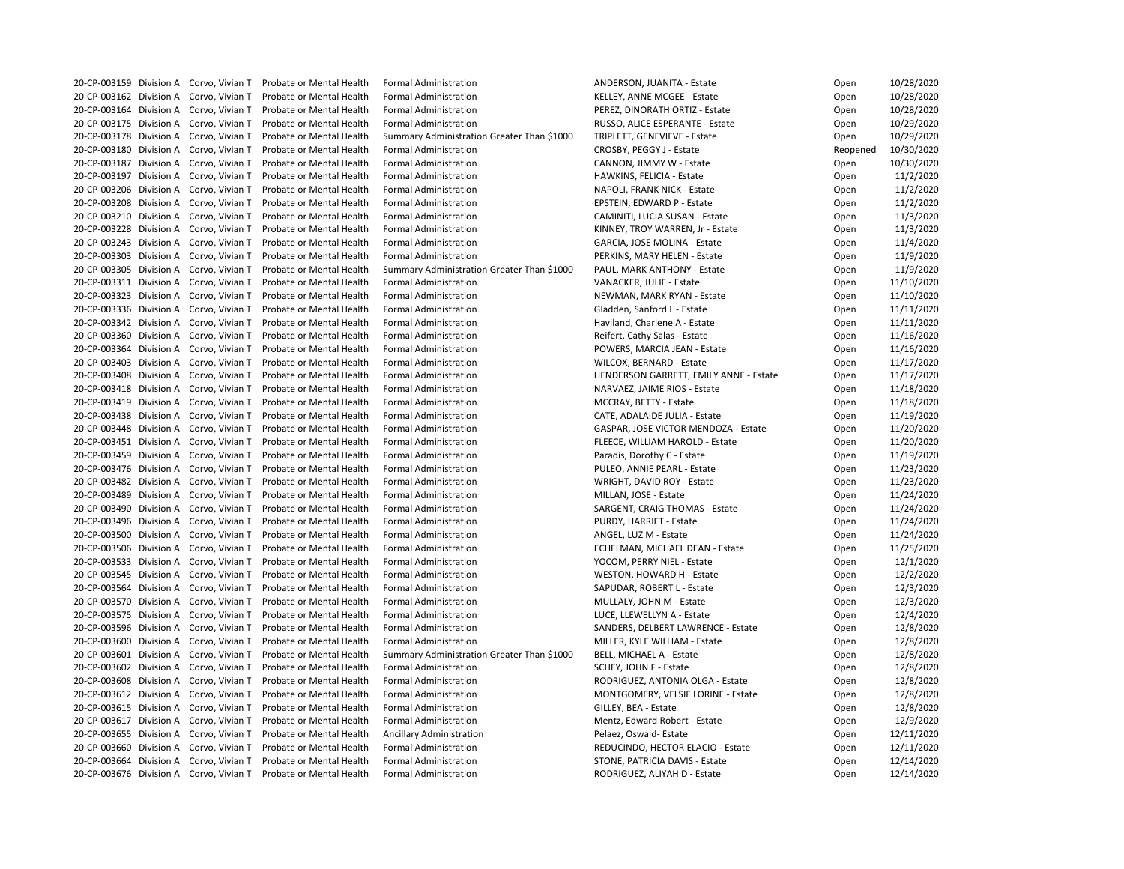|  | 20-CP-003159 Division A Corvo, Vivian T | <b>Probate or Mental Health</b> | <b>Formal Administration</b>               | ANDERSON, JUANITA - Estate             | Open     | 10/28/2020 |
|--|-----------------------------------------|---------------------------------|--------------------------------------------|----------------------------------------|----------|------------|
|  | 20-CP-003162 Division A Corvo, Vivian T | Probate or Mental Health        | <b>Formal Administration</b>               | KELLEY, ANNE MCGEE - Estate            | Open     | 10/28/2020 |
|  | 20-CP-003164 Division A Corvo, Vivian T | Probate or Mental Health        | <b>Formal Administration</b>               | PEREZ, DINORATH ORTIZ - Estate         | Open     | 10/28/2020 |
|  | 20-CP-003175 Division A Corvo, Vivian T | Probate or Mental Health        | <b>Formal Administration</b>               | RUSSO, ALICE ESPERANTE - Estate        | Open     | 10/29/2020 |
|  | 20-CP-003178 Division A Corvo, Vivian T | Probate or Mental Health        | Summary Administration Greater Than \$1000 | TRIPLETT, GENEVIEVE - Estate           | Open     | 10/29/2020 |
|  | 20-CP-003180 Division A Corvo, Vivian T | Probate or Mental Health        | <b>Formal Administration</b>               | CROSBY, PEGGY J - Estate               | Reopened | 10/30/2020 |
|  | 20-CP-003187 Division A Corvo, Vivian T | Probate or Mental Health        | <b>Formal Administration</b>               | CANNON, JIMMY W - Estate               | Open     | 10/30/2020 |
|  | 20-CP-003197 Division A Corvo, Vivian T | Probate or Mental Health        | <b>Formal Administration</b>               | HAWKINS, FELICIA - Estate              | Open     | 11/2/2020  |
|  | 20-CP-003206 Division A Corvo, Vivian T | Probate or Mental Health        | <b>Formal Administration</b>               | NAPOLI, FRANK NICK - Estate            | Open     | 11/2/2020  |
|  | 20-CP-003208 Division A Corvo, Vivian T | Probate or Mental Health        | <b>Formal Administration</b>               | EPSTEIN, EDWARD P - Estate             | Open     | 11/2/2020  |
|  | 20-CP-003210 Division A Corvo, Vivian T | Probate or Mental Health        | <b>Formal Administration</b>               | CAMINITI, LUCIA SUSAN - Estate         | Open     | 11/3/2020  |
|  | 20-CP-003228 Division A Corvo, Vivian T | Probate or Mental Health        | <b>Formal Administration</b>               | KINNEY, TROY WARREN, Jr - Estate       | Open     | 11/3/2020  |
|  | 20-CP-003243 Division A Corvo, Vivian T | Probate or Mental Health        | <b>Formal Administration</b>               | GARCIA, JOSE MOLINA - Estate           | Open     | 11/4/2020  |
|  | 20-CP-003303 Division A Corvo, Vivian T | Probate or Mental Health        | <b>Formal Administration</b>               | PERKINS, MARY HELEN - Estate           | Open     | 11/9/2020  |
|  |                                         |                                 |                                            |                                        |          |            |
|  | 20-CP-003305 Division A Corvo, Vivian T | Probate or Mental Health        | Summary Administration Greater Than \$1000 | PAUL, MARK ANTHONY - Estate            | Open     | 11/9/2020  |
|  | 20-CP-003311 Division A Corvo, Vivian T | Probate or Mental Health        | <b>Formal Administration</b>               | VANACKER, JULIE - Estate               | Open     | 11/10/2020 |
|  | 20-CP-003323 Division A Corvo, Vivian T | Probate or Mental Health        | <b>Formal Administration</b>               | NEWMAN, MARK RYAN - Estate             | Open     | 11/10/2020 |
|  | 20-CP-003336 Division A Corvo, Vivian T | Probate or Mental Health        | <b>Formal Administration</b>               | Gladden, Sanford L - Estate            | Open     | 11/11/2020 |
|  | 20-CP-003342 Division A Corvo, Vivian T | Probate or Mental Health        | <b>Formal Administration</b>               | Haviland, Charlene A - Estate          | Open     | 11/11/2020 |
|  | 20-CP-003360 Division A Corvo, Vivian T | Probate or Mental Health        | <b>Formal Administration</b>               | Reifert, Cathy Salas - Estate          | Open     | 11/16/2020 |
|  | 20-CP-003364 Division A Corvo, Vivian T | Probate or Mental Health        | <b>Formal Administration</b>               | POWERS, MARCIA JEAN - Estate           | Open     | 11/16/2020 |
|  | 20-CP-003403 Division A Corvo, Vivian T | Probate or Mental Health        | <b>Formal Administration</b>               | WILCOX, BERNARD - Estate               | Open     | 11/17/2020 |
|  | 20-CP-003408 Division A Corvo, Vivian T | Probate or Mental Health        | <b>Formal Administration</b>               | HENDERSON GARRETT, EMILY ANNE - Estate | Open     | 11/17/2020 |
|  | 20-CP-003418 Division A Corvo, Vivian T | Probate or Mental Health        | <b>Formal Administration</b>               | NARVAEZ, JAIME RIOS - Estate           | Open     | 11/18/2020 |
|  | 20-CP-003419 Division A Corvo, Vivian T | Probate or Mental Health        | <b>Formal Administration</b>               | MCCRAY, BETTY - Estate                 | Open     | 11/18/2020 |
|  | 20-CP-003438 Division A Corvo, Vivian T | Probate or Mental Health        | <b>Formal Administration</b>               | CATE, ADALAIDE JULIA - Estate          | Open     | 11/19/2020 |
|  | 20-CP-003448 Division A Corvo, Vivian T | Probate or Mental Health        | <b>Formal Administration</b>               | GASPAR, JOSE VICTOR MENDOZA - Estate   | Open     | 11/20/2020 |
|  | 20-CP-003451 Division A Corvo, Vivian T | Probate or Mental Health        | <b>Formal Administration</b>               | FLEECE, WILLIAM HAROLD - Estate        | Open     | 11/20/2020 |
|  | 20-CP-003459 Division A Corvo, Vivian T | Probate or Mental Health        | <b>Formal Administration</b>               | Paradis, Dorothy C - Estate            | Open     | 11/19/2020 |
|  | 20-CP-003476 Division A Corvo, Vivian T | Probate or Mental Health        | <b>Formal Administration</b>               | PULEO, ANNIE PEARL - Estate            | Open     | 11/23/2020 |
|  | 20-CP-003482 Division A Corvo, Vivian T | Probate or Mental Health        | <b>Formal Administration</b>               | WRIGHT, DAVID ROY - Estate             | Open     | 11/23/2020 |
|  | 20-CP-003489 Division A Corvo, Vivian T | Probate or Mental Health        | <b>Formal Administration</b>               | MILLAN, JOSE - Estate                  | Open     | 11/24/2020 |
|  | 20-CP-003490 Division A Corvo, Vivian T | Probate or Mental Health        | <b>Formal Administration</b>               | <b>SARGENT, CRAIG THOMAS - Estate</b>  | Open     | 11/24/2020 |
|  | 20-CP-003496 Division A Corvo, Vivian T | Probate or Mental Health        | <b>Formal Administration</b>               | PURDY, HARRIET - Estate                | Open     | 11/24/2020 |
|  | 20-CP-003500 Division A Corvo, Vivian T | Probate or Mental Health        | <b>Formal Administration</b>               | ANGEL, LUZ M - Estate                  | Open     | 11/24/2020 |
|  | 20-CP-003506 Division A Corvo, Vivian T | Probate or Mental Health        | <b>Formal Administration</b>               | ECHELMAN, MICHAEL DEAN - Estate        | Open     | 11/25/2020 |
|  | 20-CP-003533 Division A Corvo, Vivian T | Probate or Mental Health        | <b>Formal Administration</b>               | YOCOM, PERRY NIEL - Estate             | Open     | 12/1/2020  |
|  | 20-CP-003545 Division A Corvo, Vivian T | Probate or Mental Health        | <b>Formal Administration</b>               | WESTON, HOWARD H - Estate              | Open     | 12/2/2020  |
|  | 20-CP-003564 Division A Corvo, Vivian T | Probate or Mental Health        | <b>Formal Administration</b>               | SAPUDAR, ROBERT L - Estate             |          | 12/3/2020  |
|  | 20-CP-003570 Division A Corvo, Vivian T |                                 |                                            |                                        | Open     |            |
|  |                                         | Probate or Mental Health        | <b>Formal Administration</b>               | MULLALY, JOHN M - Estate               | Open     | 12/3/2020  |
|  | 20-CP-003575 Division A Corvo, Vivian T | Probate or Mental Health        | <b>Formal Administration</b>               | LUCE, LLEWELLYN A - Estate             | Open     | 12/4/2020  |
|  | 20-CP-003596 Division A Corvo, Vivian T | Probate or Mental Health        | <b>Formal Administration</b>               | SANDERS, DELBERT LAWRENCE - Estate     | Open     | 12/8/2020  |
|  | 20-CP-003600 Division A Corvo, Vivian T | Probate or Mental Health        | <b>Formal Administration</b>               | MILLER, KYLE WILLIAM - Estate          | Open     | 12/8/2020  |
|  | 20-CP-003601 Division A Corvo, Vivian T | Probate or Mental Health        | Summary Administration Greater Than \$1000 | <b>BELL, MICHAEL A - Estate</b>        | Open     | 12/8/2020  |
|  | 20-CP-003602 Division A Corvo, Vivian T | Probate or Mental Health        | <b>Formal Administration</b>               | SCHEY, JOHN F - Estate                 | Open     | 12/8/2020  |
|  | 20-CP-003608 Division A Corvo, Vivian T | Probate or Mental Health        | <b>Formal Administration</b>               | RODRIGUEZ, ANTONIA OLGA - Estate       | Open     | 12/8/2020  |
|  | 20-CP-003612 Division A Corvo, Vivian T | Probate or Mental Health        | <b>Formal Administration</b>               | MONTGOMERY, VELSIE LORINE - Estate     | Open     | 12/8/2020  |
|  | 20-CP-003615 Division A Corvo, Vivian T | Probate or Mental Health        | <b>Formal Administration</b>               | GILLEY, BEA - Estate                   | Open     | 12/8/2020  |
|  | 20-CP-003617 Division A Corvo, Vivian T | Probate or Mental Health        | <b>Formal Administration</b>               | Mentz, Edward Robert - Estate          | Open     | 12/9/2020  |
|  | 20-CP-003655 Division A Corvo, Vivian T | Probate or Mental Health        | <b>Ancillary Administration</b>            | Pelaez, Oswald-Estate                  | Open     | 12/11/2020 |
|  | 20-CP-003660 Division A Corvo, Vivian T | Probate or Mental Health        | <b>Formal Administration</b>               | REDUCINDO, HECTOR ELACIO - Estate      | Open     | 12/11/2020 |
|  | 20-CP-003664 Division A Corvo, Vivian T | Probate or Mental Health        | <b>Formal Administration</b>               | STONE, PATRICIA DAVIS - Estate         | Open     | 12/14/2020 |
|  | 20-CP-003676 Division A Corvo, Vivian T | Probate or Mental Health        | <b>Formal Administration</b>               | RODRIGUEZ, ALIYAH D - Estate           | Open     | 12/14/2020 |
|  |                                         |                                 |                                            |                                        |          |            |

| Open     | 10/28/2020 |
|----------|------------|
| Open     | 10/28/2020 |
| Open     | 10/28/2020 |
| Open     | 10/29/2020 |
| Open     | 10/29/2020 |
| Reopened | 10/30/2020 |
| Open     | 10/30/2020 |
| Open     | 11/2/2020  |
| Open     | 11/2/2020  |
| Open     | 11/2/2020  |
| Open     | 11/3/2020  |
| Open     | 11/3/2020  |
| Open     | 11/4/2020  |
| Open     | 11/9/2020  |
|          | 11/9/2020  |
| Open     |            |
| Open     | 11/10/2020 |
| Open     | 11/10/2020 |
| Open     | 11/11/2020 |
| Open     | 11/11/2020 |
| Open     | 11/16/2020 |
| Open     | 11/16/2020 |
| Open     | 11/17/2020 |
| Open     | 11/17/2020 |
| Open     | 11/18/2020 |
| Open     | 11/18/2020 |
| Open     | 11/19/2020 |
| Open     | 11/20/2020 |
| Open     | 11/20/2020 |
| Open     | 11/19/2020 |
| Open     | 11/23/2020 |
| Open     | 11/23/2020 |
| Open     | 11/24/2020 |
| Open     | 11/24/2020 |
| Open     | 11/24/2020 |
| Open     | 11/24/2020 |
| Open     | 11/25/2020 |
| Open     | 12/1/2020  |
| Open     | 12/2/2020  |
| Open     | 12/3/2020  |
| Open     | 12/3/2020  |
| Open     | 12/4/2020  |
| Open     | 12/8/2020  |
| Open     | 12/8/2020  |
| Open     | 12/8/2020  |
| Open     | 12/8/2020  |
|          | 12/8/2020  |
| Open     | 12/8/2020  |
| Open     | 12/8/2020  |
| Open     |            |
| Open     | 12/9/2020  |
| Open     | 12/11/2020 |
| Open     | 12/11/2020 |
| Open     | 12/14/2020 |
| Open     | 12/14/2020 |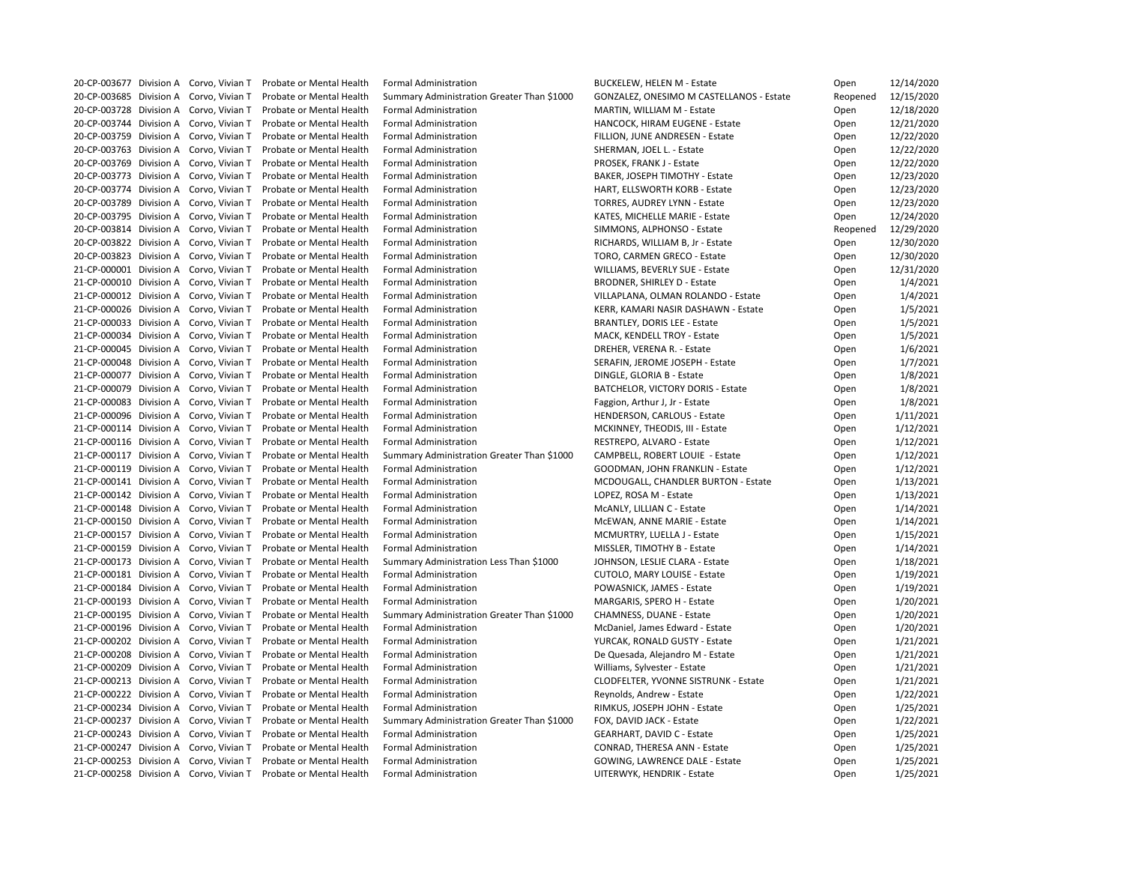|                         | 20-CP-003677 Division A Corvo, Vivian T | Probate or Mental Health | <b>Formal Administration</b>               | <b>BUCKELEW, HELEN M - Estate</b>           | Open     | 12/14/2020 |
|-------------------------|-----------------------------------------|--------------------------|--------------------------------------------|---------------------------------------------|----------|------------|
|                         | 20-CP-003685 Division A Corvo, Vivian T | Probate or Mental Health | Summary Administration Greater Than \$1000 | GONZALEZ, ONESIMO M CASTELLANOS - Estate    | Reopened | 12/15/2020 |
| 20-CP-003728 Division A | Corvo, Vivian T                         | Probate or Mental Health | <b>Formal Administration</b>               | MARTIN, WILLIAM M - Estate                  | Open     | 12/18/2020 |
|                         | 20-CP-003744 Division A Corvo, Vivian T | Probate or Mental Health | <b>Formal Administration</b>               | HANCOCK, HIRAM EUGENE - Estate              | Open     | 12/21/2020 |
|                         | 20-CP-003759 Division A Corvo, Vivian T | Probate or Mental Health | <b>Formal Administration</b>               | FILLION, JUNE ANDRESEN - Estate             | Open     | 12/22/2020 |
|                         | 20-CP-003763 Division A Corvo, Vivian T | Probate or Mental Health | <b>Formal Administration</b>               | SHERMAN, JOEL L. - Estate                   | Open     | 12/22/2020 |
|                         | 20-CP-003769 Division A Corvo, Vivian T | Probate or Mental Health | <b>Formal Administration</b>               | PROSEK, FRANK J - Estate                    | Open     | 12/22/2020 |
| 20-CP-003773 Division A | Corvo, Vivian T                         | Probate or Mental Health | <b>Formal Administration</b>               | BAKER, JOSEPH TIMOTHY - Estate              | Open     | 12/23/2020 |
|                         | 20-CP-003774 Division A Corvo, Vivian T | Probate or Mental Health | <b>Formal Administration</b>               | HART, ELLSWORTH KORB - Estate               | Open     | 12/23/2020 |
|                         | 20-CP-003789 Division A Corvo, Vivian T | Probate or Mental Health | <b>Formal Administration</b>               | <b>TORRES, AUDREY LYNN - Estate</b>         | Open     | 12/23/2020 |
|                         | 20-CP-003795 Division A Corvo, Vivian T | Probate or Mental Health | <b>Formal Administration</b>               | KATES, MICHELLE MARIE - Estate              | Open     | 12/24/2020 |
|                         | 20-CP-003814 Division A Corvo, Vivian T | Probate or Mental Health | <b>Formal Administration</b>               | SIMMONS, ALPHONSO - Estate                  | Reopened | 12/29/2020 |
| 20-CP-003822 Division A |                                         | Probate or Mental Health |                                            |                                             |          |            |
|                         | Corvo, Vivian T                         |                          | <b>Formal Administration</b>               | RICHARDS, WILLIAM B, Jr - Estate            | Open     | 12/30/2020 |
|                         | 20-CP-003823 Division A Corvo, Vivian T | Probate or Mental Health | <b>Formal Administration</b>               | TORO, CARMEN GRECO - Estate                 | Open     | 12/30/2020 |
|                         | 21-CP-000001 Division A Corvo, Vivian T | Probate or Mental Health | <b>Formal Administration</b>               | WILLIAMS, BEVERLY SUE - Estate              | Open     | 12/31/2020 |
|                         | 21-CP-000010 Division A Corvo, Vivian T | Probate or Mental Health | <b>Formal Administration</b>               | <b>BRODNER, SHIRLEY D - Estate</b>          | Open     | 1/4/2021   |
|                         | 21-CP-000012 Division A Corvo, Vivian T | Probate or Mental Health | <b>Formal Administration</b>               | VILLAPLANA, OLMAN ROLANDO - Estate          | Open     | 1/4/2021   |
| 21-CP-000026 Division A | Corvo, Vivian T                         | Probate or Mental Health | <b>Formal Administration</b>               | KERR, KAMARI NASIR DASHAWN - Estate         | Open     | 1/5/2021   |
|                         | 21-CP-000033 Division A Corvo, Vivian T | Probate or Mental Health | <b>Formal Administration</b>               | <b>BRANTLEY, DORIS LEE - Estate</b>         | Open     | 1/5/2021   |
|                         | 21-CP-000034 Division A Corvo, Vivian T | Probate or Mental Health | <b>Formal Administration</b>               | MACK, KENDELL TROY - Estate                 | Open     | 1/5/2021   |
|                         | 21-CP-000045 Division A Corvo, Vivian T | Probate or Mental Health | <b>Formal Administration</b>               | DREHER, VERENA R. - Estate                  | Open     | 1/6/2021   |
|                         | 21-CP-000048 Division A Corvo, Vivian T | Probate or Mental Health | <b>Formal Administration</b>               | SERAFIN, JEROME JOSEPH - Estate             | Open     | 1/7/2021   |
| 21-CP-000077 Division A | Corvo, Vivian T                         | Probate or Mental Health | <b>Formal Administration</b>               | DINGLE, GLORIA B - Estate                   | Open     | 1/8/2021   |
|                         | 21-CP-000079 Division A Corvo, Vivian T | Probate or Mental Health | <b>Formal Administration</b>               | <b>BATCHELOR, VICTORY DORIS - Estate</b>    | Open     | 1/8/2021   |
|                         | 21-CP-000083 Division A Corvo, Vivian T | Probate or Mental Health | <b>Formal Administration</b>               | Faggion, Arthur J, Jr - Estate              | Open     | 1/8/2021   |
|                         | 21-CP-000096 Division A Corvo, Vivian T | Probate or Mental Health | <b>Formal Administration</b>               | HENDERSON, CARLOUS - Estate                 | Open     | 1/11/2021  |
|                         | 21-CP-000114 Division A Corvo, Vivian T | Probate or Mental Health | <b>Formal Administration</b>               | MCKINNEY, THEODIS, III - Estate             | Open     | 1/12/2021  |
| 21-CP-000116 Division A | Corvo, Vivian T                         | Probate or Mental Health | <b>Formal Administration</b>               | RESTREPO, ALVARO - Estate                   | Open     | 1/12/2021  |
|                         | 21-CP-000117 Division A Corvo, Vivian T | Probate or Mental Health | Summary Administration Greater Than \$1000 | CAMPBELL, ROBERT LOUIE - Estate             | Open     | 1/12/2021  |
|                         | 21-CP-000119 Division A Corvo, Vivian T | Probate or Mental Health | <b>Formal Administration</b>               | <b>GOODMAN, JOHN FRANKLIN - Estate</b>      | Open     | 1/12/2021  |
|                         | 21-CP-000141 Division A Corvo, Vivian T | Probate or Mental Health | <b>Formal Administration</b>               | MCDOUGALL, CHANDLER BURTON - Estate         | Open     | 1/13/2021  |
|                         | 21-CP-000142 Division A Corvo, Vivian T | Probate or Mental Health | <b>Formal Administration</b>               | LOPEZ, ROSA M - Estate                      | Open     | 1/13/2021  |
|                         | 21-CP-000148 Division A Corvo, Vivian T | Probate or Mental Health | <b>Formal Administration</b>               | McANLY, LILLIAN C - Estate                  | Open     | 1/14/2021  |
|                         | 21-CP-000150 Division A Corvo, Vivian T | Probate or Mental Health | <b>Formal Administration</b>               | McEWAN, ANNE MARIE - Estate                 | Open     | 1/14/2021  |
|                         | 21-CP-000157 Division A Corvo, Vivian T | Probate or Mental Health | <b>Formal Administration</b>               | MCMURTRY, LUELLA J - Estate                 | Open     | 1/15/2021  |
| 21-CP-000159 Division A | Corvo, Vivian T                         | Probate or Mental Health | <b>Formal Administration</b>               | MISSLER, TIMOTHY B - Estate                 | Open     | 1/14/2021  |
|                         | 21-CP-000173 Division A Corvo, Vivian T | Probate or Mental Health | Summary Administration Less Than \$1000    | JOHNSON, LESLIE CLARA - Estate              | Open     | 1/18/2021  |
| 21-CP-000181 Division A | Corvo, Vivian T                         | Probate or Mental Health | <b>Formal Administration</b>               | <b>CUTOLO, MARY LOUISE - Estate</b>         | Open     | 1/19/2021  |
|                         | 21-CP-000184 Division A Corvo, Vivian T | Probate or Mental Health | <b>Formal Administration</b>               | POWASNICK, JAMES - Estate                   | Open     | 1/19/2021  |
|                         | 21-CP-000193 Division A Corvo, Vivian T | Probate or Mental Health | <b>Formal Administration</b>               | MARGARIS, SPERO H - Estate                  | Open     | 1/20/2021  |
|                         | 21-CP-000195 Division A Corvo, Vivian T | Probate or Mental Health | Summary Administration Greater Than \$1000 | <b>CHAMNESS, DUANE - Estate</b>             | Open     | 1/20/2021  |
|                         | 21-CP-000196 Division A Corvo, Vivian T | Probate or Mental Health | <b>Formal Administration</b>               | McDaniel, James Edward - Estate             |          | 1/20/2021  |
|                         | 21-CP-000202 Division A Corvo, Vivian T |                          |                                            |                                             | Open     |            |
|                         |                                         | Probate or Mental Health | <b>Formal Administration</b>               | YURCAK, RONALD GUSTY - Estate               | Open     | 1/21/2021  |
|                         | 21-CP-000208 Division A Corvo, Vivian T | Probate or Mental Health | <b>Formal Administration</b>               | De Quesada, Alejandro M - Estate            | Open     | 1/21/2021  |
|                         | 21-CP-000209 Division A Corvo, Vivian T | Probate or Mental Health | <b>Formal Administration</b>               | Williams, Sylvester - Estate                | Open     | 1/21/2021  |
| 21-CP-000213 Division A | Corvo, Vivian T                         | Probate or Mental Health | <b>Formal Administration</b>               | <b>CLODFELTER, YVONNE SISTRUNK - Estate</b> | Open     | 1/21/2021  |
|                         | 21-CP-000222 Division A Corvo, Vivian T | Probate or Mental Health | <b>Formal Administration</b>               | Reynolds, Andrew - Estate                   | Open     | 1/22/2021  |
| 21-CP-000234 Division A | Corvo, Vivian T                         | Probate or Mental Health | <b>Formal Administration</b>               | RIMKUS, JOSEPH JOHN - Estate                | Open     | 1/25/2021  |
|                         | 21-CP-000237 Division A Corvo, Vivian T | Probate or Mental Health | Summary Administration Greater Than \$1000 | FOX, DAVID JACK - Estate                    | Open     | 1/22/2021  |
|                         | 21-CP-000243 Division A Corvo, Vivian T | Probate or Mental Health | <b>Formal Administration</b>               | <b>GEARHART, DAVID C - Estate</b>           | Open     | 1/25/2021  |
| 21-CP-000247 Division A | Corvo, Vivian T                         | Probate or Mental Health | <b>Formal Administration</b>               | <b>CONRAD, THERESA ANN - Estate</b>         | Open     | 1/25/2021  |
|                         | 21-CP-000253 Division A Corvo, Vivian T | Probate or Mental Health | <b>Formal Administration</b>               | GOWING, LAWRENCE DALE - Estate              | Open     | 1/25/2021  |
|                         | 21-CP-000258 Division A Corvo, Vivian T | Probate or Mental Health | <b>Formal Administration</b>               | UITERWYK, HENDRIK - Estate                  | Open     | 1/25/2021  |
|                         |                                         |                          |                                            |                                             |          |            |

| 12/15/2020 |
|------------|
| 12/18/2020 |
| 12/21/2020 |
| 12/22/2020 |
| 12/22/2020 |
| 12/22/2020 |
| 12/23/2020 |
| 12/23/2020 |
| 12/23/2020 |
| 12/24/2020 |
| 12/29/2020 |
| 12/30/2020 |
|            |
| 12/30/2020 |
| 12/31/2020 |
| 1/4/2021   |
| 1/4/2021   |
| 1/5/2021   |
| 1/5/2021   |
| 1/5/2021   |
| 1/6/2021   |
| 1/7/2021   |
| 1/8/2021   |
| 1/8/2021   |
| 1/8/2021   |
| 1/11/2021  |
| 1/12/2021  |
| 1/12/2021  |
| 1/12/2021  |
| 1/12/2021  |
| 1/13/2021  |
| 1/13/2021  |
| 1/14/2021  |
| 1/14/2021  |
| 1/15/2021  |
| 1/14/2021  |
| 1/18/2021  |
| 1/19/2021  |
|            |
| 1/19/2021  |
| 1/20/2021  |
| 1/20/2021  |
| 1/20/2021  |
| 1/21/2021  |
| 1/21/2021  |
| 1/21/2021  |
| 1/21/2021  |
| 1/22/2021  |
| 1/25/2021  |
| 1/22/2021  |
| 1/25/2021  |
| 1/25/2021  |
| 1/25/2021  |
|            |
|            |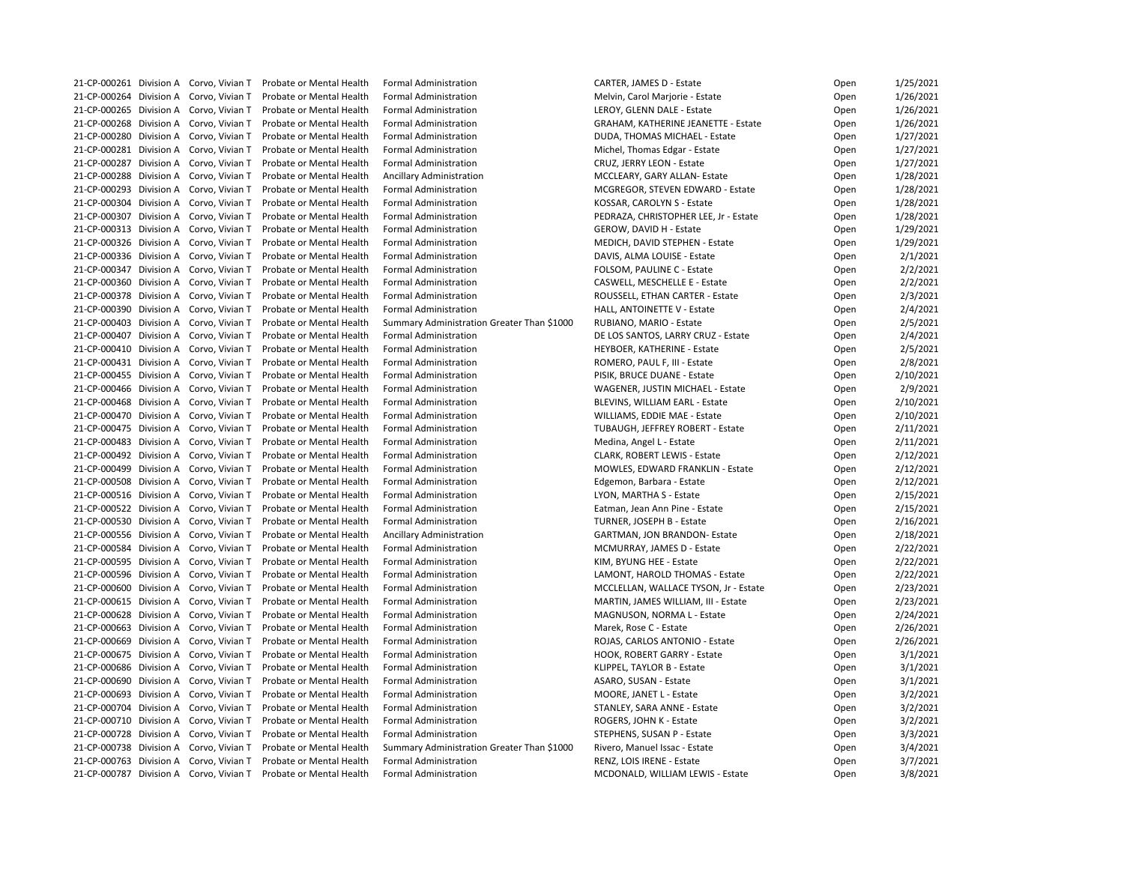| 21-CP-000261 Division A Corvo, Vivian T    | Probate or Mental Health | <b>Formal Administration</b>               | CARTER, JAMES D - Estate                | Open | 1/25/2021 |
|--------------------------------------------|--------------------------|--------------------------------------------|-----------------------------------------|------|-----------|
| 21-CP-000264 Division A Corvo, Vivian T    | Probate or Mental Health | <b>Formal Administration</b>               | Melvin, Carol Marjorie - Estate         | Open | 1/26/2021 |
| 21-CP-000265 Division A Corvo, Vivian T    | Probate or Mental Health | <b>Formal Administration</b>               | LEROY, GLENN DALE - Estate              | Open | 1/26/2021 |
| 21-CP-000268 Division A Corvo, Vivian T    | Probate or Mental Health | <b>Formal Administration</b>               | GRAHAM, KATHERINE JEANETTE - Estate     | Open | 1/26/2021 |
| 21-CP-000280 Division A Corvo, Vivian T    | Probate or Mental Health | <b>Formal Administration</b>               | DUDA, THOMAS MICHAEL - Estate           | Open | 1/27/2021 |
| 21-CP-000281 Division A Corvo, Vivian T    | Probate or Mental Health | <b>Formal Administration</b>               | Michel, Thomas Edgar - Estate           | Open | 1/27/2021 |
| 21-CP-000287 Division A Corvo, Vivian T    | Probate or Mental Health | <b>Formal Administration</b>               | CRUZ, JERRY LEON - Estate               | Open | 1/27/2021 |
| 21-CP-000288 Division A Corvo, Vivian T    | Probate or Mental Health | <b>Ancillary Administration</b>            | MCCLEARY, GARY ALLAN- Estate            | Open | 1/28/2021 |
| 21-CP-000293 Division A Corvo, Vivian T    | Probate or Mental Health | <b>Formal Administration</b>               | MCGREGOR, STEVEN EDWARD - Estate        | Open | 1/28/2021 |
| 21-CP-000304 Division A Corvo, Vivian T    | Probate or Mental Health | <b>Formal Administration</b>               | KOSSAR, CAROLYN S - Estate              | Open | 1/28/2021 |
| 21-CP-000307 Division A Corvo, Vivian T    | Probate or Mental Health | <b>Formal Administration</b>               | PEDRAZA, CHRISTOPHER LEE, Jr - Estate   | Open | 1/28/2021 |
| 21-CP-000313 Division A Corvo, Vivian T    | Probate or Mental Health | <b>Formal Administration</b>               | GEROW, DAVID H - Estate                 | Open | 1/29/2021 |
| 21-CP-000326 Division A Corvo, Vivian T    | Probate or Mental Health | <b>Formal Administration</b>               | MEDICH, DAVID STEPHEN - Estate          | Open | 1/29/2021 |
|                                            |                          |                                            |                                         |      |           |
| 21-CP-000336 Division A Corvo, Vivian T    | Probate or Mental Health | <b>Formal Administration</b>               | DAVIS, ALMA LOUISE - Estate             | Open | 2/1/2021  |
| 21-CP-000347 Division A Corvo, Vivian T    | Probate or Mental Health | <b>Formal Administration</b>               | FOLSOM, PAULINE C - Estate              | Open | 2/2/2021  |
| 21-CP-000360 Division A Corvo, Vivian T    | Probate or Mental Health | <b>Formal Administration</b>               | CASWELL, MESCHELLE E - Estate           | Open | 2/2/2021  |
| 21-CP-000378 Division A Corvo, Vivian T    | Probate or Mental Health | <b>Formal Administration</b>               | ROUSSELL, ETHAN CARTER - Estate         | Open | 2/3/2021  |
| 21-CP-000390 Division A Corvo, Vivian T    | Probate or Mental Health | <b>Formal Administration</b>               | HALL, ANTOINETTE V - Estate             | Open | 2/4/2021  |
| 21-CP-000403 Division A Corvo, Vivian T    | Probate or Mental Health | Summary Administration Greater Than \$1000 | RUBIANO, MARIO - Estate                 | Open | 2/5/2021  |
| 21-CP-000407 Division A Corvo, Vivian T    | Probate or Mental Health | <b>Formal Administration</b>               | DE LOS SANTOS, LARRY CRUZ - Estate      | Open | 2/4/2021  |
| 21-CP-000410 Division A Corvo, Vivian T    | Probate or Mental Health | <b>Formal Administration</b>               | HEYBOER, KATHERINE - Estate             | Open | 2/5/2021  |
| 21-CP-000431 Division A Corvo, Vivian T    | Probate or Mental Health | <b>Formal Administration</b>               | ROMERO, PAUL F, III - Estate            | Open | 2/8/2021  |
| 21-CP-000455 Division A Corvo, Vivian T    | Probate or Mental Health | <b>Formal Administration</b>               | PISIK, BRUCE DUANE - Estate             | Open | 2/10/2021 |
| 21-CP-000466 Division A Corvo, Vivian T    | Probate or Mental Health | <b>Formal Administration</b>               | <b>WAGENER, JUSTIN MICHAEL - Estate</b> | Open | 2/9/2021  |
| 21-CP-000468 Division A Corvo, Vivian T    | Probate or Mental Health | <b>Formal Administration</b>               | BLEVINS, WILLIAM EARL - Estate          | Open | 2/10/2021 |
| 21-CP-000470 Division A Corvo, Vivian T    | Probate or Mental Health | <b>Formal Administration</b>               | WILLIAMS, EDDIE MAE - Estate            | Open | 2/10/2021 |
| 21-CP-000475 Division A Corvo, Vivian T    | Probate or Mental Health | <b>Formal Administration</b>               | TUBAUGH, JEFFREY ROBERT - Estate        | Open | 2/11/2021 |
| 21-CP-000483 Division A Corvo, Vivian T    | Probate or Mental Health | <b>Formal Administration</b>               | Medina, Angel L - Estate                | Open | 2/11/2021 |
| 21-CP-000492 Division A Corvo, Vivian T    | Probate or Mental Health | <b>Formal Administration</b>               | <b>CLARK, ROBERT LEWIS - Estate</b>     | Open | 2/12/2021 |
| 21-CP-000499 Division A Corvo, Vivian T    | Probate or Mental Health | <b>Formal Administration</b>               | MOWLES, EDWARD FRANKLIN - Estate        | Open | 2/12/2021 |
| 21-CP-000508 Division A Corvo, Vivian T    | Probate or Mental Health | <b>Formal Administration</b>               | Edgemon, Barbara - Estate               | Open | 2/12/2021 |
| 21-CP-000516 Division A Corvo, Vivian T    | Probate or Mental Health | <b>Formal Administration</b>               | LYON, MARTHA S - Estate                 | Open | 2/15/2021 |
| 21-CP-000522 Division A Corvo, Vivian T    | Probate or Mental Health | <b>Formal Administration</b>               | Eatman, Jean Ann Pine - Estate          | Open | 2/15/2021 |
| 21-CP-000530 Division A Corvo, Vivian T    | Probate or Mental Health | <b>Formal Administration</b>               | TURNER, JOSEPH B - Estate               | Open | 2/16/2021 |
| 21-CP-000556 Division A Corvo, Vivian T    | Probate or Mental Health | Ancillary Administration                   | <b>GARTMAN, JON BRANDON- Estate</b>     | Open | 2/18/2021 |
| 21-CP-000584 Division A Corvo, Vivian T    | Probate or Mental Health | <b>Formal Administration</b>               | MCMURRAY, JAMES D - Estate              | Open | 2/22/2021 |
| 21-CP-000595 Division A Corvo, Vivian T    | Probate or Mental Health | <b>Formal Administration</b>               | KIM, BYUNG HEE - Estate                 | Open | 2/22/2021 |
| 21-CP-000596 Division A Corvo, Vivian T    | Probate or Mental Health | <b>Formal Administration</b>               | LAMONT, HAROLD THOMAS - Estate          | Open | 2/22/2021 |
| 21-CP-000600 Division A Corvo, Vivian T    | Probate or Mental Health | <b>Formal Administration</b>               | MCCLELLAN, WALLACE TYSON, Jr - Estate   | Open | 2/23/2021 |
| 21-CP-000615 Division A Corvo, Vivian T    | Probate or Mental Health | <b>Formal Administration</b>               | MARTIN, JAMES WILLIAM, III - Estate     | Open | 2/23/2021 |
| 21-CP-000628 Division A<br>Corvo, Vivian T | Probate or Mental Health | <b>Formal Administration</b>               | MAGNUSON, NORMA L - Estate              | Open | 2/24/2021 |
| 21-CP-000663 Division A Corvo, Vivian T    | Probate or Mental Health | <b>Formal Administration</b>               | Marek, Rose C - Estate                  |      | 2/26/2021 |
|                                            |                          | <b>Formal Administration</b>               |                                         | Open |           |
| 21-CP-000669 Division A Corvo, Vivian T    | Probate or Mental Health |                                            | ROJAS, CARLOS ANTONIO - Estate          | Open | 2/26/2021 |
| 21-CP-000675 Division A Corvo, Vivian T    | Probate or Mental Health | <b>Formal Administration</b>               | HOOK, ROBERT GARRY - Estate             | Open | 3/1/2021  |
| 21-CP-000686 Division A Corvo, Vivian T    | Probate or Mental Health | <b>Formal Administration</b>               | KLIPPEL, TAYLOR B - Estate              | Open | 3/1/2021  |
| 21-CP-000690 Division A<br>Corvo, Vivian T | Probate or Mental Health | <b>Formal Administration</b>               | ASARO, SUSAN - Estate                   | Open | 3/1/2021  |
| 21-CP-000693 Division A Corvo, Vivian T    | Probate or Mental Health | <b>Formal Administration</b>               | MOORE, JANET L - Estate                 | Open | 3/2/2021  |
| 21-CP-000704 Division A Corvo, Vivian T    | Probate or Mental Health | <b>Formal Administration</b>               | STANLEY, SARA ANNE - Estate             | Open | 3/2/2021  |
| 21-CP-000710 Division A Corvo, Vivian T    | Probate or Mental Health | <b>Formal Administration</b>               | ROGERS, JOHN K - Estate                 | Open | 3/2/2021  |
| 21-CP-000728 Division A Corvo, Vivian T    | Probate or Mental Health | <b>Formal Administration</b>               | STEPHENS, SUSAN P - Estate              | Open | 3/3/2021  |
| 21-CP-000738 Division A Corvo, Vivian T    | Probate or Mental Health | Summary Administration Greater Than \$1000 | Rivero, Manuel Issac - Estate           | Open | 3/4/2021  |
| 21-CP-000763 Division A Corvo, Vivian T    | Probate or Mental Health | <b>Formal Administration</b>               | RENZ, LOIS IRENE - Estate               | Open | 3/7/2021  |
| 21-CP-000787 Division A Corvo, Vivian T    | Probate or Mental Health | <b>Formal Administration</b>               | MCDONALD, WILLIAM LEWIS - Estate        | Open | 3/8/2021  |
|                                            |                          |                                            |                                         |      |           |

| Open | 1/25/2021 |
|------|-----------|
| Open | 1/26/2021 |
| Open | 1/26/2021 |
| Open | 1/26/2021 |
| Open | 1/27/2021 |
| Open | 1/27/2021 |
| Open | 1/27/2021 |
| Open | 1/28/2021 |
| Open | 1/28/2021 |
| Open | 1/28/2021 |
| Open | 1/28/2021 |
|      | 1/29/2021 |
| Open |           |
| Open | 1/29/2021 |
| Open | 2/1/2021  |
| Open | 2/2/2021  |
| Open | 2/2/2021  |
| Open | 2/3/2021  |
| Open | 2/4/2021  |
| Open | 2/5/2021  |
| Open | 2/4/2021  |
| Open | 2/5/2021  |
| Open | 2/8/2021  |
| Open | 2/10/2021 |
| Open | 2/9/2021  |
| Open | 2/10/2021 |
| Open | 2/10/2021 |
| Open | 2/11/2021 |
| Open | 2/11/2021 |
| Open | 2/12/2021 |
| Open | 2/12/2021 |
| Open | 2/12/2021 |
| Open | 2/15/2021 |
|      | 2/15/2021 |
| Open | 2/16/2021 |
| Open |           |
| Open | 2/18/2021 |
| Open | 2/22/2021 |
| Open | 2/22/2021 |
| Open | 2/22/2021 |
| Open | 2/23/2021 |
| Open | 2/23/2021 |
| Open | 2/24/2021 |
| Open | 2/26/2021 |
| Open | 2/26/2021 |
| Open | 3/1/2021  |
| Open | 3/1/2021  |
| Open | 3/1/2021  |
| Open | 3/2/2021  |
| Open | 3/2/2021  |
| Open | 3/2/2021  |
| Open | 3/3/2021  |
| Open | 3/4/2021  |
| Open | 3/7/2021  |
| Open | 3/8/2021  |
|      |           |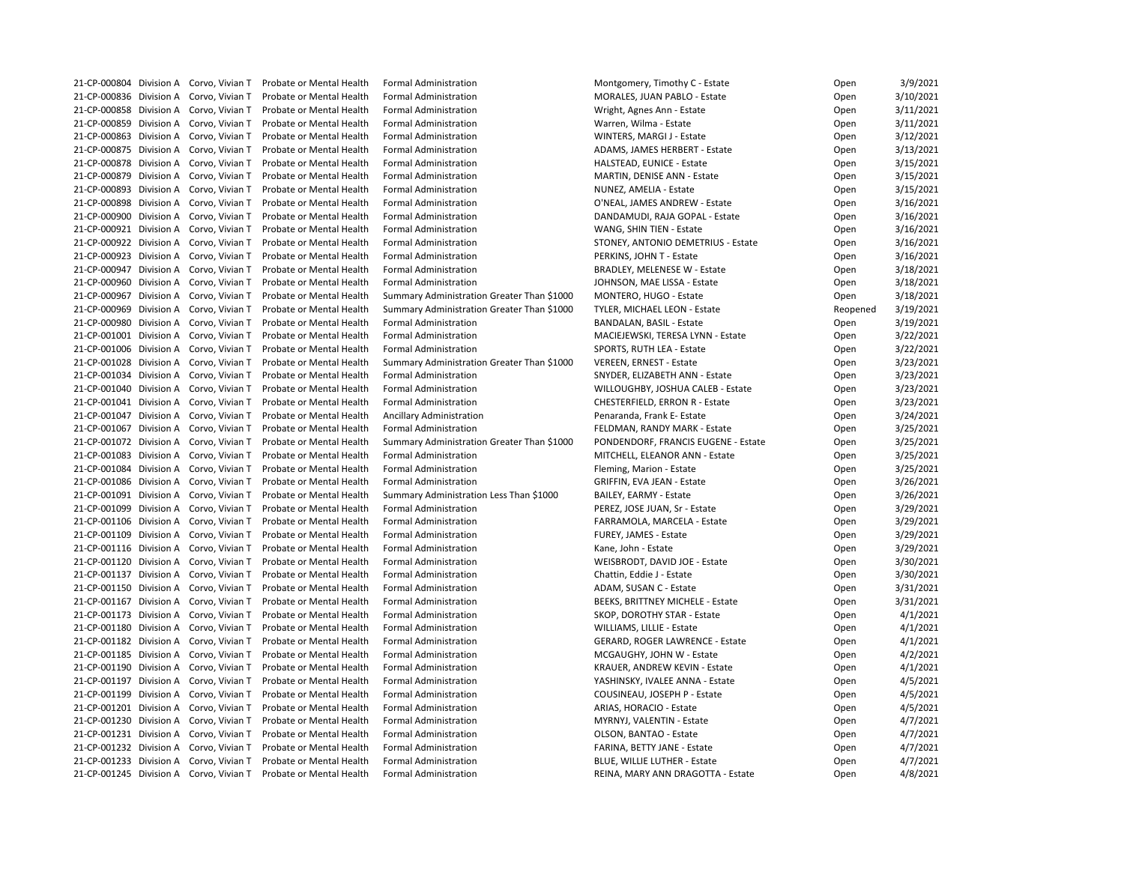| 21-CP-000804 Division A Corvo, Vivian T |                 | Probate or Mental Health | <b>Formal Administration</b>               | Montgomery, Timothy C - Estate          | Open     | 3/9/2021  |
|-----------------------------------------|-----------------|--------------------------|--------------------------------------------|-----------------------------------------|----------|-----------|
| 21-CP-000836 Division A                 | Corvo, Vivian T | Probate or Mental Health | <b>Formal Administration</b>               | MORALES, JUAN PABLO - Estate            | Open     | 3/10/2021 |
| 21-CP-000858 Division A Corvo, Vivian T |                 | Probate or Mental Health | <b>Formal Administration</b>               | Wright, Agnes Ann - Estate              | Open     | 3/11/2021 |
| 21-CP-000859 Division A                 | Corvo, Vivian T | Probate or Mental Health | <b>Formal Administration</b>               | Warren, Wilma - Estate                  | Open     | 3/11/2021 |
| 21-CP-000863 Division A Corvo, Vivian T |                 | Probate or Mental Health | <b>Formal Administration</b>               | WINTERS, MARGI J - Estate               | Open     | 3/12/2021 |
| 21-CP-000875 Division A                 | Corvo, Vivian T | Probate or Mental Health | <b>Formal Administration</b>               | ADAMS, JAMES HERBERT - Estate           | Open     | 3/13/2021 |
| 21-CP-000878 Division A                 | Corvo, Vivian T | Probate or Mental Health | <b>Formal Administration</b>               | HALSTEAD, EUNICE - Estate               | Open     | 3/15/2021 |
| 21-CP-000879 Division A Corvo, Vivian T |                 | Probate or Mental Health | <b>Formal Administration</b>               | <b>MARTIN, DENISE ANN - Estate</b>      | Open     | 3/15/2021 |
| 21-CP-000893 Division A                 | Corvo, Vivian T | Probate or Mental Health | <b>Formal Administration</b>               | NUNEZ, AMELIA - Estate                  | Open     | 3/15/2021 |
| 21-CP-000898 Division A Corvo, Vivian T |                 | Probate or Mental Health | <b>Formal Administration</b>               | O'NEAL, JAMES ANDREW - Estate           | Open     | 3/16/2021 |
| 21-CP-000900 Division A                 | Corvo, Vivian T | Probate or Mental Health | <b>Formal Administration</b>               | DANDAMUDI, RAJA GOPAL - Estate          | Open     | 3/16/2021 |
| 21-CP-000921 Division A                 | Corvo, Vivian T | Probate or Mental Health | <b>Formal Administration</b>               | WANG, SHIN TIEN - Estate                | Open     | 3/16/2021 |
| 21-CP-000922 Division A Corvo, Vivian T |                 | Probate or Mental Health | <b>Formal Administration</b>               | STONEY, ANTONIO DEMETRIUS - Estate      | Open     | 3/16/2021 |
| 21-CP-000923 Division A Corvo, Vivian T |                 | Probate or Mental Health | <b>Formal Administration</b>               | PERKINS, JOHN T - Estate                | Open     | 3/16/2021 |
| 21-CP-000947 Division A Corvo, Vivian T |                 | Probate or Mental Health | <b>Formal Administration</b>               | BRADLEY, MELENESE W - Estate            | Open     | 3/18/2021 |
| 21-CP-000960 Division A                 | Corvo, Vivian T | Probate or Mental Health | <b>Formal Administration</b>               | JOHNSON, MAE LISSA - Estate             |          | 3/18/2021 |
|                                         |                 |                          |                                            |                                         | Open     |           |
| 21-CP-000967 Division A                 | Corvo, Vivian T | Probate or Mental Health | Summary Administration Greater Than \$1000 | MONTERO, HUGO - Estate                  | Open     | 3/18/2021 |
| 21-CP-000969 Division A Corvo, Vivian T |                 | Probate or Mental Health | Summary Administration Greater Than \$1000 | TYLER, MICHAEL LEON - Estate            | Reopened | 3/19/2021 |
| 21-CP-000980 Division A Corvo, Vivian T |                 | Probate or Mental Health | <b>Formal Administration</b>               | <b>BANDALAN, BASIL - Estate</b>         | Open     | 3/19/2021 |
| 21-CP-001001 Division A Corvo, Vivian T |                 | Probate or Mental Health | <b>Formal Administration</b>               | MACIEJEWSKI, TERESA LYNN - Estate       | Open     | 3/22/2021 |
| 21-CP-001006 Division A Corvo, Vivian T |                 | Probate or Mental Health | <b>Formal Administration</b>               | SPORTS, RUTH LEA - Estate               | Open     | 3/22/2021 |
| 21-CP-001028 Division A                 | Corvo, Vivian T | Probate or Mental Health | Summary Administration Greater Than \$1000 | <b>VEREEN, ERNEST - Estate</b>          | Open     | 3/23/2021 |
| 21-CP-001034 Division A Corvo, Vivian T |                 | Probate or Mental Health | <b>Formal Administration</b>               | SNYDER, ELIZABETH ANN - Estate          | Open     | 3/23/2021 |
| 21-CP-001040 Division A                 | Corvo, Vivian T | Probate or Mental Health | <b>Formal Administration</b>               | WILLOUGHBY, JOSHUA CALEB - Estate       | Open     | 3/23/2021 |
| 21-CP-001041 Division A                 | Corvo, Vivian T | Probate or Mental Health | <b>Formal Administration</b>               | <b>CHESTERFIELD, ERRON R - Estate</b>   | Open     | 3/23/2021 |
| 21-CP-001047 Division A                 | Corvo, Vivian T | Probate or Mental Health | Ancillary Administration                   | Penaranda, Frank E- Estate              | Open     | 3/24/2021 |
| 21-CP-001067 Division A                 | Corvo, Vivian T | Probate or Mental Health | <b>Formal Administration</b>               | FELDMAN, RANDY MARK - Estate            | Open     | 3/25/2021 |
| 21-CP-001072 Division A Corvo, Vivian T |                 | Probate or Mental Health | Summary Administration Greater Than \$1000 | PONDENDORF, FRANCIS EUGENE - Estate     | Open     | 3/25/2021 |
| 21-CP-001083 Division A                 | Corvo, Vivian T | Probate or Mental Health | <b>Formal Administration</b>               | MITCHELL, ELEANOR ANN - Estate          | Open     | 3/25/2021 |
| 21-CP-001084 Division A                 | Corvo, Vivian T | Probate or Mental Health | <b>Formal Administration</b>               | Fleming, Marion - Estate                | Open     | 3/25/2021 |
| 21-CP-001086 Division A Corvo, Vivian T |                 | Probate or Mental Health | <b>Formal Administration</b>               | <b>GRIFFIN, EVA JEAN - Estate</b>       | Open     | 3/26/2021 |
| 21-CP-001091 Division A Corvo, Vivian T |                 | Probate or Mental Health | Summary Administration Less Than \$1000    | <b>BAILEY, EARMY - Estate</b>           | Open     | 3/26/2021 |
| 21-CP-001099 Division A Corvo, Vivian T |                 | Probate or Mental Health | <b>Formal Administration</b>               | PEREZ, JOSE JUAN, Sr - Estate           | Open     | 3/29/2021 |
| 21-CP-001106 Division A Corvo, Vivian T |                 | Probate or Mental Health | <b>Formal Administration</b>               | FARRAMOLA, MARCELA - Estate             | Open     | 3/29/2021 |
| 21-CP-001109 Division A Corvo, Vivian T |                 | Probate or Mental Health | <b>Formal Administration</b>               | FUREY, JAMES - Estate                   | Open     | 3/29/2021 |
| 21-CP-001116 Division A Corvo, Vivian T |                 | Probate or Mental Health | <b>Formal Administration</b>               | Kane, John - Estate                     | Open     | 3/29/2021 |
| 21-CP-001120 Division A Corvo, Vivian T |                 | Probate or Mental Health | <b>Formal Administration</b>               | WEISBRODT, DAVID JOE - Estate           | Open     | 3/30/2021 |
| 21-CP-001137 Division A Corvo, Vivian T |                 | Probate or Mental Health | <b>Formal Administration</b>               | Chattin, Eddie J - Estate               | Open     | 3/30/2021 |
| 21-CP-001150 Division A                 | Corvo, Vivian T | Probate or Mental Health | <b>Formal Administration</b>               | ADAM, SUSAN C - Estate                  | Open     | 3/31/2021 |
| 21-CP-001167 Division A Corvo, Vivian T |                 | Probate or Mental Health | <b>Formal Administration</b>               | <b>BEEKS, BRITTNEY MICHELE - Estate</b> | Open     | 3/31/2021 |
| 21-CP-001173 Division A Corvo, Vivian T |                 | Probate or Mental Health | <b>Formal Administration</b>               | SKOP, DOROTHY STAR - Estate             | Open     | 4/1/2021  |
| 21-CP-001180 Division A Corvo, Vivian T |                 | Probate or Mental Health | <b>Formal Administration</b>               | WILLIAMS, LILLIE - Estate               | Open     | 4/1/2021  |
| 21-CP-001182 Division A Corvo, Vivian T |                 | Probate or Mental Health | <b>Formal Administration</b>               | <b>GERARD, ROGER LAWRENCE - Estate</b>  | Open     | 4/1/2021  |
| 21-CP-001185 Division A Corvo, Vivian T |                 | Probate or Mental Health | <b>Formal Administration</b>               | MCGAUGHY, JOHN W - Estate               | Open     | 4/2/2021  |
| 21-CP-001190 Division A Corvo, Vivian T |                 | Probate or Mental Health | <b>Formal Administration</b>               | <b>KRAUER, ANDREW KEVIN - Estate</b>    | Open     | 4/1/2021  |
| 21-CP-001197 Division A Corvo, Vivian T |                 | Probate or Mental Health | <b>Formal Administration</b>               | YASHINSKY, IVALEE ANNA - Estate         | Open     | 4/5/2021  |
| 21-CP-001199 Division A Corvo, Vivian T |                 | Probate or Mental Health | <b>Formal Administration</b>               | COUSINEAU, JOSEPH P - Estate            | Open     | 4/5/2021  |
| 21-CP-001201 Division A Corvo, Vivian T |                 | Probate or Mental Health | <b>Formal Administration</b>               | ARIAS, HORACIO - Estate                 | Open     | 4/5/2021  |
| 21-CP-001230 Division A Corvo, Vivian T |                 | Probate or Mental Health | <b>Formal Administration</b>               | MYRNYJ, VALENTIN - Estate               | Open     | 4/7/2021  |
| 21-CP-001231 Division A Corvo, Vivian T |                 | Probate or Mental Health | <b>Formal Administration</b>               | OLSON, BANTAO - Estate                  | Open     | 4/7/2021  |
| 21-CP-001232 Division A Corvo, Vivian T |                 | Probate or Mental Health | <b>Formal Administration</b>               | FARINA, BETTY JANE - Estate             | Open     | 4/7/2021  |
| 21-CP-001233 Division A Corvo, Vivian T |                 | Probate or Mental Health | <b>Formal Administration</b>               | BLUE, WILLIE LUTHER - Estate            | Open     | 4/7/2021  |
| 21-CP-001245 Division A Corvo, Vivian T |                 | Probate or Mental Health | <b>Formal Administration</b>               | REINA, MARY ANN DRAGOTTA - Estate       | Open     | 4/8/2021  |
|                                         |                 |                          |                                            |                                         |          |           |

| Open     | 3/9/2021  |
|----------|-----------|
| Open     | 3/10/2021 |
| Open     | 3/11/2021 |
| Open     | 3/11/2021 |
| Open     | 3/12/2021 |
| Open     | 3/13/2021 |
| Open     | 3/15/2021 |
| Open     | 3/15/2021 |
| Open     | 3/15/2021 |
| Open     | 3/16/2021 |
| Open     | 3/16/2021 |
| Open     | 3/16/2021 |
| Open     | 3/16/2021 |
|          | 3/16/2021 |
| Open     |           |
| Open     | 3/18/2021 |
| Open     | 3/18/2021 |
| Open     | 3/18/2021 |
| Reopened | 3/19/2021 |
| Open     | 3/19/2021 |
| Open     | 3/22/2021 |
| Open     | 3/22/2021 |
| Open     | 3/23/2021 |
| Open     | 3/23/2021 |
| Open     | 3/23/2021 |
| Open     | 3/23/2021 |
| Open     | 3/24/2021 |
| Open     | 3/25/2021 |
| Open     | 3/25/2021 |
| Open     | 3/25/2021 |
| Open     | 3/25/2021 |
| Open     | 3/26/2021 |
| Open     | 3/26/2021 |
| Open     | 3/29/2021 |
| Open     | 3/29/2021 |
| Open     | 3/29/2021 |
| Open     | 3/29/2021 |
| Open     | 3/30/2021 |
| Open     | 3/30/2021 |
| Open     | 3/31/2021 |
| Open     | 3/31/2021 |
| Open     | 4/1/2021  |
| Open     | 4/1/2021  |
| Open     | 4/1/2021  |
| Open     | 4/2/2021  |
| Open     | 4/1/2021  |
| Open     | 4/5/2021  |
| Open     | 4/5/2021  |
|          | 4/5/2021  |
| Open     | 4/7/2021  |
| Open     |           |
| Open     | 4/7/2021  |
| Open     | 4/7/2021  |
| Open     | 4/7/2021  |
| Open     | 4/8/2021  |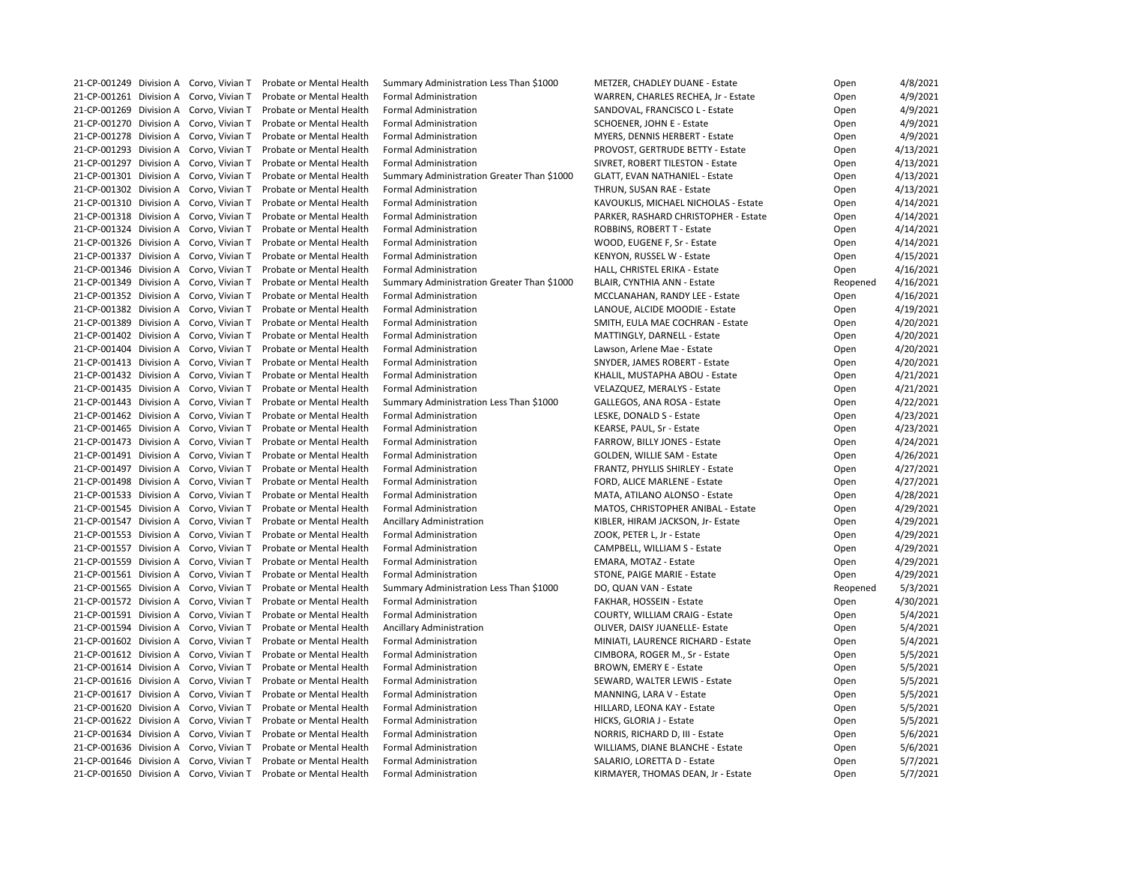|                                         |                 | 21-CP-001249 Division A Corvo, Vivian T Probate or Mental Health | Summary Administration Less Than \$1000                                 | METZER, CHADLEY DUANE - Estate                            | Open     | 4/8/2021  |
|-----------------------------------------|-----------------|------------------------------------------------------------------|-------------------------------------------------------------------------|-----------------------------------------------------------|----------|-----------|
| 21-CP-001261 Division A Corvo, Vivian T |                 | Probate or Mental Health                                         | <b>Formal Administration</b>                                            | WARREN, CHARLES RECHEA, Jr - Estate                       | Open     | 4/9/2021  |
| 21-CP-001269 Division A Corvo, Vivian T |                 | Probate or Mental Health                                         | <b>Formal Administration</b>                                            | SANDOVAL, FRANCISCO L - Estate                            | Open     | 4/9/2021  |
| 21-CP-001270 Division A Corvo, Vivian T |                 | Probate or Mental Health                                         | <b>Formal Administration</b>                                            | <b>SCHOENER, JOHN E - Estate</b>                          | Open     | 4/9/2021  |
| 21-CP-001278 Division A Corvo, Vivian T |                 | Probate or Mental Health                                         | <b>Formal Administration</b>                                            | <b>MYERS, DENNIS HERBERT - Estate</b>                     | Open     | 4/9/2021  |
| 21-CP-001293 Division A Corvo, Vivian T |                 | <b>Probate or Mental Health</b>                                  | <b>Formal Administration</b>                                            | PROVOST, GERTRUDE BETTY - Estate                          | Open     | 4/13/2021 |
| 21-CP-001297 Division A Corvo, Vivian T |                 | <b>Probate or Mental Health</b>                                  | <b>Formal Administration</b>                                            | SIVRET, ROBERT TILESTON - Estate                          | Open     | 4/13/2021 |
| 21-CP-001301 Division A Corvo, Vivian T |                 | <b>Probate or Mental Health</b>                                  | Summary Administration Greater Than \$1000                              | <b>GLATT, EVAN NATHANIEL - Estate</b>                     | Open     | 4/13/2021 |
| 21-CP-001302 Division A Corvo, Vivian T |                 | Probate or Mental Health                                         | <b>Formal Administration</b>                                            | THRUN, SUSAN RAE - Estate                                 | Open     | 4/13/2021 |
| 21-CP-001310 Division A Corvo, Vivian T |                 | Probate or Mental Health                                         | <b>Formal Administration</b>                                            | KAVOUKLIS, MICHAEL NICHOLAS - Estate                      | Open     | 4/14/2021 |
| 21-CP-001318 Division A Corvo, Vivian T |                 | <b>Probate or Mental Health</b>                                  | <b>Formal Administration</b>                                            | PARKER, RASHARD CHRISTOPHER - Estate                      | Open     | 4/14/2021 |
| 21-CP-001324 Division A Corvo, Vivian T |                 | Probate or Mental Health                                         | <b>Formal Administration</b>                                            | ROBBINS, ROBERT T - Estate                                | Open     | 4/14/2021 |
| 21-CP-001326 Division A Corvo, Vivian T |                 | Probate or Mental Health                                         | <b>Formal Administration</b>                                            | WOOD, EUGENE F, Sr - Estate                               | Open     | 4/14/2021 |
| 21-CP-001337 Division A Corvo, Vivian T |                 | Probate or Mental Health                                         | <b>Formal Administration</b>                                            | KENYON, RUSSEL W - Estate                                 | Open     | 4/15/2021 |
| 21-CP-001346 Division A Corvo, Vivian T |                 | Probate or Mental Health                                         | <b>Formal Administration</b>                                            | HALL, CHRISTEL ERIKA - Estate                             | Open     | 4/16/2021 |
| 21-CP-001349 Division A Corvo, Vivian T |                 | <b>Probate or Mental Health</b>                                  | Summary Administration Greater Than \$1000                              | BLAIR, CYNTHIA ANN - Estate                               | Reopened | 4/16/2021 |
| 21-CP-001352 Division A Corvo, Vivian T |                 | Probate or Mental Health                                         | <b>Formal Administration</b>                                            | MCCLANAHAN, RANDY LEE - Estate                            | Open     | 4/16/2021 |
| 21-CP-001382 Division A Corvo, Vivian T |                 | Probate or Mental Health                                         | <b>Formal Administration</b>                                            | LANOUE, ALCIDE MOODIE - Estate                            | Open     | 4/19/2021 |
| 21-CP-001389 Division A Corvo, Vivian T |                 | Probate or Mental Health                                         | <b>Formal Administration</b>                                            | SMITH, EULA MAE COCHRAN - Estate                          | Open     | 4/20/2021 |
| 21-CP-001402 Division A Corvo, Vivian T |                 | Probate or Mental Health                                         | <b>Formal Administration</b>                                            | MATTINGLY, DARNELL - Estate                               | Open     | 4/20/2021 |
| 21-CP-001404 Division A Corvo, Vivian T |                 | <b>Probate or Mental Health</b>                                  | <b>Formal Administration</b>                                            | Lawson, Arlene Mae - Estate                               | Open     | 4/20/2021 |
| 21-CP-001413 Division A Corvo, Vivian T |                 | Probate or Mental Health                                         | <b>Formal Administration</b>                                            | SNYDER, JAMES ROBERT - Estate                             | Open     | 4/20/2021 |
| 21-CP-001432 Division A Corvo, Vivian T |                 | Probate or Mental Health                                         | <b>Formal Administration</b>                                            | KHALIL, MUSTAPHA ABOU - Estate                            | Open     | 4/21/2021 |
| 21-CP-001435 Division A Corvo, Vivian T |                 | Probate or Mental Health                                         | <b>Formal Administration</b>                                            | VELAZQUEZ, MERALYS - Estate                               | Open     | 4/21/2021 |
| 21-CP-001443 Division A Corvo, Vivian T |                 | Probate or Mental Health                                         |                                                                         |                                                           |          | 4/22/2021 |
| 21-CP-001462 Division A Corvo, Vivian T |                 | <b>Probate or Mental Health</b>                                  | Summary Administration Less Than \$1000<br><b>Formal Administration</b> | GALLEGOS, ANA ROSA - Estate                               | Open     |           |
| 21-CP-001465 Division A Corvo, Vivian T |                 |                                                                  |                                                                         | LESKE, DONALD S - Estate                                  | Open     | 4/23/2021 |
| 21-CP-001473 Division A Corvo, Vivian T |                 | Probate or Mental Health                                         | <b>Formal Administration</b>                                            | KEARSE, PAUL, Sr - Estate<br>FARROW, BILLY JONES - Estate | Open     | 4/23/2021 |
|                                         |                 | Probate or Mental Health                                         | <b>Formal Administration</b>                                            |                                                           | Open     | 4/24/2021 |
| 21-CP-001491 Division A Corvo, Vivian T |                 | Probate or Mental Health                                         | <b>Formal Administration</b>                                            | GOLDEN, WILLIE SAM - Estate                               | Open     | 4/26/2021 |
| 21-CP-001497 Division A Corvo, Vivian T |                 | Probate or Mental Health                                         | <b>Formal Administration</b>                                            | FRANTZ, PHYLLIS SHIRLEY - Estate                          | Open     | 4/27/2021 |
|                                         |                 | 21-CP-001498 Division A Corvo, Vivian T Probate or Mental Health | <b>Formal Administration</b>                                            | FORD, ALICE MARLENE - Estate                              | Open     | 4/27/2021 |
|                                         |                 | 21-CP-001533 Division A Corvo, Vivian T Probate or Mental Health | <b>Formal Administration</b>                                            | MATA, ATILANO ALONSO - Estate                             | Open     | 4/28/2021 |
| 21-CP-001545 Division A Corvo, Vivian T |                 | Probate or Mental Health                                         | <b>Formal Administration</b>                                            | MATOS, CHRISTOPHER ANIBAL - Estate                        | Open     | 4/29/2021 |
| 21-CP-001547 Division A Corvo, Vivian T |                 | Probate or Mental Health                                         | <b>Ancillary Administration</b>                                         | KIBLER, HIRAM JACKSON, Jr- Estate                         | Open     | 4/29/2021 |
| 21-CP-001553 Division A Corvo, Vivian T |                 | Probate or Mental Health                                         | <b>Formal Administration</b>                                            | ZOOK, PETER L, Jr - Estate                                | Open     | 4/29/2021 |
| 21-CP-001557 Division A                 | Corvo, Vivian T | Probate or Mental Health                                         | <b>Formal Administration</b>                                            | CAMPBELL, WILLIAM S - Estate                              | Open     | 4/29/2021 |
| 21-CP-001559 Division A                 | Corvo, Vivian T | Probate or Mental Health                                         | <b>Formal Administration</b>                                            | EMARA, MOTAZ - Estate                                     | Open     | 4/29/2021 |
| 21-CP-001561 Division A                 | Corvo, Vivian T | Probate or Mental Health                                         | <b>Formal Administration</b>                                            | STONE, PAIGE MARIE - Estate                               | Open     | 4/29/2021 |
| 21-CP-001565 Division A Corvo, Vivian T |                 | Probate or Mental Health                                         | Summary Administration Less Than \$1000                                 | DO, QUAN VAN - Estate                                     | Reopened | 5/3/2021  |
| 21-CP-001572 Division A                 | Corvo, Vivian T | Probate or Mental Health                                         | <b>Formal Administration</b>                                            | FAKHAR, HOSSEIN - Estate                                  | Open     | 4/30/2021 |
| 21-CP-001591 Division A                 | Corvo, Vivian T | Probate or Mental Health                                         | <b>Formal Administration</b>                                            | <b>COURTY, WILLIAM CRAIG - Estate</b>                     | Open     | 5/4/2021  |
| 21-CP-001594 Division A                 | Corvo, Vivian T | Probate or Mental Health                                         | <b>Ancillary Administration</b>                                         | OLIVER, DAISY JUANELLE- Estate                            | Open     | 5/4/2021  |
| 21-CP-001602 Division A                 | Corvo, Vivian T | Probate or Mental Health                                         | <b>Formal Administration</b>                                            | MINIATI, LAURENCE RICHARD - Estate                        | Open     | 5/4/2021  |
| 21-CP-001612 Division A Corvo, Vivian T |                 | Probate or Mental Health                                         | <b>Formal Administration</b>                                            | CIMBORA, ROGER M., Sr - Estate                            | Open     | 5/5/2021  |
| 21-CP-001614 Division A                 | Corvo, Vivian T | Probate or Mental Health                                         | <b>Formal Administration</b>                                            | <b>BROWN, EMERY E - Estate</b>                            | Open     | 5/5/2021  |
| 21-CP-001616 Division A                 | Corvo, Vivian T | Probate or Mental Health                                         | <b>Formal Administration</b>                                            | SEWARD, WALTER LEWIS - Estate                             | Open     | 5/5/2021  |
| 21-CP-001617 Division A                 | Corvo, Vivian T | Probate or Mental Health                                         | <b>Formal Administration</b>                                            | MANNING, LARA V - Estate                                  | Open     | 5/5/2021  |
| 21-CP-001620 Division A                 | Corvo, Vivian T | Probate or Mental Health                                         | <b>Formal Administration</b>                                            | HILLARD, LEONA KAY - Estate                               | Open     | 5/5/2021  |
| 21-CP-001622 Division A Corvo, Vivian T |                 | Probate or Mental Health                                         | <b>Formal Administration</b>                                            | HICKS, GLORIA J - Estate                                  | Open     | 5/5/2021  |
| 21-CP-001634 Division A                 | Corvo, Vivian T | Probate or Mental Health                                         | <b>Formal Administration</b>                                            | NORRIS, RICHARD D, III - Estate                           | Open     | 5/6/2021  |
| 21-CP-001636 Division A                 | Corvo, Vivian T | Probate or Mental Health                                         | <b>Formal Administration</b>                                            | WILLIAMS, DIANE BLANCHE - Estate                          | Open     | 5/6/2021  |
| 21-CP-001646 Division A                 | Corvo, Vivian T | Probate or Mental Health                                         | <b>Formal Administration</b>                                            | SALARIO, LORETTA D - Estate                               | Open     | 5/7/2021  |
| 21-CP-001650 Division A Corvo, Vivian T |                 | Probate or Mental Health                                         | <b>Formal Administration</b>                                            | KIRMAYER, THOMAS DEAN, Jr - Estate                        | Open     | 5/7/2021  |

| Open     | 4/8/2021  |
|----------|-----------|
| Open     | 4/9/2021  |
| Open     | 4/9/2021  |
| Open     | 4/9/2021  |
| Open     | 4/9/2021  |
| Open     | 4/13/2021 |
| Open     | 4/13/2021 |
| Open     | 4/13/2021 |
| Open     | 4/13/2021 |
| Open     | 4/14/2021 |
| Open     | 4/14/2021 |
| Open     | 4/14/2021 |
| Open     | 4/14/2021 |
|          | 4/15/2021 |
| Open     |           |
| Open     | 4/16/2021 |
| Reopened | 4/16/2021 |
| Open     | 4/16/2021 |
| Open     | 4/19/2021 |
| Open     | 4/20/2021 |
| Open     | 4/20/2021 |
| Open     | 4/20/2021 |
| Open     | 4/20/2021 |
| Open     | 4/21/2021 |
| Open     | 4/21/2021 |
| Open     | 4/22/2021 |
| Open     | 4/23/2021 |
| Open     | 4/23/2021 |
| Open     | 4/24/2021 |
| Open     | 4/26/2021 |
| Open     | 4/27/2021 |
| Open     | 4/27/2021 |
| Open     | 4/28/2021 |
| Open     | 4/29/2021 |
| Open     | 4/29/2021 |
| Open     | 4/29/2021 |
| Open     | 4/29/2021 |
| Open     | 4/29/2021 |
| Open     | 4/29/2021 |
| Reopened | 5/3/2021  |
| Open     | 4/30/2021 |
| Open     | 5/4/2021  |
| Open     | 5/4/2021  |
|          | 5/4/2021  |
| Open     |           |
| Open     | 5/5/2021  |
| Open     | 5/5/2021  |
| Open     | 5/5/2021  |
| Open     | 5/5/2021  |
| Open     | 5/5/2021  |
| Open     | 5/5/2021  |
| Open     | 5/6/2021  |
| Open     | 5/6/2021  |
| Open     | 5/7/2021  |
| Open     | 5/7/2021  |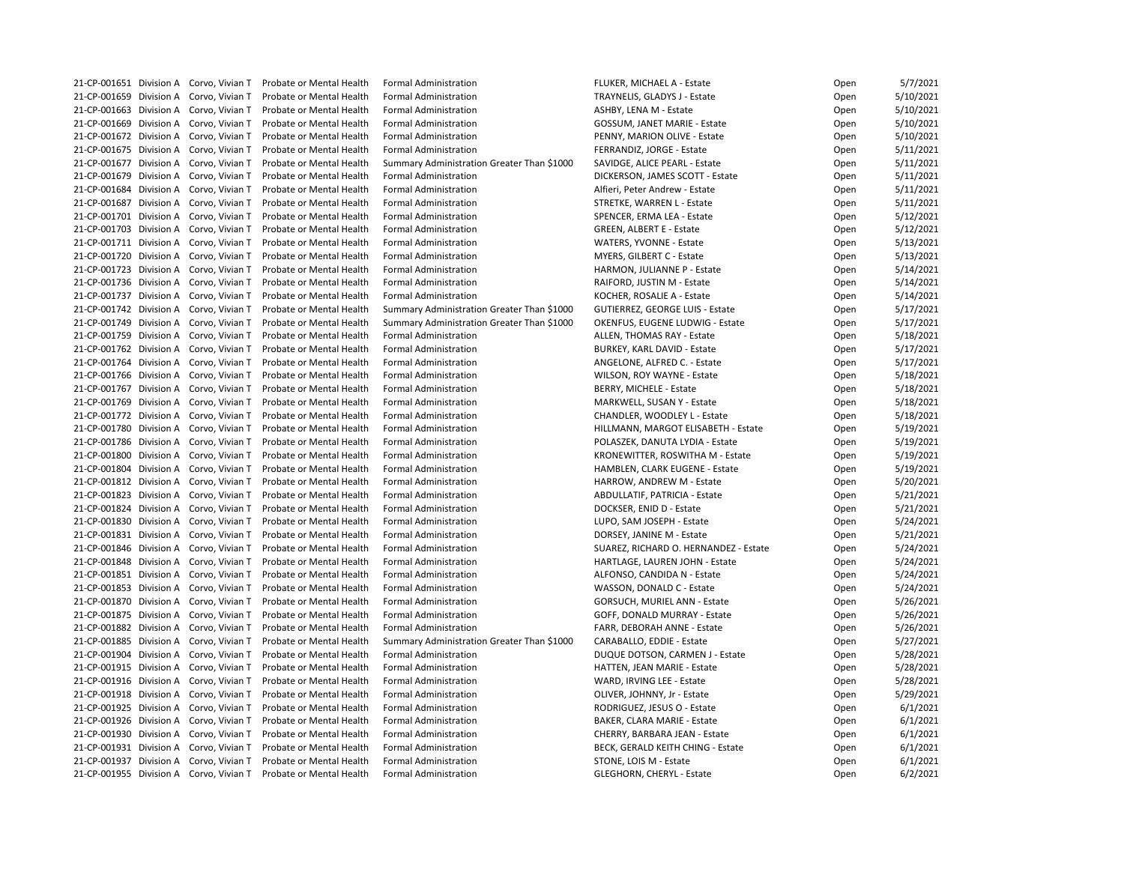| 21-CP-001651 Division A Corvo, Vivian T | Probate or Mental Health | <b>Formal Administration</b>               | FLUKER, MICHAEL A - Estate             | Open | 5/7/2021  |
|-----------------------------------------|--------------------------|--------------------------------------------|----------------------------------------|------|-----------|
| 21-CP-001659 Division A Corvo, Vivian T | Probate or Mental Health | <b>Formal Administration</b>               | TRAYNELIS, GLADYS J - Estate           | Open | 5/10/2021 |
| 21-CP-001663 Division A Corvo, Vivian T | Probate or Mental Health | <b>Formal Administration</b>               | ASHBY, LENA M - Estate                 | Open | 5/10/2021 |
| 21-CP-001669 Division A Corvo, Vivian T | Probate or Mental Health | <b>Formal Administration</b>               | <b>GOSSUM, JANET MARIE - Estate</b>    | Open | 5/10/2021 |
| 21-CP-001672 Division A Corvo, Vivian T | Probate or Mental Health | <b>Formal Administration</b>               | PENNY, MARION OLIVE - Estate           | Open | 5/10/2021 |
| 21-CP-001675 Division A Corvo, Vivian T | Probate or Mental Health | <b>Formal Administration</b>               | FERRANDIZ, JORGE - Estate              | Open | 5/11/2021 |
| 21-CP-001677 Division A Corvo, Vivian T | Probate or Mental Health | Summary Administration Greater Than \$1000 | SAVIDGE, ALICE PEARL - Estate          | Open | 5/11/2021 |
| 21-CP-001679 Division A Corvo, Vivian T | Probate or Mental Health | <b>Formal Administration</b>               | DICKERSON, JAMES SCOTT - Estate        | Open | 5/11/2021 |
| 21-CP-001684 Division A Corvo, Vivian T | Probate or Mental Health | <b>Formal Administration</b>               | Alfieri, Peter Andrew - Estate         | Open | 5/11/2021 |
| 21-CP-001687 Division A Corvo, Vivian T | Probate or Mental Health | <b>Formal Administration</b>               | STRETKE, WARREN L - Estate             | Open | 5/11/2021 |
| 21-CP-001701 Division A Corvo, Vivian T | Probate or Mental Health | <b>Formal Administration</b>               | SPENCER, ERMA LEA - Estate             | Open | 5/12/2021 |
| 21-CP-001703 Division A Corvo, Vivian T |                          |                                            |                                        |      |           |
|                                         | Probate or Mental Health | <b>Formal Administration</b>               | <b>GREEN, ALBERT E - Estate</b>        | Open | 5/12/2021 |
| 21-CP-001711 Division A Corvo, Vivian T | Probate or Mental Health | <b>Formal Administration</b>               | WATERS, YVONNE - Estate                | Open | 5/13/2021 |
| 21-CP-001720 Division A Corvo, Vivian T | Probate or Mental Health | <b>Formal Administration</b>               | <b>MYERS, GILBERT C - Estate</b>       | Open | 5/13/2021 |
| 21-CP-001723 Division A Corvo, Vivian T | Probate or Mental Health | <b>Formal Administration</b>               | HARMON, JULIANNE P - Estate            | Open | 5/14/2021 |
| 21-CP-001736 Division A Corvo, Vivian T | Probate or Mental Health | <b>Formal Administration</b>               | RAIFORD, JUSTIN M - Estate             | Open | 5/14/2021 |
| 21-CP-001737 Division A Corvo, Vivian T | Probate or Mental Health | <b>Formal Administration</b>               | KOCHER, ROSALIE A - Estate             | Open | 5/14/2021 |
| 21-CP-001742 Division A Corvo, Vivian T | Probate or Mental Health | Summary Administration Greater Than \$1000 | <b>GUTIERREZ, GEORGE LUIS - Estate</b> | Open | 5/17/2021 |
| 21-CP-001749 Division A Corvo, Vivian T | Probate or Mental Health | Summary Administration Greater Than \$1000 | <b>OKENFUS, EUGENE LUDWIG - Estate</b> | Open | 5/17/2021 |
| 21-CP-001759 Division A Corvo, Vivian T | Probate or Mental Health | <b>Formal Administration</b>               | ALLEN, THOMAS RAY - Estate             | Open | 5/18/2021 |
| 21-CP-001762 Division A Corvo, Vivian T | Probate or Mental Health | <b>Formal Administration</b>               | <b>BURKEY, KARL DAVID - Estate</b>     | Open | 5/17/2021 |
| 21-CP-001764 Division A Corvo, Vivian T | Probate or Mental Health | <b>Formal Administration</b>               | ANGELONE, ALFRED C. - Estate           | Open | 5/17/2021 |
| 21-CP-001766 Division A Corvo, Vivian T | Probate or Mental Health | <b>Formal Administration</b>               | WILSON, ROY WAYNE - Estate             | Open | 5/18/2021 |
| 21-CP-001767 Division A Corvo, Vivian T | Probate or Mental Health | <b>Formal Administration</b>               | BERRY, MICHELE - Estate                | Open | 5/18/2021 |
| 21-CP-001769 Division A Corvo, Vivian T | Probate or Mental Health | <b>Formal Administration</b>               | MARKWELL, SUSAN Y - Estate             | Open | 5/18/2021 |
| 21-CP-001772 Division A Corvo, Vivian T | Probate or Mental Health | <b>Formal Administration</b>               | CHANDLER, WOODLEY L - Estate           | Open | 5/18/2021 |
| 21-CP-001780 Division A Corvo, Vivian T | Probate or Mental Health | <b>Formal Administration</b>               | HILLMANN, MARGOT ELISABETH - Estate    | Open | 5/19/2021 |
| 21-CP-001786 Division A Corvo, Vivian T | Probate or Mental Health | <b>Formal Administration</b>               | POLASZEK, DANUTA LYDIA - Estate        | Open | 5/19/2021 |
| 21-CP-001800 Division A Corvo, Vivian T | Probate or Mental Health | <b>Formal Administration</b>               | KRONEWITTER, ROSWITHA M - Estate       | Open | 5/19/2021 |
| 21-CP-001804 Division A Corvo, Vivian T | Probate or Mental Health | <b>Formal Administration</b>               | HAMBLEN, CLARK EUGENE - Estate         | Open | 5/19/2021 |
| 21-CP-001812 Division A Corvo, Vivian T | Probate or Mental Health | <b>Formal Administration</b>               | HARROW, ANDREW M - Estate              | Open | 5/20/2021 |
| 21-CP-001823 Division A Corvo, Vivian T | Probate or Mental Health | <b>Formal Administration</b>               | ABDULLATIF, PATRICIA - Estate          | Open | 5/21/2021 |
| 21-CP-001824 Division A Corvo, Vivian T | Probate or Mental Health | <b>Formal Administration</b>               | DOCKSER, ENID D - Estate               | Open | 5/21/2021 |
| 21-CP-001830 Division A Corvo, Vivian T | Probate or Mental Health | <b>Formal Administration</b>               | LUPO, SAM JOSEPH - Estate              | Open | 5/24/2021 |
| 21-CP-001831 Division A Corvo, Vivian T | Probate or Mental Health | <b>Formal Administration</b>               | DORSEY, JANINE M - Estate              |      | 5/21/2021 |
|                                         |                          |                                            |                                        | Open |           |
| 21-CP-001846 Division A Corvo, Vivian T | Probate or Mental Health | <b>Formal Administration</b>               | SUAREZ, RICHARD O. HERNANDEZ - Estate  | Open | 5/24/2021 |
| 21-CP-001848 Division A Corvo, Vivian T | Probate or Mental Health | <b>Formal Administration</b>               | HARTLAGE, LAUREN JOHN - Estate         | Open | 5/24/2021 |
| 21-CP-001851 Division A Corvo, Vivian T | Probate or Mental Health | <b>Formal Administration</b>               | ALFONSO, CANDIDA N - Estate            | Open | 5/24/2021 |
| 21-CP-001853 Division A Corvo, Vivian T | Probate or Mental Health | <b>Formal Administration</b>               | WASSON, DONALD C - Estate              | Open | 5/24/2021 |
| 21-CP-001870 Division A Corvo, Vivian T | Probate or Mental Health | <b>Formal Administration</b>               | <b>GORSUCH, MURIEL ANN - Estate</b>    | Open | 5/26/2021 |
| 21-CP-001875 Division A Corvo, Vivian T | Probate or Mental Health | <b>Formal Administration</b>               | GOFF, DONALD MURRAY - Estate           | Open | 5/26/2021 |
| 21-CP-001882 Division A Corvo, Vivian T | Probate or Mental Health | <b>Formal Administration</b>               | FARR, DEBORAH ANNE - Estate            | Open | 5/26/2021 |
| 21-CP-001885 Division A Corvo, Vivian T | Probate or Mental Health | Summary Administration Greater Than \$1000 | CARABALLO, EDDIE - Estate              | Open | 5/27/2021 |
| 21-CP-001904 Division A Corvo, Vivian T | Probate or Mental Health | <b>Formal Administration</b>               | DUQUE DOTSON, CARMEN J - Estate        | Open | 5/28/2021 |
| 21-CP-001915 Division A Corvo, Vivian T | Probate or Mental Health | <b>Formal Administration</b>               | HATTEN, JEAN MARIE - Estate            | Open | 5/28/2021 |
| 21-CP-001916 Division A Corvo, Vivian T | Probate or Mental Health | <b>Formal Administration</b>               | WARD, IRVING LEE - Estate              | Open | 5/28/2021 |
| 21-CP-001918 Division A Corvo, Vivian T | Probate or Mental Health | <b>Formal Administration</b>               | OLIVER, JOHNNY, Jr - Estate            | Open | 5/29/2021 |
| 21-CP-001925 Division A Corvo, Vivian T | Probate or Mental Health | <b>Formal Administration</b>               | RODRIGUEZ, JESUS O - Estate            | Open | 6/1/2021  |
| 21-CP-001926 Division A Corvo, Vivian T | Probate or Mental Health | <b>Formal Administration</b>               | <b>BAKER, CLARA MARIE - Estate</b>     | Open | 6/1/2021  |
| 21-CP-001930 Division A Corvo, Vivian T | Probate or Mental Health | <b>Formal Administration</b>               | CHERRY, BARBARA JEAN - Estate          | Open | 6/1/2021  |
| 21-CP-001931 Division A Corvo, Vivian T | Probate or Mental Health | <b>Formal Administration</b>               | BECK, GERALD KEITH CHING - Estate      | Open | 6/1/2021  |
| 21-CP-001937 Division A Corvo, Vivian T | Probate or Mental Health | <b>Formal Administration</b>               | STONE, LOIS M - Estate                 | Open | 6/1/2021  |
| 21-CP-001955 Division A Corvo, Vivian T | Probate or Mental Health | <b>Formal Administration</b>               | <b>GLEGHORN, CHERYL - Estate</b>       | Open | 6/2/2021  |
|                                         |                          |                                            |                                        |      |           |

| Open | 5/7/2021  |
|------|-----------|
| Open | 5/10/2021 |
| Open | 5/10/2021 |
| Open | 5/10/2021 |
| Open | 5/10/2021 |
| Open | 5/11/2021 |
| Open | 5/11/2021 |
| Open | 5/11/2021 |
| Open | 5/11/2021 |
| Open | 5/11/2021 |
| Open | 5/12/2021 |
| Open | 5/12/2021 |
|      | 5/13/2021 |
| Open |           |
| Open | 5/13/2021 |
| Open | 5/14/2021 |
| Open | 5/14/2021 |
| Open | 5/14/2021 |
| Open | 5/17/2021 |
| Open | 5/17/2021 |
| Open | 5/18/2021 |
| Open | 5/17/2021 |
| Open | 5/17/2021 |
| Open | 5/18/2021 |
| Open | 5/18/2021 |
| Open | 5/18/2021 |
| Open | 5/18/2021 |
| Open | 5/19/2021 |
| Open | 5/19/2021 |
| Open | 5/19/2021 |
| Open | 5/19/2021 |
| Open | 5/20/2021 |
| Open | 5/21/2021 |
|      | 5/21/2021 |
| Open |           |
| Open | 5/24/2021 |
| Open | 5/21/2021 |
| Open | 5/24/2021 |
| Open | 5/24/2021 |
| Open | 5/24/2021 |
| Open | 5/24/2021 |
| Open | 5/26/2021 |
| Open | 5/26/2021 |
| Open | 5/26/2021 |
| Open | 5/27/2021 |
| Open | 5/28/2021 |
| Open | 5/28/2021 |
| Open | 5/28/2021 |
| Open | 5/29/2021 |
| Open | 6/1/2021  |
| Open | 6/1/2021  |
| Open | 6/1/2021  |
| Open | 6/1/2021  |
| Open | 6/1/2021  |
| Open | 6/2/2021  |
|      |           |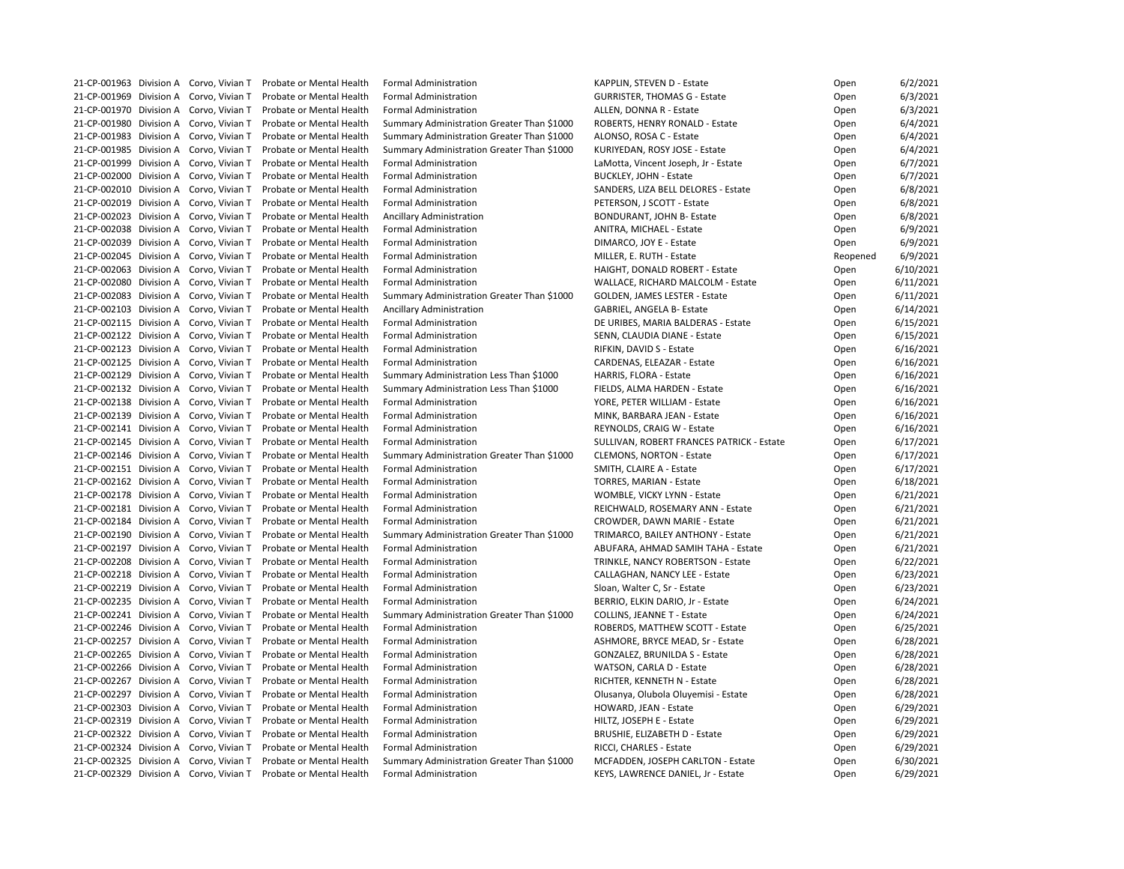|  | 21-CP-001963 Division A Corvo, Vivian T | Probate or Mental Health | <b>Formal Administration</b>               | KAPPLIN, STEVEN D - Estate                | Open     | 6/2/2021  |
|--|-----------------------------------------|--------------------------|--------------------------------------------|-------------------------------------------|----------|-----------|
|  | 21-CP-001969 Division A Corvo, Vivian T | Probate or Mental Health | <b>Formal Administration</b>               | <b>GURRISTER, THOMAS G - Estate</b>       | Open     | 6/3/2021  |
|  | 21-CP-001970 Division A Corvo, Vivian T | Probate or Mental Health | <b>Formal Administration</b>               | ALLEN, DONNA R - Estate                   | Open     | 6/3/2021  |
|  | 21-CP-001980 Division A Corvo, Vivian T | Probate or Mental Health | Summary Administration Greater Than \$1000 | ROBERTS, HENRY RONALD - Estate            | Open     | 6/4/2021  |
|  | 21-CP-001983 Division A Corvo, Vivian T | Probate or Mental Health | Summary Administration Greater Than \$1000 | ALONSO, ROSA C - Estate                   | Open     | 6/4/2021  |
|  | 21-CP-001985 Division A Corvo, Vivian T | Probate or Mental Health | Summary Administration Greater Than \$1000 | KURIYEDAN, ROSY JOSE - Estate             | Open     | 6/4/2021  |
|  | 21-CP-001999 Division A Corvo, Vivian T | Probate or Mental Health | <b>Formal Administration</b>               | LaMotta, Vincent Joseph, Jr - Estate      | Open     | 6/7/2021  |
|  | 21-CP-002000 Division A Corvo, Vivian T | Probate or Mental Health | <b>Formal Administration</b>               | <b>BUCKLEY, JOHN - Estate</b>             | Open     | 6/7/2021  |
|  | 21-CP-002010 Division A Corvo, Vivian T | Probate or Mental Health | <b>Formal Administration</b>               | SANDERS, LIZA BELL DELORES - Estate       | Open     | 6/8/2021  |
|  | 21-CP-002019 Division A Corvo, Vivian T | Probate or Mental Health | <b>Formal Administration</b>               | PETERSON, J SCOTT - Estate                | Open     | 6/8/2021  |
|  | 21-CP-002023 Division A Corvo, Vivian T | Probate or Mental Health | <b>Ancillary Administration</b>            | <b>BONDURANT, JOHN B- Estate</b>          | Open     | 6/8/2021  |
|  | 21-CP-002038 Division A Corvo, Vivian T | Probate or Mental Health | <b>Formal Administration</b>               | ANITRA, MICHAEL - Estate                  | Open     | 6/9/2021  |
|  | 21-CP-002039 Division A Corvo, Vivian T | Probate or Mental Health | <b>Formal Administration</b>               |                                           |          | 6/9/2021  |
|  |                                         |                          |                                            | DIMARCO, JOY E - Estate                   | Open     |           |
|  | 21-CP-002045 Division A Corvo, Vivian T | Probate or Mental Health | <b>Formal Administration</b>               | MILLER, E. RUTH - Estate                  | Reopened | 6/9/2021  |
|  | 21-CP-002063 Division A Corvo, Vivian T | Probate or Mental Health | <b>Formal Administration</b>               | HAIGHT, DONALD ROBERT - Estate            | Open     | 6/10/2021 |
|  | 21-CP-002080 Division A Corvo, Vivian T | Probate or Mental Health | <b>Formal Administration</b>               | <b>WALLACE, RICHARD MALCOLM - Estate</b>  | Open     | 6/11/2021 |
|  | 21-CP-002083 Division A Corvo, Vivian T | Probate or Mental Health | Summary Administration Greater Than \$1000 | <b>GOLDEN, JAMES LESTER - Estate</b>      | Open     | 6/11/2021 |
|  | 21-CP-002103 Division A Corvo, Vivian T | Probate or Mental Health | <b>Ancillary Administration</b>            | <b>GABRIEL, ANGELA B- Estate</b>          | Open     | 6/14/2021 |
|  | 21-CP-002115 Division A Corvo, Vivian T | Probate or Mental Health | <b>Formal Administration</b>               | DE URIBES, MARIA BALDERAS - Estate        | Open     | 6/15/2021 |
|  | 21-CP-002122 Division A Corvo, Vivian T | Probate or Mental Health | <b>Formal Administration</b>               | SENN, CLAUDIA DIANE - Estate              | Open     | 6/15/2021 |
|  | 21-CP-002123 Division A Corvo, Vivian T | Probate or Mental Health | <b>Formal Administration</b>               | RIFKIN, DAVID S - Estate                  | Open     | 6/16/2021 |
|  | 21-CP-002125 Division A Corvo, Vivian T | Probate or Mental Health | <b>Formal Administration</b>               | CARDENAS, ELEAZAR - Estate                | Open     | 6/16/2021 |
|  | 21-CP-002129 Division A Corvo, Vivian T | Probate or Mental Health | Summary Administration Less Than \$1000    | HARRIS, FLORA - Estate                    | Open     | 6/16/2021 |
|  | 21-CP-002132 Division A Corvo, Vivian T | Probate or Mental Health | Summary Administration Less Than \$1000    | FIELDS, ALMA HARDEN - Estate              | Open     | 6/16/2021 |
|  | 21-CP-002138 Division A Corvo, Vivian T | Probate or Mental Health | <b>Formal Administration</b>               | YORE, PETER WILLIAM - Estate              | Open     | 6/16/2021 |
|  | 21-CP-002139 Division A Corvo, Vivian T | Probate or Mental Health | <b>Formal Administration</b>               | MINK, BARBARA JEAN - Estate               | Open     | 6/16/2021 |
|  | 21-CP-002141 Division A Corvo, Vivian T | Probate or Mental Health | <b>Formal Administration</b>               | REYNOLDS, CRAIG W - Estate                | Open     | 6/16/2021 |
|  | 21-CP-002145 Division A Corvo, Vivian T | Probate or Mental Health | <b>Formal Administration</b>               | SULLIVAN, ROBERT FRANCES PATRICK - Estate | Open     | 6/17/2021 |
|  | 21-CP-002146 Division A Corvo, Vivian T | Probate or Mental Health | Summary Administration Greater Than \$1000 | <b>CLEMONS, NORTON - Estate</b>           | Open     | 6/17/2021 |
|  | 21-CP-002151 Division A Corvo, Vivian T | Probate or Mental Health | <b>Formal Administration</b>               | SMITH, CLAIRE A - Estate                  | Open     | 6/17/2021 |
|  | 21-CP-002162 Division A Corvo, Vivian T | Probate or Mental Health | <b>Formal Administration</b>               | TORRES, MARIAN - Estate                   | Open     | 6/18/2021 |
|  | 21-CP-002178 Division A Corvo, Vivian T | Probate or Mental Health | <b>Formal Administration</b>               | WOMBLE, VICKY LYNN - Estate               | Open     | 6/21/2021 |
|  | 21-CP-002181 Division A Corvo, Vivian T | Probate or Mental Health | <b>Formal Administration</b>               | REICHWALD, ROSEMARY ANN - Estate          | Open     | 6/21/2021 |
|  | 21-CP-002184 Division A Corvo, Vivian T | Probate or Mental Health | <b>Formal Administration</b>               | CROWDER, DAWN MARIE - Estate              | Open     | 6/21/2021 |
|  | 21-CP-002190 Division A Corvo, Vivian T | Probate or Mental Health | Summary Administration Greater Than \$1000 | TRIMARCO, BAILEY ANTHONY - Estate         |          | 6/21/2021 |
|  | 21-CP-002197 Division A Corvo, Vivian T |                          |                                            |                                           | Open     | 6/21/2021 |
|  |                                         | Probate or Mental Health | <b>Formal Administration</b>               | ABUFARA, AHMAD SAMIH TAHA - Estate        | Open     |           |
|  | 21-CP-002208 Division A Corvo, Vivian T | Probate or Mental Health | <b>Formal Administration</b>               | TRINKLE, NANCY ROBERTSON - Estate         | Open     | 6/22/2021 |
|  | 21-CP-002218 Division A Corvo, Vivian T | Probate or Mental Health | <b>Formal Administration</b>               | <b>CALLAGHAN, NANCY LEE - Estate</b>      | Open     | 6/23/2021 |
|  | 21-CP-002219 Division A Corvo, Vivian T | Probate or Mental Health | <b>Formal Administration</b>               | Sloan, Walter C, Sr - Estate              | Open     | 6/23/2021 |
|  | 21-CP-002235 Division A Corvo, Vivian T | Probate or Mental Health | <b>Formal Administration</b>               | BERRIO, ELKIN DARIO, Jr - Estate          | Open     | 6/24/2021 |
|  | 21-CP-002241 Division A Corvo, Vivian T | Probate or Mental Health | Summary Administration Greater Than \$1000 | <b>COLLINS, JEANNE T - Estate</b>         | Open     | 6/24/2021 |
|  | 21-CP-002246 Division A Corvo, Vivian T | Probate or Mental Health | <b>Formal Administration</b>               | ROBERDS, MATTHEW SCOTT - Estate           | Open     | 6/25/2021 |
|  | 21-CP-002257 Division A Corvo, Vivian T | Probate or Mental Health | <b>Formal Administration</b>               | ASHMORE, BRYCE MEAD, Sr - Estate          | Open     | 6/28/2021 |
|  | 21-CP-002265 Division A Corvo, Vivian T | Probate or Mental Health | <b>Formal Administration</b>               | <b>GONZALEZ, BRUNILDA S - Estate</b>      | Open     | 6/28/2021 |
|  | 21-CP-002266 Division A Corvo, Vivian T | Probate or Mental Health | <b>Formal Administration</b>               | WATSON, CARLA D - Estate                  | Open     | 6/28/2021 |
|  | 21-CP-002267 Division A Corvo, Vivian T | Probate or Mental Health | <b>Formal Administration</b>               | RICHTER, KENNETH N - Estate               | Open     | 6/28/2021 |
|  | 21-CP-002297 Division A Corvo, Vivian T | Probate or Mental Health | <b>Formal Administration</b>               | Olusanya, Olubola Oluyemisi - Estate      | Open     | 6/28/2021 |
|  | 21-CP-002303 Division A Corvo, Vivian T | Probate or Mental Health | <b>Formal Administration</b>               | HOWARD, JEAN - Estate                     | Open     | 6/29/2021 |
|  | 21-CP-002319 Division A Corvo, Vivian T | Probate or Mental Health | <b>Formal Administration</b>               | HILTZ, JOSEPH E - Estate                  | Open     | 6/29/2021 |
|  | 21-CP-002322 Division A Corvo, Vivian T | Probate or Mental Health | <b>Formal Administration</b>               | <b>BRUSHIE, ELIZABETH D - Estate</b>      | Open     | 6/29/2021 |
|  | 21-CP-002324 Division A Corvo, Vivian T | Probate or Mental Health | <b>Formal Administration</b>               | RICCI, CHARLES - Estate                   | Open     | 6/29/2021 |
|  | 21-CP-002325 Division A Corvo, Vivian T | Probate or Mental Health | Summary Administration Greater Than \$1000 | MCFADDEN, JOSEPH CARLTON - Estate         | Open     | 6/30/2021 |
|  | 21-CP-002329 Division A Corvo, Vivian T | Probate or Mental Health | <b>Formal Administration</b>               | KEYS, LAWRENCE DANIEL, Jr - Estate        | Open     | 6/29/2021 |
|  |                                         |                          |                                            |                                           |          |           |

| Open     | 6/2/2021  |
|----------|-----------|
| Open     | 6/3/2021  |
| Open     | 6/3/2021  |
| Open     | 6/4/2021  |
| Open     | 6/4/2021  |
| Open     | 6/4/2021  |
| Open     | 6/7/2021  |
| Open     | 6/7/2021  |
| Open     | 6/8/2021  |
| Open     | 6/8/2021  |
| Open     | 6/8/2021  |
| Open     | 6/9/2021  |
|          | 6/9/2021  |
| Open     |           |
| Reopened | 6/9/2021  |
| Open     | 6/10/2021 |
| Open     | 6/11/2021 |
| Open     | 6/11/2021 |
| Open     | 6/14/2021 |
| Open     | 6/15/2021 |
| Open     | 6/15/2021 |
| Open     | 6/16/2021 |
| Open     | 6/16/2021 |
| Open     | 6/16/2021 |
| Open     | 6/16/2021 |
| Open     | 6/16/2021 |
| Open     | 6/16/2021 |
| Open     | 6/16/2021 |
| Open     | 6/17/2021 |
| Open     | 6/17/2021 |
| Open     | 6/17/2021 |
| Open     | 6/18/2021 |
| Open     | 6/21/2021 |
| Open     | 6/21/2021 |
| Open     | 6/21/2021 |
| Open     | 6/21/2021 |
| Open     | 6/21/2021 |
| Open     | 6/22/2021 |
| Open     | 6/23/2021 |
|          | 6/23/2021 |
| Open     | 6/24/2021 |
| Open     |           |
| Open     | 6/24/2021 |
| Open     | 6/25/2021 |
| Open     | 6/28/2021 |
| Open     | 6/28/2021 |
| Open     | 6/28/2021 |
| Open     | 6/28/2021 |
| Open     | 6/28/2021 |
| Open     | 6/29/2021 |
| Open     | 6/29/2021 |
| Open     | 6/29/2021 |
| Open     | 6/29/2021 |
| Open     | 6/30/2021 |
| Open     | 6/29/2021 |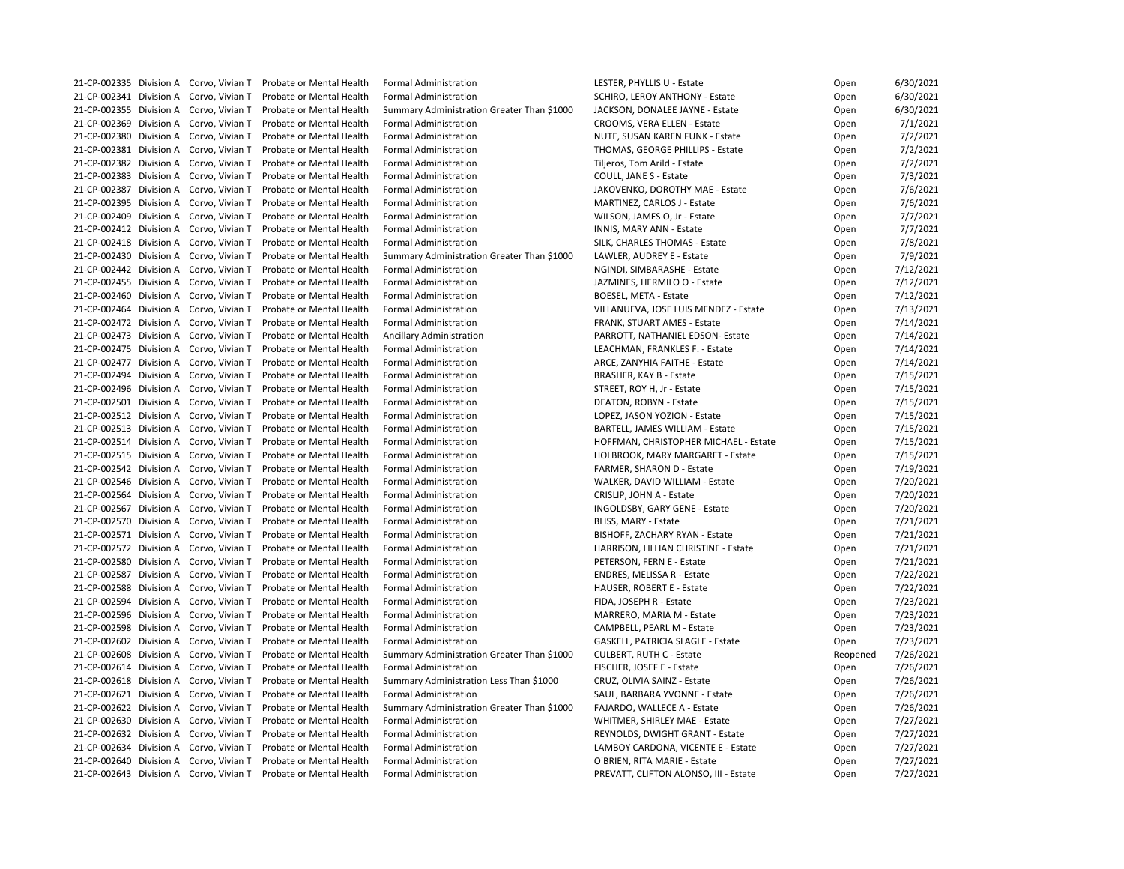|  | 21-CP-002335 Division A Corvo, Vivian T | <b>Probate or Mental Health</b>                                  | <b>Formal Administration</b>               | LESTER, PHYLLIS U - Estate               | Open     | 6/30/2021 |
|--|-----------------------------------------|------------------------------------------------------------------|--------------------------------------------|------------------------------------------|----------|-----------|
|  | 21-CP-002341 Division A Corvo, Vivian T | Probate or Mental Health                                         | <b>Formal Administration</b>               | SCHIRO, LEROY ANTHONY - Estate           | Open     | 6/30/2021 |
|  | 21-CP-002355 Division A Corvo, Vivian T | Probate or Mental Health                                         | Summary Administration Greater Than \$1000 | JACKSON, DONALEE JAYNE - Estate          | Open     | 6/30/2021 |
|  | 21-CP-002369 Division A Corvo, Vivian T | Probate or Mental Health                                         | <b>Formal Administration</b>               | CROOMS, VERA ELLEN - Estate              | Open     | 7/1/2021  |
|  | 21-CP-002380 Division A Corvo, Vivian T | Probate or Mental Health                                         | <b>Formal Administration</b>               | NUTE, SUSAN KAREN FUNK - Estate          | Open     | 7/2/2021  |
|  | 21-CP-002381 Division A Corvo, Vivian T | Probate or Mental Health                                         | <b>Formal Administration</b>               | THOMAS, GEORGE PHILLIPS - Estate         | Open     | 7/2/2021  |
|  | 21-CP-002382 Division A Corvo, Vivian T | Probate or Mental Health                                         | <b>Formal Administration</b>               | Tiljeros, Tom Arild - Estate             | Open     | 7/2/2021  |
|  | 21-CP-002383 Division A Corvo, Vivian T | Probate or Mental Health                                         | <b>Formal Administration</b>               | COULL, JANE S - Estate                   | Open     | 7/3/2021  |
|  | 21-CP-002387 Division A Corvo, Vivian T | Probate or Mental Health                                         | <b>Formal Administration</b>               | JAKOVENKO, DOROTHY MAE - Estate          | Open     | 7/6/2021  |
|  | 21-CP-002395 Division A Corvo, Vivian T | Probate or Mental Health                                         | <b>Formal Administration</b>               | MARTINEZ, CARLOS J - Estate              | Open     | 7/6/2021  |
|  | 21-CP-002409 Division A Corvo, Vivian T | Probate or Mental Health                                         | <b>Formal Administration</b>               | WILSON, JAMES O, Jr - Estate             | Open     | 7/7/2021  |
|  | 21-CP-002412 Division A Corvo, Vivian T | Probate or Mental Health                                         | <b>Formal Administration</b>               | INNIS, MARY ANN - Estate                 | Open     | 7/7/2021  |
|  | 21-CP-002418 Division A Corvo, Vivian T | Probate or Mental Health                                         | <b>Formal Administration</b>               | SILK, CHARLES THOMAS - Estate            | Open     | 7/8/2021  |
|  | 21-CP-002430 Division A Corvo, Vivian T | Probate or Mental Health                                         | Summary Administration Greater Than \$1000 | LAWLER, AUDREY E - Estate                | Open     | 7/9/2021  |
|  | 21-CP-002442 Division A Corvo, Vivian T | Probate or Mental Health                                         | <b>Formal Administration</b>               | NGINDI, SIMBARASHE - Estate              | Open     | 7/12/2021 |
|  | 21-CP-002455 Division A Corvo, Vivian T | Probate or Mental Health                                         | <b>Formal Administration</b>               | JAZMINES, HERMILO O - Estate             |          | 7/12/2021 |
|  |                                         |                                                                  |                                            |                                          | Open     |           |
|  | 21-CP-002460 Division A Corvo, Vivian T | Probate or Mental Health                                         | <b>Formal Administration</b>               | <b>BOESEL, META - Estate</b>             | Open     | 7/12/2021 |
|  | 21-CP-002464 Division A Corvo, Vivian T | Probate or Mental Health                                         | <b>Formal Administration</b>               | VILLANUEVA, JOSE LUIS MENDEZ - Estate    | Open     | 7/13/2021 |
|  | 21-CP-002472 Division A Corvo, Vivian T | Probate or Mental Health                                         | <b>Formal Administration</b>               | FRANK, STUART AMES - Estate              | Open     | 7/14/2021 |
|  | 21-CP-002473 Division A Corvo, Vivian T | Probate or Mental Health                                         | Ancillary Administration                   | PARROTT, NATHANIEL EDSON- Estate         | Open     | 7/14/2021 |
|  | 21-CP-002475 Division A Corvo, Vivian T | Probate or Mental Health                                         | <b>Formal Administration</b>               | LEACHMAN, FRANKLES F. - Estate           | Open     | 7/14/2021 |
|  | 21-CP-002477 Division A Corvo, Vivian T | Probate or Mental Health                                         | <b>Formal Administration</b>               | ARCE, ZANYHIA FAITHE - Estate            | Open     | 7/14/2021 |
|  | 21-CP-002494 Division A Corvo, Vivian T | Probate or Mental Health                                         | <b>Formal Administration</b>               | <b>BRASHER, KAY B - Estate</b>           | Open     | 7/15/2021 |
|  | 21-CP-002496 Division A Corvo, Vivian T | Probate or Mental Health                                         | <b>Formal Administration</b>               | STREET, ROY H, Jr - Estate               | Open     | 7/15/2021 |
|  | 21-CP-002501 Division A Corvo, Vivian T | Probate or Mental Health                                         | <b>Formal Administration</b>               | DEATON, ROBYN - Estate                   | Open     | 7/15/2021 |
|  | 21-CP-002512 Division A Corvo, Vivian T | Probate or Mental Health                                         | <b>Formal Administration</b>               | LOPEZ, JASON YOZION - Estate             | Open     | 7/15/2021 |
|  | 21-CP-002513 Division A Corvo, Vivian T | Probate or Mental Health                                         | <b>Formal Administration</b>               | BARTELL, JAMES WILLIAM - Estate          | Open     | 7/15/2021 |
|  | 21-CP-002514 Division A Corvo, Vivian T | Probate or Mental Health                                         | <b>Formal Administration</b>               | HOFFMAN, CHRISTOPHER MICHAEL - Estate    | Open     | 7/15/2021 |
|  | 21-CP-002515 Division A Corvo, Vivian T | Probate or Mental Health                                         | <b>Formal Administration</b>               | HOLBROOK, MARY MARGARET - Estate         | Open     | 7/15/2021 |
|  | 21-CP-002542 Division A Corvo, Vivian T | Probate or Mental Health                                         | <b>Formal Administration</b>               | FARMER, SHARON D - Estate                | Open     | 7/19/2021 |
|  |                                         | 21-CP-002546 Division A Corvo, Vivian T Probate or Mental Health | <b>Formal Administration</b>               | WALKER, DAVID WILLIAM - Estate           | Open     | 7/20/2021 |
|  | 21-CP-002564 Division A Corvo, Vivian T | Probate or Mental Health                                         | <b>Formal Administration</b>               | CRISLIP, JOHN A - Estate                 | Open     | 7/20/2021 |
|  | 21-CP-002567 Division A Corvo, Vivian T | Probate or Mental Health                                         | <b>Formal Administration</b>               | INGOLDSBY, GARY GENE - Estate            | Open     | 7/20/2021 |
|  | 21-CP-002570 Division A Corvo, Vivian T | Probate or Mental Health                                         | <b>Formal Administration</b>               | BLISS, MARY - Estate                     | Open     | 7/21/2021 |
|  | 21-CP-002571 Division A Corvo, Vivian T | Probate or Mental Health                                         | <b>Formal Administration</b>               | BISHOFF, ZACHARY RYAN - Estate           | Open     | 7/21/2021 |
|  | 21-CP-002572 Division A Corvo, Vivian T | Probate or Mental Health                                         | <b>Formal Administration</b>               | HARRISON, LILLIAN CHRISTINE - Estate     | Open     | 7/21/2021 |
|  | 21-CP-002580 Division A Corvo, Vivian T | Probate or Mental Health                                         | <b>Formal Administration</b>               | PETERSON, FERN E - Estate                | Open     | 7/21/2021 |
|  | 21-CP-002587 Division A Corvo, Vivian T | Probate or Mental Health                                         | <b>Formal Administration</b>               | <b>ENDRES, MELISSA R - Estate</b>        | Open     | 7/22/2021 |
|  | 21-CP-002588 Division A Corvo, Vivian T | Probate or Mental Health                                         | <b>Formal Administration</b>               | <b>HAUSER, ROBERT E - Estate</b>         | Open     | 7/22/2021 |
|  | 21-CP-002594 Division A Corvo, Vivian T | Probate or Mental Health                                         | <b>Formal Administration</b>               | FIDA, JOSEPH R - Estate                  | Open     | 7/23/2021 |
|  | 21-CP-002596 Division A Corvo, Vivian T | Probate or Mental Health                                         | <b>Formal Administration</b>               | MARRERO, MARIA M - Estate                | Open     | 7/23/2021 |
|  | 21-CP-002598 Division A Corvo, Vivian T | Probate or Mental Health                                         | <b>Formal Administration</b>               | CAMPBELL, PEARL M - Estate               | Open     | 7/23/2021 |
|  | 21-CP-002602 Division A Corvo, Vivian T | Probate or Mental Health                                         | <b>Formal Administration</b>               | <b>GASKELL, PATRICIA SLAGLE - Estate</b> | Open     | 7/23/2021 |
|  | 21-CP-002608 Division A Corvo, Vivian T | Probate or Mental Health                                         | Summary Administration Greater Than \$1000 | <b>CULBERT, RUTH C - Estate</b>          | Reopened | 7/26/2021 |
|  | 21-CP-002614 Division A Corvo, Vivian T | Probate or Mental Health                                         | <b>Formal Administration</b>               | FISCHER, JOSEF E - Estate                | Open     | 7/26/2021 |
|  | 21-CP-002618 Division A Corvo, Vivian T | Probate or Mental Health                                         | Summary Administration Less Than \$1000    | CRUZ, OLIVIA SAINZ - Estate              |          | 7/26/2021 |
|  |                                         | Probate or Mental Health                                         |                                            |                                          | Open     |           |
|  | 21-CP-002621 Division A Corvo, Vivian T |                                                                  | <b>Formal Administration</b>               | SAUL, BARBARA YVONNE - Estate            | Open     | 7/26/2021 |
|  | 21-CP-002622 Division A Corvo, Vivian T | Probate or Mental Health                                         | Summary Administration Greater Than \$1000 | FAJARDO, WALLECE A - Estate              | Open     | 7/26/2021 |
|  | 21-CP-002630 Division A Corvo, Vivian T | Probate or Mental Health                                         | <b>Formal Administration</b>               | WHITMER, SHIRLEY MAE - Estate            | Open     | 7/27/2021 |
|  | 21-CP-002632 Division A Corvo, Vivian T | Probate or Mental Health                                         | <b>Formal Administration</b>               | REYNOLDS, DWIGHT GRANT - Estate          | Open     | 7/27/2021 |
|  | 21-CP-002634 Division A Corvo, Vivian T | Probate or Mental Health                                         | <b>Formal Administration</b>               | LAMBOY CARDONA, VICENTE E - Estate       | Open     | 7/27/2021 |
|  | 21-CP-002640 Division A Corvo, Vivian T | Probate or Mental Health                                         | <b>Formal Administration</b>               | O'BRIEN, RITA MARIE - Estate             | Open     | 7/27/2021 |
|  | 21-CP-002643 Division A Corvo, Vivian T | Probate or Mental Health                                         | <b>Formal Administration</b>               | PREVATT, CLIFTON ALONSO, III - Estate    | Open     | 7/27/2021 |

| Open     | 6/30/2021 |
|----------|-----------|
| Open     | 6/30/2021 |
| Open     | 6/30/2021 |
| Open     | 7/1/2021  |
| Open     | 7/2/2021  |
| Open     | 7/2/2021  |
| Open     | 7/2/2021  |
| Open     | 7/3/2021  |
| Open     | 7/6/2021  |
| Open     | 7/6/2021  |
| Open     | 7/7/2021  |
| Open     | 7/7/2021  |
| Open     | 7/8/2021  |
| Open     | 7/9/2021  |
|          | 7/12/2021 |
| Open     |           |
| Open     | 7/12/2021 |
| Open     | 7/12/2021 |
| Open     | 7/13/2021 |
| Open     | 7/14/2021 |
| Open     | 7/14/2021 |
| Open     | 7/14/2021 |
| Open     | 7/14/2021 |
| Open     | 7/15/2021 |
| Open     | 7/15/2021 |
| Open     | 7/15/2021 |
| Open     | 7/15/2021 |
| Open     | 7/15/2021 |
| Open     | 7/15/2021 |
| Open     | 7/15/2021 |
| Open     | 7/19/2021 |
| Open     | 7/20/2021 |
| Open     | 7/20/2021 |
| Open     | 7/20/2021 |
| Open     | 7/21/2021 |
| Open     | 7/21/2021 |
| Open     | 7/21/2021 |
| Open     | 7/21/2021 |
| Open     | 7/22/2021 |
| Open     | 7/22/2021 |
| Open     | 7/23/2021 |
| Open     | 7/23/2021 |
| Open     | 7/23/2021 |
| Open     | 7/23/2021 |
| Reopened | 7/26/2021 |
| Open     | 7/26/2021 |
| Open     | 7/26/2021 |
| Open     | 7/26/2021 |
|          |           |
| Open     | 7/26/2021 |
| Open     | 7/27/2021 |
| Open     | 7/27/2021 |
| Open     | 7/27/2021 |
| Open     | 7/27/2021 |
| Open     | 7/27/2021 |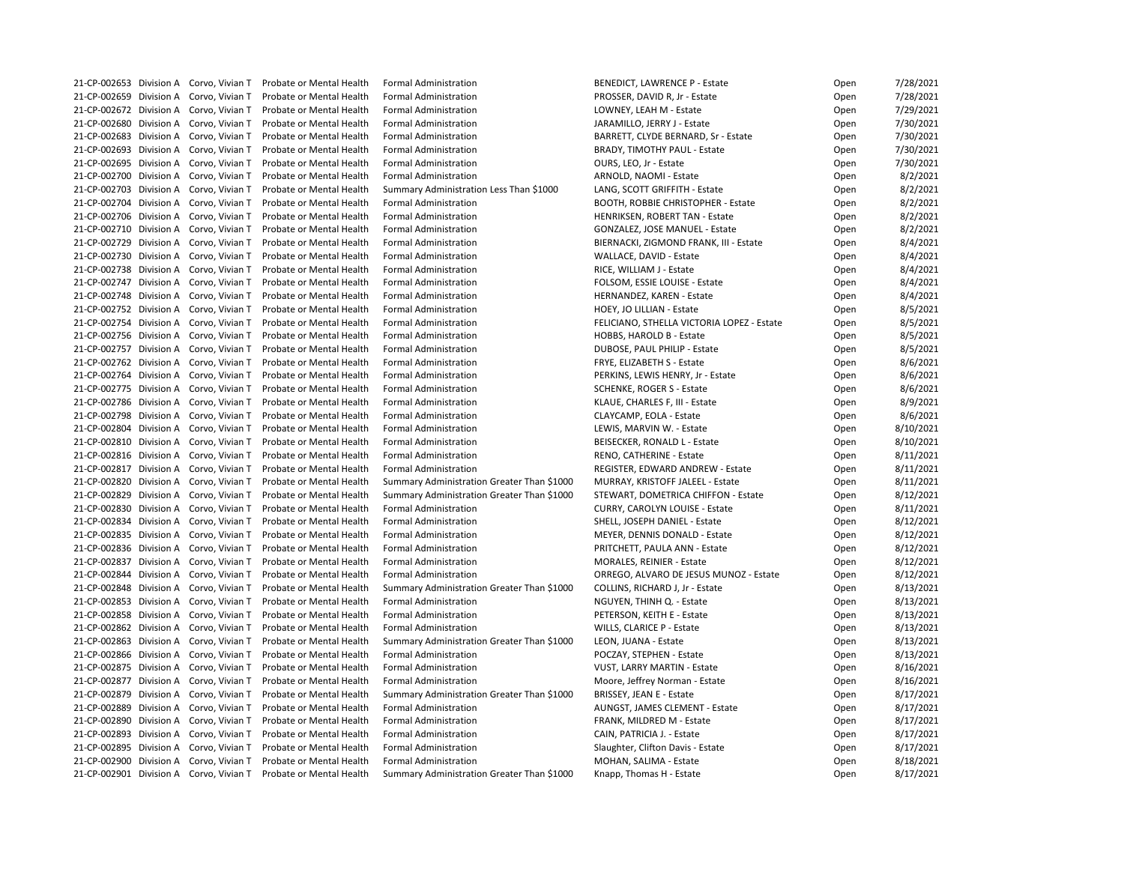|  | 21-CP-002653 Division A Corvo, Vivian T | Probate or Mental Health | <b>Formal Administration</b>                                               | <b>BENEDICT, LAWRENCE P - Estate</b>       | Open | 7/28/2021 |
|--|-----------------------------------------|--------------------------|----------------------------------------------------------------------------|--------------------------------------------|------|-----------|
|  | 21-CP-002659 Division A Corvo, Vivian T | Probate or Mental Health | <b>Formal Administration</b>                                               | PROSSER, DAVID R, Jr - Estate              | Open | 7/28/2021 |
|  | 21-CP-002672 Division A Corvo, Vivian T | Probate or Mental Health | <b>Formal Administration</b>                                               | LOWNEY, LEAH M - Estate                    | Open | 7/29/2021 |
|  | 21-CP-002680 Division A Corvo, Vivian T | Probate or Mental Health | <b>Formal Administration</b>                                               | JARAMILLO, JERRY J - Estate                | Open | 7/30/2021 |
|  | 21-CP-002683 Division A Corvo, Vivian T | Probate or Mental Health | <b>Formal Administration</b>                                               | BARRETT, CLYDE BERNARD, Sr - Estate        | Open | 7/30/2021 |
|  | 21-CP-002693 Division A Corvo, Vivian T | Probate or Mental Health | <b>Formal Administration</b>                                               | <b>BRADY, TIMOTHY PAUL - Estate</b>        | Open | 7/30/2021 |
|  | 21-CP-002695 Division A Corvo, Vivian T | Probate or Mental Health | <b>Formal Administration</b>                                               | OURS, LEO, Jr - Estate                     | Open | 7/30/2021 |
|  | 21-CP-002700 Division A Corvo, Vivian T | Probate or Mental Health | <b>Formal Administration</b>                                               | ARNOLD, NAOMI - Estate                     | Open | 8/2/2021  |
|  | 21-CP-002703 Division A Corvo, Vivian T | Probate or Mental Health | Summary Administration Less Than \$1000                                    | LANG, SCOTT GRIFFITH - Estate              | Open | 8/2/2021  |
|  | 21-CP-002704 Division A Corvo, Vivian T | Probate or Mental Health | <b>Formal Administration</b>                                               | <b>BOOTH, ROBBIE CHRISTOPHER - Estate</b>  | Open | 8/2/2021  |
|  | 21-CP-002706 Division A Corvo, Vivian T | Probate or Mental Health | <b>Formal Administration</b>                                               | <b>HENRIKSEN, ROBERT TAN - Estate</b>      | Open | 8/2/2021  |
|  | 21-CP-002710 Division A Corvo, Vivian T | Probate or Mental Health | <b>Formal Administration</b>                                               | <b>GONZALEZ, JOSE MANUEL - Estate</b>      | Open | 8/2/2021  |
|  | 21-CP-002729 Division A Corvo, Vivian T | Probate or Mental Health | <b>Formal Administration</b>                                               | BIERNACKI, ZIGMOND FRANK, III - Estate     | Open | 8/4/2021  |
|  | 21-CP-002730 Division A Corvo, Vivian T | Probate or Mental Health | <b>Formal Administration</b>                                               | WALLACE, DAVID - Estate                    | Open | 8/4/2021  |
|  | 21-CP-002738 Division A Corvo, Vivian T | Probate or Mental Health | <b>Formal Administration</b>                                               | RICE, WILLIAM J - Estate                   | Open | 8/4/2021  |
|  | 21-CP-002747 Division A Corvo, Vivian T | Probate or Mental Health | <b>Formal Administration</b>                                               | FOLSOM, ESSIE LOUISE - Estate              | Open | 8/4/2021  |
|  | 21-CP-002748 Division A Corvo, Vivian T | Probate or Mental Health | <b>Formal Administration</b>                                               | HERNANDEZ, KAREN - Estate                  | Open | 8/4/2021  |
|  | 21-CP-002752 Division A Corvo, Vivian T | Probate or Mental Health | <b>Formal Administration</b>                                               | HOEY, JO LILLIAN - Estate                  | Open | 8/5/2021  |
|  | 21-CP-002754 Division A Corvo, Vivian T | Probate or Mental Health | <b>Formal Administration</b>                                               | FELICIANO, STHELLA VICTORIA LOPEZ - Estate | Open | 8/5/2021  |
|  | 21-CP-002756 Division A Corvo, Vivian T | Probate or Mental Health | <b>Formal Administration</b>                                               | HOBBS, HAROLD B - Estate                   | Open | 8/5/2021  |
|  | 21-CP-002757 Division A Corvo, Vivian T | Probate or Mental Health | <b>Formal Administration</b>                                               | DUBOSE, PAUL PHILIP - Estate               | Open | 8/5/2021  |
|  | 21-CP-002762 Division A Corvo, Vivian T | Probate or Mental Health | <b>Formal Administration</b>                                               | FRYE, ELIZABETH S - Estate                 | Open | 8/6/2021  |
|  | 21-CP-002764 Division A Corvo, Vivian T | Probate or Mental Health | <b>Formal Administration</b>                                               | PERKINS, LEWIS HENRY, Jr - Estate          | Open | 8/6/2021  |
|  | 21-CP-002775 Division A Corvo, Vivian T | Probate or Mental Health | <b>Formal Administration</b>                                               | <b>SCHENKE, ROGER S - Estate</b>           | Open | 8/6/2021  |
|  | 21-CP-002786 Division A Corvo, Vivian T | Probate or Mental Health | <b>Formal Administration</b>                                               | KLAUE, CHARLES F, III - Estate             | Open | 8/9/2021  |
|  | 21-CP-002798 Division A Corvo, Vivian T | Probate or Mental Health | <b>Formal Administration</b>                                               | CLAYCAMP, EOLA - Estate                    | Open | 8/6/2021  |
|  | 21-CP-002804 Division A Corvo, Vivian T | Probate or Mental Health | <b>Formal Administration</b>                                               | LEWIS, MARVIN W. - Estate                  | Open | 8/10/2021 |
|  | 21-CP-002810 Division A Corvo, Vivian T | Probate or Mental Health | <b>Formal Administration</b>                                               | BEISECKER, RONALD L - Estate               | Open | 8/10/2021 |
|  | 21-CP-002816 Division A Corvo, Vivian T | Probate or Mental Health | <b>Formal Administration</b>                                               | RENO, CATHERINE - Estate                   | Open | 8/11/2021 |
|  | 21-CP-002817 Division A Corvo, Vivian T | Probate or Mental Health | <b>Formal Administration</b>                                               | REGISTER, EDWARD ANDREW - Estate           | Open | 8/11/2021 |
|  | 21-CP-002820 Division A Corvo, Vivian T | Probate or Mental Health | Summary Administration Greater Than \$1000                                 | MURRAY, KRISTOFF JALEEL - Estate           | Open | 8/11/2021 |
|  | 21-CP-002829 Division A Corvo, Vivian T | Probate or Mental Health | Summary Administration Greater Than \$1000                                 | STEWART, DOMETRICA CHIFFON - Estate        | Open | 8/12/2021 |
|  | 21-CP-002830 Division A Corvo, Vivian T | Probate or Mental Health | <b>Formal Administration</b>                                               | <b>CURRY, CAROLYN LOUISE - Estate</b>      | Open | 8/11/2021 |
|  | 21-CP-002834 Division A Corvo, Vivian T | Probate or Mental Health | <b>Formal Administration</b>                                               | SHELL, JOSEPH DANIEL - Estate              | Open | 8/12/2021 |
|  | 21-CP-002835 Division A Corvo, Vivian T | Probate or Mental Health | <b>Formal Administration</b>                                               | MEYER, DENNIS DONALD - Estate              |      | 8/12/2021 |
|  | 21-CP-002836 Division A Corvo, Vivian T | Probate or Mental Health | <b>Formal Administration</b>                                               |                                            | Open |           |
|  | 21-CP-002837 Division A Corvo, Vivian T | Probate or Mental Health | <b>Formal Administration</b>                                               | PRITCHETT, PAULA ANN - Estate              | Open | 8/12/2021 |
|  | 21-CP-002844 Division A Corvo, Vivian T |                          |                                                                            | <b>MORALES, REINIER - Estate</b>           | Open | 8/12/2021 |
|  |                                         | Probate or Mental Health | <b>Formal Administration</b><br>Summary Administration Greater Than \$1000 | ORREGO, ALVARO DE JESUS MUNOZ - Estate     | Open | 8/12/2021 |
|  | 21-CP-002848 Division A Corvo, Vivian T | Probate or Mental Health |                                                                            | COLLINS, RICHARD J, Jr - Estate            | Open | 8/13/2021 |
|  | 21-CP-002853 Division A Corvo, Vivian T | Probate or Mental Health | <b>Formal Administration</b>                                               | NGUYEN, THINH Q. - Estate                  | Open | 8/13/2021 |
|  | 21-CP-002858 Division A Corvo, Vivian T | Probate or Mental Health | <b>Formal Administration</b>                                               | PETERSON, KEITH E - Estate                 | Open | 8/13/2021 |
|  | 21-CP-002862 Division A Corvo, Vivian T | Probate or Mental Health | <b>Formal Administration</b>                                               | WILLS, CLARICE P - Estate                  | Open | 8/13/2021 |
|  | 21-CP-002863 Division A Corvo, Vivian T | Probate or Mental Health | Summary Administration Greater Than \$1000                                 | LEON, JUANA - Estate                       | Open | 8/13/2021 |
|  | 21-CP-002866 Division A Corvo, Vivian T | Probate or Mental Health | <b>Formal Administration</b>                                               | POCZAY, STEPHEN - Estate                   | Open | 8/13/2021 |
|  | 21-CP-002875 Division A Corvo, Vivian T | Probate or Mental Health | <b>Formal Administration</b>                                               | VUST, LARRY MARTIN - Estate                | Open | 8/16/2021 |
|  | 21-CP-002877 Division A Corvo, Vivian T | Probate or Mental Health | <b>Formal Administration</b>                                               | Moore, Jeffrey Norman - Estate             | Open | 8/16/2021 |
|  | 21-CP-002879 Division A Corvo, Vivian T | Probate or Mental Health | Summary Administration Greater Than \$1000                                 | <b>BRISSEY, JEAN E - Estate</b>            | Open | 8/17/2021 |
|  | 21-CP-002889 Division A Corvo, Vivian T | Probate or Mental Health | <b>Formal Administration</b>                                               | AUNGST, JAMES CLEMENT - Estate             | Open | 8/17/2021 |
|  | 21-CP-002890 Division A Corvo, Vivian T | Probate or Mental Health | <b>Formal Administration</b>                                               | FRANK, MILDRED M - Estate                  | Open | 8/17/2021 |
|  | 21-CP-002893 Division A Corvo, Vivian T | Probate or Mental Health | <b>Formal Administration</b>                                               | CAIN, PATRICIA J. - Estate                 | Open | 8/17/2021 |
|  | 21-CP-002895 Division A Corvo, Vivian T | Probate or Mental Health | <b>Formal Administration</b>                                               | Slaughter, Clifton Davis - Estate          | Open | 8/17/2021 |
|  | 21-CP-002900 Division A Corvo, Vivian T | Probate or Mental Health | <b>Formal Administration</b>                                               | MOHAN, SALIMA - Estate                     | Open | 8/18/2021 |
|  | 21-CP-002901 Division A Corvo, Vivian T | Probate or Mental Health | Summary Administration Greater Than \$1000                                 | Knapp, Thomas H - Estate                   | Open | 8/17/2021 |

| Open | 7/28/2021 |
|------|-----------|
| Open | 7/28/2021 |
| Open | 7/29/2021 |
| Open | 7/30/2021 |
| Open | 7/30/2021 |
| Open | 7/30/2021 |
| Open | 7/30/2021 |
| Open | 8/2/2021  |
| Open | 8/2/2021  |
| Open | 8/2/2021  |
| Open | 8/2/2021  |
|      | 8/2/2021  |
| Open |           |
| Open | 8/4/2021  |
| Open | 8/4/2021  |
| Open | 8/4/2021  |
| Open | 8/4/2021  |
| Open | 8/4/2021  |
| Open | 8/5/2021  |
| Open | 8/5/2021  |
| Open | 8/5/2021  |
| Open | 8/5/2021  |
| Open | 8/6/2021  |
| Open | 8/6/2021  |
| Open | 8/6/2021  |
| Open | 8/9/2021  |
| Open | 8/6/2021  |
| Open | 8/10/2021 |
| Open | 8/10/2021 |
| Open | 8/11/2021 |
| Open | 8/11/2021 |
| Open | 8/11/2021 |
| Open | 8/12/2021 |
| Open | 8/11/2021 |
| Open | 8/12/2021 |
| Open | 8/12/2021 |
|      | 8/12/2021 |
| Open |           |
| Open | 8/12/2021 |
| Open | 8/12/2021 |
| Open | 8/13/2021 |
| Open | 8/13/2021 |
| Open | 8/13/2021 |
| Open | 8/13/2021 |
| Open | 8/13/2021 |
| Open | 8/13/2021 |
| Open | 8/16/2021 |
| Open | 8/16/2021 |
| Open | 8/17/2021 |
| Open | 8/17/2021 |
| Open | 8/17/2021 |
| Open | 8/17/2021 |
| Open | 8/17/2021 |
| Open | 8/18/2021 |
| Open | 8/17/2021 |
|      |           |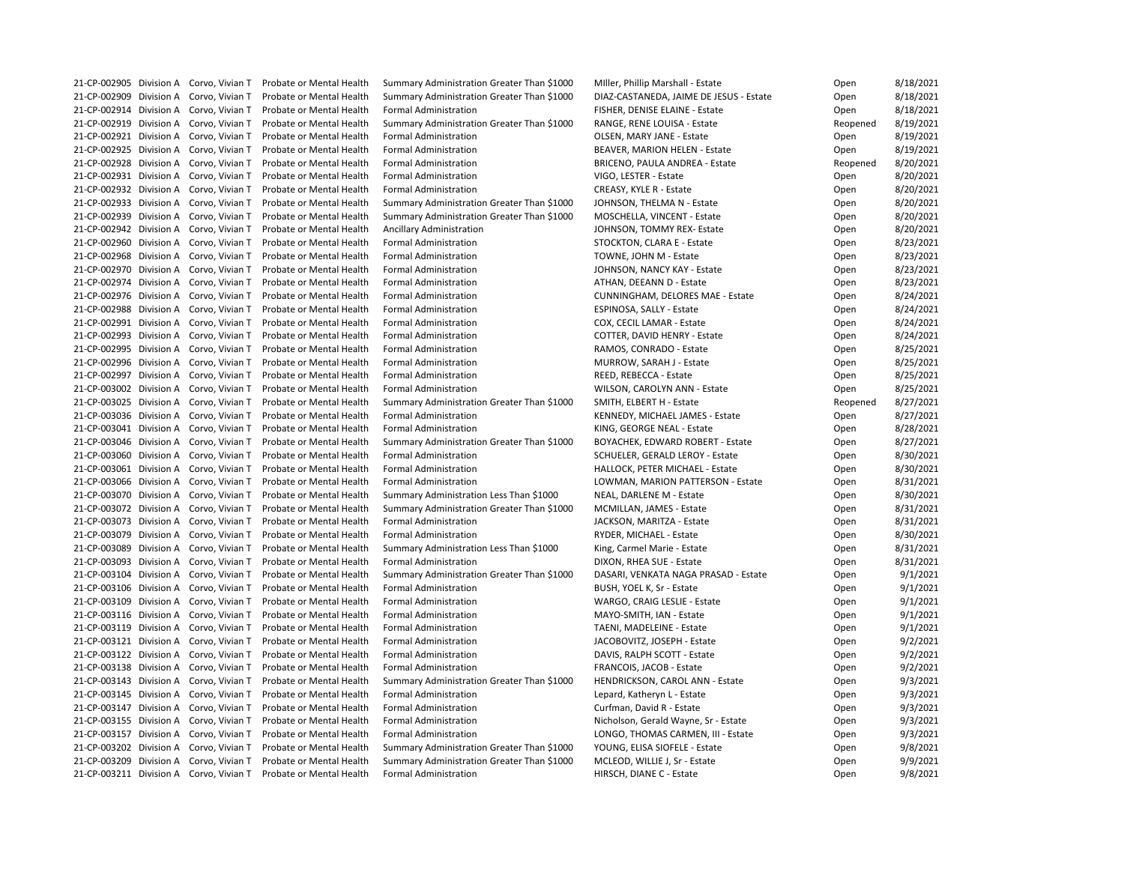|  | 21-CP-002905 Division A Corvo, Vivian T | Probate or Mental Health | Summary Administration Greater Than \$1000 | Miller, Phillip Marshall - Estate       | Open     | 8/18/2021 |
|--|-----------------------------------------|--------------------------|--------------------------------------------|-----------------------------------------|----------|-----------|
|  | 21-CP-002909 Division A Corvo, Vivian T | Probate or Mental Health | Summary Administration Greater Than \$1000 | DIAZ-CASTANEDA, JAIME DE JESUS - Estate | Open     | 8/18/2021 |
|  | 21-CP-002914 Division A Corvo, Vivian T | Probate or Mental Health | <b>Formal Administration</b>               | FISHER, DENISE ELAINE - Estate          | Open     | 8/18/2021 |
|  | 21-CP-002919 Division A Corvo, Vivian T | Probate or Mental Health | Summary Administration Greater Than \$1000 | RANGE, RENE LOUISA - Estate             | Reopened | 8/19/2021 |
|  | 21-CP-002921 Division A Corvo, Vivian T | Probate or Mental Health | <b>Formal Administration</b>               | OLSEN, MARY JANE - Estate               | Open     | 8/19/2021 |
|  | 21-CP-002925 Division A Corvo, Vivian T | Probate or Mental Health | <b>Formal Administration</b>               | BEAVER, MARION HELEN - Estate           | Open     | 8/19/2021 |
|  | 21-CP-002928 Division A Corvo, Vivian T | Probate or Mental Health | <b>Formal Administration</b>               | <b>BRICENO, PAULA ANDREA - Estate</b>   | Reopened | 8/20/2021 |
|  | 21-CP-002931 Division A Corvo, Vivian T | Probate or Mental Health | <b>Formal Administration</b>               | VIGO, LESTER - Estate                   | Open     | 8/20/2021 |
|  | 21-CP-002932 Division A Corvo, Vivian T | Probate or Mental Health | <b>Formal Administration</b>               | <b>CREASY, KYLE R - Estate</b>          | Open     | 8/20/2021 |
|  | 21-CP-002933 Division A Corvo, Vivian T | Probate or Mental Health | Summary Administration Greater Than \$1000 | JOHNSON, THELMA N - Estate              | Open     | 8/20/2021 |
|  | 21-CP-002939 Division A Corvo, Vivian T | Probate or Mental Health | Summary Administration Greater Than \$1000 | MOSCHELLA, VINCENT - Estate             | Open     | 8/20/2021 |
|  | 21-CP-002942 Division A Corvo, Vivian T | Probate or Mental Health | Ancillary Administration                   | JOHNSON, TOMMY REX- Estate              | Open     | 8/20/2021 |
|  | 21-CP-002960 Division A Corvo, Vivian T | Probate or Mental Health | <b>Formal Administration</b>               | STOCKTON, CLARA E - Estate              |          | 8/23/2021 |
|  | 21-CP-002968 Division A Corvo, Vivian T |                          |                                            |                                         | Open     | 8/23/2021 |
|  |                                         | Probate or Mental Health | <b>Formal Administration</b>               | TOWNE, JOHN M - Estate                  | Open     |           |
|  | 21-CP-002970 Division A Corvo, Vivian T | Probate or Mental Health | <b>Formal Administration</b>               | JOHNSON, NANCY KAY - Estate             | Open     | 8/23/2021 |
|  | 21-CP-002974 Division A Corvo, Vivian T | Probate or Mental Health | <b>Formal Administration</b>               | ATHAN, DEEANN D - Estate                | Open     | 8/23/2021 |
|  | 21-CP-002976 Division A Corvo, Vivian T | Probate or Mental Health | <b>Formal Administration</b>               | <b>CUNNINGHAM, DELORES MAE - Estate</b> | Open     | 8/24/2021 |
|  | 21-CP-002988 Division A Corvo, Vivian T | Probate or Mental Health | <b>Formal Administration</b>               | ESPINOSA, SALLY - Estate                | Open     | 8/24/2021 |
|  | 21-CP-002991 Division A Corvo, Vivian T | Probate or Mental Health | <b>Formal Administration</b>               | COX, CECIL LAMAR - Estate               | Open     | 8/24/2021 |
|  | 21-CP-002993 Division A Corvo, Vivian T | Probate or Mental Health | <b>Formal Administration</b>               | <b>COTTER, DAVID HENRY - Estate</b>     | Open     | 8/24/2021 |
|  | 21-CP-002995 Division A Corvo, Vivian T | Probate or Mental Health | <b>Formal Administration</b>               | RAMOS, CONRADO - Estate                 | Open     | 8/25/2021 |
|  | 21-CP-002996 Division A Corvo, Vivian T | Probate or Mental Health | <b>Formal Administration</b>               | MURROW, SARAH J - Estate                | Open     | 8/25/2021 |
|  | 21-CP-002997 Division A Corvo, Vivian T | Probate or Mental Health | <b>Formal Administration</b>               | REED, REBECCA - Estate                  | Open     | 8/25/2021 |
|  | 21-CP-003002 Division A Corvo, Vivian T | Probate or Mental Health | <b>Formal Administration</b>               | WILSON, CAROLYN ANN - Estate            | Open     | 8/25/2021 |
|  | 21-CP-003025 Division A Corvo, Vivian T | Probate or Mental Health | Summary Administration Greater Than \$1000 | SMITH, ELBERT H - Estate                | Reopened | 8/27/2021 |
|  | 21-CP-003036 Division A Corvo, Vivian T | Probate or Mental Health | <b>Formal Administration</b>               | KENNEDY, MICHAEL JAMES - Estate         | Open     | 8/27/2021 |
|  | 21-CP-003041 Division A Corvo, Vivian T | Probate or Mental Health | <b>Formal Administration</b>               | KING, GEORGE NEAL - Estate              | Open     | 8/28/2021 |
|  | 21-CP-003046 Division A Corvo, Vivian T | Probate or Mental Health | Summary Administration Greater Than \$1000 | BOYACHEK, EDWARD ROBERT - Estate        | Open     | 8/27/2021 |
|  | 21-CP-003060 Division A Corvo, Vivian T | Probate or Mental Health | <b>Formal Administration</b>               | <b>SCHUELER, GERALD LEROY - Estate</b>  | Open     | 8/30/2021 |
|  | 21-CP-003061 Division A Corvo, Vivian T | Probate or Mental Health | <b>Formal Administration</b>               | HALLOCK, PETER MICHAEL - Estate         | Open     | 8/30/2021 |
|  | 21-CP-003066 Division A Corvo, Vivian T | Probate or Mental Health | <b>Formal Administration</b>               | LOWMAN, MARION PATTERSON - Estate       | Open     | 8/31/2021 |
|  | 21-CP-003070 Division A Corvo, Vivian T | Probate or Mental Health | Summary Administration Less Than \$1000    | NEAL, DARLENE M - Estate                | Open     | 8/30/2021 |
|  | 21-CP-003072 Division A Corvo, Vivian T | Probate or Mental Health | Summary Administration Greater Than \$1000 | MCMILLAN, JAMES - Estate                | Open     | 8/31/2021 |
|  | 21-CP-003073 Division A Corvo, Vivian T | Probate or Mental Health | <b>Formal Administration</b>               | JACKSON, MARITZA - Estate               | Open     | 8/31/2021 |
|  | 21-CP-003079 Division A Corvo, Vivian T | Probate or Mental Health | <b>Formal Administration</b>               | RYDER, MICHAEL - Estate                 | Open     | 8/30/2021 |
|  | 21-CP-003089 Division A Corvo, Vivian T | Probate or Mental Health | Summary Administration Less Than \$1000    | King, Carmel Marie - Estate             | Open     | 8/31/2021 |
|  | 21-CP-003093 Division A Corvo, Vivian T | Probate or Mental Health | <b>Formal Administration</b>               | DIXON, RHEA SUE - Estate                |          | 8/31/2021 |
|  | 21-CP-003104 Division A Corvo, Vivian T | Probate or Mental Health | Summary Administration Greater Than \$1000 | DASARI, VENKATA NAGA PRASAD - Estate    | Open     | 9/1/2021  |
|  |                                         | Probate or Mental Health |                                            |                                         | Open     | 9/1/2021  |
|  | 21-CP-003106 Division A Corvo, Vivian T |                          | <b>Formal Administration</b>               | BUSH, YOEL K, Sr - Estate               | Open     |           |
|  | 21-CP-003109 Division A Corvo, Vivian T | Probate or Mental Health | <b>Formal Administration</b>               | WARGO, CRAIG LESLIE - Estate            | Open     | 9/1/2021  |
|  | 21-CP-003116 Division A Corvo, Vivian T | Probate or Mental Health | <b>Formal Administration</b>               | MAYO-SMITH, IAN - Estate                | Open     | 9/1/2021  |
|  | 21-CP-003119 Division A Corvo, Vivian T | Probate or Mental Health | <b>Formal Administration</b>               | TAENI, MADELEINE - Estate               | Open     | 9/1/2021  |
|  | 21-CP-003121 Division A Corvo, Vivian T | Probate or Mental Health | <b>Formal Administration</b>               | JACOBOVITZ, JOSEPH - Estate             | Open     | 9/2/2021  |
|  | 21-CP-003122 Division A Corvo, Vivian T | Probate or Mental Health | <b>Formal Administration</b>               | DAVIS, RALPH SCOTT - Estate             | Open     | 9/2/2021  |
|  | 21-CP-003138 Division A Corvo, Vivian T | Probate or Mental Health | <b>Formal Administration</b>               | FRANCOIS, JACOB - Estate                | Open     | 9/2/2021  |
|  | 21-CP-003143 Division A Corvo, Vivian T | Probate or Mental Health | Summary Administration Greater Than \$1000 | HENDRICKSON, CAROL ANN - Estate         | Open     | 9/3/2021  |
|  | 21-CP-003145 Division A Corvo, Vivian T | Probate or Mental Health | <b>Formal Administration</b>               | Lepard, Katheryn L - Estate             | Open     | 9/3/2021  |
|  | 21-CP-003147 Division A Corvo, Vivian T | Probate or Mental Health | <b>Formal Administration</b>               | Curfman, David R - Estate               | Open     | 9/3/2021  |
|  | 21-CP-003155 Division A Corvo, Vivian T | Probate or Mental Health | <b>Formal Administration</b>               | Nicholson, Gerald Wayne, Sr - Estate    | Open     | 9/3/2021  |
|  | 21-CP-003157 Division A Corvo, Vivian T | Probate or Mental Health | <b>Formal Administration</b>               | LONGO, THOMAS CARMEN, III - Estate      | Open     | 9/3/2021  |
|  | 21-CP-003202 Division A Corvo, Vivian T | Probate or Mental Health | Summary Administration Greater Than \$1000 | YOUNG, ELISA SIOFELE - Estate           | Open     | 9/8/2021  |
|  | 21-CP-003209 Division A Corvo, Vivian T | Probate or Mental Health | Summary Administration Greater Than \$1000 | MCLEOD, WILLIE J, Sr - Estate           | Open     | 9/9/2021  |
|  | 21-CP-003211 Division A Corvo, Vivian T | Probate or Mental Health | <b>Formal Administration</b>               | HIRSCH, DIANE C - Estate                | Open     | 9/8/2021  |

| Open     | 8/18/2021              |
|----------|------------------------|
| Open     | 8/18/2021              |
| Open     | 8/18/2021              |
| Reopened | 8/19/2021              |
| Open     | 8/19/2021              |
| Open     | 8/19/2021              |
| Reopened | 8/20/2021              |
| Open     | 8/20/2021              |
| Open     | 8/20/2021              |
| Open     | 8/20/2021              |
| Open     | 8/20/2021              |
| Open     | 8/20/2021              |
| Open     | 8/23/2021              |
| Open     | 8/23/2021              |
| Open     | 8/23/2021              |
| Open     | 8/23/2021              |
|          | 8/24/2021              |
| Open     |                        |
| Open     | 8/24/2021<br>8/24/2021 |
| Open     |                        |
| Open     | 8/24/2021              |
| Open     | 8/25/2021              |
| Open     | 8/25/2021              |
| Open     | 8/25/2021              |
| Open     | 8/25/2021              |
| Reopened | 8/27/2021              |
| Open     | 8/27/2021              |
| Open     | 8/28/2021              |
| Open     | 8/27/2021              |
| Open     | 8/30/2021              |
| Open     | 8/30/2021              |
| Open     | 8/31/2021              |
| Open     | 8/30/2021              |
| Open     | 8/31/2021              |
| Open     | 8/31/2021              |
| Open     | 8/30/2021              |
| Open     | 8/31/2021              |
| Open     | 8/31/2021              |
| Open     | 9/1/2021               |
| Open     | 9/1/2021               |
| Open     | 9/1/2021               |
| Open     | 9/1/2021               |
| Open     | 9/1/2021               |
| Open     | 9/2/2021               |
| Open     | 9/2/2021               |
| Open     | 9/2/2021               |
| Open     | 9/3/2021               |
| Open     | 9/3/2021               |
| Open     | 9/3/2021               |
| Open     | 9/3/2021               |
| Open     | 9/3/2021               |
| Open     | 9/8/2021               |
| Open     | 9/9/2021               |
| Open     | 9/8/2021               |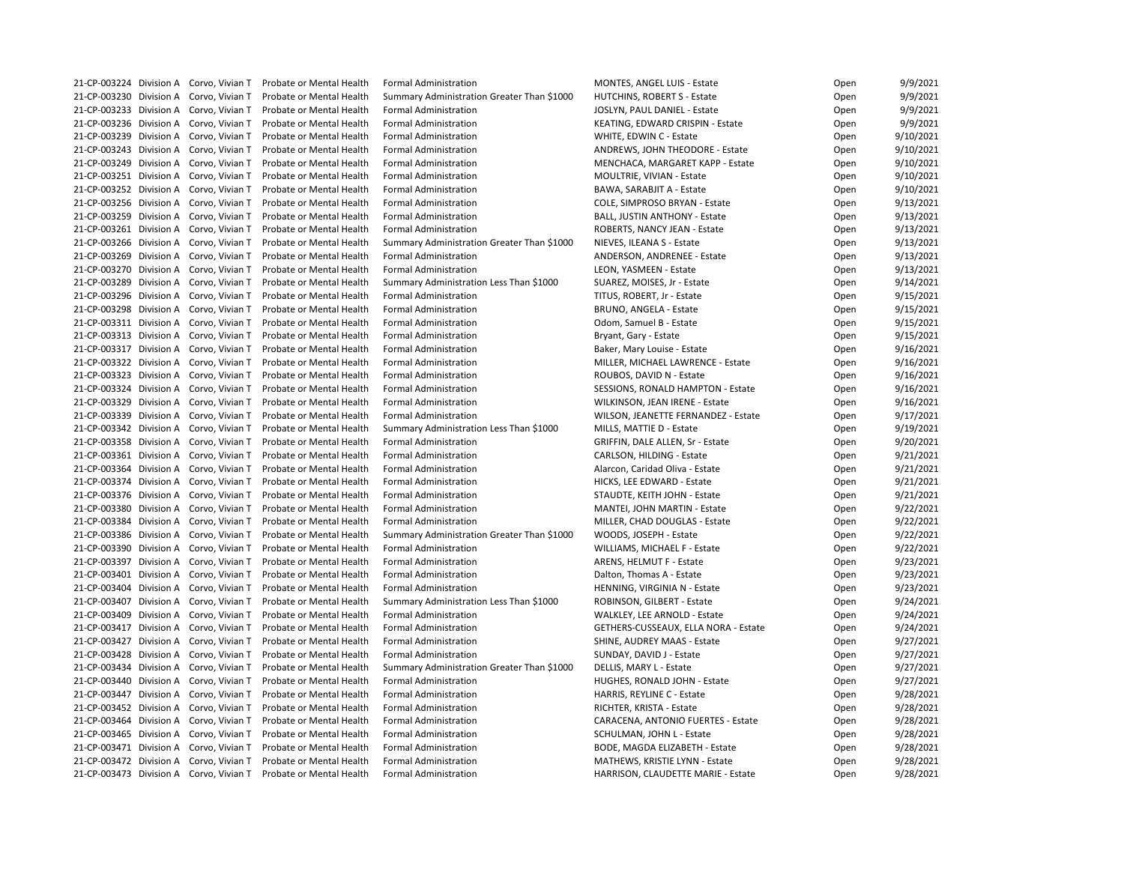| 21-CP-003224 Division A Corvo, Vivian T | <b>Probate or Mental Health</b> | <b>Formal Administration</b>               | <b>MONTES, ANGEL LUIS - Estate</b>        | Open | 9/9/2021  |
|-----------------------------------------|---------------------------------|--------------------------------------------|-------------------------------------------|------|-----------|
| 21-CP-003230 Division A Corvo, Vivian T | Probate or Mental Health        | Summary Administration Greater Than \$1000 | HUTCHINS, ROBERT S - Estate               | Open | 9/9/2021  |
| 21-CP-003233 Division A Corvo, Vivian T | Probate or Mental Health        | <b>Formal Administration</b>               | JOSLYN, PAUL DANIEL - Estate              | Open | 9/9/2021  |
| 21-CP-003236 Division A Corvo, Vivian T | Probate or Mental Health        | <b>Formal Administration</b>               | KEATING, EDWARD CRISPIN - Estate          | Open | 9/9/2021  |
| 21-CP-003239 Division A Corvo, Vivian T | Probate or Mental Health        | <b>Formal Administration</b>               | WHITE, EDWIN C - Estate                   | Open | 9/10/2021 |
| 21-CP-003243 Division A Corvo, Vivian T | Probate or Mental Health        | <b>Formal Administration</b>               | ANDREWS, JOHN THEODORE - Estate           | Open | 9/10/2021 |
| 21-CP-003249 Division A Corvo, Vivian T | Probate or Mental Health        | <b>Formal Administration</b>               | MENCHACA, MARGARET KAPP - Estate          | Open | 9/10/2021 |
| 21-CP-003251 Division A Corvo, Vivian T | Probate or Mental Health        | <b>Formal Administration</b>               | MOULTRIE, VIVIAN - Estate                 | Open | 9/10/2021 |
| 21-CP-003252 Division A Corvo, Vivian T | Probate or Mental Health        | <b>Formal Administration</b>               | BAWA, SARABJIT A - Estate                 | Open | 9/10/2021 |
| 21-CP-003256 Division A Corvo, Vivian T | Probate or Mental Health        | <b>Formal Administration</b>               | COLE, SIMPROSO BRYAN - Estate             | Open | 9/13/2021 |
| 21-CP-003259 Division A Corvo, Vivian T | Probate or Mental Health        | <b>Formal Administration</b>               | <b>BALL, JUSTIN ANTHONY - Estate</b>      | Open | 9/13/2021 |
| 21-CP-003261 Division A Corvo, Vivian T | Probate or Mental Health        | <b>Formal Administration</b>               | ROBERTS, NANCY JEAN - Estate              | Open | 9/13/2021 |
| 21-CP-003266 Division A Corvo, Vivian T | Probate or Mental Health        | Summary Administration Greater Than \$1000 | NIEVES, ILEANA S - Estate                 | Open | 9/13/2021 |
| 21-CP-003269 Division A Corvo, Vivian T | Probate or Mental Health        | <b>Formal Administration</b>               | ANDERSON, ANDRENEE - Estate               | Open | 9/13/2021 |
| 21-CP-003270 Division A Corvo, Vivian T | Probate or Mental Health        | <b>Formal Administration</b>               | LEON, YASMEEN - Estate                    |      | 9/13/2021 |
| 21-CP-003289 Division A Corvo, Vivian T | Probate or Mental Health        | Summary Administration Less Than \$1000    |                                           | Open | 9/14/2021 |
|                                         |                                 |                                            | SUAREZ, MOISES, Jr - Estate               | Open |           |
| 21-CP-003296 Division A Corvo, Vivian T | Probate or Mental Health        | <b>Formal Administration</b>               | TITUS, ROBERT, Jr - Estate                | Open | 9/15/2021 |
| 21-CP-003298 Division A Corvo, Vivian T | Probate or Mental Health        | <b>Formal Administration</b>               | <b>BRUNO, ANGELA - Estate</b>             | Open | 9/15/2021 |
| 21-CP-003311 Division A Corvo, Vivian T | Probate or Mental Health        | <b>Formal Administration</b>               | Odom, Samuel B - Estate                   | Open | 9/15/2021 |
| 21-CP-003313 Division A Corvo, Vivian T | Probate or Mental Health        | <b>Formal Administration</b>               | Bryant, Gary - Estate                     | Open | 9/15/2021 |
| 21-CP-003317 Division A Corvo, Vivian T | Probate or Mental Health        | <b>Formal Administration</b>               | Baker, Mary Louise - Estate               | Open | 9/16/2021 |
| 21-CP-003322 Division A Corvo, Vivian T | Probate or Mental Health        | <b>Formal Administration</b>               | MILLER, MICHAEL LAWRENCE - Estate         | Open | 9/16/2021 |
| 21-CP-003323 Division A Corvo, Vivian T | Probate or Mental Health        | <b>Formal Administration</b>               | ROUBOS, DAVID N - Estate                  | Open | 9/16/2021 |
| 21-CP-003324 Division A Corvo, Vivian T | Probate or Mental Health        | <b>Formal Administration</b>               | <b>SESSIONS, RONALD HAMPTON - Estate</b>  | Open | 9/16/2021 |
| 21-CP-003329 Division A Corvo, Vivian T | Probate or Mental Health        | <b>Formal Administration</b>               | WILKINSON, JEAN IRENE - Estate            | Open | 9/16/2021 |
| 21-CP-003339 Division A Corvo, Vivian T | Probate or Mental Health        | <b>Formal Administration</b>               | WILSON, JEANETTE FERNANDEZ - Estate       | Open | 9/17/2021 |
| 21-CP-003342 Division A Corvo, Vivian T | Probate or Mental Health        | Summary Administration Less Than \$1000    | MILLS, MATTIE D - Estate                  | Open | 9/19/2021 |
| 21-CP-003358 Division A Corvo, Vivian T | Probate or Mental Health        | <b>Formal Administration</b>               | GRIFFIN, DALE ALLEN, Sr - Estate          | Open | 9/20/2021 |
| 21-CP-003361 Division A Corvo, Vivian T | Probate or Mental Health        | <b>Formal Administration</b>               | CARLSON, HILDING - Estate                 | Open | 9/21/2021 |
| 21-CP-003364 Division A Corvo, Vivian T | Probate or Mental Health        | <b>Formal Administration</b>               | Alarcon, Caridad Oliva - Estate           | Open | 9/21/2021 |
| 21-CP-003374 Division A Corvo, Vivian T | Probate or Mental Health        | <b>Formal Administration</b>               | HICKS, LEE EDWARD - Estate                | Open | 9/21/2021 |
| 21-CP-003376 Division A Corvo, Vivian T | Probate or Mental Health        | <b>Formal Administration</b>               | STAUDTE, KEITH JOHN - Estate              | Open | 9/21/2021 |
| 21-CP-003380 Division A Corvo, Vivian T | Probate or Mental Health        | <b>Formal Administration</b>               | MANTEI, JOHN MARTIN - Estate              | Open | 9/22/2021 |
| 21-CP-003384 Division A Corvo, Vivian T | Probate or Mental Health        | <b>Formal Administration</b>               | MILLER, CHAD DOUGLAS - Estate             | Open | 9/22/2021 |
| 21-CP-003386 Division A Corvo, Vivian T | Probate or Mental Health        | Summary Administration Greater Than \$1000 | WOODS, JOSEPH - Estate                    | Open | 9/22/2021 |
| 21-CP-003390 Division A Corvo, Vivian T | Probate or Mental Health        | <b>Formal Administration</b>               | WILLIAMS, MICHAEL F - Estate              | Open | 9/22/2021 |
| 21-CP-003397 Division A Corvo, Vivian T | Probate or Mental Health        | <b>Formal Administration</b>               | ARENS, HELMUT F - Estate                  | Open | 9/23/2021 |
| 21-CP-003401 Division A Corvo, Vivian T | Probate or Mental Health        | <b>Formal Administration</b>               | Dalton, Thomas A - Estate                 | Open | 9/23/2021 |
| 21-CP-003404 Division A Corvo, Vivian T | Probate or Mental Health        | <b>Formal Administration</b>               | HENNING, VIRGINIA N - Estate              | Open | 9/23/2021 |
| 21-CP-003407 Division A Corvo, Vivian T | Probate or Mental Health        | Summary Administration Less Than \$1000    | ROBINSON, GILBERT - Estate                | Open | 9/24/2021 |
| 21-CP-003409 Division A Corvo, Vivian T | Probate or Mental Health        | <b>Formal Administration</b>               | WALKLEY, LEE ARNOLD - Estate              | Open | 9/24/2021 |
| 21-CP-003417 Division A Corvo, Vivian T | Probate or Mental Health        | <b>Formal Administration</b>               | GETHERS-CUSSEAUX, ELLA NORA - Estate      | Open | 9/24/2021 |
| 21-CP-003427 Division A Corvo, Vivian T | Probate or Mental Health        | <b>Formal Administration</b>               | <b>SHINE, AUDREY MAAS - Estate</b>        | Open | 9/27/2021 |
| 21-CP-003428 Division A Corvo, Vivian T | Probate or Mental Health        | <b>Formal Administration</b>               | SUNDAY, DAVID J - Estate                  | Open | 9/27/2021 |
| 21-CP-003434 Division A Corvo, Vivian T | Probate or Mental Health        | Summary Administration Greater Than \$1000 | DELLIS, MARY L - Estate                   | Open | 9/27/2021 |
| 21-CP-003440 Division A Corvo, Vivian T | Probate or Mental Health        | <b>Formal Administration</b>               | HUGHES, RONALD JOHN - Estate              | Open | 9/27/2021 |
| 21-CP-003447 Division A Corvo, Vivian T | Probate or Mental Health        | <b>Formal Administration</b>               | HARRIS, REYLINE C - Estate                | Open | 9/28/2021 |
| 21-CP-003452 Division A Corvo, Vivian T | Probate or Mental Health        | <b>Formal Administration</b>               | RICHTER, KRISTA - Estate                  | Open | 9/28/2021 |
| 21-CP-003464 Division A Corvo, Vivian T | Probate or Mental Health        | <b>Formal Administration</b>               | <b>CARACENA, ANTONIO FUERTES - Estate</b> | Open | 9/28/2021 |
| 21-CP-003465 Division A Corvo, Vivian T | Probate or Mental Health        | <b>Formal Administration</b>               | SCHULMAN, JOHN L - Estate                 | Open | 9/28/2021 |
| 21-CP-003471 Division A Corvo, Vivian T | Probate or Mental Health        | <b>Formal Administration</b>               | BODE, MAGDA ELIZABETH - Estate            | Open | 9/28/2021 |
| 21-CP-003472 Division A Corvo, Vivian T | Probate or Mental Health        | <b>Formal Administration</b>               | MATHEWS, KRISTIE LYNN - Estate            | Open | 9/28/2021 |
| 21-CP-003473 Division A Corvo, Vivian T | Probate or Mental Health        | <b>Formal Administration</b>               | HARRISON, CLAUDETTE MARIE - Estate        | Open | 9/28/2021 |
|                                         |                                 |                                            |                                           |      |           |

| Open | 9/9/2021  |
|------|-----------|
| Open | 9/9/2021  |
| Open | 9/9/2021  |
| Open | 9/9/2021  |
| Open | 9/10/2021 |
| Open | 9/10/2021 |
| Open | 9/10/2021 |
| Open | 9/10/2021 |
| Open | 9/10/2021 |
| Open | 9/13/2021 |
| Open | 9/13/2021 |
| Open | 9/13/2021 |
| Open | 9/13/2021 |
| Open | 9/13/2021 |
| Open | 9/13/2021 |
|      | 9/14/2021 |
| Open |           |
| Open | 9/15/2021 |
| Open | 9/15/2021 |
| Open | 9/15/2021 |
| Open | 9/15/2021 |
| Open | 9/16/2021 |
| Open | 9/16/2021 |
| Open | 9/16/2021 |
| Open | 9/16/2021 |
| Open | 9/16/2021 |
| Open | 9/17/2021 |
| Open | 9/19/2021 |
| Open | 9/20/2021 |
| Open | 9/21/2021 |
| Open | 9/21/2021 |
| Open | 9/21/2021 |
| Open | 9/21/2021 |
| Open | 9/22/2021 |
| Open | 9/22/2021 |
| Open | 9/22/2021 |
| Open | 9/22/2021 |
| Open | 9/23/2021 |
| Open | 9/23/2021 |
| Open | 9/23/2021 |
| Open | 9/24/2021 |
| Open | 9/24/2021 |
| Open | 9/24/2021 |
| Open | 9/27/2021 |
| Open | 9/27/2021 |
| Open | 9/27/2021 |
|      | 9/27/2021 |
| Open | 9/28/2021 |
| Open |           |
| Open | 9/28/2021 |
| Open | 9/28/2021 |
| Open | 9/28/2021 |
| Open | 9/28/2021 |
| Open | 9/28/2021 |
| Open | 9/28/2021 |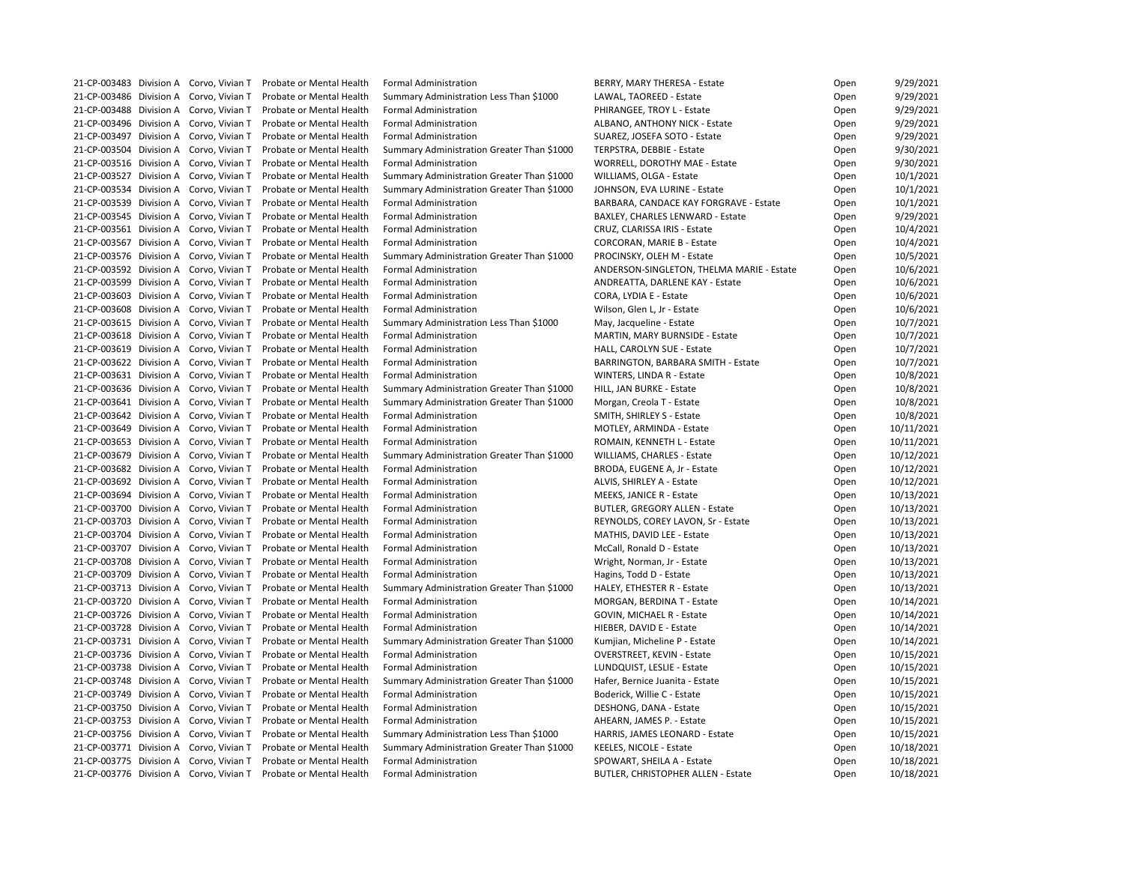|                         | 21-CP-003483 Division A Corvo, Vivian T | <b>Probate or Mental Health</b> | <b>Formal Administration</b>               | BERRY, MARY THERESA - Estate              | Open | 9/29/2021  |
|-------------------------|-----------------------------------------|---------------------------------|--------------------------------------------|-------------------------------------------|------|------------|
|                         | 21-CP-003486 Division A Corvo, Vivian T | Probate or Mental Health        | Summary Administration Less Than \$1000    | LAWAL, TAOREED - Estate                   | Open | 9/29/2021  |
|                         | 21-CP-003488 Division A Corvo, Vivian T | Probate or Mental Health        | <b>Formal Administration</b>               | PHIRANGEE, TROY L - Estate                | Open | 9/29/2021  |
|                         | 21-CP-003496 Division A Corvo, Vivian T | Probate or Mental Health        | <b>Formal Administration</b>               | ALBANO, ANTHONY NICK - Estate             | Open | 9/29/2021  |
| 21-CP-003497 Division A | Corvo, Vivian T                         | Probate or Mental Health        | <b>Formal Administration</b>               | SUAREZ, JOSEFA SOTO - Estate              | Open | 9/29/2021  |
|                         | 21-CP-003504 Division A Corvo, Vivian T | Probate or Mental Health        | Summary Administration Greater Than \$1000 | TERPSTRA, DEBBIE - Estate                 | Open | 9/30/2021  |
|                         | 21-CP-003516 Division A Corvo, Vivian T | Probate or Mental Health        | <b>Formal Administration</b>               | <b>WORRELL, DOROTHY MAE - Estate</b>      | Open | 9/30/2021  |
|                         | 21-CP-003527 Division A Corvo, Vivian T | Probate or Mental Health        | Summary Administration Greater Than \$1000 | WILLIAMS, OLGA - Estate                   | Open | 10/1/2021  |
| 21-CP-003534 Division A | Corvo, Vivian T                         | Probate or Mental Health        | Summary Administration Greater Than \$1000 | JOHNSON, EVA LURINE - Estate              | Open | 10/1/2021  |
| 21-CP-003539 Division A | Corvo, Vivian T                         | Probate or Mental Health        | <b>Formal Administration</b>               | BARBARA, CANDACE KAY FORGRAVE - Estate    | Open | 10/1/2021  |
|                         | 21-CP-003545 Division A Corvo, Vivian T | Probate or Mental Health        | <b>Formal Administration</b>               | <b>BAXLEY, CHARLES LENWARD - Estate</b>   | Open | 9/29/2021  |
|                         | 21-CP-003561 Division A Corvo, Vivian T | Probate or Mental Health        | <b>Formal Administration</b>               | CRUZ, CLARISSA IRIS - Estate              | Open | 10/4/2021  |
|                         | 21-CP-003567 Division A Corvo, Vivian T | Probate or Mental Health        | <b>Formal Administration</b>               | <b>CORCORAN, MARIE B - Estate</b>         | Open | 10/4/2021  |
|                         | 21-CP-003576 Division A Corvo, Vivian T | Probate or Mental Health        |                                            |                                           |      | 10/5/2021  |
|                         |                                         |                                 | Summary Administration Greater Than \$1000 | PROCINSKY, OLEH M - Estate                | Open |            |
| 21-CP-003592 Division A | Corvo, Vivian T                         | Probate or Mental Health        | <b>Formal Administration</b>               | ANDERSON-SINGLETON, THELMA MARIE - Estate | Open | 10/6/2021  |
|                         | 21-CP-003599 Division A Corvo, Vivian T | Probate or Mental Health        | <b>Formal Administration</b>               | ANDREATTA, DARLENE KAY - Estate           | Open | 10/6/2021  |
|                         | 21-CP-003603 Division A Corvo, Vivian T | Probate or Mental Health        | <b>Formal Administration</b>               | CORA, LYDIA E - Estate                    | Open | 10/6/2021  |
|                         | 21-CP-003608 Division A Corvo, Vivian T | Probate or Mental Health        | <b>Formal Administration</b>               | Wilson, Glen L, Jr - Estate               | Open | 10/6/2021  |
|                         | 21-CP-003615 Division A Corvo, Vivian T | Probate or Mental Health        | Summary Administration Less Than \$1000    | May, Jacqueline - Estate                  | Open | 10/7/2021  |
| 21-CP-003618 Division A | Corvo, Vivian T                         | Probate or Mental Health        | <b>Formal Administration</b>               | <b>MARTIN, MARY BURNSIDE - Estate</b>     | Open | 10/7/2021  |
|                         | 21-CP-003619 Division A Corvo, Vivian T | Probate or Mental Health        | <b>Formal Administration</b>               | HALL, CAROLYN SUE - Estate                | Open | 10/7/2021  |
|                         | 21-CP-003622 Division A Corvo, Vivian T | Probate or Mental Health        | <b>Formal Administration</b>               | <b>BARRINGTON, BARBARA SMITH - Estate</b> | Open | 10/7/2021  |
|                         | 21-CP-003631 Division A Corvo, Vivian T | Probate or Mental Health        | <b>Formal Administration</b>               | WINTERS, LINDA R - Estate                 | Open | 10/8/2021  |
| 21-CP-003636 Division A | Corvo, Vivian T                         | Probate or Mental Health        | Summary Administration Greater Than \$1000 | HILL, JAN BURKE - Estate                  | Open | 10/8/2021  |
| 21-CP-003641 Division A | Corvo, Vivian T                         | Probate or Mental Health        | Summary Administration Greater Than \$1000 | Morgan, Creola T - Estate                 | Open | 10/8/2021  |
|                         | 21-CP-003642 Division A Corvo, Vivian T | Probate or Mental Health        | <b>Formal Administration</b>               | SMITH, SHIRLEY S - Estate                 | Open | 10/8/2021  |
|                         | 21-CP-003649 Division A Corvo, Vivian T | Probate or Mental Health        | <b>Formal Administration</b>               | MOTLEY, ARMINDA - Estate                  | Open | 10/11/2021 |
|                         | 21-CP-003653 Division A Corvo, Vivian T | Probate or Mental Health        | <b>Formal Administration</b>               | ROMAIN, KENNETH L - Estate                | Open | 10/11/2021 |
| 21-CP-003679 Division A | Corvo, Vivian T                         | Probate or Mental Health        | Summary Administration Greater Than \$1000 | <b>WILLIAMS, CHARLES - Estate</b>         | Open | 10/12/2021 |
|                         | 21-CP-003682 Division A Corvo, Vivian T | Probate or Mental Health        | <b>Formal Administration</b>               | BRODA, EUGENE A, Jr - Estate              | Open | 10/12/2021 |
|                         | 21-CP-003692 Division A Corvo, Vivian T | Probate or Mental Health        | <b>Formal Administration</b>               | ALVIS, SHIRLEY A - Estate                 | Open | 10/12/2021 |
|                         | 21-CP-003694 Division A Corvo, Vivian T | <b>Probate or Mental Health</b> | <b>Formal Administration</b>               | MEEKS, JANICE R - Estate                  | Open | 10/13/2021 |
| 21-CP-003700 Division A | Corvo, Vivian T                         | Probate or Mental Health        | <b>Formal Administration</b>               | <b>BUTLER, GREGORY ALLEN - Estate</b>     | Open | 10/13/2021 |
| 21-CP-003703 Division A | Corvo, Vivian T                         | Probate or Mental Health        | <b>Formal Administration</b>               | REYNOLDS, COREY LAVON, Sr - Estate        | Open | 10/13/2021 |
| 21-CP-003704 Division A | Corvo, Vivian T                         | Probate or Mental Health        | <b>Formal Administration</b>               | MATHIS, DAVID LEE - Estate                | Open | 10/13/2021 |
| 21-CP-003707 Division A | Corvo, Vivian T                         | Probate or Mental Health        | <b>Formal Administration</b>               | McCall, Ronald D - Estate                 |      | 10/13/2021 |
|                         |                                         |                                 |                                            |                                           | Open |            |
| 21-CP-003708 Division A | Corvo, Vivian T                         | Probate or Mental Health        | <b>Formal Administration</b>               | Wright, Norman, Jr - Estate               | Open | 10/13/2021 |
| 21-CP-003709 Division A | Corvo, Vivian T                         | Probate or Mental Health        | <b>Formal Administration</b>               | Hagins, Todd D - Estate                   | Open | 10/13/2021 |
| 21-CP-003713 Division A | Corvo, Vivian T                         | Probate or Mental Health        | Summary Administration Greater Than \$1000 | HALEY, ETHESTER R - Estate                | Open | 10/13/2021 |
| 21-CP-003720 Division A | Corvo, Vivian T                         | Probate or Mental Health        | <b>Formal Administration</b>               | MORGAN, BERDINA T - Estate                | Open | 10/14/2021 |
| 21-CP-003726 Division A | Corvo, Vivian T                         | Probate or Mental Health        | <b>Formal Administration</b>               | <b>GOVIN, MICHAEL R - Estate</b>          | Open | 10/14/2021 |
| 21-CP-003728 Division A | Corvo, Vivian T                         | Probate or Mental Health        | <b>Formal Administration</b>               | HIEBER, DAVID E - Estate                  | Open | 10/14/2021 |
| 21-CP-003731 Division A | Corvo, Vivian T                         | Probate or Mental Health        | Summary Administration Greater Than \$1000 | Kumjian, Micheline P - Estate             | Open | 10/14/2021 |
| 21-CP-003736 Division A | Corvo, Vivian T                         | Probate or Mental Health        | <b>Formal Administration</b>               | <b>OVERSTREET, KEVIN - Estate</b>         | Open | 10/15/2021 |
| 21-CP-003738 Division A | Corvo, Vivian T                         | Probate or Mental Health        | <b>Formal Administration</b>               | LUNDQUIST, LESLIE - Estate                | Open | 10/15/2021 |
| 21-CP-003748 Division A | Corvo, Vivian T                         | Probate or Mental Health        | Summary Administration Greater Than \$1000 | Hafer, Bernice Juanita - Estate           | Open | 10/15/2021 |
| 21-CP-003749 Division A | Corvo, Vivian T                         | Probate or Mental Health        | <b>Formal Administration</b>               | Boderick, Willie C - Estate               | Open | 10/15/2021 |
| 21-CP-003750 Division A | Corvo, Vivian T                         | Probate or Mental Health        | <b>Formal Administration</b>               | DESHONG, DANA - Estate                    | Open | 10/15/2021 |
| 21-CP-003753 Division A | Corvo, Vivian T                         | Probate or Mental Health        | <b>Formal Administration</b>               | AHEARN, JAMES P. - Estate                 | Open | 10/15/2021 |
| 21-CP-003756 Division A | Corvo, Vivian T                         | Probate or Mental Health        | Summary Administration Less Than \$1000    | HARRIS, JAMES LEONARD - Estate            | Open | 10/15/2021 |
| 21-CP-003771 Division A | Corvo, Vivian T                         | Probate or Mental Health        | Summary Administration Greater Than \$1000 | KEELES, NICOLE - Estate                   | Open | 10/18/2021 |
| 21-CP-003775 Division A | Corvo, Vivian T                         | Probate or Mental Health        | <b>Formal Administration</b>               | SPOWART, SHEILA A - Estate                | Open | 10/18/2021 |
|                         | 21-CP-003776 Division A Corvo, Vivian T | Probate or Mental Health        | <b>Formal Administration</b>               | <b>BUTLER, CHRISTOPHER ALLEN - Estate</b> | Open | 10/18/2021 |
|                         |                                         |                                 |                                            |                                           |      |            |

| Open | 9/29/2021  |
|------|------------|
| Open | 9/29/2021  |
| Open | 9/29/2021  |
| Open | 9/29/2021  |
| Open | 9/29/2021  |
| Open | 9/30/2021  |
| Open | 9/30/2021  |
| Open | 10/1/2021  |
| Open | 10/1/2021  |
| Open | 10/1/2021  |
| Open | 9/29/2021  |
| Open | 10/4/2021  |
|      | 10/4/2021  |
| Open |            |
| Open | 10/5/2021  |
| Open | 10/6/2021  |
| Open | 10/6/2021  |
| Open | 10/6/2021  |
| Open | 10/6/2021  |
| Open | 10/7/2021  |
| Open | 10/7/2021  |
| Open | 10/7/2021  |
| Open | 10/7/2021  |
| Open | 10/8/2021  |
| Open | 10/8/2021  |
| Open | 10/8/2021  |
| Open | 10/8/2021  |
| Open | 10/11/2021 |
| Open | 10/11/2021 |
| Open | 10/12/2021 |
| Open | 10/12/2021 |
| Open | 10/12/2021 |
| Open | 10/13/2021 |
| Open | 10/13/2021 |
| Open | 10/13/2021 |
| Open | 10/13/2021 |
|      | 10/13/2021 |
| Open | 10/13/2021 |
| Open |            |
| Open | 10/13/2021 |
| Open | 10/13/2021 |
| Open | 10/14/2021 |
| Open | 10/14/2021 |
| Open | 10/14/2021 |
| Open | 10/14/2021 |
| Open | 10/15/2021 |
| Open | 10/15/2021 |
| Open | 10/15/2021 |
| Open | 10/15/2021 |
| Open | 10/15/2021 |
| Open | 10/15/2021 |
| Open | 10/15/2021 |
| Open | 10/18/2021 |
| Open | 10/18/2021 |
| Open | 10/18/2021 |
|      |            |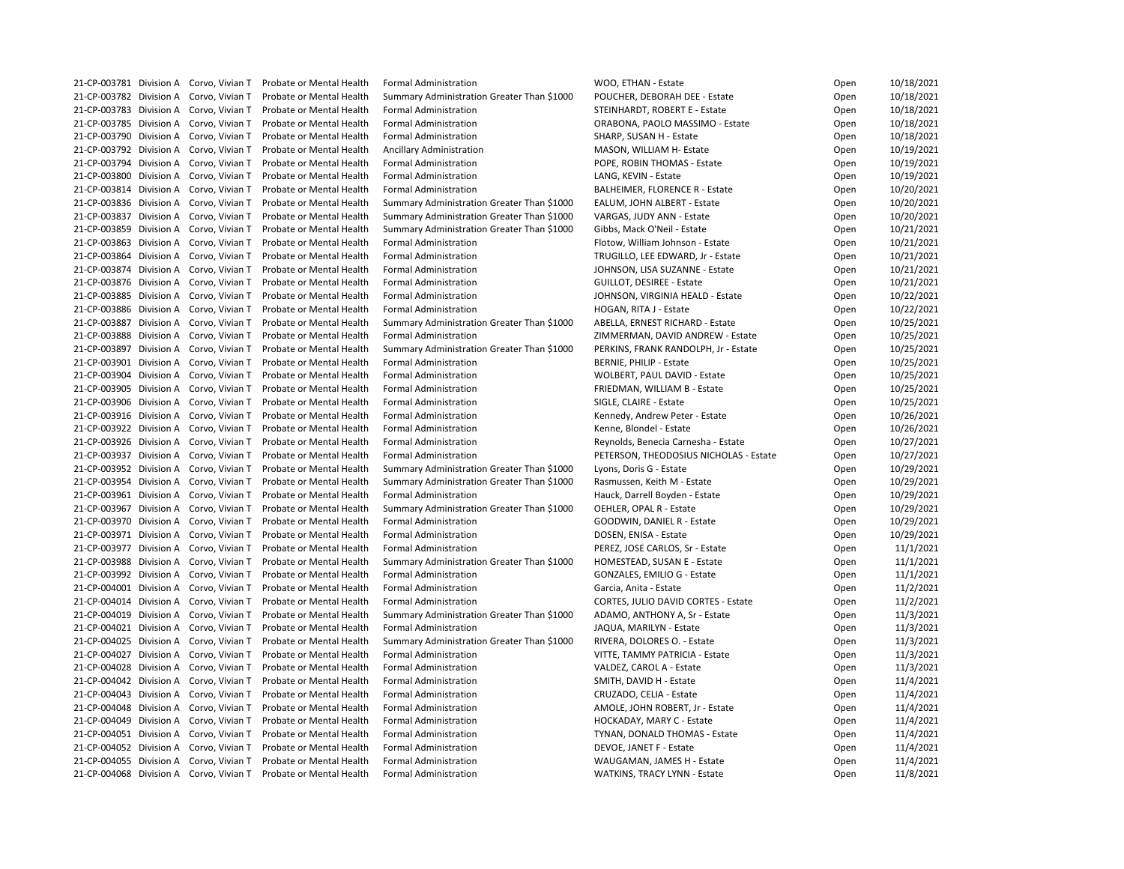|  | 21-CP-003781 Division A Corvo, Vivian T | Probate or Mental Health                                         | <b>Formal Administration</b>                                               | WOO, ETHAN - Estate                        | Open | 10/18/2021 |
|--|-----------------------------------------|------------------------------------------------------------------|----------------------------------------------------------------------------|--------------------------------------------|------|------------|
|  | 21-CP-003782 Division A Corvo, Vivian T | Probate or Mental Health                                         | Summary Administration Greater Than \$1000                                 | POUCHER, DEBORAH DEE - Estate              | Open | 10/18/2021 |
|  | 21-CP-003783 Division A Corvo, Vivian T | Probate or Mental Health                                         | <b>Formal Administration</b>                                               | STEINHARDT, ROBERT E - Estate              | Open | 10/18/2021 |
|  | 21-CP-003785 Division A Corvo, Vivian T | Probate or Mental Health                                         | <b>Formal Administration</b>                                               | ORABONA, PAOLO MASSIMO - Estate            | Open | 10/18/2021 |
|  | 21-CP-003790 Division A Corvo, Vivian T | Probate or Mental Health                                         | <b>Formal Administration</b>                                               | SHARP, SUSAN H - Estate                    | Open | 10/18/2021 |
|  | 21-CP-003792 Division A Corvo, Vivian T | Probate or Mental Health                                         | <b>Ancillary Administration</b>                                            | MASON, WILLIAM H- Estate                   | Open | 10/19/2021 |
|  | 21-CP-003794 Division A Corvo, Vivian T | Probate or Mental Health                                         | <b>Formal Administration</b>                                               | POPE, ROBIN THOMAS - Estate                | Open | 10/19/2021 |
|  | 21-CP-003800 Division A Corvo, Vivian T | Probate or Mental Health                                         | <b>Formal Administration</b>                                               | LANG, KEVIN - Estate                       | Open | 10/19/2021 |
|  | 21-CP-003814 Division A Corvo, Vivian T | Probate or Mental Health                                         | <b>Formal Administration</b>                                               | <b>BALHEIMER, FLORENCE R - Estate</b>      | Open | 10/20/2021 |
|  | 21-CP-003836 Division A Corvo, Vivian T | Probate or Mental Health                                         | Summary Administration Greater Than \$1000                                 | EALUM, JOHN ALBERT - Estate                | Open | 10/20/2021 |
|  | 21-CP-003837 Division A Corvo, Vivian T | Probate or Mental Health                                         | Summary Administration Greater Than \$1000                                 | VARGAS, JUDY ANN - Estate                  | Open | 10/20/2021 |
|  | 21-CP-003859 Division A Corvo, Vivian T | Probate or Mental Health                                         | Summary Administration Greater Than \$1000                                 | Gibbs, Mack O'Neil - Estate                | Open | 10/21/2021 |
|  | 21-CP-003863 Division A Corvo, Vivian T | Probate or Mental Health                                         | <b>Formal Administration</b>                                               | Flotow, William Johnson - Estate           |      | 10/21/2021 |
|  | 21-CP-003864 Division A Corvo, Vivian T |                                                                  |                                                                            |                                            | Open |            |
|  |                                         | Probate or Mental Health                                         | <b>Formal Administration</b>                                               | TRUGILLO, LEE EDWARD, Jr - Estate          | Open | 10/21/2021 |
|  | 21-CP-003874 Division A Corvo, Vivian T | Probate or Mental Health                                         | <b>Formal Administration</b>                                               | JOHNSON, LISA SUZANNE - Estate             | Open | 10/21/2021 |
|  | 21-CP-003876 Division A Corvo, Vivian T | Probate or Mental Health                                         | <b>Formal Administration</b>                                               | <b>GUILLOT, DESIREE - Estate</b>           | Open | 10/21/2021 |
|  | 21-CP-003885 Division A Corvo, Vivian T | Probate or Mental Health                                         | <b>Formal Administration</b>                                               | JOHNSON, VIRGINIA HEALD - Estate           | Open | 10/22/2021 |
|  | 21-CP-003886 Division A Corvo, Vivian T | Probate or Mental Health                                         | <b>Formal Administration</b>                                               | HOGAN, RITA J - Estate                     | Open | 10/22/2021 |
|  | 21-CP-003887 Division A Corvo, Vivian T | Probate or Mental Health                                         | Summary Administration Greater Than \$1000                                 | ABELLA, ERNEST RICHARD - Estate            | Open | 10/25/2021 |
|  | 21-CP-003888 Division A Corvo, Vivian T | Probate or Mental Health                                         | <b>Formal Administration</b>                                               | ZIMMERMAN, DAVID ANDREW - Estate           | Open | 10/25/2021 |
|  | 21-CP-003897 Division A Corvo, Vivian T | Probate or Mental Health                                         | Summary Administration Greater Than \$1000                                 | PERKINS, FRANK RANDOLPH, Jr - Estate       | Open | 10/25/2021 |
|  | 21-CP-003901 Division A Corvo, Vivian T | Probate or Mental Health                                         | <b>Formal Administration</b>                                               | <b>BERNIE, PHILIP - Estate</b>             | Open | 10/25/2021 |
|  | 21-CP-003904 Division A Corvo, Vivian T | Probate or Mental Health                                         | <b>Formal Administration</b>                                               | <b>WOLBERT, PAUL DAVID - Estate</b>        | Open | 10/25/2021 |
|  | 21-CP-003905 Division A Corvo, Vivian T | Probate or Mental Health                                         | <b>Formal Administration</b>                                               | FRIEDMAN, WILLIAM B - Estate               | Open | 10/25/2021 |
|  | 21-CP-003906 Division A Corvo, Vivian T | Probate or Mental Health                                         | <b>Formal Administration</b>                                               | SIGLE, CLAIRE - Estate                     | Open | 10/25/2021 |
|  | 21-CP-003916 Division A Corvo, Vivian T | Probate or Mental Health                                         | <b>Formal Administration</b>                                               | Kennedy, Andrew Peter - Estate             | Open | 10/26/2021 |
|  | 21-CP-003922 Division A Corvo, Vivian T | Probate or Mental Health                                         | <b>Formal Administration</b>                                               | Kenne, Blondel - Estate                    | Open | 10/26/2021 |
|  | 21-CP-003926 Division A Corvo, Vivian T | Probate or Mental Health                                         | <b>Formal Administration</b>                                               | Reynolds, Benecia Carnesha - Estate        | Open | 10/27/2021 |
|  | 21-CP-003937 Division A Corvo, Vivian T | Probate or Mental Health                                         | <b>Formal Administration</b>                                               | PETERSON, THEODOSIUS NICHOLAS - Estate     | Open | 10/27/2021 |
|  | 21-CP-003952 Division A Corvo, Vivian T | Probate or Mental Health                                         | Summary Administration Greater Than \$1000                                 | Lyons, Doris G - Estate                    | Open | 10/29/2021 |
|  |                                         | 21-CP-003954 Division A Corvo, Vivian T Probate or Mental Health | Summary Administration Greater Than \$1000                                 | Rasmussen, Keith M - Estate                | Open | 10/29/2021 |
|  |                                         | 21-CP-003961 Division A Corvo, Vivian T Probate or Mental Health | <b>Formal Administration</b>                                               | Hauck, Darrell Boyden - Estate             | Open | 10/29/2021 |
|  | 21-CP-003967 Division A Corvo, Vivian T | Probate or Mental Health                                         | Summary Administration Greater Than \$1000                                 | <b>OEHLER, OPAL R - Estate</b>             | Open | 10/29/2021 |
|  | 21-CP-003970 Division A Corvo, Vivian T | Probate or Mental Health                                         | <b>Formal Administration</b>                                               | <b>GOODWIN, DANIEL R - Estate</b>          | Open | 10/29/2021 |
|  | 21-CP-003971 Division A Corvo, Vivian T | Probate or Mental Health                                         | <b>Formal Administration</b>                                               | DOSEN, ENISA - Estate                      | Open | 10/29/2021 |
|  | 21-CP-003977 Division A Corvo, Vivian T | Probate or Mental Health                                         | <b>Formal Administration</b>                                               | PEREZ, JOSE CARLOS, Sr - Estate            | Open | 11/1/2021  |
|  | 21-CP-003988 Division A Corvo, Vivian T | Probate or Mental Health                                         |                                                                            |                                            |      | 11/1/2021  |
|  | 21-CP-003992 Division A Corvo, Vivian T | Probate or Mental Health                                         | Summary Administration Greater Than \$1000<br><b>Formal Administration</b> | HOMESTEAD, SUSAN E - Estate                | Open |            |
|  |                                         |                                                                  |                                                                            | <b>GONZALES, EMILIO G - Estate</b>         | Open | 11/1/2021  |
|  | 21-CP-004001 Division A Corvo, Vivian T | Probate or Mental Health                                         | <b>Formal Administration</b>                                               | Garcia, Anita - Estate                     | Open | 11/2/2021  |
|  | 21-CP-004014 Division A Corvo, Vivian T | Probate or Mental Health                                         | <b>Formal Administration</b>                                               | <b>CORTES, JULIO DAVID CORTES - Estate</b> | Open | 11/2/2021  |
|  | 21-CP-004019 Division A Corvo, Vivian T | Probate or Mental Health                                         | Summary Administration Greater Than \$1000                                 | ADAMO, ANTHONY A, Sr - Estate              | Open | 11/3/2021  |
|  | 21-CP-004021 Division A Corvo, Vivian T | Probate or Mental Health                                         | <b>Formal Administration</b>                                               | JAQUA, MARILYN - Estate                    | Open | 11/3/2021  |
|  | 21-CP-004025 Division A Corvo, Vivian T | Probate or Mental Health                                         | Summary Administration Greater Than \$1000                                 | RIVERA, DOLORES O. - Estate                | Open | 11/3/2021  |
|  | 21-CP-004027 Division A Corvo, Vivian T | Probate or Mental Health                                         | <b>Formal Administration</b>                                               | VITTE, TAMMY PATRICIA - Estate             | Open | 11/3/2021  |
|  | 21-CP-004028 Division A Corvo, Vivian T | Probate or Mental Health                                         | <b>Formal Administration</b>                                               | VALDEZ, CAROL A - Estate                   | Open | 11/3/2021  |
|  | 21-CP-004042 Division A Corvo, Vivian T | Probate or Mental Health                                         | <b>Formal Administration</b>                                               | SMITH, DAVID H - Estate                    | Open | 11/4/2021  |
|  | 21-CP-004043 Division A Corvo, Vivian T | Probate or Mental Health                                         | <b>Formal Administration</b>                                               | CRUZADO, CELIA - Estate                    | Open | 11/4/2021  |
|  | 21-CP-004048 Division A Corvo, Vivian T | Probate or Mental Health                                         | <b>Formal Administration</b>                                               | AMOLE, JOHN ROBERT, Jr - Estate            | Open | 11/4/2021  |
|  | 21-CP-004049 Division A Corvo, Vivian T | Probate or Mental Health                                         | <b>Formal Administration</b>                                               | HOCKADAY, MARY C - Estate                  | Open | 11/4/2021  |
|  | 21-CP-004051 Division A Corvo, Vivian T | Probate or Mental Health                                         | <b>Formal Administration</b>                                               | TYNAN, DONALD THOMAS - Estate              | Open | 11/4/2021  |
|  | 21-CP-004052 Division A Corvo, Vivian T | Probate or Mental Health                                         | <b>Formal Administration</b>                                               | DEVOE, JANET F - Estate                    | Open | 11/4/2021  |
|  | 21-CP-004055 Division A Corvo, Vivian T | Probate or Mental Health                                         | <b>Formal Administration</b>                                               | WAUGAMAN, JAMES H - Estate                 | Open | 11/4/2021  |
|  | 21-CP-004068 Division A Corvo, Vivian T | Probate or Mental Health                                         | <b>Formal Administration</b>                                               | <b>WATKINS, TRACY LYNN - Estate</b>        | Open | 11/8/2021  |

| Open | 10/18/2021 |
|------|------------|
| Open | 10/18/2021 |
| Open | 10/18/2021 |
| Open | 10/18/2021 |
| Open | 10/18/2021 |
| Open | 10/19/2021 |
| Open | 10/19/2021 |
| Open | 10/19/2021 |
| Open | 10/20/2021 |
| Open | 10/20/2021 |
| Open | 10/20/2021 |
| Open | 10/21/2021 |
| Open | 10/21/2021 |
|      |            |
| Open | 10/21/2021 |
| Open | 10/21/2021 |
| Open | 10/21/2021 |
| Open | 10/22/2021 |
| Open | 10/22/2021 |
| Open | 10/25/2021 |
| Open | 10/25/2021 |
| Open | 10/25/2021 |
| Open | 10/25/2021 |
| Open | 10/25/2021 |
| Open | 10/25/2021 |
| Open | 10/25/2021 |
| Open | 10/26/2021 |
| Open | 10/26/2021 |
| Open | 10/27/2021 |
| Open | 10/27/2021 |
| Open | 10/29/2021 |
| Open | 10/29/2021 |
| Open | 10/29/2021 |
| Open | 10/29/2021 |
| Open | 10/29/2021 |
| Open | 10/29/2021 |
| Open | 11/1/2021  |
|      |            |
| Open | 11/1/2021  |
| Open | 11/1/2021  |
| Open | 11/2/2021  |
| Open | 11/2/2021  |
| Open | 11/3/2021  |
| Open | 11/3/2021  |
| Open | 11/3/2021  |
| Open | 11/3/2021  |
| Open | 11/3/2021  |
| Open | 11/4/2021  |
| Open | 11/4/2021  |
| Open | 11/4/2021  |
| Open | 11/4/2021  |
| Open | 11/4/2021  |
| Open | 11/4/2021  |
| Open | 11/4/2021  |
| Open | 11/8/2021  |
|      |            |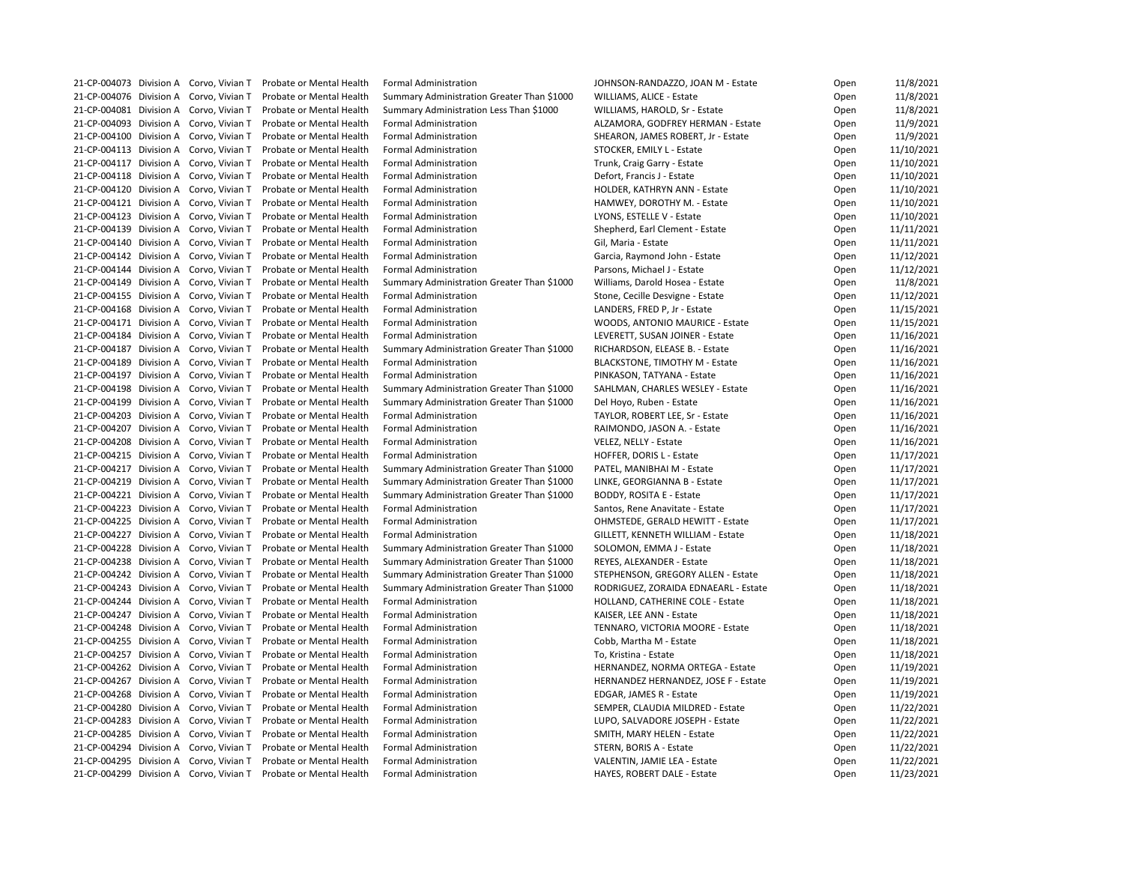21-CP-004073 Division A Corvo, Vivian T Probate or Mental Health Formal Administration Jump JOHNSON-RANDAZZO, JOAN M - Estate 21-CP-004076 Division A Corvo, Vivian T Probate or Mental Health Summary Administration Greater Than \$1000 WILLIAMS, ALICE - Estate 21-CP-004081 Division A Corvo, Vivian T Probate or Mental Health Summary Administration Less Than \$1000 WILLIAMS, HAROLD, Sr - Estate 21-CP-004093 Division A Corvo, Vivian T Probate or Mental Health Formal Administration ALZAMORA, GODFREY HERMAN - Estate 21-CP-004100 Division A Corvo, Vivian T Probate or Mental Health Formal Administration SHEARON, JAMES ROBERT, Jr - Estate 21-CP-004113 Division A Corvo, Vivian T Probate or Mental Health Formal Administration STOCKER, EMILY L - Estate 21-CP-004117 Division A Corvo, Vivian T Probate or Mental Health Formal Administration Trunk, Craig Garry - Estate 21-CP-004118 Division A Corvo, Vivian T Probate or Mental Health Formal Administration Defort, Francis J - Estate 21-CP-004120 Division A Corvo, Vivian T Probate or Mental Health Formal Administration HOLDER, KATHRYN ANN - Estate 21-CP-004121 Division A Corvo, Vivian T Probate or Mental Health Formal Administration https://www.hammunity.com/ 21-CP-004123 Division A Corvo, Vivian T Probate or Mental Health Formal Administration Lack LYONS, ESTELLE V - Estate 21-CP-004139 Division A Corvo, Vivian T Probate or Mental Health Formal Administration Shepherd, Earl Clement - Estate 21-CP-004140 Division A Corvo, Vivian T Probate or Mental Health Formal Administration Gil, Maria - Estate Cil 21-CP-004142 Division A Corvo, Vivian T Probate or Mental Health Formal Administration Garcia, Raymond John - Estate 21-CP-004144 Division A Corvo, Vivian T Probate or Mental Health Formal Administration Parsons, Michael J - Estate 21-CP-004149 Division A Corvo, Vivian T Probate or Mental Health Summary Administration Greater Than \$1000 Williams, Darold Hosea - Estate 21-CP-004155 Division A Corvo, Vivian T Probate or Mental Health Formal Administration Stone, Cecille Desvigne - Estate 21-CP-004168 Division A Corvo, Vivian T Probate or Mental Health Formal Administration Land LANDERS, FRED P, Jr - Estate 21-CP-004171 Division A Corvo, Vivian T Probate or Mental Health Formal Administration WOODS, ANTONIO MAURICE - Estate 21-CP-004184 Division A Corvo, Vivian T Probate or Mental Health Formal Administration LEVERETT, SUSAN JOINER - Estate 21-CP-004187 Division A Corvo, Vivian T Probate or Mental Health Summary Administration Greater Than \$1000 RICHARDSON, ELEASE B. - Estate 21-CP-004189 Division A Corvo, Vivian T Probate or Mental Health Formal Administration BLACKSTONE, TIMOTHY M - Estate 21-CP-004197 Division A Corvo, Vivian T Probate or Mental Health Formal Administration PINKASON, TATYANA - Estate 21-CP-004198 Division A Corvo, Vivian T Probate or Mental Health Summary Administration Greater Than \$1000 SAHLMAN, CHARLES WESLEY - Estate 21-CP-004199 Division A Corvo, Vivian T Probate or Mental Health Summary Administration Greater Than \$1000 Del Hoyo, Ruben - Estate 21-CP-004203 Division A Corvo, Vivian T Probate or Mental Health Formal Administration TAYLOR, ROBERT LEE, Sr - Estate 21-CP-004207 Division A Corvo, Vivian T Probate or Mental Health Formal Administration Rand RAIMONDO, JASON A. - Estate 21-CP-004208 Division A Corvo, Vivian T Probate or Mental Health Formal Administration VELEZ, NELLY - Estate 21-CP-004215 Division A Corvo, Vivian T Probate or Mental Health Formal Administration https://www.marchiongle 21-CP-004217 Division A Corvo, Vivian T Probate or Mental Health Summary Administration Greater Than \$1000 PATEL, MANIBHAI M - Estate 21-CP-004219 Division A Corvo, Vivian T Probate or Mental Health Summary Administration Greater Than \$1000 LINKE, GEORGIANNA B - Estate 21-CP-004221 Division A Corvo, Vivian T Probate or Mental Health Summary Administration Greater Than \$1000 BODDY, ROSITA E - Estate 21-CP-004223 Division A Corvo, Vivian T Probate or Mental Health Formal Administration Santos, Rene Anavitate - Estate 21-CP-004225 Division A Corvo, Vivian T Probate or Mental Health Formal Administration CHMSTEDE, GERALD HEWITT - Estate 21-CP-004227 Division A Corvo, Vivian T Probate or Mental Health Formal Administration GILLETT, KENNETH WILLIAM - Estate 21-CP-004228 Division A Corvo, Vivian T Probate or Mental Health Summary Administration Greater Than \$1000 SOLOMON, EMMA J - Estate 21-CP-004238 Division A Corvo, Vivian T Probate or Mental Health Summary Administration Greater Than \$1000 REYES, ALEXANDER - Estate 21-CP-004242 Division A Corvo, Vivian T Probate or Mental Health Summary Administration Greater Than \$1000 STEPHENSON, GREGORY ALLEN - Estate 21-CP-004243 Division A Corvo, Vivian T Probate or Mental Health Summary Administration Greater Than \$1000 RODRIGUEZ, ZORAIDA EDNAEARL - Estate 21-CP-004244 Division A Corvo, Vivian T Probate or Mental Health Formal Administration https://www.marchinefold 21-CP-004247 Division A Corvo, Vivian T Probate or Mental Health Formal Administration KAISER, LEE ANN - Estate 21-CP-004248 Division A Corvo, Vivian T Probate or Mental Health Formal Administration TENNARO, VICTORIA MOORE - Estate 21-CP-004255 Division A Corvo, Vivian T Probate or Mental Health Formal Administration Coben Cobb, Martha M - Estate 21-CP-004257 Division A Corvo, Vivian T Probate or Mental Health Formal Administration The To, Kristina - Estate 21-CP-004262 Division A Corvo, Vivian T Probate or Mental Health Formal Administration HERNANDEZ, NORMA ORTEGA - Estate 21-CP-004267 Division A Corvo, Vivian T Probate or Mental Health Formal Administration HERNANDEZ HERNANDEZ, JOSE F - Estate 21-CP-004268 Division A Corvo, Vivian T Probate or Mental Health Formal Administration EDGAR, JAMES R - Estate 21-CP-004280 Division A Corvo, Vivian T Probate or Mental Health Formal Administration SEMPER, CLAUDIA MILDRED - Estate 21-CP-004283 Division A Corvo, Vivian T Probate or Mental Health Formal Administration LUPO, SALVADORE JOSEPH - Estate 21-CP-004285 Division A Corvo, Vivian T Probate or Mental Health Formal Administration SMITH, MARY HELEN - Estate 21-CP-004294 Division A Corvo, Vivian T Probate or Mental Health Formal Administration STERN, BORIS A - Estate 21-CP-004295 Division A Corvo, Vivian T Probate or Mental Health Formal Administration VALENTIN, JAMIE LEA - Estate 21-CP-004299 Division A Corvo, Vivian T Probate or Mental Health Formal Administration https://www.marchiongli

| Open | 11/8/2021  |
|------|------------|
| Open | 11/8/2021  |
| Open | 11/8/2021  |
| Open | 11/9/2021  |
| Open | 11/9/2021  |
| Open | 11/10/2021 |
| Open | 11/10/2021 |
| Open | 11/10/2021 |
| Open | 11/10/2021 |
| Open | 11/10/2021 |
| Open | 11/10/2021 |
| Open | 11/11/2021 |
|      | 11/11/2021 |
| Open |            |
| Open | 11/12/2021 |
| Open | 11/12/2021 |
| Open | 11/8/2021  |
| Open | 11/12/2021 |
| Open | 11/15/2021 |
| Open | 11/15/2021 |
| Open | 11/16/2021 |
| Open | 11/16/2021 |
| Open | 11/16/2021 |
| Open | 11/16/2021 |
| Open | 11/16/2021 |
| Open | 11/16/2021 |
| Open | 11/16/2021 |
| Open | 11/16/2021 |
| Open | 11/16/2021 |
| Open | 11/17/2021 |
| Open | 11/17/2021 |
| Open | 11/17/2021 |
| Open | 11/17/2021 |
| Open | 11/17/2021 |
| Open | 11/17/2021 |
|      |            |
| Open | 11/18/2021 |
| Open | 11/18/2021 |
| Open | 11/18/2021 |
| Open | 11/18/2021 |
| Open | 11/18/2021 |
| Open | 11/18/2021 |
| Open | 11/18/2021 |
| Open | 11/18/2021 |
| Open | 11/18/2021 |
| Open | 11/18/2021 |
| Open | 11/19/2021 |
| Open | 11/19/2021 |
| Open | 11/19/2021 |
| Open | 11/22/2021 |
| Open | 11/22/2021 |
| Open | 11/22/2021 |
| Open | 11/22/2021 |
| Open | 11/22/2021 |
| Open | 11/23/2021 |
|      |            |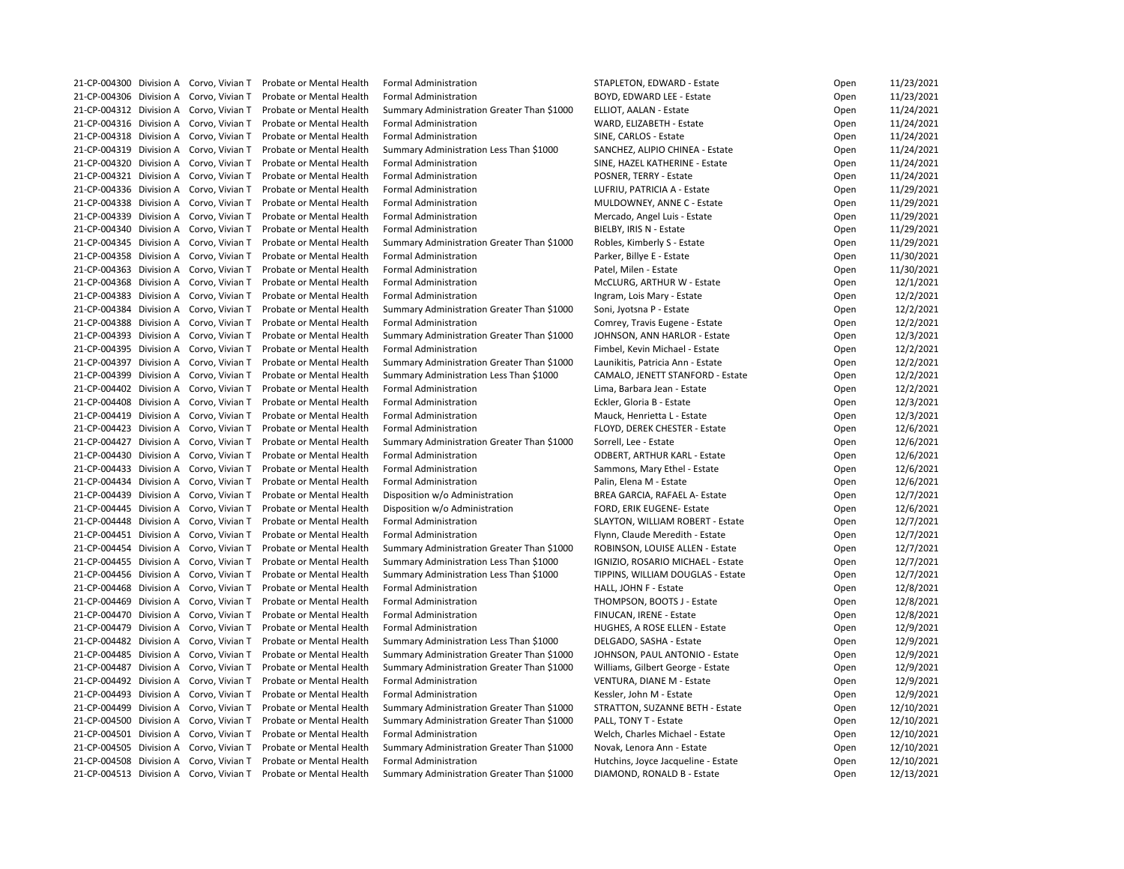21-CP-004300 Division A Corvo, Vivian T Probate or Mental Health Formal Administration STAPLETON, EDWARD - Estate 21-CP-004306 Division A Corvo, Vivian T Probate or Mental Health Formal Administration BOYD, EDWARD LEE - Estate 21-CP-004312 Division A Corvo, Vivian T Probate or Mental Health Summary Administration Greater Than \$1000 ELLIOT, AALAN - Estate 21-CP-004316 Division A Corvo, Vivian T Probate or Mental Health Formal Administration WARD, ELIZABETH - Estate 21-CP-004318 Division A Corvo, Vivian T Probate or Mental Health Formal Administration SINE, CARLOS - Estate 21-CP-004319 Division A Corvo, Vivian T Probate or Mental Health Summary Administration Less Than \$1000 SANCHEZ, ALIPIO CHINEA - Estate 21-CP-004320 Division A Corvo, Vivian T Probate or Mental Health Formal Administration SINE, HAZEL KATHERINE - Estate 21-CP-004321 Division A Corvo, Vivian T Probate or Mental Health Formal Administration POSNER, TERRY - Estate 21-CP-004336 Division A Corvo, Vivian T Probate or Mental Health Formal Administration Luberty RATRICIA A - Estate 21-CP-004338 Division A Corvo, Vivian T Probate or Mental Health Formal Administration MULDOWNEY, ANNE C - Estate 21-CP-004339 Division A Corvo, Vivian T Probate or Mental Health Formal Administration Methando, Angel Luis - Estate 21-CP-004340 Division A Corvo, Vivian T Probate or Mental Health Formal Administration BIELBY, IRIS N - Estate 21-CP-004345 Division A Corvo, Vivian T Probate or Mental Health Summary Administration Greater Than \$1000 Robles, Kimberly S - Estate 21-CP-004358 Division A Corvo, Vivian T Probate or Mental Health Formal Administration Parker, Billye E - Estate 21-CP-004363 Division A Corvo, Vivian T Probate or Mental Health Formal Administration Patel, Milen - Estate 21-CP-004368 Division A Corvo, Vivian T Probate or Mental Health Formal Administration Muslem McCLURG, ARTHUR W - Estate 21-CP-004383 Division A Corvo, Vivian T Probate or Mental Health Formal Administration Ingram, Lois Mary - Estate 21-CP-004384 Division A Corvo, Vivian T Probate or Mental Health Summary Administration Greater Than \$1000 Soni, Jyotsna P - Estate 21-CP-004388 Division A Corvo, Vivian T Probate or Mental Health Formal Administration Comrey, Travis Eugene - Estate 21-CP-004393 Division A Corvo, Vivian T Probate or Mental Health Summary Administration Greater Than \$1000 JOHNSON, ANN HARLOR - Estate 21-CP-004395 Division A Corvo, Vivian T Probate or Mental Health Formal Administration Fundel Agents Fimbel, Kevin Michael - Estate 21-CP-004397 Division A Corvo, Vivian T Probate or Mental Health Summary Administration Greater Than \$1000 Launikitis, Patricia Ann - Estate 21-CP-004399 Division A Corvo, Vivian T Probate or Mental Health Summary Administration Less Than \$1000 CAMALO, JENETT STANFORD - Estate 21-CP-004402 Division A Corvo, Vivian T Probate or Mental Health Formal Administration Lima, Barbara Jean - Estate 21-CP-004408 Division A Corvo, Vivian T Probate or Mental Health Formal Administration Enterthance Corver 12-1 21-CP-004419 Division A Corvo, Vivian T Probate or Mental Health Formal Administration Mauck, Henrietta L - Estate 21-CP-004423 Division A Corvo, Vivian T Probate or Mental Health Formal Administration FLOYD, DEREK CHESTER - Estate 21-CP-004427 Division A Corvo, Vivian T Probate or Mental Health Summary Administration Greater Than \$1000 Sorrell, Lee - Estate 21-CP-004430 Division A Corvo, Vivian T Probate or Mental Health Formal Administration CODBERT, ARTHUR KARL - Estate 21-CP-004433 Division A Corvo, Vivian T Probate or Mental Health Formal Administration Sammons, Mary Ethel - Estate 21-CP-004434 Division A Corvo, Vivian T Probate or Mental Health Formal Administration Palin, Elena M - Estate 21-CP-004439 Division A Corvo, Vivian T Probate or Mental Health Disposition w/o Administration BREA GARCIA, RAFAEL A- Estate 21-CP-004445 Division A Corvo, Vivian T Probate or Mental Health Disposition w/o Administration FORD, ERIK EUGENE- Estate 21-CP-004448 Division A Corvo, Vivian T Probate or Mental Health Formal Administration SLAYTON, WILLIAM ROBERT - Estate 21-CP-004451 Division A Corvo, Vivian T Probate or Mental Health Formal Administration Funchion Flynn, Claude Meredith - Estate 21-CP-004454 Division A Corvo, Vivian T Probate or Mental Health Summary Administration Greater Than \$1000 ROBINSON, LOUISE ALLEN - Estate 21-CP-004455 Division A Corvo, Vivian T Probate or Mental Health Summary Administration Less Than \$1000 IGNIZIO, ROSARIO MICHAEL - Estate 21-CP-004456 Division A Corvo, Vivian T Probate or Mental Health Summary Administration Less Than \$1000 TIPPINS, WILLIAM DOUGLAS - Estate 21-CP-004468 Division A Corvo, Vivian T Probate or Mental Health Formal Administration HALL, JOHN F - Estate 21-CP-004469 Division A Corvo, Vivian T Probate or Mental Health Formal Administration Thompson, BOOTS J - Estate 21-CP-004470 Division A Corvo, Vivian T Probate or Mental Health Formal Administration Funchion FINUCAN, IRENE - Estate 21-CP-004479 Division A Corvo, Vivian T Probate or Mental Health Formal Administration https://www.marchiongli 21-CP-004482 Division A Corvo, Vivian T Probate or Mental Health Summary Administration Less Than \$1000 DELGADO, SASHA - Estate 21-CP-004485 Division A Corvo, Vivian T Probate or Mental Health Summary Administration Greater Than \$1000 JOHNSON, PAUL ANTONIO - Estate 21-CP-004487 Division A Corvo, Vivian T Probate or Mental Health Summary Administration Greater Than \$1000 Williams, Gilbert George - Estate 21-CP-004492 Division A Corvo, Vivian T Probate or Mental Health Formal Administration VENTURA, DIANE M - Estate 21-CP-004493 Division A Corvo, Vivian T Probate or Mental Health Formal Administration Kessler, John M - Estate 21-CP-004499 Division A Corvo, Vivian T Probate or Mental Health Summary Administration Greater Than \$1000 STRATTON, SUZANNE BETH - Estate 21-CP-004500 Division A Corvo, Vivian T Probate or Mental Health Summary Administration Greater Than \$1000 PALL, TONY T - Estate 21-CP-004501 Division A Corvo, Vivian T Probate or Mental Health Formal Administration Welch, Charles Michael - Estate 21-CP-004505 Division A Corvo, Vivian T Probate or Mental Health Summary Administration Greater Than \$1000 Novak, Lenora Ann - Estate 21-CP-004508 Division A Corvo, Vivian T Probate or Mental Health Formal Administration https://www.hutchins, Joyce Jacqueline - Estate 21-CP-004513 Division A Corvo, Vivian T Probate or Mental Health Summary Administration Greater Than \$1000 DIAMOND, RONALD B - Estate

| Open | 11/23/2021 |
|------|------------|
| Open | 11/23/2021 |
| Open | 11/24/2021 |
| Open | 11/24/2021 |
| Open | 11/24/2021 |
| Open | 11/24/2021 |
| Open | 11/24/2021 |
| Open | 11/24/2021 |
| Open | 11/29/2021 |
| Open | 11/29/2021 |
| Open | 11/29/2021 |
| Open | 11/29/2021 |
| Open | 11/29/2021 |
|      | 11/30/2021 |
| Open |            |
| Open | 11/30/2021 |
| Open | 12/1/2021  |
| Open | 12/2/2021  |
| Open | 12/2/2021  |
| Open | 12/2/2021  |
| Open | 12/3/2021  |
| Open | 12/2/2021  |
| Open | 12/2/2021  |
| Open | 12/2/2021  |
| Open | 12/2/2021  |
| Open | 12/3/2021  |
| Open | 12/3/2021  |
| Open | 12/6/2021  |
| Open | 12/6/2021  |
| Open | 12/6/2021  |
| Open | 12/6/2021  |
| Open | 12/6/2021  |
| Open | 12/7/2021  |
| Open | 12/6/2021  |
| Open | 12/7/2021  |
| Open | 12/7/2021  |
| Open | 12/7/2021  |
| Open | 12/7/2021  |
| Open | 12/7/2021  |
|      | 12/8/2021  |
| Open |            |
| Open | 12/8/2021  |
| Open | 12/8/2021  |
| Open | 12/9/2021  |
| Open | 12/9/2021  |
| Open | 12/9/2021  |
| Open | 12/9/2021  |
| Open | 12/9/2021  |
| Open | 12/9/2021  |
| Open | 12/10/2021 |
| Open | 12/10/2021 |
| Open | 12/10/2021 |
| Open | 12/10/2021 |
| Open | 12/10/2021 |
| Open | 12/13/2021 |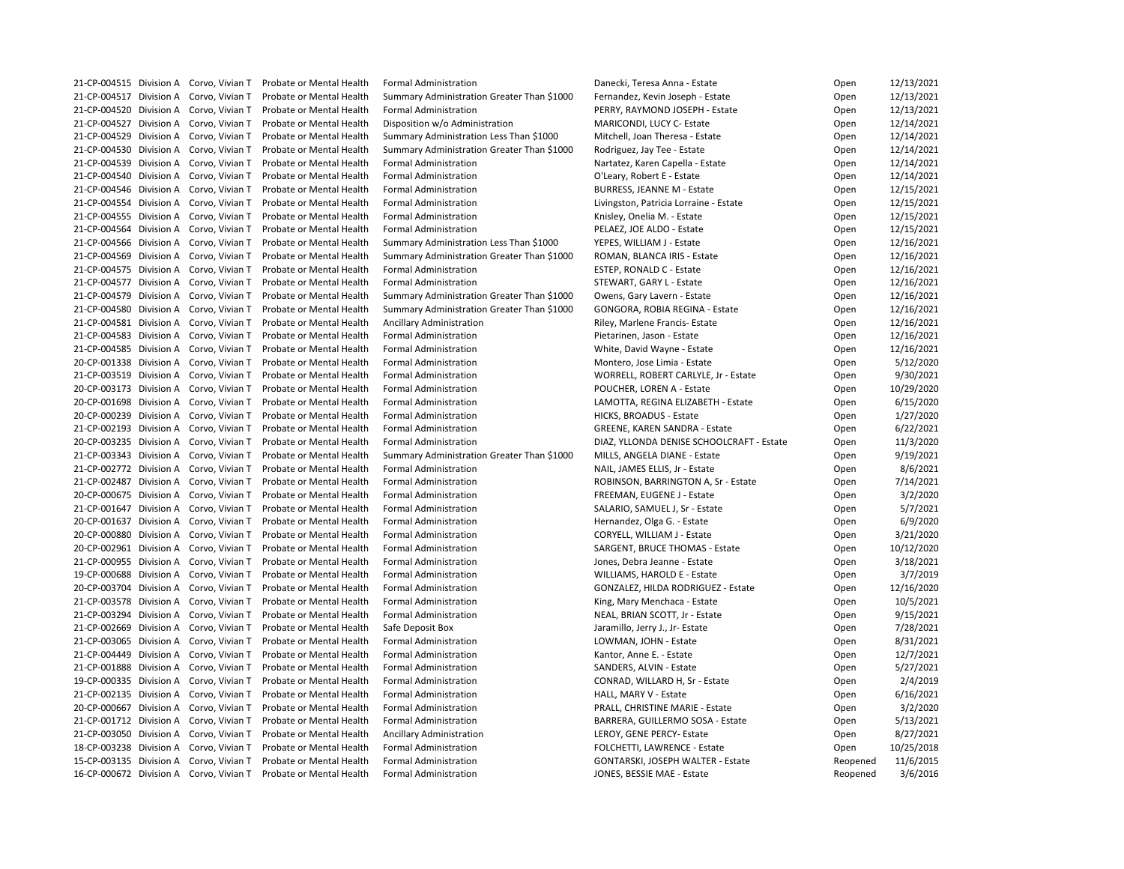21-CP-004515 Division A Corvo, Vivian T Probate or Mental Health Formal Administration Danecki, Teresa Anna - Estate 21-CP-004517 Division A Corvo, Vivian T Probate or Mental Health Summary Administration Greater Than \$1000 Fernandez, Kevin Joseph - Estate 21-CP-004520 Division A Corvo, Vivian T Probate or Mental Health Formal Administration PERRY, RAYMOND JOSEPH - Estate 21-CP-004527 Division A Corvo, Vivian T Probate or Mental Health Disposition w/o Administration MARICONDI, LUCY C- Estate 21-CP-004529 Division A Corvo, Vivian T Probate or Mental Health Summary Administration Less Than \$1000 Mitchell, Joan Theresa - Estate 21-CP-004530 Division A Corvo, Vivian T Probate or Mental Health Summary Administration Greater Than \$1000 Rodriguez, Jay Tee - Estate 21-CP-004539 Division A Corvo, Vivian T Probate or Mental Health Formal Administration Nartatez, Karen Capella - Estate 21-CP-004540 Division A Corvo, Vivian T Probate or Mental Health Formal Administration CLEARY, Robert E - Estate 21-CP-004546 Division A Corvo, Vivian T Probate or Mental Health Formal Administration BURRESS, JEANNE M - Estate 21-CP-004554 Division A Corvo, Vivian T Probate or Mental Health Formal Administration Livingston, Patricia Lorraine - Estate 21-CP-004555 Division A Corvo, Vivian T Probate or Mental Health Formal Administration Knisley, Onelia M. - Estate 21-CP-004564 Division A Corvo, Vivian T Probate or Mental Health Formal Administration PELAEZ, JOE ALDO - Estate 21-CP-004566 Division A Corvo, Vivian T Probate or Mental Health Summary Administration Less Than \$1000 YEPES, WILLIAM J - Estate 21-CP-004569 Division A Corvo, Vivian T Probate or Mental Health Summary Administration Greater Than \$1000 ROMAN, BLANCA IRIS - Estate 21-CP-004575 Division A Corvo, Vivian T Probate or Mental Health Formal Administration ESTEP, RONALD C - Estate 21-CP-004577 Division A Corvo, Vivian T Probate or Mental Health Formal Administration STEWART, GARY L - Estate 21-CP-004579 Division A Corvo, Vivian T Probate or Mental Health Summary Administration Greater Than \$1000 Owens, Gary Lavern - Estate 21-CP-004580 Division A Corvo, Vivian T Probate or Mental Health Summary Administration Greater Than \$1000 GONGORA, ROBIA REGINA - Estate 21-CP-004581 Division A Corvo, Vivian T Probate or Mental Health Ancillary Administration Riley, Marlene Francis- Estate 21-CP-004583 Division A Corvo, Vivian T Probate or Mental Health Formal Administration Pretarinen, Jason - Estate 21-CP-004585 Division A Corvo, Vivian T Probate or Mental Health Formal Administration White, David Wayne - Estate 20-CP-001338 Division A Corvo, Vivian T Probate or Mental Health Formal Administration Montero, Jose Limia - Estate 21-CP-003519 Division A Corvo, Vivian T Probate or Mental Health Formal Administration WORRELL, ROBERT CARLYLE, Jr - Estate 20-CP-003173 Division A Corvo, Vivian T Probate or Mental Health Formal Administration POUCHER, LOREN A - Estate 20-CP-001698 Division A Corvo, Vivian T Probate or Mental Health Formal Administration LAMOTTA, REGINA ELIZABETH - Estate 20-CP-000239 Division A Corvo, Vivian T Probate or Mental Health Formal Administration HICKS, BROADUS - Estate 21-CP-002193 Division A Corvo, Vivian T Probate or Mental Health Formal Administration GREENE, KAREN SANDRA - Estate 20-CP-003235 Division A Corvo, Vivian T Probate or Mental Health Formal Administration DIAZ, YLLONDA DENISE SCHOOLCRAFT - Estate 21-CP-003343 Division A Corvo, Vivian T Probate or Mental Health Summary Administration Greater Than \$1000 MILLS, ANGELA DIANE - Estate 21-CP-002772 Division A Corvo, Vivian T Probate or Mental Health Formal Administration NAIL, JAMES ELLIS, Jr - Estate 21-CP-002487 Division A Corvo, Vivian T Probate or Mental Health Formal Administration ROBINSON, BARRINGTON A, Sr - Estate 20-CP-000675 Division A Corvo, Vivian T Probate or Mental Health Formal Administration FREEMAN, EUGENE J - Estate 21-CP-001647 Division A Corvo, Vivian T Probate or Mental Health Formal Administration SALARIO, SAMUEL J, Sr - Estate 20-CP-001637 Division A Corvo, Vivian T Probate or Mental Health Formal Administration Hernandez, Olga G. - Estate 20-CP-000880 Division A Corvo, Vivian T Probate or Mental Health Formal Administration CORYELL, WILLIAM J - Estate 20-CP-002961 Division A Corvo, Vivian T Probate or Mental Health Formal Administration SARGENT, BRUCE THOMAS - Estate 21-CP-000955 Division A Corvo, Vivian T Probate or Mental Health Formal Administration Jones, Debra Jeanne - Estate 19-CP-000688 Division A Corvo, Vivian T Probate or Mental Health Formal Administration WILLIAMS, HAROLD E - Estate 20-CP-003704 Division A Corvo, Vivian T Probate or Mental Health Formal Administration GONZALEZ, HILDA RODRIGUEZ - Estate 21-CP-003578 Division A Corvo, Vivian T Probate or Mental Health Formal Administration King, Mary Menchaca - Estate 21-CP-003294 Division A Corvo, Vivian T Probate or Mental Health Formal Administration NEAL, BRIAN SCOTT, Jr - Estate 21-CP-002669 Division A Corvo, Vivian T Probate or Mental Health Safe Deposit Box January J., Jr- Estate Open 7 21-CP-003065 Division A Corvo, Vivian T Probate or Mental Health Formal Administration LOWMAN, JOHN - Estate 21-CP-004449 Division A Corvo, Vivian T Probate or Mental Health Formal Administration Kantor, Anne E. - Estate 21-CP-001888 Division A Corvo, Vivian T Probate or Mental Health Formal Administration SANDERS, ALVIN - Estate 19-CP-000335 Division A Corvo, Vivian T Probate or Mental Health Formal Administration CONRAD, WILLARD H, Sr - Estate 21-CP-002135 Division A Corvo, Vivian T Probate or Mental Health Formal Administration HALL, MARY V - Estate 20-CP-000667 Division A Corvo, Vivian T Probate or Mental Health Formal Administration PRALL, CHRISTINE MARIE - Estate 21-CP-001712 Division A Corvo, Vivian T Probate or Mental Health Formal Administration BARRERA, GUILLERMO SOSA - Estate 21-CP-003050 Division A Corvo, Vivian T Probate or Mental Health Ancillary Administration Leroy, GENE PERCY- Estate 18-CP-003238 Division A Corvo, Vivian T Probate or Mental Health Formal Administration FOLCHETTI, LAWRENCE - Estate 15-CP-003135 Division A Corvo, Vivian T Probate or Mental Health Formal Administration GONTARSKI, JOSEPH WALTER - Estate 16-CP-000672 Division A Corvo, Vivian T Probate or Mental Health Formal Administration JONES, BESSIE MAE - Estate

| Open     | 12/13/2021 |
|----------|------------|
| Open     | 12/13/2021 |
| Open     | 12/13/2021 |
| Open     | 12/14/2021 |
| Open     | 12/14/2021 |
| Open     | 12/14/2021 |
| Open     | 12/14/2021 |
| Open     | 12/14/2021 |
| Open     | 12/15/2021 |
| Open     | 12/15/2021 |
| Open     | 12/15/2021 |
| Open     | 12/15/2021 |
| Open     | 12/16/2021 |
| Open     | 12/16/2021 |
|          | 12/16/2021 |
| Open     |            |
| Open     | 12/16/2021 |
| Open     | 12/16/2021 |
| Open     | 12/16/2021 |
| Open     | 12/16/2021 |
| Open     | 12/16/2021 |
| Open     | 12/16/2021 |
| Open     | 5/12/2020  |
| Open     | 9/30/2021  |
| Open     | 10/29/2020 |
| Open     | 6/15/2020  |
| Open     | 1/27/2020  |
| Open     | 6/22/2021  |
| Open     | 11/3/2020  |
| Open     | 9/19/2021  |
| Open     | 8/6/2021   |
| Open     | 7/14/2021  |
| Open     | 3/2/2020   |
| Open     | 5/7/2021   |
| Open     | 6/9/2020   |
| Open     | 3/21/2020  |
| Open     | 10/12/2020 |
| Open     | 3/18/2021  |
| Open     | 3/7/2019   |
| Open     | 12/16/2020 |
| Open     | 10/5/2021  |
|          | 9/15/2021  |
| Open     |            |
| Open     | 7/28/2021  |
| Open     | 8/31/2021  |
| Open     | 12/7/2021  |
| Open     | 5/27/2021  |
| Open     | 2/4/2019   |
| Open     | 6/16/2021  |
| Open     | 3/2/2020   |
| Open     | 5/13/2021  |
| Open     | 8/27/2021  |
| Open     | 10/25/2018 |
| Reopened | 11/6/2015  |
| Reopened | 3/6/2016   |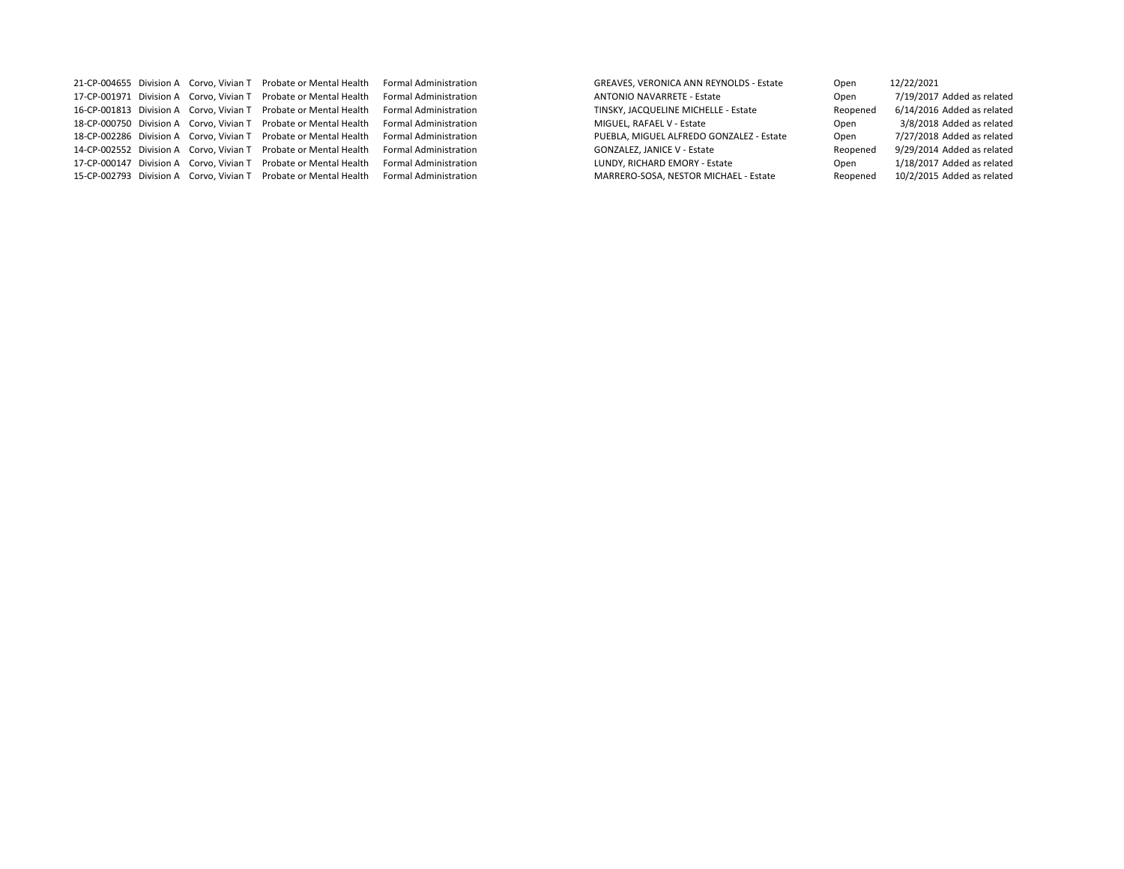|  | 21-CP-004655 Division A Corvo, Vivian T Probate or Mental Health | <b>Formal Administration</b> | <b>GREAVES, VERONICA ANN REYNOLDS - Estate</b> | Open     | 12/22/2021                 |
|--|------------------------------------------------------------------|------------------------------|------------------------------------------------|----------|----------------------------|
|  | 17-CP-001971 Division A Corvo, Vivian T Probate or Mental Health | <b>Formal Administration</b> | <b>ANTONIO NAVARRETE - Estate</b>              | Open     | 7/19/2017 Added as related |
|  | 16-CP-001813 Division A Corvo, Vivian T Probate or Mental Health | <b>Formal Administration</b> | TINSKY, JACQUELINE MICHELLE - Estate           | Reopened | 6/14/2016 Added as related |
|  | 18-CP-000750 Division A Corvo, Vivian T Probate or Mental Health | <b>Formal Administration</b> | MIGUEL, RAFAEL V - Estate                      | Open     | 3/8/2018 Added as related  |
|  | 18-CP-002286 Division A Corvo, Vivian T Probate or Mental Health | <b>Formal Administration</b> | PUEBLA, MIGUEL ALFREDO GONZALEZ - Estate       | Open     | 7/27/2018 Added as related |
|  | 14-CP-002552 Division A Corvo, Vivian T Probate or Mental Health | <b>Formal Administration</b> | <b>GONZALEZ, JANICE V - Estate</b>             | Reopened | 9/29/2014 Added as related |
|  | 17-CP-000147 Division A Corvo, Vivian T Probate or Mental Health | <b>Formal Administration</b> | LUNDY, RICHARD EMORY - Estate                  | Open     | 1/18/2017 Added as related |
|  | 15-CP-002793 Division A Corvo, Vivian T Probate or Mental Health | <b>Formal Administration</b> | MARRERO-SOSA, NESTOR MICHAEL - Estate          | Reopened | 10/2/2015 Added as related |

| Open     | 12/22/2021                 |
|----------|----------------------------|
| Open     | 7/19/2017 Added as related |
| Reopened | 6/14/2016 Added as related |
| Open     | 3/8/2018 Added as related  |
| Open     | 7/27/2018 Added as related |
| Reopened | 9/29/2014 Added as related |
| Open     | 1/18/2017 Added as related |
| Reopened | 10/2/2015 Added as related |
|          |                            |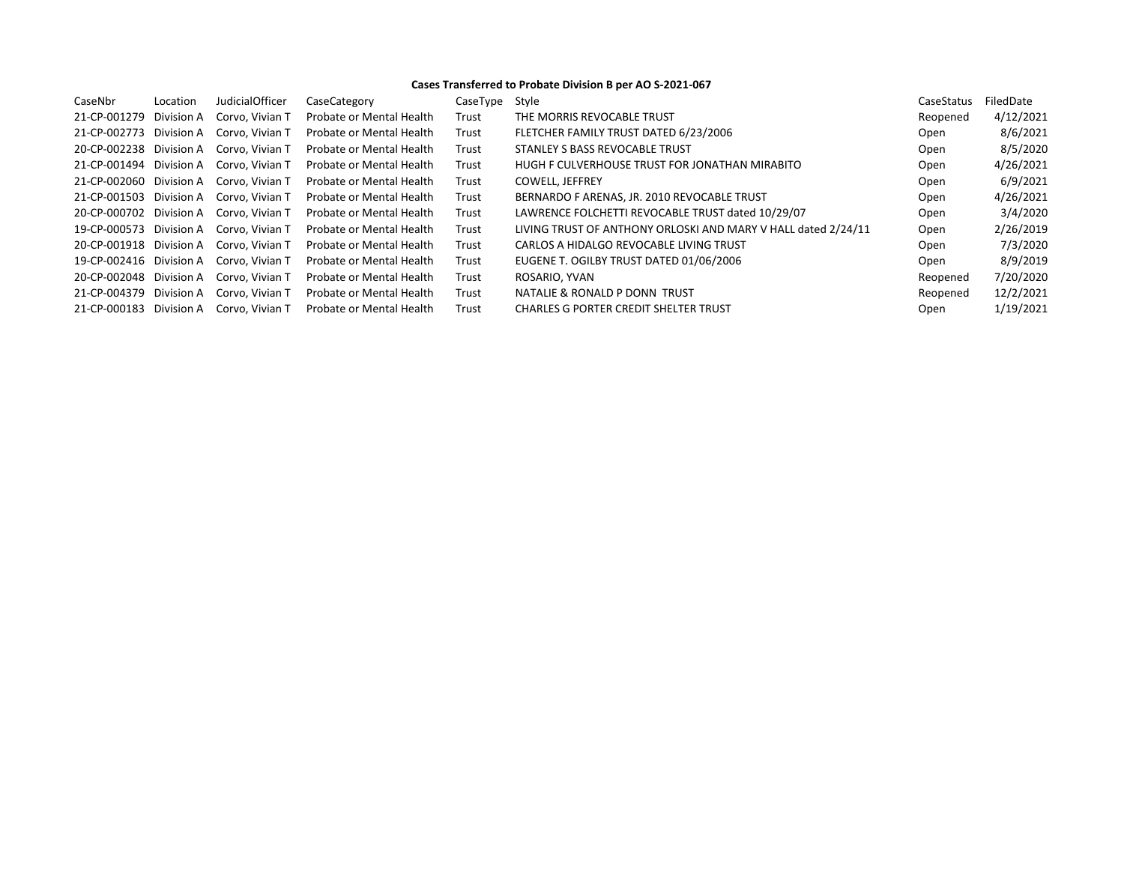## **Cases Transferred to Probate Division B per AO S-2021-067**

| CaseNbr                 | Location   | <b>JudicialOfficer</b> | CaseCategory                    | CaseType | Style                                                         | CaseStatus | FiledDate |
|-------------------------|------------|------------------------|---------------------------------|----------|---------------------------------------------------------------|------------|-----------|
| 21-CP-001279            | Division A | Corvo, Vivian T        | Probate or Mental Health        | Trust    | THE MORRIS REVOCABLE TRUST                                    | Reopened   | 4/12/2021 |
| 21-CP-002773            | Division A | Corvo, Vivian T        | <b>Probate or Mental Health</b> | Trust    | FLETCHER FAMILY TRUST DATED 6/23/2006                         | Open       | 8/6/2021  |
| 20-CP-002238            | Division A | Corvo, Vivian T        | <b>Probate or Mental Health</b> | Trust    | STANLEY S BASS REVOCABLE TRUST                                | Open       | 8/5/2020  |
| 21-CP-001494 Division A |            | Corvo, Vivian T        | <b>Probate or Mental Health</b> | Trust    | HUGH F CULVERHOUSE TRUST FOR JONATHAN MIRABITO                | Open       | 4/26/2021 |
| 21-CP-002060 Division A |            | Corvo, Vivian T        | <b>Probate or Mental Health</b> | Trust    | <b>COWELL, JEFFREY</b>                                        | Open       | 6/9/2021  |
| 21-CP-001503            | Division A | Corvo. Vivian T        | <b>Probate or Mental Health</b> | Trust    | BERNARDO F ARENAS, JR. 2010 REVOCABLE TRUST                   | Open       | 4/26/2021 |
| 20-CP-000702            | Division A | Corvo. Vivian T        | <b>Probate or Mental Health</b> | Trust    | LAWRENCE FOLCHETTI REVOCABLE TRUST dated 10/29/07             | Open       | 3/4/2020  |
| 19-CP-000573 Division A |            | Corvo, Vivian T        | Probate or Mental Health        | Trust    | LIVING TRUST OF ANTHONY ORLOSKI AND MARY V HALL dated 2/24/11 | Open       | 2/26/2019 |
| 20-CP-001918 Division A |            | Corvo, Vivian T        | <b>Probate or Mental Health</b> | Trust    | CARLOS A HIDALGO REVOCABLE LIVING TRUST                       | Open       | 7/3/2020  |
| 19-CP-002416 Division A |            | Corvo. Vivian T        | <b>Probate or Mental Health</b> | Trust    | EUGENE T. OGILBY TRUST DATED 01/06/2006                       | Open       | 8/9/2019  |
| 20-CP-002048 Division A |            | Corvo, Vivian T        | <b>Probate or Mental Health</b> | Trust    | ROSARIO, YVAN                                                 | Reopened   | 7/20/2020 |
| 21-CP-004379            | Division A | Corvo, Vivian T        | <b>Probate or Mental Health</b> | Trust    | NATALIE & RONALD P DONN TRUST                                 | Reopened   | 12/2/2021 |
| 21-CP-000183            | Division A | Corvo, Vivian T        | Probate or Mental Health        | Trust    | <b>CHARLES G PORTER CREDIT SHELTER TRUST</b>                  | Open       | 1/19/2021 |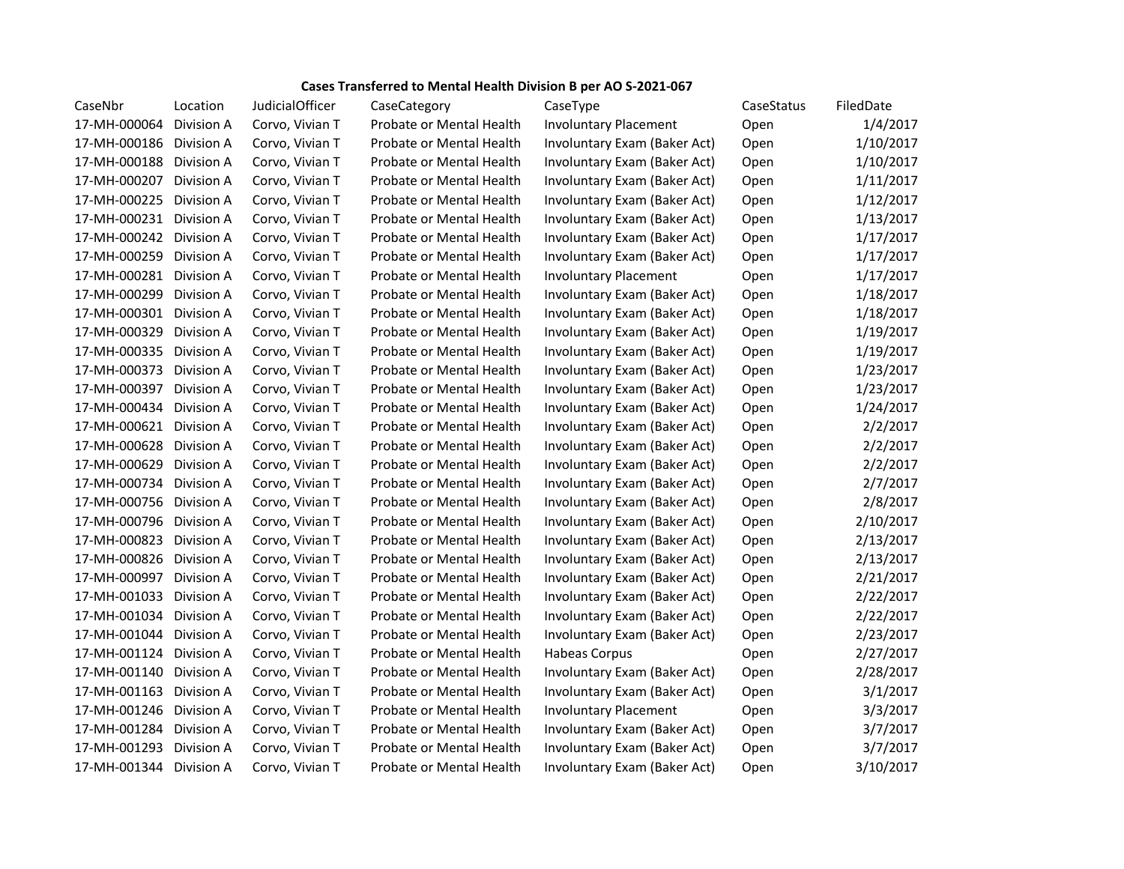## **Cases Transferred to Mental Health Division B per AO S-2021-067**

| CaseNbr                 | Location          | <b>JudicialOfficer</b> | CaseCategory             | CaseType                     | CaseStatus | FiledDate |
|-------------------------|-------------------|------------------------|--------------------------|------------------------------|------------|-----------|
| 17-MH-000064 Division A |                   | Corvo, Vivian T        | Probate or Mental Health | <b>Involuntary Placement</b> | Open       | 1/4/2017  |
| 17-MH-000186 Division A |                   | Corvo, Vivian T        | Probate or Mental Health | Involuntary Exam (Baker Act) | Open       | 1/10/2017 |
| 17-MH-000188            | Division A        | Corvo, Vivian T        | Probate or Mental Health | Involuntary Exam (Baker Act) | Open       | 1/10/2017 |
| 17-MH-000207            | Division A        | Corvo, Vivian T        | Probate or Mental Health | Involuntary Exam (Baker Act) | Open       | 1/11/2017 |
| 17-MH-000225            | Division A        | Corvo, Vivian T        | Probate or Mental Health | Involuntary Exam (Baker Act) | Open       | 1/12/2017 |
| 17-MH-000231 Division A |                   | Corvo, Vivian T        | Probate or Mental Health | Involuntary Exam (Baker Act) | Open       | 1/13/2017 |
| 17-MH-000242 Division A |                   | Corvo, Vivian T        | Probate or Mental Health | Involuntary Exam (Baker Act) | Open       | 1/17/2017 |
| 17-MH-000259 Division A |                   | Corvo, Vivian T        | Probate or Mental Health | Involuntary Exam (Baker Act) | Open       | 1/17/2017 |
| 17-MH-000281 Division A |                   | Corvo, Vivian T        | Probate or Mental Health | <b>Involuntary Placement</b> | Open       | 1/17/2017 |
| 17-MH-000299            | Division A        | Corvo, Vivian T        | Probate or Mental Health | Involuntary Exam (Baker Act) | Open       | 1/18/2017 |
| 17-MH-000301 Division A |                   | Corvo, Vivian T        | Probate or Mental Health | Involuntary Exam (Baker Act) | Open       | 1/18/2017 |
| 17-MH-000329            | Division A        | Corvo, Vivian T        | Probate or Mental Health | Involuntary Exam (Baker Act) | Open       | 1/19/2017 |
| 17-MH-000335 Division A |                   | Corvo, Vivian T        | Probate or Mental Health | Involuntary Exam (Baker Act) | Open       | 1/19/2017 |
| 17-MH-000373 Division A |                   | Corvo, Vivian T        | Probate or Mental Health | Involuntary Exam (Baker Act) | Open       | 1/23/2017 |
| 17-MH-000397 Division A |                   | Corvo, Vivian T        | Probate or Mental Health | Involuntary Exam (Baker Act) | Open       | 1/23/2017 |
| 17-MH-000434            | Division A        | Corvo, Vivian T        | Probate or Mental Health | Involuntary Exam (Baker Act) | Open       | 1/24/2017 |
| 17-MH-000621 Division A |                   | Corvo, Vivian T        | Probate or Mental Health | Involuntary Exam (Baker Act) | Open       | 2/2/2017  |
| 17-MH-000628 Division A |                   | Corvo, Vivian T        | Probate or Mental Health | Involuntary Exam (Baker Act) | Open       | 2/2/2017  |
| 17-MH-000629            | Division A        | Corvo, Vivian T        | Probate or Mental Health | Involuntary Exam (Baker Act) | Open       | 2/2/2017  |
| 17-MH-000734 Division A |                   | Corvo, Vivian T        | Probate or Mental Health | Involuntary Exam (Baker Act) | Open       | 2/7/2017  |
| 17-MH-000756 Division A |                   | Corvo, Vivian T        | Probate or Mental Health | Involuntary Exam (Baker Act) | Open       | 2/8/2017  |
| 17-MH-000796 Division A |                   | Corvo, Vivian T        | Probate or Mental Health | Involuntary Exam (Baker Act) | Open       | 2/10/2017 |
| 17-MH-000823            | Division A        | Corvo, Vivian T        | Probate or Mental Health | Involuntary Exam (Baker Act) | Open       | 2/13/2017 |
| 17-MH-000826 Division A |                   | Corvo, Vivian T        | Probate or Mental Health | Involuntary Exam (Baker Act) | Open       | 2/13/2017 |
| 17-MH-000997            | Division A        | Corvo, Vivian T        | Probate or Mental Health | Involuntary Exam (Baker Act) | Open       | 2/21/2017 |
| 17-MH-001033            | Division A        | Corvo, Vivian T        | Probate or Mental Health | Involuntary Exam (Baker Act) | Open       | 2/22/2017 |
| 17-MH-001034            | Division A        | Corvo, Vivian T        | Probate or Mental Health | Involuntary Exam (Baker Act) | Open       | 2/22/2017 |
| 17-MH-001044 Division A |                   | Corvo, Vivian T        | Probate or Mental Health | Involuntary Exam (Baker Act) | Open       | 2/23/2017 |
| 17-MH-001124 Division A |                   | Corvo, Vivian T        | Probate or Mental Health | Habeas Corpus                | Open       | 2/27/2017 |
| 17-MH-001140 Division A |                   | Corvo, Vivian T        | Probate or Mental Health | Involuntary Exam (Baker Act) | Open       | 2/28/2017 |
| 17-MH-001163            | Division A        | Corvo, Vivian T        | Probate or Mental Health | Involuntary Exam (Baker Act) | Open       | 3/1/2017  |
| 17-MH-001246 Division A |                   | Corvo, Vivian T        | Probate or Mental Health | <b>Involuntary Placement</b> | Open       | 3/3/2017  |
| 17-MH-001284 Division A |                   | Corvo, Vivian T        | Probate or Mental Health | Involuntary Exam (Baker Act) | Open       | 3/7/2017  |
| 17-MH-001293            | <b>Division A</b> | Corvo, Vivian T        | Probate or Mental Health | Involuntary Exam (Baker Act) | Open       | 3/7/2017  |
| 17-MH-001344 Division A |                   | Corvo, Vivian T        | Probate or Mental Health | Involuntary Exam (Baker Act) | Open       | 3/10/2017 |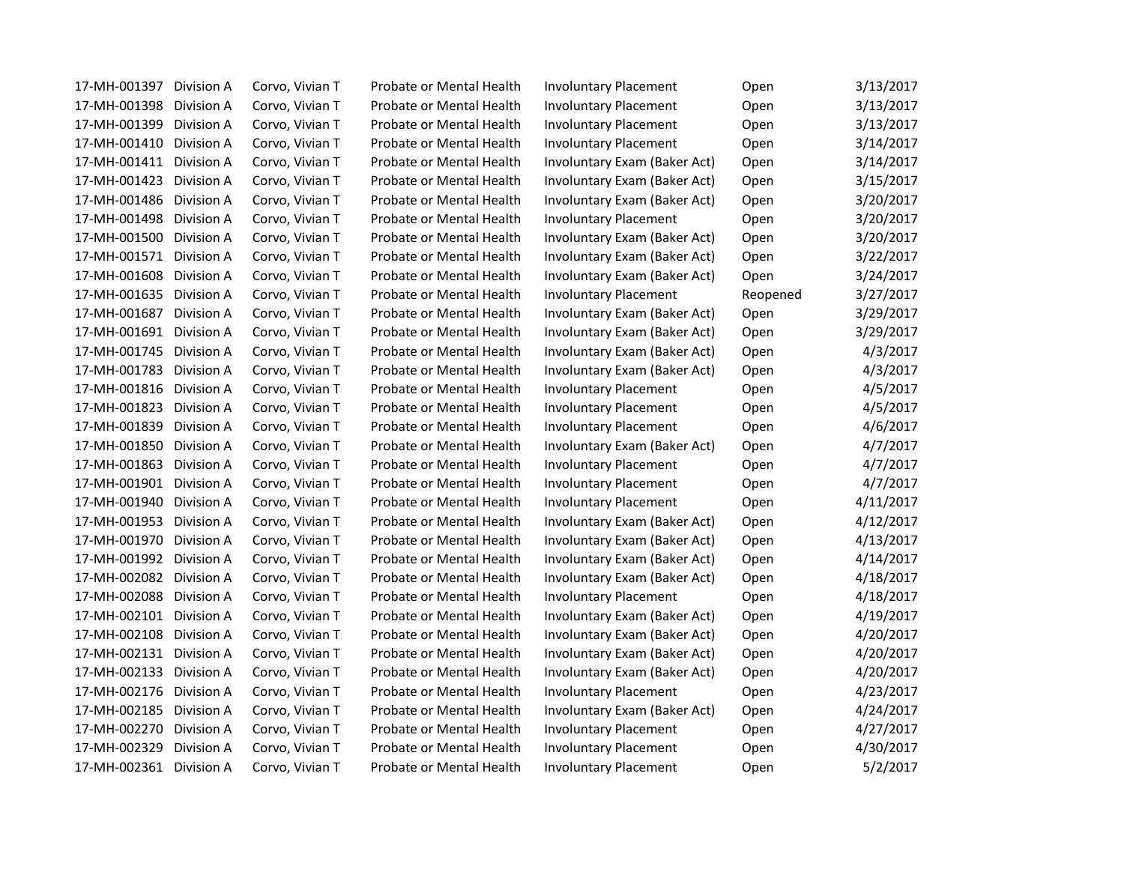| 17-MH-001397<br>Division A        | Corvo, Vivian T | Probate or Mental Health | <b>Involuntary Placement</b> | Open     | 3/13/2017 |
|-----------------------------------|-----------------|--------------------------|------------------------------|----------|-----------|
| 17-MH-001398<br>Division A        | Corvo, Vivian T | Probate or Mental Health | <b>Involuntary Placement</b> | Open     | 3/13/2017 |
| 17-MH-001399<br>Division A        | Corvo, Vivian T | Probate or Mental Health | <b>Involuntary Placement</b> | Open     | 3/13/2017 |
| 17-MH-001410<br>Division A        | Corvo, Vivian T | Probate or Mental Health | <b>Involuntary Placement</b> | Open     | 3/14/2017 |
| 17-MH-001411<br>Division A        | Corvo, Vivian T | Probate or Mental Health | Involuntary Exam (Baker Act) | Open     | 3/14/2017 |
| 17-MH-001423<br>Division A        | Corvo, Vivian T | Probate or Mental Health | Involuntary Exam (Baker Act) | Open     | 3/15/2017 |
| 17-MH-001486<br>Division A        | Corvo, Vivian T | Probate or Mental Health | Involuntary Exam (Baker Act) | Open     | 3/20/2017 |
| 17-MH-001498<br>Division A        | Corvo, Vivian T | Probate or Mental Health | <b>Involuntary Placement</b> | Open     | 3/20/2017 |
| 17-MH-001500<br>Division A        | Corvo, Vivian T | Probate or Mental Health | Involuntary Exam (Baker Act) | Open     | 3/20/2017 |
| 17-MH-001571<br>Division A        | Corvo, Vivian T | Probate or Mental Health | Involuntary Exam (Baker Act) | Open     | 3/22/2017 |
| 17-MH-001608<br>Division A        | Corvo, Vivian T | Probate or Mental Health | Involuntary Exam (Baker Act) | Open     | 3/24/2017 |
| 17-MH-001635<br>Division A        | Corvo, Vivian T | Probate or Mental Health | <b>Involuntary Placement</b> | Reopened | 3/27/2017 |
| 17-MH-001687<br>Division A        | Corvo, Vivian T | Probate or Mental Health | Involuntary Exam (Baker Act) | Open     | 3/29/2017 |
| 17-MH-001691<br>Division A        | Corvo, Vivian T | Probate or Mental Health | Involuntary Exam (Baker Act) | Open     | 3/29/2017 |
| 17-MH-001745<br>Division A        | Corvo, Vivian T | Probate or Mental Health | Involuntary Exam (Baker Act) | Open     | 4/3/2017  |
| 17-MH-001783<br>Division A        | Corvo, Vivian T | Probate or Mental Health | Involuntary Exam (Baker Act) | Open     | 4/3/2017  |
| 17-MH-001816<br>Division A        | Corvo, Vivian T | Probate or Mental Health | <b>Involuntary Placement</b> | Open     | 4/5/2017  |
| 17-MH-001823<br>Division A        | Corvo, Vivian T | Probate or Mental Health | <b>Involuntary Placement</b> | Open     | 4/5/2017  |
| 17-MH-001839<br>Division A        | Corvo, Vivian T | Probate or Mental Health | <b>Involuntary Placement</b> | Open     | 4/6/2017  |
| 17-MH-001850<br>Division A        | Corvo, Vivian T | Probate or Mental Health | Involuntary Exam (Baker Act) | Open     | 4/7/2017  |
| 17-MH-001863<br>Division A        | Corvo, Vivian T | Probate or Mental Health | <b>Involuntary Placement</b> | Open     | 4/7/2017  |
| 17-MH-001901<br>Division A        | Corvo, Vivian T | Probate or Mental Health | <b>Involuntary Placement</b> | Open     | 4/7/2017  |
| 17-MH-001940<br>Division A        | Corvo, Vivian T | Probate or Mental Health | <b>Involuntary Placement</b> | Open     | 4/11/2017 |
| 17-MH-001953<br>Division A        | Corvo, Vivian T | Probate or Mental Health | Involuntary Exam (Baker Act) | Open     | 4/12/2017 |
| 17-MH-001970<br>Division A        | Corvo, Vivian T | Probate or Mental Health | Involuntary Exam (Baker Act) | Open     | 4/13/2017 |
| 17-MH-001992<br>Division A        | Corvo, Vivian T | Probate or Mental Health | Involuntary Exam (Baker Act) | Open     | 4/14/2017 |
| 17-MH-002082<br>Division A        | Corvo, Vivian T | Probate or Mental Health | Involuntary Exam (Baker Act) | Open     | 4/18/2017 |
| 17-MH-002088<br>Division A        | Corvo, Vivian T | Probate or Mental Health | <b>Involuntary Placement</b> | Open     | 4/18/2017 |
| 17-MH-002101<br>Division A        | Corvo, Vivian T | Probate or Mental Health | Involuntary Exam (Baker Act) | Open     | 4/19/2017 |
| 17-MH-002108<br>Division A        | Corvo, Vivian T | Probate or Mental Health | Involuntary Exam (Baker Act) | Open     | 4/20/2017 |
| 17-MH-002131 Division A           | Corvo, Vivian T | Probate or Mental Health | Involuntary Exam (Baker Act) | Open     | 4/20/2017 |
| 17-MH-002133<br>Division A        | Corvo, Vivian T | Probate or Mental Health | Involuntary Exam (Baker Act) | Open     | 4/20/2017 |
| 17-MH-002176<br>Division A        | Corvo, Vivian T | Probate or Mental Health | <b>Involuntary Placement</b> | Open     | 4/23/2017 |
| 17-MH-002185<br>Division A        | Corvo, Vivian T | Probate or Mental Health | Involuntary Exam (Baker Act) | Open     | 4/24/2017 |
| 17-MH-002270<br>Division A        | Corvo, Vivian T | Probate or Mental Health | <b>Involuntary Placement</b> | Open     | 4/27/2017 |
| 17-MH-002329<br>Division A        | Corvo, Vivian T | Probate or Mental Health | <b>Involuntary Placement</b> | Open     | 4/30/2017 |
| 17-MH-002361<br><b>Division A</b> | Corvo, Vivian T | Probate or Mental Health | <b>Involuntary Placement</b> | Open     | 5/2/2017  |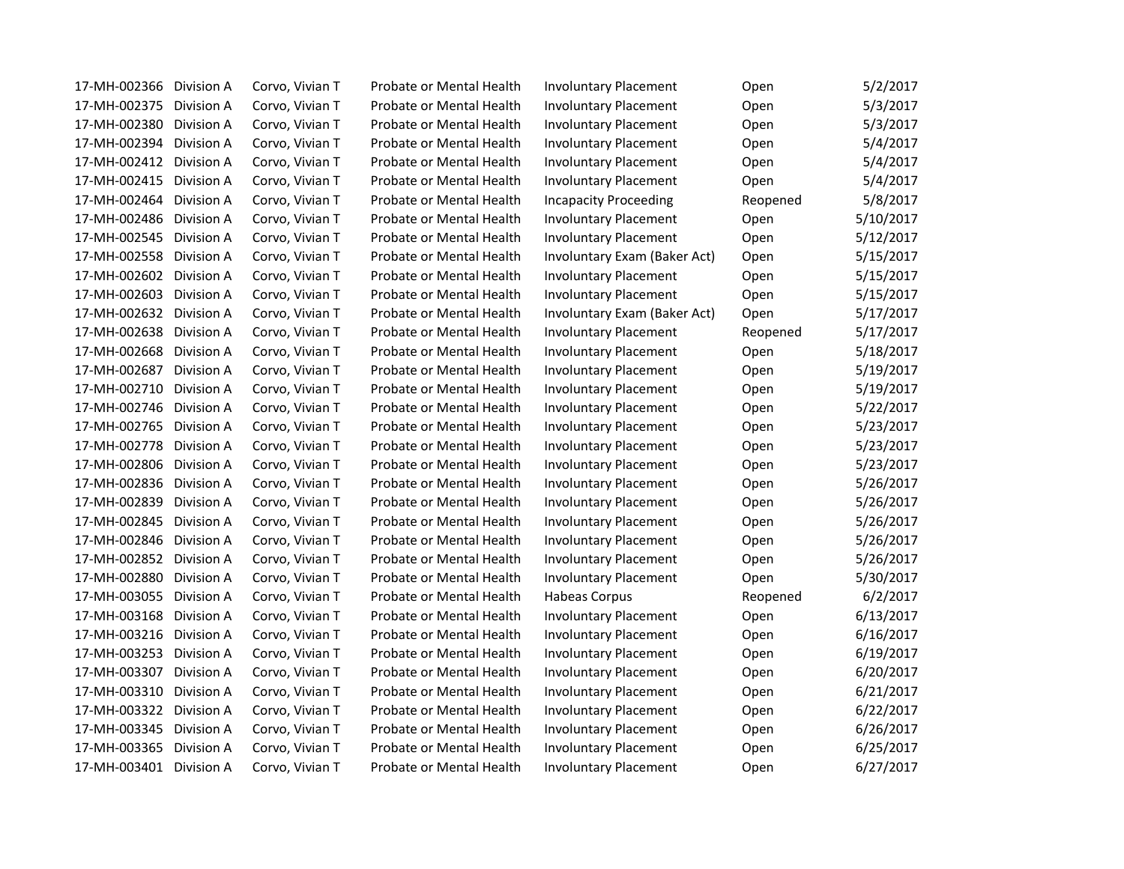| 17-MH-002366<br>Division A        | Corvo, Vivian T | Probate or Mental Health | <b>Involuntary Placement</b> | Open     | 5/2/2017  |
|-----------------------------------|-----------------|--------------------------|------------------------------|----------|-----------|
| 17-MH-002375<br>Division A        | Corvo, Vivian T | Probate or Mental Health | <b>Involuntary Placement</b> | Open     | 5/3/2017  |
| 17-MH-002380<br>Division A        | Corvo, Vivian T | Probate or Mental Health | <b>Involuntary Placement</b> | Open     | 5/3/2017  |
| 17-MH-002394<br>Division A        | Corvo, Vivian T | Probate or Mental Health | <b>Involuntary Placement</b> | Open     | 5/4/2017  |
| 17-MH-002412<br>Division A        | Corvo, Vivian T | Probate or Mental Health | <b>Involuntary Placement</b> | Open     | 5/4/2017  |
| 17-MH-002415<br>Division A        | Corvo, Vivian T | Probate or Mental Health | <b>Involuntary Placement</b> | Open     | 5/4/2017  |
| 17-MH-002464<br>Division A        | Corvo, Vivian T | Probate or Mental Health | <b>Incapacity Proceeding</b> | Reopened | 5/8/2017  |
| 17-MH-002486<br>Division A        | Corvo, Vivian T | Probate or Mental Health | <b>Involuntary Placement</b> | Open     | 5/10/2017 |
| 17-MH-002545<br>Division A        | Corvo, Vivian T | Probate or Mental Health | <b>Involuntary Placement</b> | Open     | 5/12/2017 |
| 17-MH-002558<br>Division A        | Corvo, Vivian T | Probate or Mental Health | Involuntary Exam (Baker Act) | Open     | 5/15/2017 |
| 17-MH-002602<br>Division A        | Corvo, Vivian T | Probate or Mental Health | <b>Involuntary Placement</b> | Open     | 5/15/2017 |
| 17-MH-002603<br>Division A        | Corvo, Vivian T | Probate or Mental Health | <b>Involuntary Placement</b> | Open     | 5/15/2017 |
| 17-MH-002632<br>Division A        | Corvo, Vivian T | Probate or Mental Health | Involuntary Exam (Baker Act) | Open     | 5/17/2017 |
| 17-MH-002638<br>Division A        | Corvo, Vivian T | Probate or Mental Health | <b>Involuntary Placement</b> | Reopened | 5/17/2017 |
| 17-MH-002668<br>Division A        | Corvo, Vivian T | Probate or Mental Health | <b>Involuntary Placement</b> | Open     | 5/18/2017 |
| 17-MH-002687<br>Division A        | Corvo, Vivian T | Probate or Mental Health | <b>Involuntary Placement</b> | Open     | 5/19/2017 |
| 17-MH-002710<br>Division A        | Corvo, Vivian T | Probate or Mental Health | <b>Involuntary Placement</b> | Open     | 5/19/2017 |
| 17-MH-002746<br>Division A        | Corvo, Vivian T | Probate or Mental Health | <b>Involuntary Placement</b> | Open     | 5/22/2017 |
| 17-MH-002765<br>Division A        | Corvo, Vivian T | Probate or Mental Health | <b>Involuntary Placement</b> | Open     | 5/23/2017 |
| 17-MH-002778<br>Division A        | Corvo, Vivian T | Probate or Mental Health | <b>Involuntary Placement</b> | Open     | 5/23/2017 |
| 17-MH-002806<br>Division A        | Corvo, Vivian T | Probate or Mental Health | <b>Involuntary Placement</b> | Open     | 5/23/2017 |
| 17-MH-002836<br>Division A        | Corvo, Vivian T | Probate or Mental Health | <b>Involuntary Placement</b> | Open     | 5/26/2017 |
| 17-MH-002839<br>Division A        | Corvo, Vivian T | Probate or Mental Health | <b>Involuntary Placement</b> | Open     | 5/26/2017 |
| 17-MH-002845<br>Division A        | Corvo, Vivian T | Probate or Mental Health | <b>Involuntary Placement</b> | Open     | 5/26/2017 |
| 17-MH-002846<br>Division A        | Corvo, Vivian T | Probate or Mental Health | <b>Involuntary Placement</b> | Open     | 5/26/2017 |
| 17-MH-002852<br>Division A        | Corvo, Vivian T | Probate or Mental Health | <b>Involuntary Placement</b> | Open     | 5/26/2017 |
| 17-MH-002880<br>Division A        | Corvo, Vivian T | Probate or Mental Health | <b>Involuntary Placement</b> | Open     | 5/30/2017 |
| 17-MH-003055<br>Division A        | Corvo, Vivian T | Probate or Mental Health | <b>Habeas Corpus</b>         | Reopened | 6/2/2017  |
| 17-MH-003168<br>Division A        | Corvo, Vivian T | Probate or Mental Health | <b>Involuntary Placement</b> | Open     | 6/13/2017 |
| 17-MH-003216<br>Division A        | Corvo, Vivian T | Probate or Mental Health | <b>Involuntary Placement</b> | Open     | 6/16/2017 |
| 17-MH-003253 Division A           | Corvo, Vivian T | Probate or Mental Health | <b>Involuntary Placement</b> | Open     | 6/19/2017 |
| 17-MH-003307<br><b>Division A</b> | Corvo, Vivian T | Probate or Mental Health | <b>Involuntary Placement</b> | Open     | 6/20/2017 |
| 17-MH-003310<br>Division A        | Corvo, Vivian T | Probate or Mental Health | <b>Involuntary Placement</b> | Open     | 6/21/2017 |
| 17-MH-003322<br>Division A        | Corvo, Vivian T | Probate or Mental Health | <b>Involuntary Placement</b> | Open     | 6/22/2017 |
| 17-MH-003345<br>Division A        | Corvo, Vivian T | Probate or Mental Health | <b>Involuntary Placement</b> | Open     | 6/26/2017 |
| 17-MH-003365<br>Division A        | Corvo, Vivian T | Probate or Mental Health | <b>Involuntary Placement</b> | Open     | 6/25/2017 |
| 17-MH-003401<br>Division A        | Corvo, Vivian T | Probate or Mental Health | <b>Involuntary Placement</b> | Open     | 6/27/2017 |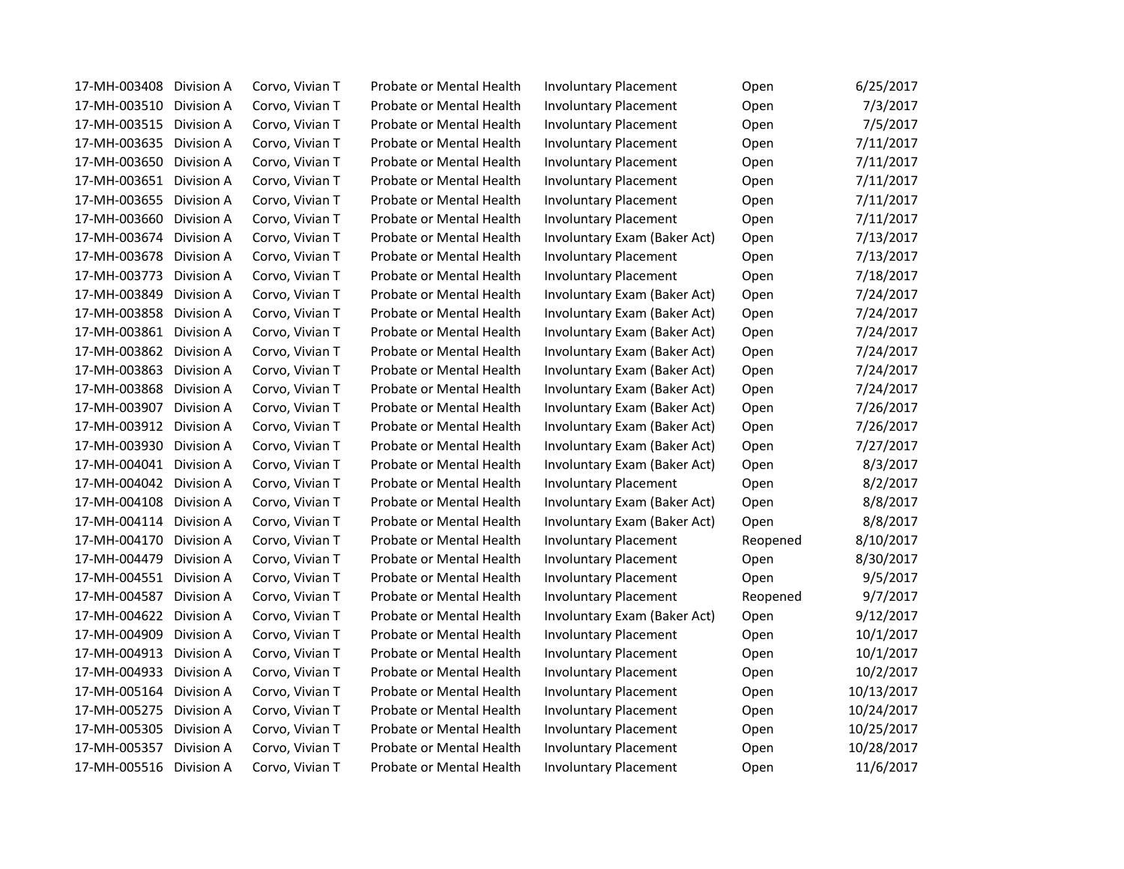| 17-MH-003408            | Division A | Corvo, Vivian T | Probate or Mental Health | <b>Involuntary Placement</b> | Open     | 6/25/2017  |
|-------------------------|------------|-----------------|--------------------------|------------------------------|----------|------------|
| 17-MH-003510            | Division A | Corvo, Vivian T | Probate or Mental Health | <b>Involuntary Placement</b> | Open     | 7/3/2017   |
| 17-MH-003515            | Division A | Corvo, Vivian T | Probate or Mental Health | <b>Involuntary Placement</b> | Open     | 7/5/2017   |
| 17-MH-003635            | Division A | Corvo, Vivian T | Probate or Mental Health | <b>Involuntary Placement</b> | Open     | 7/11/2017  |
| 17-MH-003650            | Division A | Corvo, Vivian T | Probate or Mental Health | <b>Involuntary Placement</b> | Open     | 7/11/2017  |
| 17-MH-003651            | Division A | Corvo, Vivian T | Probate or Mental Health | <b>Involuntary Placement</b> | Open     | 7/11/2017  |
| 17-MH-003655            | Division A | Corvo, Vivian T | Probate or Mental Health | <b>Involuntary Placement</b> | Open     | 7/11/2017  |
| 17-MH-003660            | Division A | Corvo, Vivian T | Probate or Mental Health | <b>Involuntary Placement</b> | Open     | 7/11/2017  |
| 17-MH-003674            | Division A | Corvo, Vivian T | Probate or Mental Health | Involuntary Exam (Baker Act) | Open     | 7/13/2017  |
| 17-MH-003678            | Division A | Corvo, Vivian T | Probate or Mental Health | <b>Involuntary Placement</b> | Open     | 7/13/2017  |
| 17-MH-003773            | Division A | Corvo, Vivian T | Probate or Mental Health | <b>Involuntary Placement</b> | Open     | 7/18/2017  |
| 17-MH-003849            | Division A | Corvo, Vivian T | Probate or Mental Health | Involuntary Exam (Baker Act) | Open     | 7/24/2017  |
| 17-MH-003858            | Division A | Corvo, Vivian T | Probate or Mental Health | Involuntary Exam (Baker Act) | Open     | 7/24/2017  |
| 17-MH-003861            | Division A | Corvo, Vivian T | Probate or Mental Health | Involuntary Exam (Baker Act) | Open     | 7/24/2017  |
| 17-MH-003862            | Division A | Corvo, Vivian T | Probate or Mental Health | Involuntary Exam (Baker Act) | Open     | 7/24/2017  |
| 17-MH-003863            | Division A | Corvo, Vivian T | Probate or Mental Health | Involuntary Exam (Baker Act) | Open     | 7/24/2017  |
| 17-MH-003868            | Division A | Corvo, Vivian T | Probate or Mental Health | Involuntary Exam (Baker Act) | Open     | 7/24/2017  |
| 17-MH-003907            | Division A | Corvo, Vivian T | Probate or Mental Health | Involuntary Exam (Baker Act) | Open     | 7/26/2017  |
| 17-MH-003912            | Division A | Corvo, Vivian T | Probate or Mental Health | Involuntary Exam (Baker Act) | Open     | 7/26/2017  |
| 17-MH-003930            | Division A | Corvo, Vivian T | Probate or Mental Health | Involuntary Exam (Baker Act) | Open     | 7/27/2017  |
| 17-MH-004041            | Division A | Corvo, Vivian T | Probate or Mental Health | Involuntary Exam (Baker Act) | Open     | 8/3/2017   |
| 17-MH-004042            | Division A | Corvo, Vivian T | Probate or Mental Health | <b>Involuntary Placement</b> | Open     | 8/2/2017   |
| 17-MH-004108            | Division A | Corvo, Vivian T | Probate or Mental Health | Involuntary Exam (Baker Act) | Open     | 8/8/2017   |
| 17-MH-004114            | Division A | Corvo, Vivian T | Probate or Mental Health | Involuntary Exam (Baker Act) | Open     | 8/8/2017   |
| 17-MH-004170            | Division A | Corvo, Vivian T | Probate or Mental Health | <b>Involuntary Placement</b> | Reopened | 8/10/2017  |
| 17-MH-004479            | Division A | Corvo, Vivian T | Probate or Mental Health | <b>Involuntary Placement</b> | Open     | 8/30/2017  |
| 17-MH-004551            | Division A | Corvo, Vivian T | Probate or Mental Health | <b>Involuntary Placement</b> | Open     | 9/5/2017   |
| 17-MH-004587            | Division A | Corvo, Vivian T | Probate or Mental Health | <b>Involuntary Placement</b> | Reopened | 9/7/2017   |
| 17-MH-004622            | Division A | Corvo, Vivian T | Probate or Mental Health | Involuntary Exam (Baker Act) | Open     | 9/12/2017  |
| 17-MH-004909            | Division A | Corvo, Vivian T | Probate or Mental Health | <b>Involuntary Placement</b> | Open     | 10/1/2017  |
| 17-MH-004913 Division A |            | Corvo, Vivian T | Probate or Mental Health | <b>Involuntary Placement</b> | Open     | 10/1/2017  |
| 17-MH-004933            | Division A | Corvo, Vivian T | Probate or Mental Health | <b>Involuntary Placement</b> | Open     | 10/2/2017  |
| 17-MH-005164            | Division A | Corvo, Vivian T | Probate or Mental Health | <b>Involuntary Placement</b> | Open     | 10/13/2017 |
| 17-MH-005275            | Division A | Corvo, Vivian T | Probate or Mental Health | <b>Involuntary Placement</b> | Open     | 10/24/2017 |
| 17-MH-005305            | Division A | Corvo, Vivian T | Probate or Mental Health | <b>Involuntary Placement</b> | Open     | 10/25/2017 |
| 17-MH-005357            | Division A | Corvo, Vivian T | Probate or Mental Health | <b>Involuntary Placement</b> | Open     | 10/28/2017 |
| 17-MH-005516            | Division A | Corvo, Vivian T | Probate or Mental Health | <b>Involuntary Placement</b> | Open     | 11/6/2017  |
|                         |            |                 |                          |                              |          |            |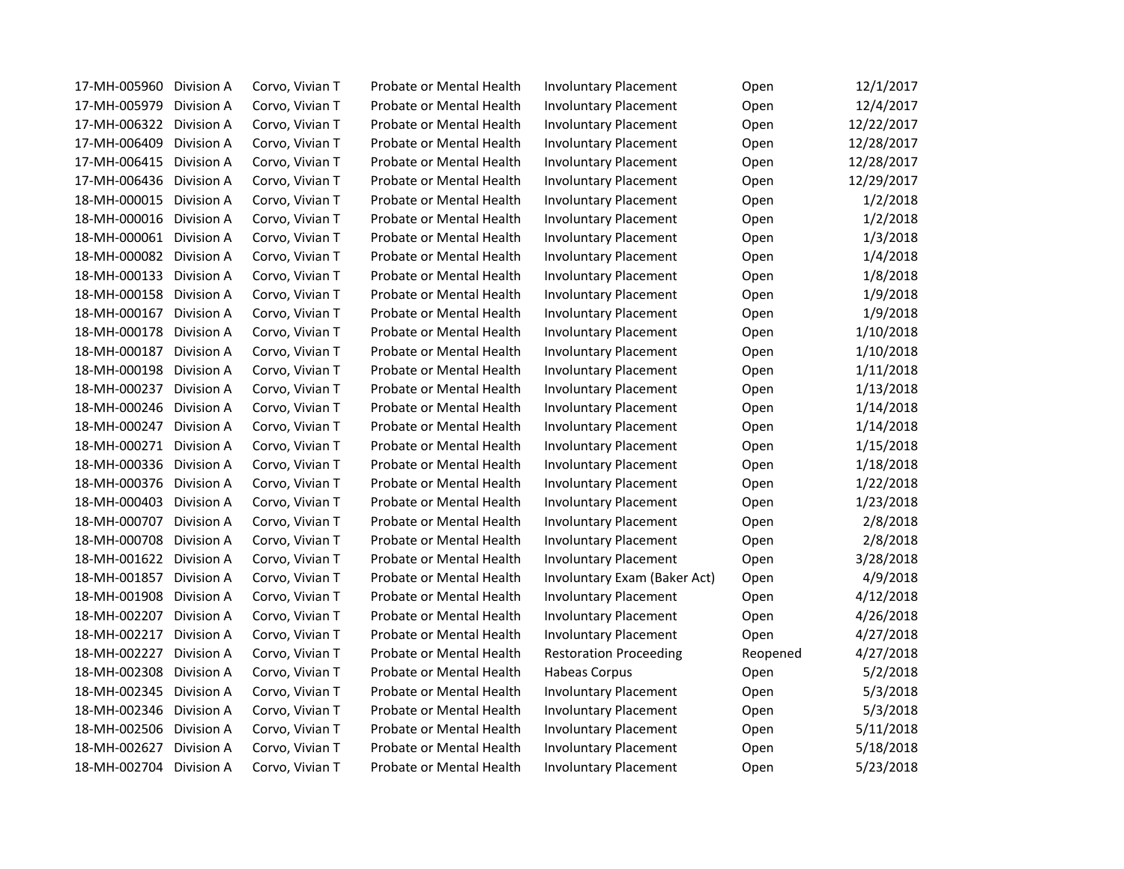| 17-MH-005960 | Division A | Corvo, Vivian T | Probate or Mental Health | <b>Involuntary Placement</b>  | Open     | 12/1/2017  |
|--------------|------------|-----------------|--------------------------|-------------------------------|----------|------------|
| 17-MH-005979 | Division A | Corvo, Vivian T | Probate or Mental Health | <b>Involuntary Placement</b>  | Open     | 12/4/2017  |
| 17-MH-006322 | Division A | Corvo, Vivian T | Probate or Mental Health | <b>Involuntary Placement</b>  | Open     | 12/22/2017 |
| 17-MH-006409 | Division A | Corvo, Vivian T | Probate or Mental Health | <b>Involuntary Placement</b>  | Open     | 12/28/2017 |
| 17-MH-006415 | Division A | Corvo, Vivian T | Probate or Mental Health | <b>Involuntary Placement</b>  | Open     | 12/28/2017 |
| 17-MH-006436 | Division A | Corvo, Vivian T | Probate or Mental Health | <b>Involuntary Placement</b>  | Open     | 12/29/2017 |
| 18-MH-000015 | Division A | Corvo, Vivian T | Probate or Mental Health | <b>Involuntary Placement</b>  | Open     | 1/2/2018   |
| 18-MH-000016 | Division A | Corvo, Vivian T | Probate or Mental Health | <b>Involuntary Placement</b>  | Open     | 1/2/2018   |
| 18-MH-000061 | Division A | Corvo, Vivian T | Probate or Mental Health | <b>Involuntary Placement</b>  | Open     | 1/3/2018   |
| 18-MH-000082 | Division A | Corvo, Vivian T | Probate or Mental Health | <b>Involuntary Placement</b>  | Open     | 1/4/2018   |
| 18-MH-000133 | Division A | Corvo, Vivian T | Probate or Mental Health | <b>Involuntary Placement</b>  | Open     | 1/8/2018   |
| 18-MH-000158 | Division A | Corvo, Vivian T | Probate or Mental Health | <b>Involuntary Placement</b>  | Open     | 1/9/2018   |
| 18-MH-000167 | Division A | Corvo, Vivian T | Probate or Mental Health | <b>Involuntary Placement</b>  | Open     | 1/9/2018   |
| 18-MH-000178 | Division A | Corvo, Vivian T | Probate or Mental Health | <b>Involuntary Placement</b>  | Open     | 1/10/2018  |
| 18-MH-000187 | Division A | Corvo, Vivian T | Probate or Mental Health | <b>Involuntary Placement</b>  | Open     | 1/10/2018  |
| 18-MH-000198 | Division A | Corvo, Vivian T | Probate or Mental Health | <b>Involuntary Placement</b>  | Open     | 1/11/2018  |
| 18-MH-000237 | Division A | Corvo, Vivian T | Probate or Mental Health | <b>Involuntary Placement</b>  | Open     | 1/13/2018  |
| 18-MH-000246 | Division A | Corvo, Vivian T | Probate or Mental Health | <b>Involuntary Placement</b>  | Open     | 1/14/2018  |
| 18-MH-000247 | Division A | Corvo, Vivian T | Probate or Mental Health | <b>Involuntary Placement</b>  | Open     | 1/14/2018  |
| 18-MH-000271 | Division A | Corvo, Vivian T | Probate or Mental Health | <b>Involuntary Placement</b>  | Open     | 1/15/2018  |
| 18-MH-000336 | Division A | Corvo, Vivian T | Probate or Mental Health | <b>Involuntary Placement</b>  | Open     | 1/18/2018  |
| 18-MH-000376 | Division A | Corvo, Vivian T | Probate or Mental Health | <b>Involuntary Placement</b>  | Open     | 1/22/2018  |
| 18-MH-000403 | Division A | Corvo, Vivian T | Probate or Mental Health | <b>Involuntary Placement</b>  | Open     | 1/23/2018  |
| 18-MH-000707 | Division A | Corvo, Vivian T | Probate or Mental Health | <b>Involuntary Placement</b>  | Open     | 2/8/2018   |
| 18-MH-000708 | Division A | Corvo, Vivian T | Probate or Mental Health | <b>Involuntary Placement</b>  | Open     | 2/8/2018   |
| 18-MH-001622 | Division A | Corvo, Vivian T | Probate or Mental Health | <b>Involuntary Placement</b>  | Open     | 3/28/2018  |
| 18-MH-001857 | Division A | Corvo, Vivian T | Probate or Mental Health | Involuntary Exam (Baker Act)  | Open     | 4/9/2018   |
| 18-MH-001908 | Division A | Corvo, Vivian T | Probate or Mental Health | <b>Involuntary Placement</b>  | Open     | 4/12/2018  |
| 18-MH-002207 | Division A | Corvo, Vivian T | Probate or Mental Health | <b>Involuntary Placement</b>  | Open     | 4/26/2018  |
| 18-MH-002217 | Division A | Corvo, Vivian T | Probate or Mental Health | <b>Involuntary Placement</b>  | Open     | 4/27/2018  |
| 18-MH-002227 | Division A | Corvo, Vivian T | Probate or Mental Health | <b>Restoration Proceeding</b> | Reopened | 4/27/2018  |
| 18-MH-002308 | Division A | Corvo, Vivian T | Probate or Mental Health | Habeas Corpus                 | Open     | 5/2/2018   |
| 18-MH-002345 | Division A | Corvo, Vivian T | Probate or Mental Health | <b>Involuntary Placement</b>  | Open     | 5/3/2018   |
| 18-MH-002346 | Division A | Corvo, Vivian T | Probate or Mental Health | <b>Involuntary Placement</b>  | Open     | 5/3/2018   |
| 18-MH-002506 | Division A | Corvo, Vivian T | Probate or Mental Health | <b>Involuntary Placement</b>  | Open     | 5/11/2018  |
| 18-MH-002627 | Division A | Corvo, Vivian T | Probate or Mental Health | <b>Involuntary Placement</b>  | Open     | 5/18/2018  |
| 18-MH-002704 | Division A | Corvo, Vivian T | Probate or Mental Health | <b>Involuntary Placement</b>  | Open     | 5/23/2018  |
|              |            |                 |                          |                               |          |            |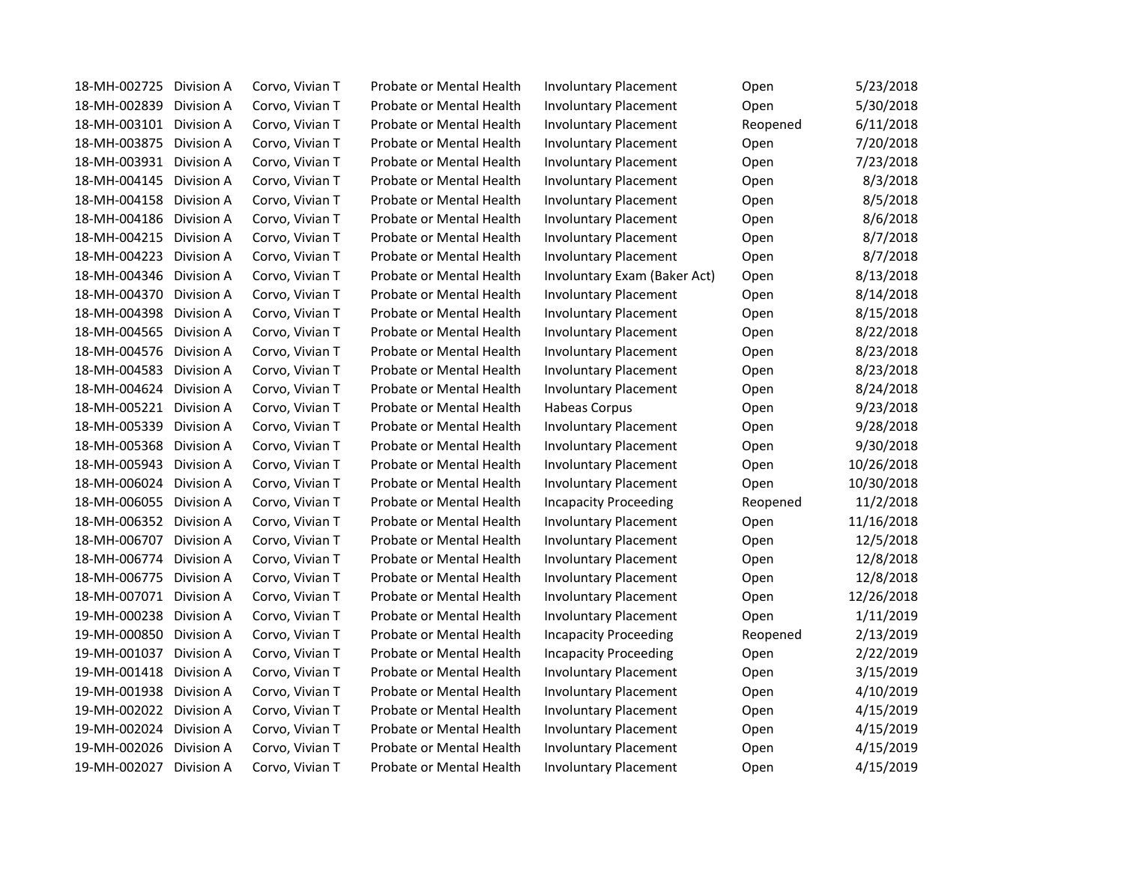| 18-MH-002725<br>Division A | Corvo, Vivian T | Probate or Mental Health | <b>Involuntary Placement</b> | Open     | 5/23/2018  |
|----------------------------|-----------------|--------------------------|------------------------------|----------|------------|
| 18-MH-002839<br>Division A | Corvo, Vivian T | Probate or Mental Health | <b>Involuntary Placement</b> | Open     | 5/30/2018  |
| 18-MH-003101<br>Division A | Corvo, Vivian T | Probate or Mental Health | <b>Involuntary Placement</b> | Reopened | 6/11/2018  |
| 18-MH-003875<br>Division A | Corvo, Vivian T | Probate or Mental Health | <b>Involuntary Placement</b> | Open     | 7/20/2018  |
| 18-MH-003931<br>Division A | Corvo, Vivian T | Probate or Mental Health | <b>Involuntary Placement</b> | Open     | 7/23/2018  |
| 18-MH-004145<br>Division A | Corvo, Vivian T | Probate or Mental Health | <b>Involuntary Placement</b> | Open     | 8/3/2018   |
| 18-MH-004158<br>Division A | Corvo, Vivian T | Probate or Mental Health | <b>Involuntary Placement</b> | Open     | 8/5/2018   |
| 18-MH-004186<br>Division A | Corvo, Vivian T | Probate or Mental Health | <b>Involuntary Placement</b> | Open     | 8/6/2018   |
| 18-MH-004215<br>Division A | Corvo, Vivian T | Probate or Mental Health | <b>Involuntary Placement</b> | Open     | 8/7/2018   |
| 18-MH-004223<br>Division A | Corvo, Vivian T | Probate or Mental Health | <b>Involuntary Placement</b> | Open     | 8/7/2018   |
| 18-MH-004346<br>Division A | Corvo, Vivian T | Probate or Mental Health | Involuntary Exam (Baker Act) | Open     | 8/13/2018  |
| 18-MH-004370<br>Division A | Corvo, Vivian T | Probate or Mental Health | <b>Involuntary Placement</b> | Open     | 8/14/2018  |
| 18-MH-004398<br>Division A | Corvo, Vivian T | Probate or Mental Health | <b>Involuntary Placement</b> | Open     | 8/15/2018  |
| 18-MH-004565<br>Division A | Corvo, Vivian T | Probate or Mental Health | <b>Involuntary Placement</b> | Open     | 8/22/2018  |
| 18-MH-004576<br>Division A | Corvo, Vivian T | Probate or Mental Health | <b>Involuntary Placement</b> | Open     | 8/23/2018  |
| 18-MH-004583<br>Division A | Corvo, Vivian T | Probate or Mental Health | <b>Involuntary Placement</b> | Open     | 8/23/2018  |
| 18-MH-004624<br>Division A | Corvo, Vivian T | Probate or Mental Health | <b>Involuntary Placement</b> | Open     | 8/24/2018  |
| 18-MH-005221<br>Division A | Corvo, Vivian T | Probate or Mental Health | <b>Habeas Corpus</b>         | Open     | 9/23/2018  |
| 18-MH-005339<br>Division A | Corvo, Vivian T | Probate or Mental Health | <b>Involuntary Placement</b> | Open     | 9/28/2018  |
| 18-MH-005368<br>Division A | Corvo, Vivian T | Probate or Mental Health | <b>Involuntary Placement</b> | Open     | 9/30/2018  |
| 18-MH-005943<br>Division A | Corvo, Vivian T | Probate or Mental Health | <b>Involuntary Placement</b> | Open     | 10/26/2018 |
| 18-MH-006024<br>Division A | Corvo, Vivian T | Probate or Mental Health | <b>Involuntary Placement</b> | Open     | 10/30/2018 |
| 18-MH-006055<br>Division A | Corvo, Vivian T | Probate or Mental Health | <b>Incapacity Proceeding</b> | Reopened | 11/2/2018  |
| 18-MH-006352<br>Division A | Corvo, Vivian T | Probate or Mental Health | <b>Involuntary Placement</b> | Open     | 11/16/2018 |
| 18-MH-006707<br>Division A | Corvo, Vivian T | Probate or Mental Health | <b>Involuntary Placement</b> | Open     | 12/5/2018  |
| 18-MH-006774<br>Division A | Corvo, Vivian T | Probate or Mental Health | <b>Involuntary Placement</b> | Open     | 12/8/2018  |
| 18-MH-006775<br>Division A | Corvo, Vivian T | Probate or Mental Health | <b>Involuntary Placement</b> | Open     | 12/8/2018  |
| 18-MH-007071<br>Division A | Corvo, Vivian T | Probate or Mental Health | <b>Involuntary Placement</b> | Open     | 12/26/2018 |
| 19-MH-000238<br>Division A | Corvo, Vivian T | Probate or Mental Health | <b>Involuntary Placement</b> | Open     | 1/11/2019  |
| 19-MH-000850<br>Division A | Corvo, Vivian T | Probate or Mental Health | <b>Incapacity Proceeding</b> | Reopened | 2/13/2019  |
| 19-MH-001037<br>Division A | Corvo, Vivian T | Probate or Mental Health | <b>Incapacity Proceeding</b> | Open     | 2/22/2019  |
| 19-MH-001418<br>Division A | Corvo, Vivian T | Probate or Mental Health | <b>Involuntary Placement</b> | Open     | 3/15/2019  |
| 19-MH-001938<br>Division A | Corvo, Vivian T | Probate or Mental Health | <b>Involuntary Placement</b> | Open     | 4/10/2019  |
| 19-MH-002022<br>Division A | Corvo, Vivian T | Probate or Mental Health | <b>Involuntary Placement</b> | Open     | 4/15/2019  |
| 19-MH-002024<br>Division A | Corvo, Vivian T | Probate or Mental Health | <b>Involuntary Placement</b> | Open     | 4/15/2019  |
| 19-MH-002026<br>Division A | Corvo, Vivian T | Probate or Mental Health | <b>Involuntary Placement</b> | Open     | 4/15/2019  |
| 19-MH-002027<br>Division A | Corvo, Vivian T | Probate or Mental Health | <b>Involuntary Placement</b> | Open     | 4/15/2019  |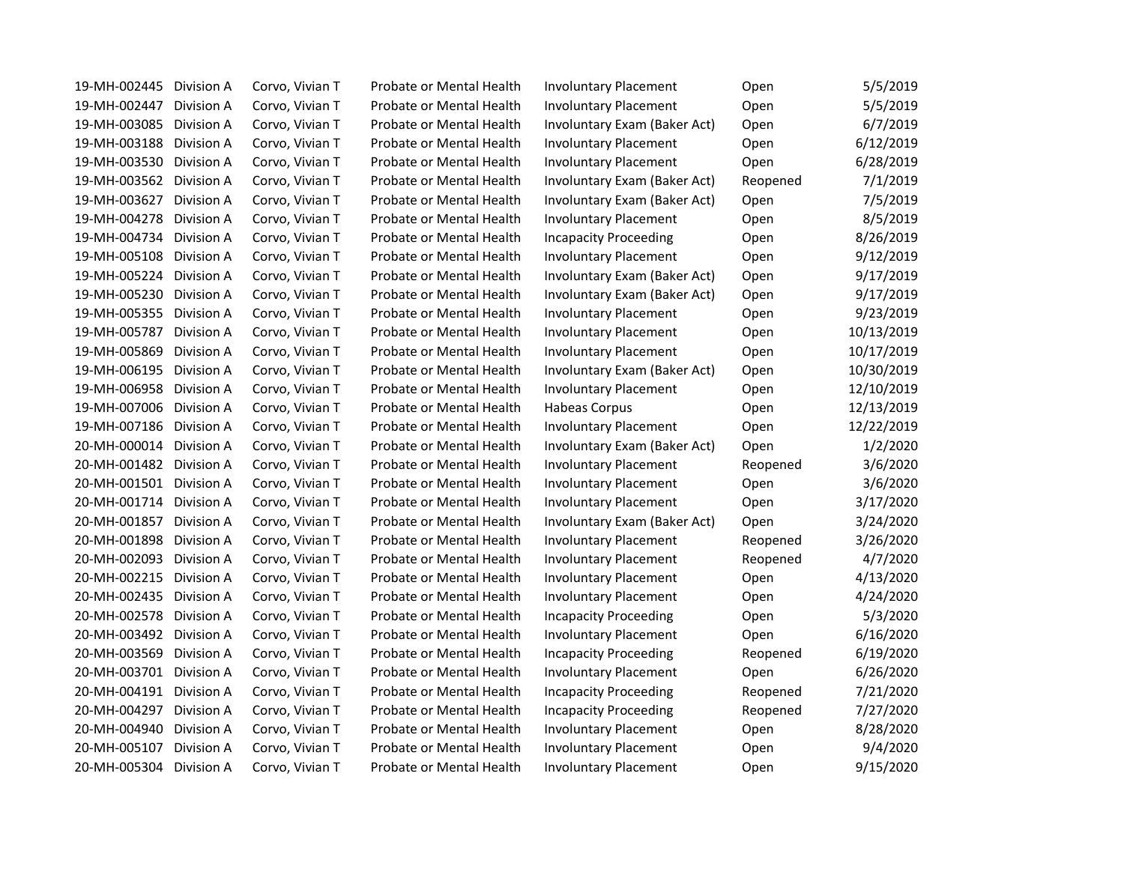| 19-MH-002445<br>Division A | Corvo, Vivian T | Probate or Mental Health | <b>Involuntary Placement</b> | Open     | 5/5/2019   |
|----------------------------|-----------------|--------------------------|------------------------------|----------|------------|
| 19-MH-002447<br>Division A | Corvo, Vivian T | Probate or Mental Health | <b>Involuntary Placement</b> | Open     | 5/5/2019   |
| 19-MH-003085<br>Division A | Corvo, Vivian T | Probate or Mental Health | Involuntary Exam (Baker Act) | Open     | 6/7/2019   |
| 19-MH-003188<br>Division A | Corvo, Vivian T | Probate or Mental Health | <b>Involuntary Placement</b> | Open     | 6/12/2019  |
| 19-MH-003530<br>Division A | Corvo, Vivian T | Probate or Mental Health | <b>Involuntary Placement</b> | Open     | 6/28/2019  |
| 19-MH-003562<br>Division A | Corvo, Vivian T | Probate or Mental Health | Involuntary Exam (Baker Act) | Reopened | 7/1/2019   |
| 19-MH-003627<br>Division A | Corvo, Vivian T | Probate or Mental Health | Involuntary Exam (Baker Act) | Open     | 7/5/2019   |
| 19-MH-004278<br>Division A | Corvo, Vivian T | Probate or Mental Health | <b>Involuntary Placement</b> | Open     | 8/5/2019   |
| 19-MH-004734<br>Division A | Corvo, Vivian T | Probate or Mental Health | <b>Incapacity Proceeding</b> | Open     | 8/26/2019  |
| 19-MH-005108<br>Division A | Corvo, Vivian T | Probate or Mental Health | <b>Involuntary Placement</b> | Open     | 9/12/2019  |
| 19-MH-005224<br>Division A | Corvo, Vivian T | Probate or Mental Health | Involuntary Exam (Baker Act) | Open     | 9/17/2019  |
| 19-MH-005230<br>Division A | Corvo, Vivian T | Probate or Mental Health | Involuntary Exam (Baker Act) | Open     | 9/17/2019  |
| 19-MH-005355<br>Division A | Corvo, Vivian T | Probate or Mental Health | <b>Involuntary Placement</b> | Open     | 9/23/2019  |
| 19-MH-005787<br>Division A | Corvo, Vivian T | Probate or Mental Health | <b>Involuntary Placement</b> | Open     | 10/13/2019 |
| 19-MH-005869<br>Division A | Corvo, Vivian T | Probate or Mental Health | <b>Involuntary Placement</b> | Open     | 10/17/2019 |
| 19-MH-006195<br>Division A | Corvo, Vivian T | Probate or Mental Health | Involuntary Exam (Baker Act) | Open     | 10/30/2019 |
| 19-MH-006958<br>Division A | Corvo, Vivian T | Probate or Mental Health | <b>Involuntary Placement</b> | Open     | 12/10/2019 |
| 19-MH-007006<br>Division A | Corvo, Vivian T | Probate or Mental Health | Habeas Corpus                | Open     | 12/13/2019 |
| 19-MH-007186<br>Division A | Corvo, Vivian T | Probate or Mental Health | <b>Involuntary Placement</b> | Open     | 12/22/2019 |
| 20-MH-000014<br>Division A | Corvo, Vivian T | Probate or Mental Health | Involuntary Exam (Baker Act) | Open     | 1/2/2020   |
| 20-MH-001482<br>Division A | Corvo, Vivian T | Probate or Mental Health | <b>Involuntary Placement</b> | Reopened | 3/6/2020   |
| 20-MH-001501<br>Division A | Corvo, Vivian T | Probate or Mental Health | <b>Involuntary Placement</b> | Open     | 3/6/2020   |
| 20-MH-001714<br>Division A | Corvo, Vivian T | Probate or Mental Health | <b>Involuntary Placement</b> | Open     | 3/17/2020  |
| 20-MH-001857<br>Division A | Corvo, Vivian T | Probate or Mental Health | Involuntary Exam (Baker Act) | Open     | 3/24/2020  |
| 20-MH-001898<br>Division A | Corvo, Vivian T | Probate or Mental Health | <b>Involuntary Placement</b> | Reopened | 3/26/2020  |
| 20-MH-002093<br>Division A | Corvo, Vivian T | Probate or Mental Health | <b>Involuntary Placement</b> | Reopened | 4/7/2020   |
| 20-MH-002215<br>Division A | Corvo, Vivian T | Probate or Mental Health | <b>Involuntary Placement</b> | Open     | 4/13/2020  |
| 20-MH-002435<br>Division A | Corvo, Vivian T | Probate or Mental Health | <b>Involuntary Placement</b> | Open     | 4/24/2020  |
| 20-MH-002578<br>Division A | Corvo, Vivian T | Probate or Mental Health | <b>Incapacity Proceeding</b> | Open     | 5/3/2020   |
| 20-MH-003492<br>Division A | Corvo, Vivian T | Probate or Mental Health | <b>Involuntary Placement</b> | Open     | 6/16/2020  |
| 20-MH-003569 Division A    | Corvo, Vivian T | Probate or Mental Health | <b>Incapacity Proceeding</b> | Reopened | 6/19/2020  |
| 20-MH-003701<br>Division A | Corvo, Vivian T | Probate or Mental Health | <b>Involuntary Placement</b> | Open     | 6/26/2020  |
| 20-MH-004191<br>Division A | Corvo, Vivian T | Probate or Mental Health | <b>Incapacity Proceeding</b> | Reopened | 7/21/2020  |
| 20-MH-004297<br>Division A | Corvo, Vivian T | Probate or Mental Health | <b>Incapacity Proceeding</b> | Reopened | 7/27/2020  |
| 20-MH-004940<br>Division A | Corvo, Vivian T | Probate or Mental Health | <b>Involuntary Placement</b> | Open     | 8/28/2020  |
| 20-MH-005107<br>Division A | Corvo, Vivian T | Probate or Mental Health | <b>Involuntary Placement</b> | Open     | 9/4/2020   |
| 20-MH-005304<br>Division A | Corvo, Vivian T | Probate or Mental Health | <b>Involuntary Placement</b> | Open     | 9/15/2020  |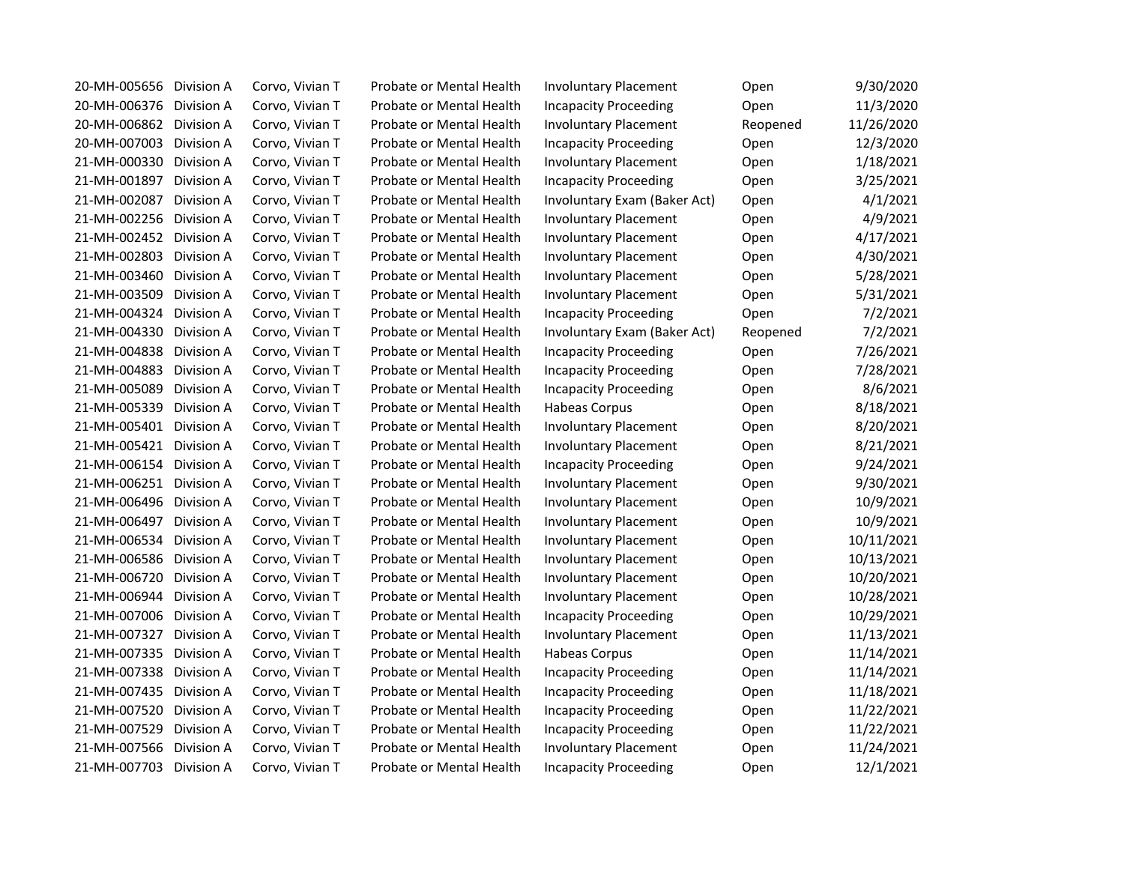| 20-MH-005656<br>Division A | Corvo, Vivian T | Probate or Mental Health | <b>Involuntary Placement</b> | Open     | 9/30/2020  |
|----------------------------|-----------------|--------------------------|------------------------------|----------|------------|
| 20-MH-006376<br>Division A | Corvo, Vivian T | Probate or Mental Health | <b>Incapacity Proceeding</b> | Open     | 11/3/2020  |
| 20-MH-006862<br>Division A | Corvo, Vivian T | Probate or Mental Health | <b>Involuntary Placement</b> | Reopened | 11/26/2020 |
| 20-MH-007003<br>Division A | Corvo, Vivian T | Probate or Mental Health | <b>Incapacity Proceeding</b> | Open     | 12/3/2020  |
| 21-MH-000330<br>Division A | Corvo, Vivian T | Probate or Mental Health | <b>Involuntary Placement</b> | Open     | 1/18/2021  |
| 21-MH-001897<br>Division A | Corvo, Vivian T | Probate or Mental Health | <b>Incapacity Proceeding</b> | Open     | 3/25/2021  |
| 21-MH-002087<br>Division A | Corvo, Vivian T | Probate or Mental Health | Involuntary Exam (Baker Act) | Open     | 4/1/2021   |
| 21-MH-002256<br>Division A | Corvo, Vivian T | Probate or Mental Health | <b>Involuntary Placement</b> | Open     | 4/9/2021   |
| 21-MH-002452<br>Division A | Corvo, Vivian T | Probate or Mental Health | <b>Involuntary Placement</b> | Open     | 4/17/2021  |
| 21-MH-002803<br>Division A | Corvo, Vivian T | Probate or Mental Health | <b>Involuntary Placement</b> | Open     | 4/30/2021  |
| 21-MH-003460<br>Division A | Corvo, Vivian T | Probate or Mental Health | <b>Involuntary Placement</b> | Open     | 5/28/2021  |
| 21-MH-003509<br>Division A | Corvo, Vivian T | Probate or Mental Health | <b>Involuntary Placement</b> | Open     | 5/31/2021  |
| 21-MH-004324<br>Division A | Corvo, Vivian T | Probate or Mental Health | <b>Incapacity Proceeding</b> | Open     | 7/2/2021   |
| 21-MH-004330<br>Division A | Corvo, Vivian T | Probate or Mental Health | Involuntary Exam (Baker Act) | Reopened | 7/2/2021   |
| 21-MH-004838<br>Division A | Corvo, Vivian T | Probate or Mental Health | <b>Incapacity Proceeding</b> | Open     | 7/26/2021  |
| 21-MH-004883<br>Division A | Corvo, Vivian T | Probate or Mental Health | <b>Incapacity Proceeding</b> | Open     | 7/28/2021  |
| 21-MH-005089<br>Division A | Corvo, Vivian T | Probate or Mental Health | <b>Incapacity Proceeding</b> | Open     | 8/6/2021   |
| 21-MH-005339<br>Division A | Corvo, Vivian T | Probate or Mental Health | Habeas Corpus                | Open     | 8/18/2021  |
| 21-MH-005401<br>Division A | Corvo, Vivian T | Probate or Mental Health | <b>Involuntary Placement</b> | Open     | 8/20/2021  |
| 21-MH-005421<br>Division A | Corvo, Vivian T | Probate or Mental Health | <b>Involuntary Placement</b> | Open     | 8/21/2021  |
| 21-MH-006154<br>Division A | Corvo, Vivian T | Probate or Mental Health | <b>Incapacity Proceeding</b> | Open     | 9/24/2021  |
| 21-MH-006251<br>Division A | Corvo, Vivian T | Probate or Mental Health | <b>Involuntary Placement</b> | Open     | 9/30/2021  |
| 21-MH-006496<br>Division A | Corvo, Vivian T | Probate or Mental Health | <b>Involuntary Placement</b> | Open     | 10/9/2021  |
| 21-MH-006497<br>Division A | Corvo, Vivian T | Probate or Mental Health | <b>Involuntary Placement</b> | Open     | 10/9/2021  |
| 21-MH-006534<br>Division A | Corvo, Vivian T | Probate or Mental Health | <b>Involuntary Placement</b> | Open     | 10/11/2021 |
| 21-MH-006586<br>Division A | Corvo, Vivian T | Probate or Mental Health | <b>Involuntary Placement</b> | Open     | 10/13/2021 |
| 21-MH-006720<br>Division A | Corvo, Vivian T | Probate or Mental Health | <b>Involuntary Placement</b> | Open     | 10/20/2021 |
| 21-MH-006944<br>Division A | Corvo, Vivian T | Probate or Mental Health | <b>Involuntary Placement</b> | Open     | 10/28/2021 |
| 21-MH-007006<br>Division A | Corvo, Vivian T | Probate or Mental Health | <b>Incapacity Proceeding</b> | Open     | 10/29/2021 |
| 21-MH-007327<br>Division A | Corvo, Vivian T | Probate or Mental Health | <b>Involuntary Placement</b> | Open     | 11/13/2021 |
| 21-MH-007335 Division A    | Corvo, Vivian T | Probate or Mental Health | Habeas Corpus                | Open     | 11/14/2021 |
| 21-MH-007338<br>Division A | Corvo, Vivian T | Probate or Mental Health | <b>Incapacity Proceeding</b> | Open     | 11/14/2021 |
| 21-MH-007435<br>Division A | Corvo, Vivian T | Probate or Mental Health | <b>Incapacity Proceeding</b> | Open     | 11/18/2021 |
| 21-MH-007520<br>Division A | Corvo, Vivian T | Probate or Mental Health | <b>Incapacity Proceeding</b> | Open     | 11/22/2021 |
| 21-MH-007529<br>Division A | Corvo, Vivian T | Probate or Mental Health | <b>Incapacity Proceeding</b> | Open     | 11/22/2021 |
| 21-MH-007566<br>Division A | Corvo, Vivian T | Probate or Mental Health | <b>Involuntary Placement</b> | Open     | 11/24/2021 |
| 21-MH-007703<br>Division A | Corvo, Vivian T | Probate or Mental Health | <b>Incapacity Proceeding</b> | Open     | 12/1/2021  |
|                            |                 |                          |                              |          |            |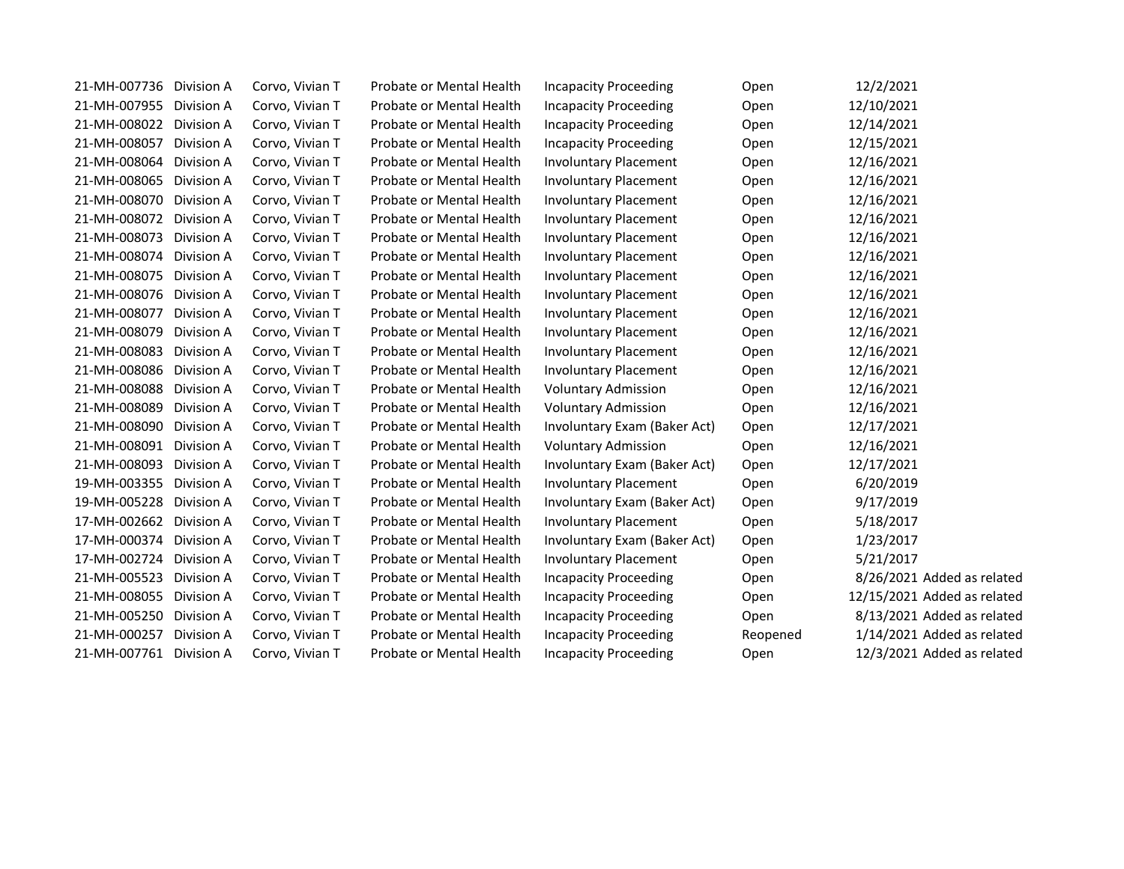| 21-MH-007736 Division A |            | Corvo, Vivian T | Probate or Mental Health | <b>Incapacity Proceeding</b> | Open     | 12/2/2021                   |
|-------------------------|------------|-----------------|--------------------------|------------------------------|----------|-----------------------------|
| 21-MH-007955 Division A |            | Corvo, Vivian T | Probate or Mental Health | <b>Incapacity Proceeding</b> | Open     | 12/10/2021                  |
| 21-MH-008022 Division A |            | Corvo, Vivian T | Probate or Mental Health | <b>Incapacity Proceeding</b> | Open     | 12/14/2021                  |
| 21-MH-008057            | Division A | Corvo, Vivian T | Probate or Mental Health | <b>Incapacity Proceeding</b> | Open     | 12/15/2021                  |
| 21-MH-008064            | Division A | Corvo, Vivian T | Probate or Mental Health | <b>Involuntary Placement</b> | Open     | 12/16/2021                  |
| 21-MH-008065            | Division A | Corvo, Vivian T | Probate or Mental Health | <b>Involuntary Placement</b> | Open     | 12/16/2021                  |
| 21-MH-008070            | Division A | Corvo, Vivian T | Probate or Mental Health | <b>Involuntary Placement</b> | Open     | 12/16/2021                  |
| 21-MH-008072 Division A |            | Corvo, Vivian T | Probate or Mental Health | <b>Involuntary Placement</b> | Open     | 12/16/2021                  |
| 21-MH-008073 Division A |            | Corvo, Vivian T | Probate or Mental Health | <b>Involuntary Placement</b> | Open     | 12/16/2021                  |
| 21-MH-008074 Division A |            | Corvo, Vivian T | Probate or Mental Health | <b>Involuntary Placement</b> | Open     | 12/16/2021                  |
| 21-MH-008075            | Division A | Corvo, Vivian T | Probate or Mental Health | <b>Involuntary Placement</b> | Open     | 12/16/2021                  |
| 21-MH-008076 Division A |            | Corvo, Vivian T | Probate or Mental Health | <b>Involuntary Placement</b> | Open     | 12/16/2021                  |
| 21-MH-008077            | Division A | Corvo, Vivian T | Probate or Mental Health | <b>Involuntary Placement</b> | Open     | 12/16/2021                  |
| 21-MH-008079            | Division A | Corvo, Vivian T | Probate or Mental Health | <b>Involuntary Placement</b> | Open     | 12/16/2021                  |
| 21-MH-008083 Division A |            | Corvo, Vivian T | Probate or Mental Health | <b>Involuntary Placement</b> | Open     | 12/16/2021                  |
| 21-MH-008086            | Division A | Corvo, Vivian T | Probate or Mental Health | <b>Involuntary Placement</b> | Open     | 12/16/2021                  |
| 21-MH-008088            | Division A | Corvo, Vivian T | Probate or Mental Health | <b>Voluntary Admission</b>   | Open     | 12/16/2021                  |
| 21-MH-008089            | Division A | Corvo, Vivian T | Probate or Mental Health | <b>Voluntary Admission</b>   | Open     | 12/16/2021                  |
| 21-MH-008090            | Division A | Corvo, Vivian T | Probate or Mental Health | Involuntary Exam (Baker Act) | Open     | 12/17/2021                  |
| 21-MH-008091            | Division A | Corvo, Vivian T | Probate or Mental Health | <b>Voluntary Admission</b>   | Open     | 12/16/2021                  |
| 21-MH-008093 Division A |            | Corvo, Vivian T | Probate or Mental Health | Involuntary Exam (Baker Act) | Open     | 12/17/2021                  |
| 19-MH-003355            | Division A | Corvo, Vivian T | Probate or Mental Health | <b>Involuntary Placement</b> | Open     | 6/20/2019                   |
| 19-MH-005228            | Division A | Corvo, Vivian T | Probate or Mental Health | Involuntary Exam (Baker Act) | Open     | 9/17/2019                   |
| 17-MH-002662            | Division A | Corvo, Vivian T | Probate or Mental Health | <b>Involuntary Placement</b> | Open     | 5/18/2017                   |
| 17-MH-000374 Division A |            | Corvo, Vivian T | Probate or Mental Health | Involuntary Exam (Baker Act) | Open     | 1/23/2017                   |
| 17-MH-002724 Division A |            | Corvo, Vivian T | Probate or Mental Health | <b>Involuntary Placement</b> | Open     | 5/21/2017                   |
| 21-MH-005523 Division A |            | Corvo, Vivian T | Probate or Mental Health | <b>Incapacity Proceeding</b> | Open     | 8/26/2021 Added as related  |
| 21-MH-008055 Division A |            | Corvo, Vivian T | Probate or Mental Health | <b>Incapacity Proceeding</b> | Open     | 12/15/2021 Added as related |
| 21-MH-005250 Division A |            | Corvo, Vivian T | Probate or Mental Health | <b>Incapacity Proceeding</b> | Open     | 8/13/2021 Added as related  |
| 21-MH-000257            | Division A | Corvo, Vivian T | Probate or Mental Health | <b>Incapacity Proceeding</b> | Reopened | 1/14/2021 Added as related  |
| 21-MH-007761 Division A |            | Corvo, Vivian T | Probate or Mental Health | <b>Incapacity Proceeding</b> | Open     | 12/3/2021 Added as related  |
|                         |            |                 |                          |                              |          |                             |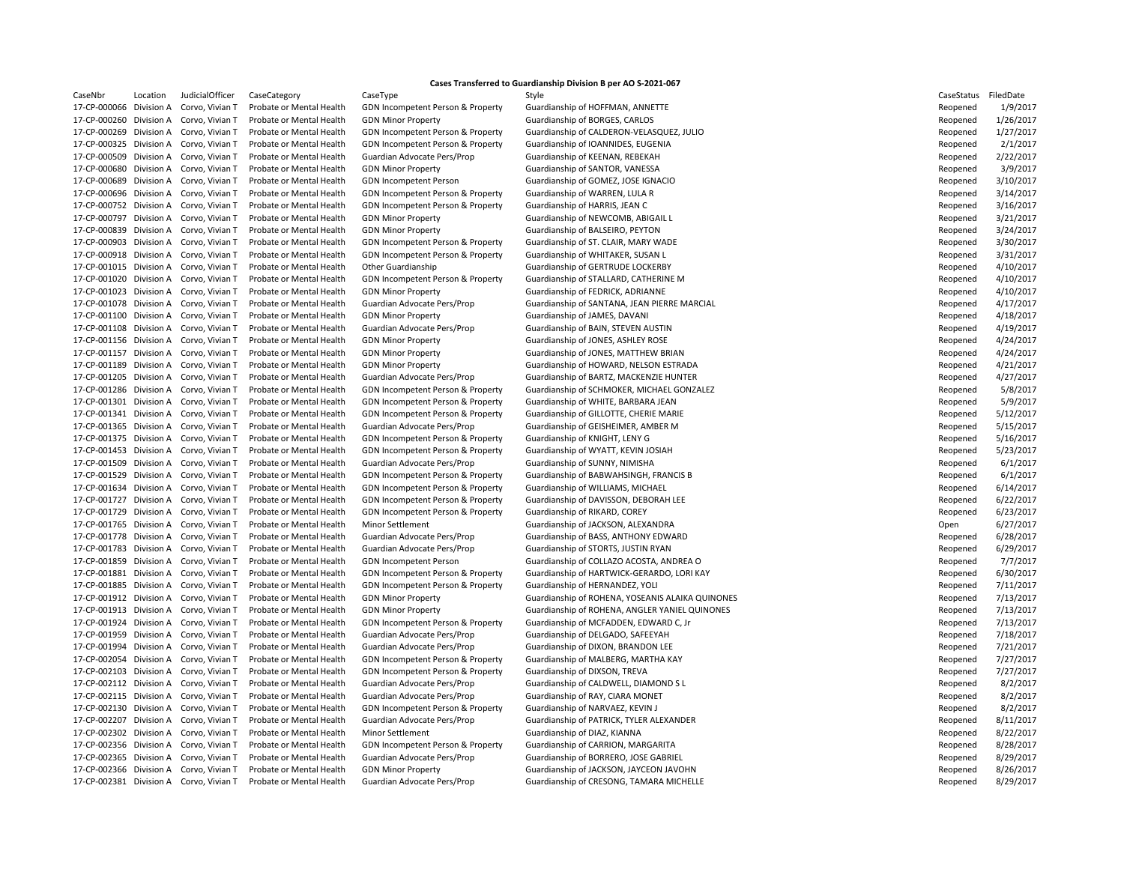| CaseNbr      | Location   | JudicialOffice |
|--------------|------------|----------------|
| 17-CP-000066 | Division A | Corvo, Vivian  |
| 17-CP-000260 | Division A | Corvo, Vivian  |
| 17-CP-000269 | Division A | Corvo, Vivian  |
| 17-CP-000325 | Division A | Corvo, Vivian  |
| 17-CP-000509 | Division A | Corvo, Vivian  |
| 17-CP-000680 | Division A | Corvo, Vivian  |
| 17-CP-000689 | Division A | Corvo, Vivian  |
| 17-CP-000696 | Division A | Corvo, Vivian  |
| 17-CP-000752 | Division A | Corvo, Vivian  |
| 17-CP-000797 | Division A | Corvo, Vivian  |
| 17-CP-000839 | Division A | Corvo, Vivian  |
| 17-CP-000903 | Division A | Corvo, Vivian  |
| 17-CP-000918 | Division A | Corvo, Vivian  |
| 17-CP-001015 | Division A | Corvo, Vivian  |
| 17-CP-001020 | Division A | Corvo, Vivian  |
| 17-CP-001023 | Division A | Corvo, Vivian  |
| 17-CP-001078 | Division A | Corvo, Vivian  |
| 17-CP-001100 | Division A | Corvo, Vivian  |
| 17-CP-001108 | Division A |                |
| 17-CP-001156 | Division A | Corvo, Vivian  |
|              |            | Corvo, Vivian  |
| 17-CP-001157 | Division A | Corvo, Vivian  |
| 17-CP-001189 | Division A | Corvo, Vivian  |
| 17-CP-001205 | Division A | Corvo, Vivian  |
| 17-CP-001286 | Division A | Corvo, Vivian  |
| 17-CP-001301 | Division A | Corvo, Vivian  |
| 17-CP-001341 | Division A | Corvo, Vivian  |
| 17-CP-001365 | Division A | Corvo, Vivian  |
| 17-CP-001375 | Division A | Corvo, Vivian  |
| 17-CP-001453 | Division A | Corvo, Vivian  |
| 17-CP-001509 | Division A | Corvo, Vivian  |
| 17-CP-001529 | Division A | Corvo, Vivian  |
| 17-CP-001634 | Division A | Corvo, Vivian  |
| 17-CP-001727 | Division A | Corvo, Vivian  |
| 17-CP-001729 | Division A | Corvo, Vivian  |
| 17-CP-001765 | Division A | Corvo, Vivian  |
| 17-CP-001778 | Division A | Corvo, Vivian  |
| 17-CP-001783 | Division A | Corvo, Vivian  |
| 17-CP-001859 | Division A | Corvo, Vivian  |
| 17-CP-001881 | Division A | Corvo, Vivian  |
| 17-CP-001885 | Division A | Corvo, Vivian  |
| 17-CP-001912 | Division A | Corvo, Vivian  |
| 17-CP-001913 | Division A | Corvo, Vivian  |
| 17-CP-001924 | Division A | Corvo, Vivian  |
| 17-CP-001959 | Division A | Corvo, Vivian  |
| 17-CP-001994 | Division A | Corvo, Vivian  |
| 17-CP-002054 | Division A | Corvo, Vivian  |
| 17-CP-002103 | Division A | Corvo, Vivian  |
| 17-CP-002112 | Division A | Corvo, Vivian  |
| 17-CP-002115 | Division A | Corvo, Vivian  |
| 17-CP-002130 | Division A | Corvo, Vivian  |
| 17-CP-002207 | Division A | Corvo, Vivian  |
| 17-CP-002302 | Division A |                |
|              |            | Corvo, Vivian  |
| 17-CP-002356 | Division A | Corvo, Vivian  |
| 17-CP-002365 | Division A | Corvo, Vivian  |
| 17-CP-002366 | Division A | Corvo, Vivian  |
| 17-CP-002381 | Division A | Corvo, Vivian  |

17 Probate or Mental Health GDN Minor Property Guardianship of BORGES, CARLOS 17 Probate or Mental Health GDN Incompetent Person & Property Guardianship of WARREN, LULA R 17 Probate or Mental Health GDN Incompetent Person & Property Guardianship of HARRIS, JEAN C 17 Probate or Mental Health GDN Minor Property Guardianship of JAMES, DAVANI 17 Probate or Mental Health GDN Incompetent Person & Property Guardianship of KNIGHT, LENY G 17 Probate or Mental Health Guardian Advocate Pers/Prop Guardianship of SUNNY, NIMISHA 17 Probate or Mental Health GDN Incompetent Person & Property Guardianship of RIKARD, COREY 17 Probate or Mental Health GDN Incompetent Person & Property Guardianship of DIXSON, TREVA

## **Cases Transferred to Guardianship Division B per AO S-2021-067**

CaseNbr Location JudicialOfficer CaseCategory CaseType Style Style Style CaseStatus FiledDate 17 Probate or Mental Health GDN Incompetent Person & Property Guardianship of HOFFMAN, ANNETTE T Probate or Mental Health GDN Incompetent Person & Property Guardianship of CALDERON-VELASQUEZ, JULIO T Probate or Mental Health GDN Incompetent Person & Property Guardianship of IOANNIDES, EUGENIA 17 Probate or Mental Health Guardian Advocate Pers/Prop Guardianship of KEENAN, REBEKAH 17 Probate or Mental Health GDN Minor Property Guardianship of SANTOR, VANESSA 17 Probate or Mental Health GDN Incompetent Person Guardianship of GOMEZ, JOSE IGNACIO 17 Probate or Mental Health GDN Minor Property Guardianship of NEWCOMB, ABIGAIL L 17 Probate or Mental Health GDN Minor Property Guardianship of BALSEIRO, PEYTON 17 Probate or Mental Health GDN Incompetent Person & Property Guardianship of ST. CLAIR, MARY WADE 17 Probate or Mental Health GDN Incompetent Person & Property Guardianship of WHITAKER, SUSAN L 17 Probate or Mental Health Other Guardianship Corvo, Guardianship of GERTRUDE LOCKERBY T Probate or Mental Health GDN Incompetent Person & Property Guardianship of STALLARD, CATHERINE M 17 Probate or Mental Health GDN Minor Property Guardianship of FEDRICK, ADRIANNE 17 Probate or Mental Health Guardian Advocate Pers/Prop Guardianship of SANTANA, JEAN PIERRE MARCIAL 17 Probate or Mental Health Guardian Advocate Pers/Prop Guardianship of BAIN, STEVEN AUSTIN 17 Probate or Mental Health GDN Minor Property Guardianship of JONES, ASHLEY ROSE 17 Probate or Mental Health GDN Minor Property Guardianship of JONES, MATTHEW BRIAN 17 Probate or Mental Health GDN Minor Property **Guardianship of HOWARD, NELSON ESTRADA** T Probate or Mental Health Guardian Advocate Pers/Prop Guardianship of BARTZ, MACKENZIE HUNTER T Probate or Mental Health GDN Incompetent Person & Property Guardianship of SCHMOKER, MICHAEL GONZALEZ 17 Probate or Mental Health GDN Incompetent Person & Property Guardianship of WHITE, BARBARA JEAN T Probate or Mental Health GDN Incompetent Person & Property Guardianship of GILLOTTE, CHERIE MARIE 17 Probate or Mental Health Guardian Advocate Pers/Prop Guardianship of GEISHEIMER, AMBER M T Probate or Mental Health GDN Incompetent Person & Property Guardianship of WYATT, KEVIN JOSIAH T Probate or Mental Health GDN Incompetent Person & Property Guardianship of BABWAHSINGH, FRANCIS B 17 Probate or Mental Health GDN Incompetent Person & Property Guardianship of WILLIAMS, MICHAEL 17 Probate or Mental Health GDN Incompetent Person & Property Guardianship of DAVISSON, DEBORAH LEE 17 Probate or Mental Health Minor Settlement Guardianship of JACKSON, ALEXANDRA 17 Probate or Mental Health Guardian Advocate Pers/Prop Guardianship of BASS, ANTHONY EDWARD 17 Probate or Mental Health Guardian Advocate Pers/Prop Guardianship of STORTS, JUSTIN RYAN 17 Probate or Mental Health GDN Incompetent Person Guardianship of COLLAZO ACOSTA, ANDREA O 17 Probate or Mental Health GDN Incompetent Person & Property Guardianship of HARTWICK-GERARDO, LORI KAY T Probate or Mental Health GDN Incompetent Person & Property Guardianship of HERNANDEZ, YOLI 17 Probate or Mental Health GDN Minor Property Guardianship of ROHENA, YOSEANIS ALAIKA QUINONES 17 Probate or Mental Health GDN Minor Property Guardianship of ROHENA, ANGLER YANIEL QUINONES 17 Probate or Mental Health GDN Incompetent Person & Property Guardianship of MCFADDEN, EDWARD C, Jr 17 Probate or Mental Health Guardian Advocate Pers/Prop Guardianship of DELGADO, SAFEEYAH 17 Probate or Mental Health Guardian Advocate Pers/Prop Guardianship of DIXON, BRANDON LEE 17 Probate or Mental Health GDN Incompetent Person & Property Guardianship of MALBERG, MARTHA KAY T Probate or Mental Health Guardian Advocate Pers/Prop Guardianship of CALDWELL, DIAMOND S L 17 Probate or Mental Health Guardian Advocate Pers/Prop Guardianship of RAY, CIARA MONET 17 Probate or Mental Health GDN Incompetent Person & Property Guardianship of NARVAEZ, KEVIN J 17 Probate or Mental Health Guardian Advocate Pers/Prop Guardianship of PATRICK, TYLER ALEXANDER 17-CP-002302 Division A Corvo, Vivian T Probate or Mental Health Minor Settlement Guardianship of DIAZ, KIANNA Reopened Reopened 8/22/2017 17 Probate or Mental Health GDN Incompetent Person & Property Guardianship of CARRION, MARGARITA 17 Probate or Mental Health Guardian Advocate Pers/Prop Guardianship of BORRERO, JOSE GABRIEL 17 Probate or Mental Health GDN Minor Property Guardianship of JACKSON, JAYCEON JAVOHN T Probate or Mental Health Guardian Advocate Pers/Prop Guardianship of CRESONG, TAMARA MICHELLE

| CaseStatus | FiledDate |
|------------|-----------|
| Reopened   | 1/9/2017  |
| Reopened   | 1/26/2017 |
| Reopened   | 1/27/2017 |
| Reopened   | 2/1/2017  |
| Reopened   | 2/22/2017 |
| Reopened   | 3/9/2017  |
| Reopened   | 3/10/2017 |
| Reopened   | 3/14/2017 |
| Reopened   | 3/16/2017 |
| Reopened   | 3/21/2017 |
| Reopened   | 3/24/2017 |
| Reopened   | 3/30/2017 |
| Reopened   | 3/31/2017 |
| Reopened   | 4/10/2017 |
| Reopened   | 4/10/2017 |
| Reopened   | 4/10/2017 |
| Reopened   | 4/17/2017 |
| Reopened   | 4/18/2017 |
| Reopened   | 4/19/2017 |
|            | 4/24/2017 |
| Reopened   |           |
| Reopened   | 4/24/2017 |
| Reopened   | 4/21/2017 |
| Reopened   | 4/27/2017 |
| Reopened   | 5/8/2017  |
| Reopened   | 5/9/2017  |
| Reopened   | 5/12/2017 |
| Reopened   | 5/15/2017 |
| Reopened   | 5/16/2017 |
| Reopened   | 5/23/2017 |
| Reopened   | 6/1/2017  |
| Reopened   | 6/1/2017  |
| Reopened   | 6/14/2017 |
| Reopened   | 6/22/2017 |
| Reopened   | 6/23/2017 |
| Open       | 6/27/2017 |
| Reopened   | 6/28/2017 |
| Reopened   | 6/29/2017 |
| Reopened   | 7/7/2017  |
| Reopened   | 6/30/2017 |
| Reopened   | 7/11/2017 |
| Reopened   | 7/13/2017 |
| Reopened   | 7/13/2017 |
| Reopened   | 7/13/2017 |
| Reopened   | 7/18/2017 |
| Reopened   | 7/21/2017 |
| Reopened   | 7/27/2017 |
| Reopened   | 7/27/2017 |
| Reopened   | 8/2/2017  |
| Reopened   | 8/2/2017  |
| Reopened   | 8/2/2017  |
| Reopened   | 8/11/2017 |
| Reopened   | 8/22/2017 |
| Reopened   | 8/28/2017 |
| Reopened   | 8/29/2017 |
| Reopened   | 8/26/2017 |
| Reopened   | 8/29/2017 |
|            |           |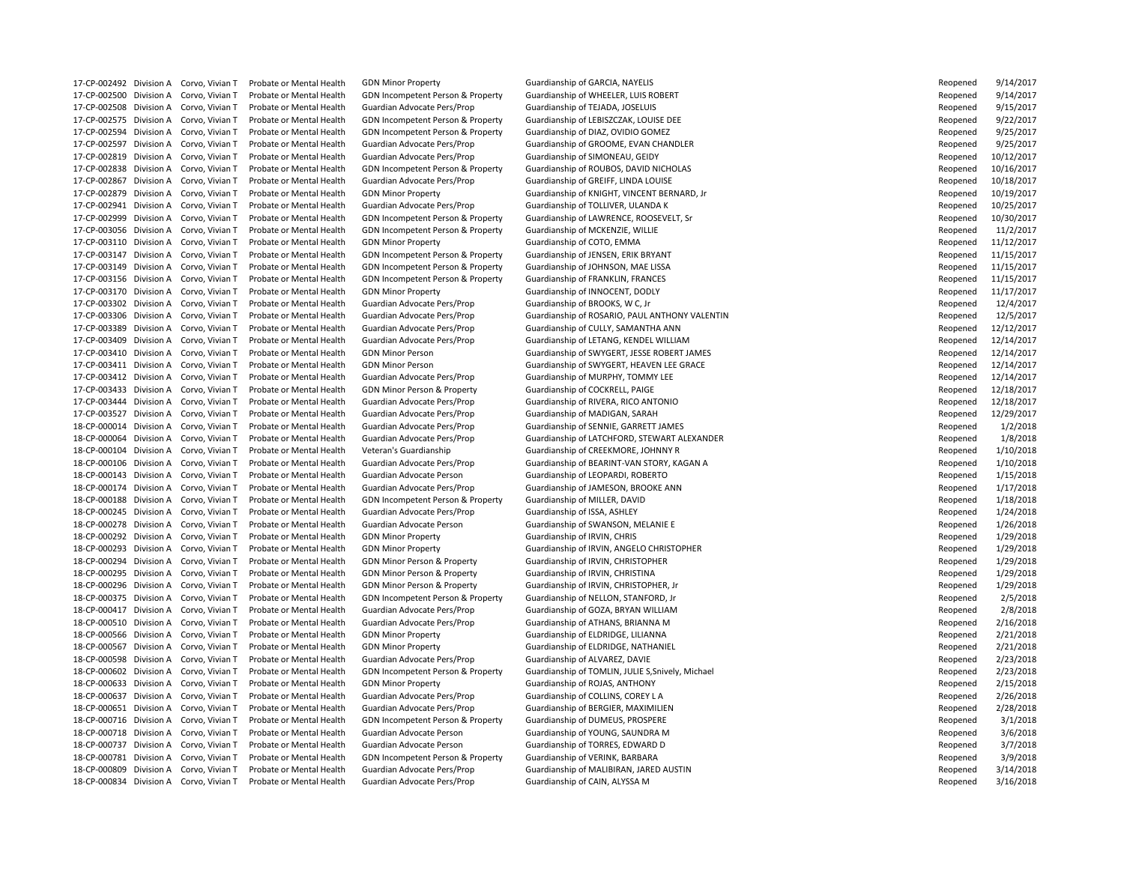17-CP-002492 Division A Corvo, Vivian T Probate or Mental Health GDN Minor Property Cuardianship of GARCIA, NAYELIS 17-CP-002500 Division A Corvo, Vivian T Probate or Mental Health GDN Incompetent Person & Property Guardianship of WHEELER, LUIS ROBERT 17-CP-002508 Division A Corvo, Vivian T Probate or Mental Health Guardian Advocate Pers/Prop Guardianship of TEJADA, JOSELUIS 17-CP-002575 Division A Corvo, Vivian T Probate or Mental Health GDN Incompetent Person & Property Guardianship of LEBISZCZAK, LOUISE DEE 17-CP-002594 Division A Corvo, Vivian T Probate or Mental Health GDN Incompetent Person & Property Guardianship of DIAZ, OVIDIO GOMEZ 17-CP-002819 Division A Corvo, Vivian T Probate or Mental Health Guardian Advocate Pers/Prop Guardianship of SIMONEAU, GEIDY 17-CP-002867 Division A Corvo, Vivian T Probate or Mental Health Guardian Advocate Pers/Prop Guardianship of GREIFF, LINDA LOUISE 17-CP-002941 Division A Corvo, Vivian T Probate or Mental Health Guardian Advocate Pers/Prop Guardianship of TOLLIVER, ULANDA K 17-CP-003056 Division A Corvo, Vivian T Probate or Mental Health GDN Incompetent Person & Property Guardianship of MCKENZIE, WILLIE 17-CP-003110 Division A Corvo, Vivian T Probate or Mental Health GDN Minor Property Guardianship of COTO, EMMA 17-CP-003147 Division A Corvo, Vivian T Probate or Mental Health GDN Incompetent Person & Property Guardianship of JENSEN, ERIK BRYANT 17-CP-003149 Division A Corvo, Vivian T Probate or Mental Health GDN Incompetent Person & Property Guardianship of JOHNSON, MAE LISSA 17-CP-003156 Division A Corvo, Vivian T Probate or Mental Health GDN Incompetent Person & Property Guardianship of FRANKLIN, FRANCES 17-CP-003170 Division A Corvo, Vivian T Probate or Mental Health GDN Minor Property Guardianship of INNOCENT, DODLY 17-CP-003302 Division A Corvo, Vivian T Probate or Mental Health Guardian Advocate Pers/Prop Guardianship of BROOKS, W C, Jr 17-CP-003389 Division A Corvo, Vivian T Probate or Mental Health Guardian Advocate Pers/Prop Guardianship of CULLY, SAMANTHA ANN 17-CP-003412 Division A Corvo, Vivian T Probate or Mental Health Guardian Advocate Pers/Prop Guardianship of MURPHY, TOMMY LEE 17-CP-003433 Division A Corvo, Vivian T Probate or Mental Health GDN Minor Person & Property Guardianship of COCKRELL, PAIGE 17-CP-003444 Division A Corvo, Vivian T Probate or Mental Health Guardian Advocate Pers/Prop Guardianship of RIVERA, RICO ANTONIO 17-CP-003527 Division A Corvo, Vivian T Probate or Mental Health Guardian Advocate Pers/Prop Guardianship of MADIGAN, SARAH 18-CP-000104 Division A Corvo, Vivian T Probate or Mental Health Veteran's Guardianship Guardianship of CREEKMORE, JOHNNY R 18-CP-000143 Division A Corvo, Vivian T Probate or Mental Health Guardian Advocate Person Guardianship of LEOPARDI, ROBERTO 18-CP-000174 Division A Corvo, Vivian T Probate or Mental Health Guardian Advocate Pers/Prop Guardianship of JAMESON, BROOKE ANN 18-CP-000188 Division A Corvo, Vivian T Probate or Mental Health GDN Incompetent Person & Property Guardianship of MILLER, DAVID 18-CP-000245 Division A Corvo, Vivian T Probate or Mental Health Guardian Advocate Pers/Prop Guardianship of ISSA, ASHLEY 18-CP-000278 Division A Corvo, Vivian T Probate or Mental Health Guardian Advocate Person Guardianship of SWANSON, MELANIE E 18-CP-000292 Division A Corvo, Vivian T Probate or Mental Health GDN Minor Property Cuardianship of IRVIN, CHRIS 18-CP-000294 Division A Corvo, Vivian T Probate or Mental Health GDN Minor Person & Property Guardianship of IRVIN, CHRISTOPHER 18-CP-000295 Division A Corvo, Vivian T Probate or Mental Health GDN Minor Person & Property Guardianship of IRVIN, CHRISTINA 18-CP-000296 Division A Corvo, Vivian T Probate or Mental Health GDN Minor Person & Property Guardianship of IRVIN, CHRISTOPHER, Jr 18-CP-000375 Division A Corvo, Vivian T Probate or Mental Health GDN Incompetent Person & Property Guardianship of NELLON, STANFORD, Jr 18-CP-000417 Division A Corvo, Vivian T Probate or Mental Health Guardian Advocate Pers/Prop Guardianship of GOZA, BRYAN WILLIAM 18-CP-000510 Division A Corvo, Vivian T Probate or Mental Health Guardian Advocate Pers/Prop Guardianship of ATHANS, BRIANNA M 18-CP-000566 Division A Corvo, Vivian T Probate or Mental Health GDN Minor Property Guardianship of ELDRIDGE, LILIANNA 18-CP-000567 Division A Corvo, Vivian T Probate or Mental Health GDN Minor Property Cuardianship of ELDRIDGE, NATHANIEL 18-CP-000598 Division A Corvo, Vivian T Probate or Mental Health Guardian Advocate Pers/Prop Guardianship of ALVAREZ, DAVIE 18-CP-000633 Division A Corvo, Vivian T Probate or Mental Health GDN Minor Property Cuardianship of ROJAS, ANTHONY 18-CP-000637 Division A Corvo, Vivian T Probate or Mental Health Guardian Advocate Pers/Prop Guardianship of COLLINS, COREY LA 18-CP-000651 Division A Corvo, Vivian T Probate or Mental Health Guardian Advocate Pers/Prop Guardianship of BERGIER, MAXIMILIEN 18-CP-000716 Division A Corvo, Vivian T Probate or Mental Health GDN Incompetent Person & Property Guardianship of DUMEUS, PROSPERE 18-CP-000718 Division A Corvo, Vivian T Probate or Mental Health Guardian Advocate Person Guardianship of YOUNG, SAUNDRA M 18-CP-000737 Division A Corvo, Vivian T Probate or Mental Health Guardian Advocate Person Guardianship of TORRES, EDWARD D 18-CP-000781 Division A Corvo, Vivian T Probate or Mental Health GDN Incompetent Person & Property Guardianship of VERINK, BARBARA 18-CP-000834 Division A Corvo, Vivian T Probate or Mental Health Guardian Advocate Pers/Prop Guardianship of CAIN, ALYSSA M

17-CP-002597 Division A Corvo, Vivian T Probate or Mental Health Guardian Advocate Pers/Prop Guardianship of GROOME, EVAN CHANDLER 17-CP-002838 Division A Corvo, Vivian T Probate or Mental Health GDN Incompetent Person & Property Guardianship of ROUBOS, DAVID NICHOLAS 17-CP-002879 Division A Corvo, Vivian T Probate or Mental Health GDN Minor Property **Guardianship of KNIGHT, VINCENT BERNARD**, Jr 17-CP-002999 Division A Corvo, Vivian T Probate or Mental Health GDN Incompetent Person & Property Guardianship of LAWRENCE, ROOSEVELT, Sr 17-CP-003306 Division A Corvo, Vivian T Probate or Mental Health Guardian Advocate Pers/Prop Guardianship of ROSARIO, PAUL ANTHONY VALENTIN 17-CP-003409 Division A Corvo, Vivian T Probate or Mental Health Guardian Advocate Pers/Prop Guardianship of LETANG, KENDEL WILLIAM 17-CP-003410 Division A Corvo, Vivian T Probate or Mental Health GDN Minor Person Guardianship of SWYGERT, JESSE ROBERT JAMES 17-CP-003411 Division A Corvo, Vivian T Probate or Mental Health GDN Minor Person Guardianship of SWYGERT, HEAVEN LEE GRACE 18-CP-000014 Division A Corvo, Vivian T Probate or Mental Health Guardian Advocate Pers/Prop Guardianship of SENNIE, GARRETT JAMES 18-CP-000064 Division A Corvo, Vivian T Probate or Mental Health Guardian Advocate Pers/Prop Guardianship of LATCHFORD, STEWART ALEXANDER 18-CP-000106 Division A Corvo, Vivian T Probate or Mental Health Guardian Advocate Pers/Prop Guardianship of BEARINT-VAN STORY, KAGAN A 18-CP-000293 Division A Corvo, Vivian T Probate or Mental Health GDN Minor Property Cuardianship of IRVIN, ANGELO CHRISTOPHER 18-CP-000602 Division A Corvo, Vivian T Probate or Mental Health GDN Incompetent Person & Property Guardianship of TOMLIN, JULIE S, Snively, Michael 18-CP-000809 Division A Corvo, Vivian T Probate or Mental Health Guardian Advocate Pers/Prop Guardianship of MALIBIRAN, JARED AUSTIN

| Reopened | 9/14/2017  |
|----------|------------|
| Reopened | 9/14/2017  |
| Reopened | 9/15/2017  |
| Reopened | 9/22/2017  |
| Reopened | 9/25/2017  |
| Reopened | 9/25/2017  |
| Reopened | 10/12/2017 |
| Reopened | 10/16/2017 |
| Reopened | 10/18/2017 |
| Reopened | 10/19/2017 |
| Reopened | 10/25/2017 |
| Reopened | 10/30/2017 |
| Reopened | 11/2/2017  |
| Reopened | 11/12/2017 |
| Reopened | 11/15/2017 |
| Reopened | 11/15/2017 |
| Reopened | 11/15/2017 |
| Reopened | 11/17/2017 |
| Reopened | 12/4/2017  |
|          | 12/5/2017  |
| Reopened |            |
| Reopened | 12/12/2017 |
| Reopened | 12/14/2017 |
| Reopened | 12/14/2017 |
| Reopened | 12/14/2017 |
| Reopened | 12/14/2017 |
| Reopened | 12/18/2017 |
| Reopened | 12/18/2017 |
| Reopened | 12/29/2017 |
| Reopened | 1/2/2018   |
| Reopened | 1/8/2018   |
| Reopened | 1/10/2018  |
| Reopened | 1/10/2018  |
| Reopened | 1/15/2018  |
| Reopened | 1/17/2018  |
| Reopened | 1/18/2018  |
| Reopened | 1/24/2018  |
| Reopened | 1/26/2018  |
| Reopened | 1/29/2018  |
| Reopened | 1/29/2018  |
| Reopened | 1/29/2018  |
| Reopened | 1/29/2018  |
| Reopened | 1/29/2018  |
| Reopened | 2/5/2018   |
| Reopened | 2/8/2018   |
| Reopened | 2/16/2018  |
|          |            |
| Reopened | 2/21/2018  |
| Reopened | 2/21/2018  |
| Reopened | 2/23/2018  |
| Reopened | 2/23/2018  |
| Reopened | 2/15/2018  |
| Reopened | 2/26/2018  |
| Reopened | 2/28/2018  |
| Reopened | 3/1/2018   |
| Reopened | 3/6/2018   |
| Reopened | 3/7/2018   |
| Reopened | 3/9/2018   |
| Reopened | 3/14/2018  |
| Reopened | 3/16/2018  |
|          |            |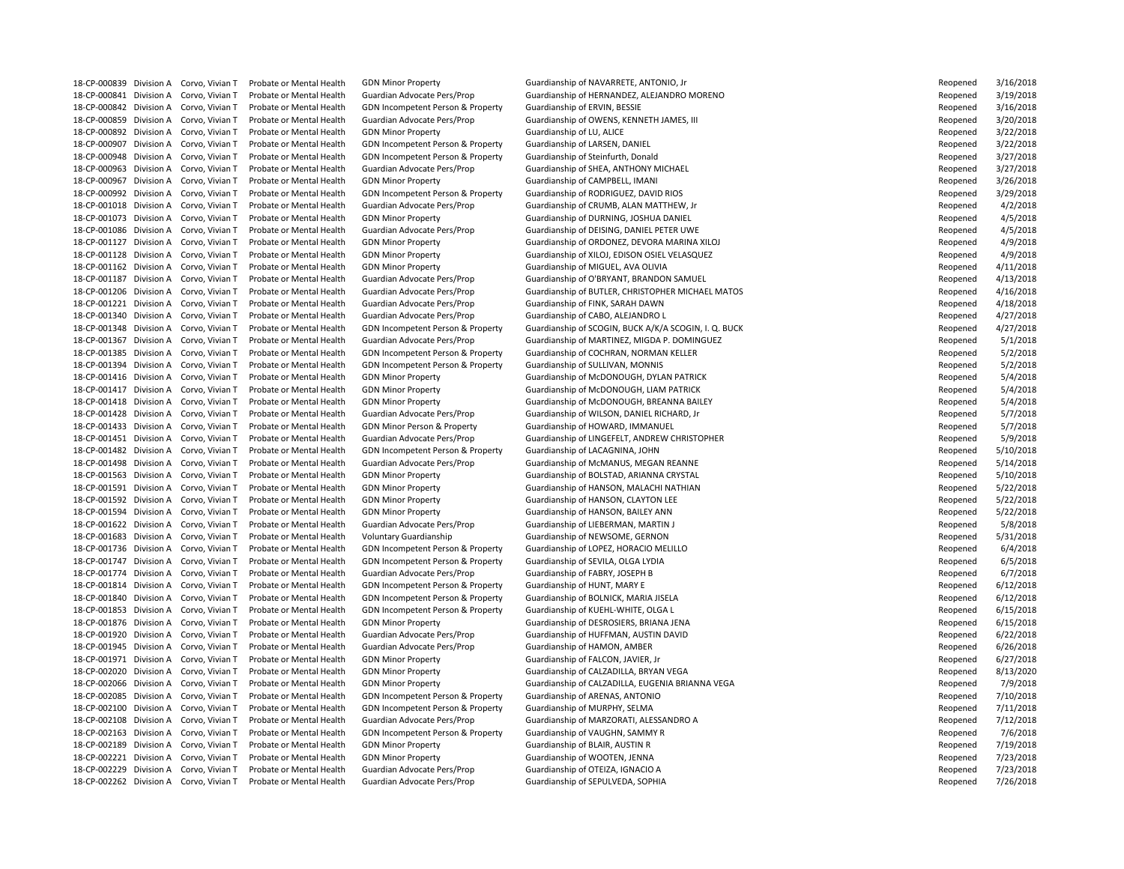18-CP-000842 Division A Corvo, Vivian T Probate or Mental Health GDN Incompetent Person & Property Guardianship of ERVIN, BESSIE 18-CP-000907 Division A Corvo, Vivian T Probate or Mental Health GDN Incompetent Person & Property Guardianship of LARSEN, DANIEL 18-CP-000948 Division A Corvo, Vivian T Probate or Mental Health GDN Incompetent Person & Property Guardianship of Steinfurth, Donald 18-CP-000967 Division A Corvo, Vivian T Probate or Mental Health GDN Minor Property Cuardianship of CAMPBELL, IMANI 18-CP-001162 Division A Corvo, Vivian T Probate or Mental Health GDN Minor Property Guardianship of MIGUEL, AVA OLIVIA 18-CP-001221 Division A Corvo, Vivian T Probate or Mental Health Guardian Advocate Pers/Prop Guardianship of FINK, SARAH DAWN 18-CP-001340 Division A Corvo, Vivian T Probate or Mental Health Guardian Advocate Pers/Prop Guardianship of CABO, ALEJANDRO L 18-CP-001394 Division A Corvo, Vivian T Probate or Mental Health GDN Incompetent Person & Property Guardianship of SULLIVAN, MONNIS 18-CP-001433 Division A Corvo, Vivian T Probate or Mental Health GDN Minor Person & Property Guardianship of HOWARD, IMMANUEL 18-CP-001482 Division A Corvo, Vivian T Probate or Mental Health GDN Incompetent Person & Property Guardianship of LACAGNINA, JOHN 18-CP-001592 Division A Corvo, Vivian T Probate or Mental Health GDN Minor Property Guardianship of HANSON, CLAYTON LEE 18-CP-001594 Division A Corvo, Vivian T Probate or Mental Health GDN Minor Property Cuardianship of HANSON, BAILEY ANN 18-CP-001622 Division A Corvo, Vivian T Probate or Mental Health Guardian Advocate Pers/Prop Guardianship of LIEBERMAN, MARTIN J 18-CP-001683 Division A Corvo, Vivian T Probate or Mental Health Voluntary Guardianship Guardianship of NEWSOME, GERNON 18-CP-001747 Division A Corvo, Vivian T Probate or Mental Health GDN Incompetent Person & Property Guardianship of SEVILA, OLGA LYDIA 18-CP-001774 Division A Corvo, Vivian T Probate or Mental Health Guardian Advocate Pers/Prop Guardianship of FABRY, JOSEPH B 18-CP-001814 Division A Corvo, Vivian T Probate or Mental Health GDN Incompetent Person & Property Guardianship of HUNT, MARY E 18-CP-001840 Division A Corvo, Vivian T Probate or Mental Health GDN Incompetent Person & Property Guardianship of BOLNICK, MARIA JISELA 18-CP-001853 Division A Corvo, Vivian T Probate or Mental Health GDN Incompetent Person & Property Guardianship of KUEHL-WHITE, OLGA L 18-CP-001945 Division A Corvo, Vivian T Probate or Mental Health Guardian Advocate Pers/Prop Guardianship of HAMON, AMBER 18-CP-001971 Division A Corvo, Vivian T Probate or Mental Health GDN Minor Property Guardianship of FALCON, JAVIER, Jr 18-CP-002085 Division A Corvo, Vivian T Probate or Mental Health GDN Incompetent Person & Property Guardianship of ARENAS, ANTONIO 18-CP-002100 Division A Corvo, Vivian T Probate or Mental Health GDN Incompetent Person & Property Guardianship of MURPHY, SELMA 18-CP-002163 Division A Corvo, Vivian T Probate or Mental Health GDN Incompetent Person & Property Guardianship of VAUGHN, SAMMY R 18-CP-002189 Division A Corvo, Vivian T Probate or Mental Health GDN Minor Property Cuardianship of BLAIR, AUSTIN R 18-CP-002221 Division A Corvo, Vivian T Probate or Mental Health GDN Minor Property Cuardianship of WOOTEN, JENNA 18-CP-002229 Division A Corvo, Vivian T Probate or Mental Health Guardian Advocate Pers/Prop Guardianship of OTEIZA, IGNACIO A 18-CP-002262 Division A Corvo, Vivian T Probate or Mental Health Guardian Advocate Pers/Prop Guardianship of SEPULVEDA, SOPHIA

18-CP-000839 Division A Corvo, Vivian T Probate or Mental Health GDN Minor Property **Guardianship of NAVARRETE, ANTONIO**, Jr 18-CP-000841 Division A Corvo, Vivian T Probate or Mental Health Guardian Advocate Pers/Prop Guardianship of HERNANDEZ, ALEJANDRO MORENO 18-CP-000859 Division A Corvo, Vivian T Probate or Mental Health Guardian Advocate Pers/Prop Guardianship of OWENS, KENNETH JAMES, III 18-CP-000892 Division A Corvo, Vivian T Probate or Mental Health GDN Minor Property Guardianship of LU, ALICE Reopened Reopened 3/22/2018 18-CP-000963 Division A Corvo, Vivian T Probate or Mental Health Guardian Advocate Pers/Prop Guardianship of SHEA, ANTHONY MICHAEL 18-CP-000992 Division A Corvo, Vivian T Probate or Mental Health GDN Incompetent Person & Property Guardianship of RODRIGUEZ, DAVID RIOS 18-CP-001018 Division A Corvo, Vivian T Probate or Mental Health Guardian Advocate Pers/Prop Guardianship of CRUMB, ALAN MATTHEW, Jr 18-CP-001073 Division A Corvo, Vivian T Probate or Mental Health GDN Minor Property **Guardianship of DURNING, JOSHUA DANIEL** 18-CP-001086 Division A Corvo, Vivian T Probate or Mental Health Guardian Advocate Pers/Prop Guardianship of DEISING, DANIEL PETER UWE 18-CP-001127 Division A Corvo, Vivian T Probate or Mental Health GDN Minor Property Guardianship of ORDONEZ, DEVORA MARINA XILOJ 18-CP-001128 Division A Corvo, Vivian T Probate or Mental Health GDN Minor Property Guardianship of XILOJ, EDISON OSIEL VELASQUEZ 18-CP-001187 Division A Corvo, Vivian T Probate or Mental Health Guardian Advocate Pers/Prop Guardianship of O'BRYANT, BRANDON SAMUEL 18-CP-001206 Division A Corvo, Vivian T Probate or Mental Health Guardian Advocate Pers/Prop Guardianship of BUTLER, CHRISTOPHER MICHAEL MATOS 18-CP-001348 Division A Corvo, Vivian T Probate or Mental Health GDN Incompetent Person & Property Guardianship of SCOGIN, BUCK A/K/A SCOGIN, I. Q. BUCK 18-CP-001367 Division A Corvo, Vivian T Probate or Mental Health Guardian Advocate Pers/Prop Guardianship of MARTINEZ, MIGDA P. DOMINGUEZ 18-CP-001385 Division A Corvo, Vivian T Probate or Mental Health GDN Incompetent Person & Property Guardianship of COCHRAN, NORMAN KELLER 18-CP-001416 Division A Corvo, Vivian T Probate or Mental Health GDN Minor Property Cuardianship of McDONOUGH, DYLAN PATRICK 18-CP-001417 Division A Corvo, Vivian T Probate or Mental Health GDN Minor Property Cuardianship of McDONOUGH, LIAM PATRICK 18-CP-001418 Division A Corvo, Vivian T Probate or Mental Health GDN Minor Property Guardianship of McDONOUGH, BREANNA BAILEY 18-CP-001428 Division A Corvo, Vivian T Probate or Mental Health Guardian Advocate Pers/Prop Guardianship of WILSON, DANIEL RICHARD, Jr 18-CP-001451 Division A Corvo, Vivian T Probate or Mental Health Guardian Advocate Pers/Prop Guardianship of LINGEFELT, ANDREW CHRISTOPHER 18-CP-001498 Division A Corvo, Vivian T Probate or Mental Health Guardian Advocate Pers/Prop Guardianship of McMANUS, MEGAN REANNE 18-CP-001563 Division A Corvo, Vivian T Probate or Mental Health GDN Minor Property **Guardianship of BOLSTAD, ARIANNA CRYSTAL** 18-CP-001591 Division A Corvo, Vivian T Probate or Mental Health GDN Minor Property Cuardianship of HANSON, MALACHI NATHIAN 18-CP-001736 Division A Corvo, Vivian T Probate or Mental Health GDN Incompetent Person & Property Guardianship of LOPEZ, HORACIO MELILLO 18-CP-001876 Division A Corvo, Vivian T Probate or Mental Health GDN Minor Property Suardianship of DESROSIERS, BRIANA JENA 18-CP-001920 Division A Corvo, Vivian T Probate or Mental Health Guardian Advocate Pers/Prop Guardianship of HUFFMAN, AUSTIN DAVID 18-CP-002020 Division A Corvo, Vivian T Probate or Mental Health GDN Minor Property Suardianship of CALZADILLA, BRYAN VEGA 18-CP-002066 Division A Corvo, Vivian T Probate or Mental Health GDN Minor Property Sundianship of CALZADILLA, EUGENIA BRIANNA VEGA 18-CP-002108 Division A Corvo, Vivian T Probate or Mental Health Guardian Advocate Pers/Prop Guardianship of MARZORATI, ALESSANDRO A

| Reopened | 3/16/2018 |
|----------|-----------|
| Reopened | 3/19/2018 |
| Reopened | 3/16/2018 |
| Reopened | 3/20/2018 |
| Reopened | 3/22/2018 |
| Reopened | 3/22/2018 |
| Reopened | 3/27/2018 |
| Reopened | 3/27/2018 |
| Reopened | 3/26/2018 |
| Reopened | 3/29/2018 |
| Reopened | 4/2/2018  |
| Reopened | 4/5/2018  |
| Reopened | 4/5/2018  |
| Reopened | 4/9/2018  |
| Reopened | 4/9/2018  |
| Reopened | 4/11/2018 |
| Reopened | 4/13/2018 |
| Reopened | 4/16/2018 |
|          |           |
| Reopened | 4/18/2018 |
| Reopened | 4/27/2018 |
| Reopened | 4/27/2018 |
| Reopened | 5/1/2018  |
| Reopened | 5/2/2018  |
| Reopened | 5/2/2018  |
| Reopened | 5/4/2018  |
| Reopened | 5/4/2018  |
| Reopened | 5/4/2018  |
| Reopened | 5/7/2018  |
| Reopened | 5/7/2018  |
| Reopened | 5/9/2018  |
| Reopened | 5/10/2018 |
| Reopened | 5/14/2018 |
| Reopened | 5/10/2018 |
| Reopened | 5/22/2018 |
| Reopened | 5/22/2018 |
| Reopened | 5/22/2018 |
| Reopened | 5/8/2018  |
| Reopened | 5/31/2018 |
| Reopened | 6/4/2018  |
| Reopened | 6/5/2018  |
| Reopened | 6/7/2018  |
| Reopened | 6/12/2018 |
| Reopened | 6/12/2018 |
| Reopened | 6/15/2018 |
| Reopened | 6/15/2018 |
| Reopened | 6/22/2018 |
| Reopened | 6/26/2018 |
| Reopened | 6/27/2018 |
| Reopened | 8/13/2020 |
| Reopened | 7/9/2018  |
| Reopened | 7/10/2018 |
| Reopened | 7/11/2018 |
| Reopened | 7/12/2018 |
| Reopened | 7/6/2018  |
| Reopened | 7/19/2018 |
| Reopened | 7/23/2018 |
| Reopened | 7/23/2018 |
| Reopened | 7/26/2018 |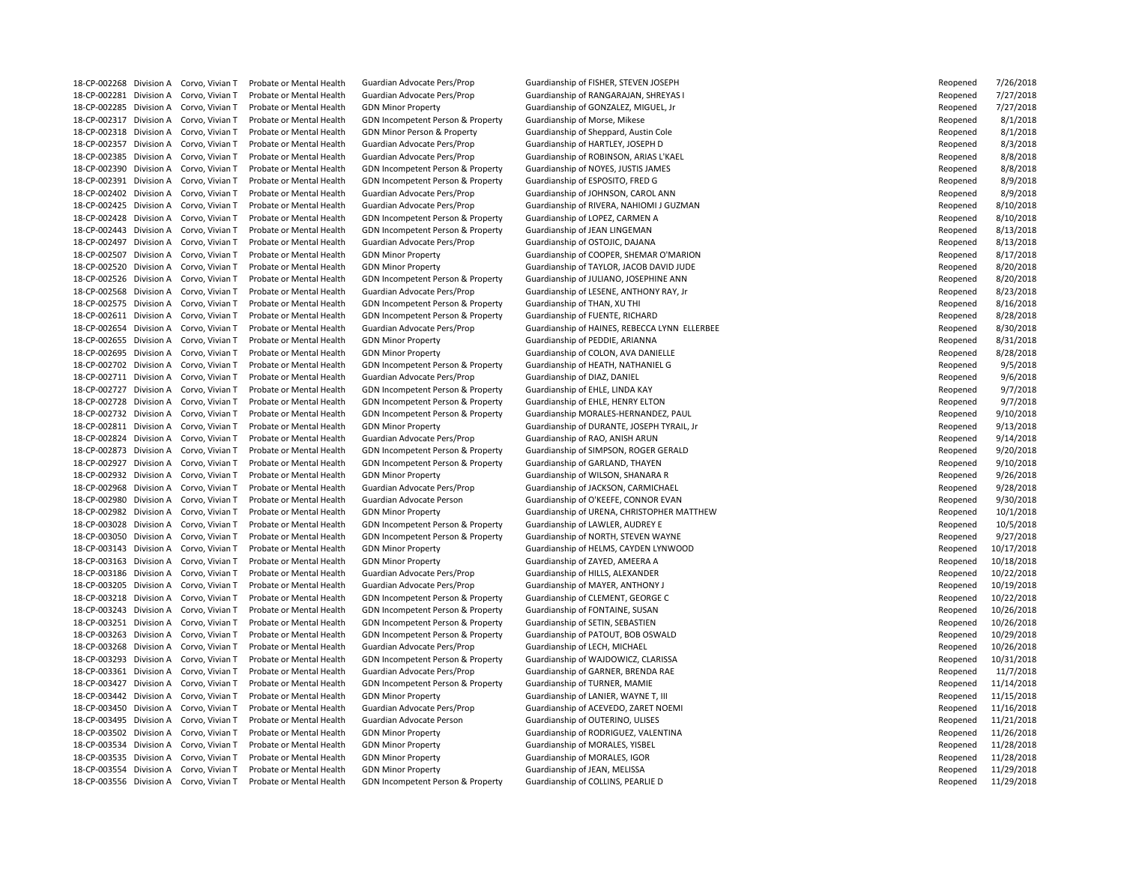18-CP-002281 Division A Corvo, Vivian T Probate or Mental Health Guardian Advocate Pers/Prop Guardianship of RANGARAJAN, SHREYAS I 18-CP-002285 Division A Corvo, Vivian T Probate or Mental Health GDN Minor Property Cuardianship of GONZALEZ, MIGUEL, Jr 18-CP-002317 Division A Corvo, Vivian T Probate or Mental Health GDN Incompetent Person & Property Guardianship of Morse, Mikese 18-CP-002318 Division A Corvo, Vivian T Probate or Mental Health GDN Minor Person & Property Guardianship of Sheppard, Austin Cole 18-CP-002357 Division A Corvo, Vivian T Probate or Mental Health Guardian Advocate Pers/Prop Guardianship of HARTLEY, JOSEPH D 18-CP-002385 Division A Corvo, Vivian T Probate or Mental Health Guardian Advocate Pers/Prop Guardianship of ROBINSON, ARIAS L'KAEL 18-CP-002390 Division A Corvo, Vivian T Probate or Mental Health GDN Incompetent Person & Property Guardianship of NOYES, JUSTIS JAMES 18-CP-002391 Division A Corvo, Vivian T Probate or Mental Health GDN Incompetent Person & Property Guardianship of ESPOSITO, FRED G 18-CP-002402 Division A Corvo, Vivian T Probate or Mental Health Guardian Advocate Pers/Prop Guardianship of JOHNSON, CAROL ANN 18-CP-002428 Division A Corvo, Vivian T Probate or Mental Health GDN Incompetent Person & Property Guardianship of LOPEZ, CARMEN A 18-CP-002443 Division A Corvo, Vivian T Probate or Mental Health GDN Incompetent Person & Property Guardianship of JEAN LINGEMAN 18-CP-002497 Division A Corvo, Vivian T Probate or Mental Health Guardian Advocate Pers/Prop Guardianship of OSTOJIC, DAJANA 18-CP-002575 Division A Corvo, Vivian T Probate or Mental Health GDN Incompetent Person & Property Guardianship of THAN, XU THI 18-CP-002611 Division A Corvo, Vivian T Probate or Mental Health GDN Incompetent Person & Property Guardianship of FUENTE, RICHARD 18-CP-002655 Division A Corvo, Vivian T Probate or Mental Health GDN Minor Property Cuardianship of PEDDIE, ARIANNA 18-CP-002695 Division A Corvo, Vivian T Probate or Mental Health GDN Minor Property Cuardianship of COLON, AVA DANIELLE 18-CP-002702 Division A Corvo, Vivian T Probate or Mental Health GDN Incompetent Person & Property Guardianship of HEATH, NATHANIEL G 18-CP-002711 Division A Corvo, Vivian T Probate or Mental Health Guardian Advocate Pers/Prop Guardianship of DIAZ, DANIEL 18-CP-002727 Division A Corvo, Vivian T Probate or Mental Health GDN Incompetent Person & Property Guardianship of EHLE, LINDA KAY 18-CP-002728 Division A Corvo, Vivian T Probate or Mental Health GDN Incompetent Person & Property Guardianship of EHLE, HENRY ELTON 18-CP-002824 Division A Corvo, Vivian T Probate or Mental Health Guardian Advocate Pers/Prop Guardianship of RAO, ANISH ARUN 18-CP-002927 Division A Corvo, Vivian T Probate or Mental Health GDN Incompetent Person & Property Guardianship of GARLAND, THAYEN 18-CP-002932 Division A Corvo, Vivian T Probate or Mental Health GDN Minor Property Guardianship of WILSON, SHANARA R 18-CP-002968 Division A Corvo, Vivian T Probate or Mental Health Guardian Advocate Pers/Prop Guardianship of JACKSON, CARMICHAEL 18-CP-002980 Division A Corvo, Vivian T Probate or Mental Health Guardian Advocate Person Guardianship of O'KEEFE, CONNOR EVAN 18-CP-003028 Division A Corvo, Vivian T Probate or Mental Health GDN Incompetent Person & Property Guardianship of LAWLER, AUDREY E 18-CP-003050 Division A Corvo, Vivian T Probate or Mental Health GDN Incompetent Person & Property Guardianship of NORTH, STEVEN WAYNE 18-CP-003163 Division A Corvo, Vivian T Probate or Mental Health GDN Minor Property Guardianship of ZAYED, AMEERA A 18-CP-003186 Division A Corvo, Vivian T Probate or Mental Health Guardian Advocate Pers/Prop Guardianship of HILLS, ALEXANDER 18-CP-003205 Division A Corvo, Vivian T Probate or Mental Health Guardian Advocate Pers/Prop Guardianship of MAYER, ANTHONY J 18-CP-003218 Division A Corvo, Vivian T Probate or Mental Health GDN Incompetent Person & Property Guardianship of CLEMENT, GEORGE C 18-CP-003243 Division A Corvo, Vivian T Probate or Mental Health GDN Incompetent Person & Property Guardianship of FONTAINE, SUSAN 18-CP-003251 Division A Corvo, Vivian T Probate or Mental Health GDN Incompetent Person & Property Guardianship of SETIN, SEBASTIEN 18-CP-003263 Division A Corvo, Vivian T Probate or Mental Health GDN Incompetent Person & Property Guardianship of PATOUT, BOB OSWALD 18-CP-003268 Division A Corvo, Vivian T Probate or Mental Health Guardian Advocate Pers/Prop Guardianship of LECH, MICHAEL 18-CP-003293 Division A Corvo, Vivian T Probate or Mental Health GDN Incompetent Person & Property Guardianship of WAJDOWICZ, CLARISSA 18-CP-003361 Division A Corvo, Vivian T Probate or Mental Health Guardian Advocate Pers/Prop Guardianship of GARNER, BRENDA RAE 18-CP-003427 Division A Corvo, Vivian T Probate or Mental Health GDN Incompetent Person & Property Guardianship of TURNER, MAMIE 18-CP-003442 Division A Corvo, Vivian T Probate or Mental Health GDN Minor Property Guardianship of LANIER, WAYNE T, III 18-CP-003450 Division A Corvo, Vivian T Probate or Mental Health Guardian Advocate Pers/Prop Guardianship of ACEVEDO, ZARET NOEMI 18-CP-003495 Division A Corvo, Vivian T Probate or Mental Health Guardian Advocate Person Guardianship of OUTERINO, ULISES 18-CP-003502 Division A Corvo, Vivian T Probate or Mental Health GDN Minor Property Cuardianship of RODRIGUEZ, VALENTINA 18-CP-003534 Division A Corvo, Vivian T Probate or Mental Health GDN Minor Property Guardianship of MORALES, YISBEL 18-CP-003535 Division A Corvo, Vivian T Probate or Mental Health GDN Minor Property Guardianship of MORALES, IGOR 18-CP-003554 Division A Corvo, Vivian T Probate or Mental Health GDN Minor Property Cuardianship of JEAN, MELISSA 18-CP-003556 Division A Corvo, Vivian T Probate or Mental Health GDN Incompetent Person & Property Guardianship of COLLINS, PEARLIE D

18-CP-002268 Division A Corvo, Vivian T Probate or Mental Health Guardian Advocate Pers/Prop Guardianship of FISHER, STEVEN JOSEPH 18-CP-002425 Division A Corvo, Vivian T Probate or Mental Health Guardian Advocate Pers/Prop Guardianship of RIVERA, NAHIOMI J GUZMAN 18-CP-002507 Division A Corvo, Vivian T Probate or Mental Health GDN Minor Property Cuardianship of COOPER, SHEMAR O'MARION 18-CP-002520 Division A Corvo, Vivian T Probate or Mental Health GDN Minor Property Guardianship of TAYLOR, JACOB DAVID JUDE 18-CP-002526 Division A Corvo, Vivian T Probate or Mental Health GDN Incompetent Person & Property Guardianship of JULIANO, JOSEPHINE ANN 18-CP-002568 Division A Corvo, Vivian T Probate or Mental Health Guardian Advocate Pers/Prop Guardianship of LESENE, ANTHONY RAY, Jr 18-CP-002654 Division A Corvo, Vivian T Probate or Mental Health Guardian Advocate Pers/Prop Guardianship of HAINES, REBECCA LYNN ELLERBEE 18-CP-002732 Division A Corvo, Vivian T Probate or Mental Health GDN Incompetent Person & Property Guardianship MORALES-HERNANDEZ, PAUL 18-CP-002811 Division A Corvo, Vivian T Probate or Mental Health GDN Minor Property Guardianship of DURANTE, JOSEPH TYRAIL, Jr 18-CP-002873 Division A Corvo, Vivian T Probate or Mental Health GDN Incompetent Person & Property Guardianship of SIMPSON, ROGER GERALD 18-CP-002982 Division A Corvo, Vivian T Probate or Mental Health GDN Minor Property Cuardianship of URENA, CHRISTOPHER MATTHEW 18-CP-003143 Division A Corvo, Vivian T Probate or Mental Health GDN Minor Property Guardianship of HELMS, CAYDEN LYNWOOD

| Reopened | 7/26/2018  |
|----------|------------|
| Reopened | 7/27/2018  |
| Reopened | 7/27/2018  |
| Reopened | 8/1/2018   |
| Reopened | 8/1/2018   |
| Reopened | 8/3/2018   |
| Reopened | 8/8/2018   |
| Reopened | 8/8/2018   |
| Reopened | 8/9/2018   |
| Reopened | 8/9/2018   |
|          | 8/10/2018  |
| Reopened |            |
| Reopened | 8/10/2018  |
| Reopened | 8/13/2018  |
| Reopened | 8/13/2018  |
| Reopened | 8/17/2018  |
| Reopened | 8/20/2018  |
| Reopened | 8/20/2018  |
| Reopened | 8/23/2018  |
| Reopened | 8/16/2018  |
| Reopened | 8/28/2018  |
| Reopened | 8/30/2018  |
| Reopened | 8/31/2018  |
| Reopened | 8/28/2018  |
| Reopened | 9/5/2018   |
| Reopened | 9/6/2018   |
| Reopened | 9/7/2018   |
| Reopened | 9/7/2018   |
| Reopened | 9/10/2018  |
| Reopened | 9/13/2018  |
| Reopened | 9/14/2018  |
| Reopened | 9/20/2018  |
| Reopened | 9/10/2018  |
| Reopened | 9/26/2018  |
| Reopened | 9/28/2018  |
| Reopened | 9/30/2018  |
| Reopened | 10/1/2018  |
| Reopened | 10/5/2018  |
| Reopened | 9/27/2018  |
| Reopened | 10/17/2018 |
| Reopened | 10/18/2018 |
| Reopened | 10/22/2018 |
| Reopened | 10/19/2018 |
| Reopened | 10/22/2018 |
| Reopened | 10/26/2018 |
| Reopened | 10/26/2018 |
| Reopened | 10/29/2018 |
|          |            |
| Reopened | 10/26/2018 |
| Reopened | 10/31/2018 |
| Reopened | 11/7/2018  |
| Reopened | 11/14/2018 |
| Reopened | 11/15/2018 |
| Reopened | 11/16/2018 |
| Reopened | 11/21/2018 |
| Reopened | 11/26/2018 |
| Reopened | 11/28/2018 |
| Reopened | 11/28/2018 |
| Reopened | 11/29/2018 |
| Reopened | 11/29/2018 |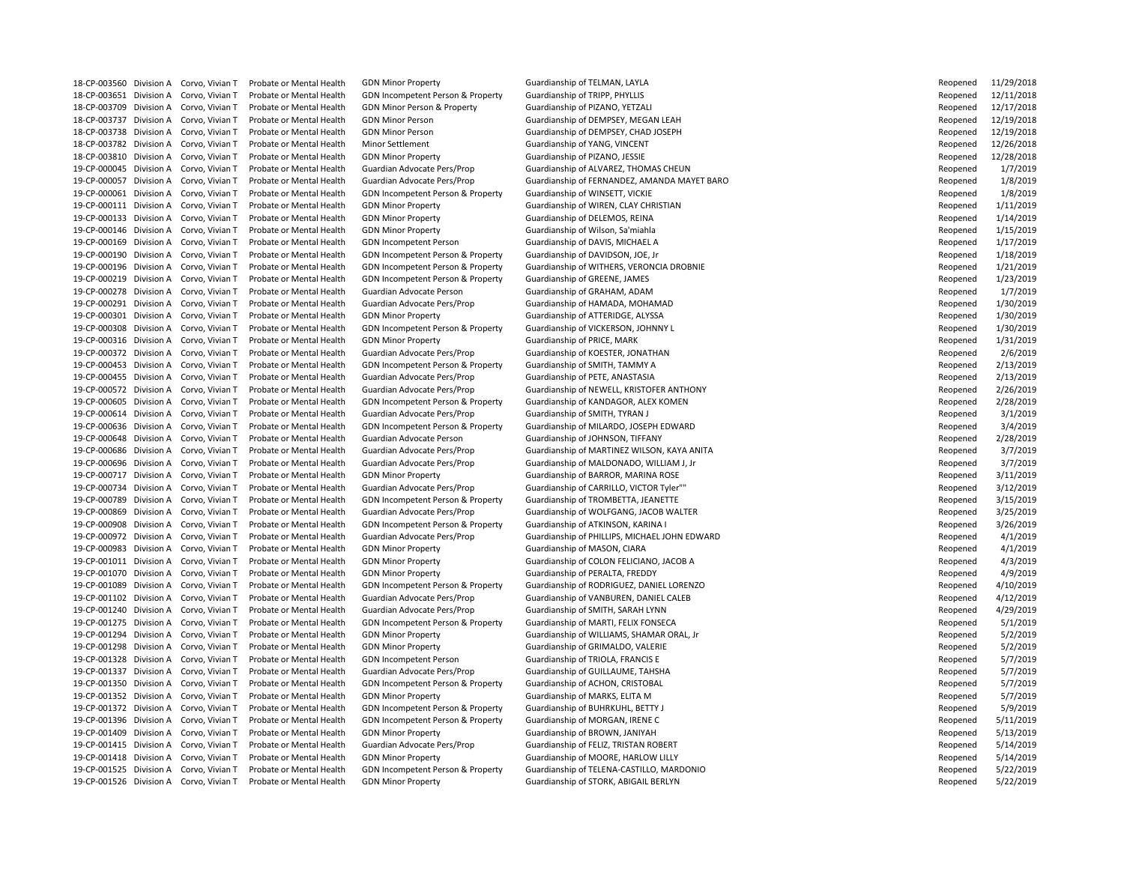18-CP-003651 Division A Corvo, Vivian T Probate or Mental Health GDN Incompetent Person & Property Guardianship of TRIPP, PHYLLIS 18-CP-003709 Division A Corvo, Vivian T Probate or Mental Health GDN Minor Person & Property Guardianship of PIZANO, YETZALI 18-CP-003737 Division A Corvo, Vivian T Probate or Mental Health GDN Minor Person Guardianship of DEMPSEY, MEGAN LEAH 18-CP-003738 Division A Corvo, Vivian T Probate or Mental Health GDN Minor Person Guardianship of DEMPSEY, CHAD JOSEPH 18-CP-003782 Division A Corvo, Vivian T Probate or Mental Health Minor Settlement Guardianship of YANG, VINCENT 18-CP-003810 Division A Corvo, Vivian T Probate or Mental Health GDN Minor Property Cuardianship of PIZANO, JESSIE 19-CP-000061 Division A Corvo, Vivian T Probate or Mental Health GDN Incompetent Person & Property Guardianship of WINSETT, VICKIE 19-CP-000111 Division A Corvo, Vivian T Probate or Mental Health GDN Minor Property Cuardianship of WIREN, CLAY CHRISTIAN 19-CP-000133 Division A Corvo, Vivian T Probate or Mental Health GDN Minor Property Cuardianship of DELEMOS, REINA 19-CP-000146 Division A Corvo, Vivian T Probate or Mental Health GDN Minor Property Cuardianship of Wilson, Sa'miahla 19-CP-000169 Division A Corvo, Vivian T Probate or Mental Health GDN Incompetent Person Guardianship of DAVIS, MICHAEL A 19-CP-000190 Division A Corvo, Vivian T Probate or Mental Health GDN Incompetent Person & Property Guardianship of DAVIDSON, JOE, Jr 19-CP-000219 Division A Corvo, Vivian T Probate or Mental Health GDN Incompetent Person & Property Guardianship of GREENE, JAMES 19-CP-000278 Division A Corvo, Vivian T Probate or Mental Health Guardian Advocate Person Guardianship of GRAHAM, ADAM 19-CP-000291 Division A Corvo, Vivian T Probate or Mental Health Guardian Advocate Pers/Prop Guardianship of HAMADA, MOHAMAD 19-CP-000301 Division A Corvo, Vivian T Probate or Mental Health GDN Minor Property Guardianship of ATTERIDGE, ALYSSA 19-CP-000308 Division A Corvo, Vivian T Probate or Mental Health GDN Incompetent Person & Property Guardianship of VICKERSON, JOHNNY L 19-CP-000316 Division A Corvo, Vivian T Probate or Mental Health GDN Minor Property Cuardianship of PRICE, MARK 19-CP-000372 Division A Corvo, Vivian T Probate or Mental Health Guardian Advocate Pers/Prop Guardianship of KOESTER, JONATHAN 19-CP-000453 Division A Corvo, Vivian T Probate or Mental Health GDN Incompetent Person & Property Guardianship of SMITH, TAMMY A 19-CP-000455 Division A Corvo, Vivian T Probate or Mental Health Guardian Advocate Pers/Prop Guardianship of PETE, ANASTASIA 19-CP-000614 Division A Corvo, Vivian T Probate or Mental Health Guardian Advocate Pers/Prop Guardianship of SMITH, TYRAN J 19-CP-000648 Division A Corvo, Vivian T Probate or Mental Health Guardian Advocate Person Guardianship of JOHNSON, TIFFANY 19-CP-000717 Division A Corvo, Vivian T Probate or Mental Health GDN Minor Property Guardianship of BARROR, MARINA ROSE 19-CP-000789 Division A Corvo, Vivian T Probate or Mental Health GDN Incompetent Person & Property Guardianship of TROMBETTA, JEANETTE 19-CP-000908 Division A Corvo, Vivian T Probate or Mental Health GDN Incompetent Person & Property Guardianship of ATKINSON, KARINA I 19-CP-000983 Division A Corvo, Vivian T Probate or Mental Health GDN Minor Property Cuardianship of MASON, CIARA 19-CP-001070 Division A Corvo, Vivian T Probate or Mental Health GDN Minor Property Cuardianship of PERALTA, FREDDY 19-CP-001240 Division A Corvo, Vivian T Probate or Mental Health Guardian Advocate Pers/Prop Guardianship of SMITH, SARAH LYNN 19-CP-001275 Division A Corvo, Vivian T Probate or Mental Health GDN Incompetent Person & Property Guardianship of MARTI, FELIX FONSECA 19-CP-001298 Division A Corvo, Vivian T Probate or Mental Health GDN Minor Property Current Guardianship of GRIMALDO, VALERIE 19-CP-001328 Division A Corvo, Vivian T Probate or Mental Health GDN Incompetent Person Guardianship of TRIOLA, FRANCIS E 19-CP-001337 Division A Corvo, Vivian T Probate or Mental Health Guardian Advocate Pers/Prop Guardianship of GUILLAUME, TAHSHA 19-CP-001350 Division A Corvo, Vivian T Probate or Mental Health GDN Incompetent Person & Property Guardianship of ACHON, CRISTOBAL 19-CP-001352 Division A Corvo, Vivian T Probate or Mental Health GDN Minor Property Guardianship of MARKS, ELITA M 19-CP-001372 Division A Corvo, Vivian T Probate or Mental Health GDN Incompetent Person & Property Guardianship of BUHRKUHL, BETTY J 19-CP-001396 Division A Corvo, Vivian T Probate or Mental Health GDN Incompetent Person & Property Guardianship of MORGAN, IRENE C 19-CP-001409 Division A Corvo, Vivian T Probate or Mental Health GDN Minor Property Cuardianship of BROWN, JANIYAH 19-CP-001415 Division A Corvo, Vivian T Probate or Mental Health Guardian Advocate Pers/Prop Guardianship of FELIZ, TRISTAN ROBERT 19-CP-001418 Division A Corvo, Vivian T Probate or Mental Health GDN Minor Property **Guardianship of MOORE, HARLOW LILLY** 19-CP-001526 Division A Corvo, Vivian T Probate or Mental Health GDN Minor Property **Guardianship of STORK, ABIGAIL BERLYN** 

18-CP-003560 Division A Corvo, Vivian T Probate or Mental Health GDN Minor Property Cuardianship of TELMAN, LAYLA 19-CP-000045 Division A Corvo, Vivian T Probate or Mental Health Guardian Advocate Pers/Prop Guardianship of ALVAREZ, THOMAS CHEUN 19-CP-000057 Division A Corvo, Vivian T Probate or Mental Health Guardian Advocate Pers/Prop Guardianship of FERNANDEZ, AMANDA MAYET BARO 19-CP-000196 Division A Corvo, Vivian T Probate or Mental Health GDN Incompetent Person & Property Guardianship of WITHERS, VERONCIA DROBNIE 19-CP-000572 Division A Corvo, Vivian T Probate or Mental Health Guardian Advocate Pers/Prop Guardianship of NEWELL, KRISTOFER ANTHONY 19-CP-000605 Division A Corvo, Vivian T Probate or Mental Health GDN Incompetent Person & Property Guardianship of KANDAGOR, ALEX KOMEN 19-CP-000636 Division A Corvo, Vivian T Probate or Mental Health GDN Incompetent Person & Property Guardianship of MILARDO, JOSEPH EDWARD 19-CP-000686 Division A Corvo, Vivian T Probate or Mental Health Guardian Advocate Pers/Prop Guardianship of MARTINEZ WILSON, KAYA ANITA 19-CP-000696 Division A Corvo, Vivian T Probate or Mental Health Guardian Advocate Pers/Prop Guardianship of MALDONADO, WILLIAM J, Jr 19-CP-000734 Division A Corvo, Vivian T Probate or Mental Health Guardian Advocate Pers/Prop Guardianship of CARRILLO, VICTOR Tyler"" 19-CP-000869 Division A Corvo, Vivian T Probate or Mental Health Guardian Advocate Pers/Prop Guardianship of WOLFGANG, JACOB WALTER 19-CP-000972 Division A Corvo, Vivian T Probate or Mental Health Guardian Advocate Pers/Prop Guardianship of PHILLIPS, MICHAEL JOHN EDWARD 19-CP-001011 Division A Corvo, Vivian T Probate or Mental Health GDN Minor Property Guardianship of COLON FELICIANO, JACOB A 19-CP-001089 Division A Corvo, Vivian T Probate or Mental Health GDN Incompetent Person & Property Guardianship of RODRIGUEZ, DANIEL LORENZO 19-CP-001102 Division A Corvo, Vivian T Probate or Mental Health Guardian Advocate Pers/Prop Guardianship of VANBUREN, DANIEL CALEB 19-CP-001294 Division A Corvo, Vivian T Probate or Mental Health GDN Minor Property Suardianship of WILLIAMS, SHAMAR ORAL, Jr 19-CP-001525 Division A Corvo, Vivian T Probate or Mental Health GDN Incompetent Person & Property Guardianship of TELENA-CASTILLO, MARDONIO

| Reopened | 11/29/2018 |
|----------|------------|
| Reopened | 12/11/2018 |
| Reopened | 12/17/2018 |
| Reopened | 12/19/2018 |
| Reopened | 12/19/2018 |
| Reopened | 12/26/2018 |
| Reopened | 12/28/2018 |
| Reopened | 1/7/2019   |
| Reopened | 1/8/2019   |
| Reopened | 1/8/2019   |
| Reopened | 1/11/2019  |
| Reopened | 1/14/2019  |
| Reopened | 1/15/2019  |
| Reopened | 1/17/2019  |
| Reopened | 1/18/2019  |
| Reopened | 1/21/2019  |
| Reopened | 1/23/2019  |
| Reopened | 1/7/2019   |
| Reopened | 1/30/2019  |
| Reopened | 1/30/2019  |
| Reopened | 1/30/2019  |
| Reopened | 1/31/2019  |
| Reopened | 2/6/2019   |
| Reopened | 2/13/2019  |
| Reopened | 2/13/2019  |
| Reopened | 2/26/2019  |
| Reopened | 2/28/2019  |
| Reopened | 3/1/2019   |
| Reopened | 3/4/2019   |
| Reopened | 2/28/2019  |
| Reopened | 3/7/2019   |
| Reopened | 3/7/2019   |
| Reopened | 3/11/2019  |
| Reopened | 3/12/2019  |
| Reopened | 3/15/2019  |
| Reopened | 3/25/2019  |
| Reopened | 3/26/2019  |
| Reopened | 4/1/2019   |
| Reopened | 4/1/2019   |
| Reopened | 4/3/2019   |
| Reopened | 4/9/2019   |
| Reopened | 4/10/2019  |
| Reopened | 4/12/2019  |
| Reopened | 4/29/2019  |
| Reopened | 5/1/2019   |
| Reopened | 5/2/2019   |
| Reopened | 5/2/2019   |
| Reopened | 5/7/2019   |
| Reopened | 5/7/2019   |
| Reopened | 5/7/2019   |
| Reopened | 5/7/2019   |
| Reopened | 5/9/2019   |
| Reopened | 5/11/2019  |
| Reopened | 5/13/2019  |
| Reopened | 5/14/2019  |
| Reopened | 5/14/2019  |
| Reopened | 5/22/2019  |
| Reopened | 5/22/2019  |
|          |            |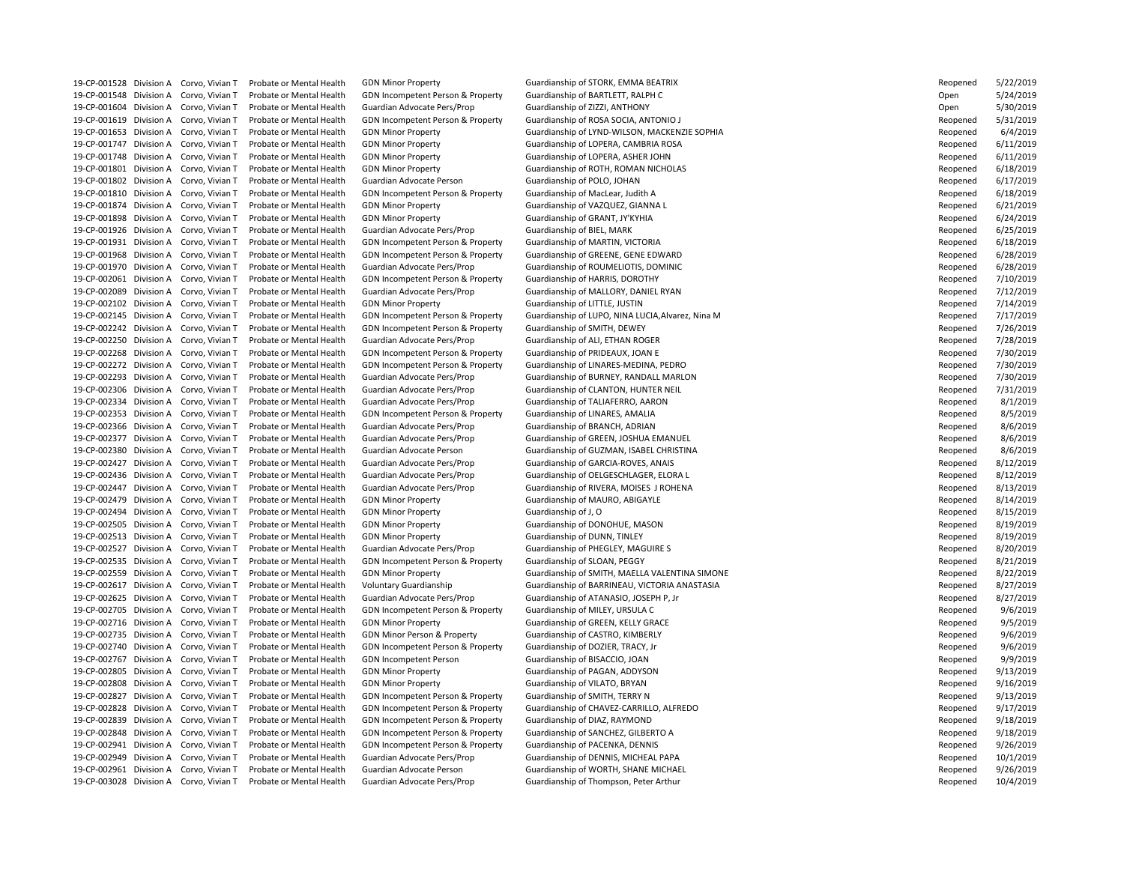19-CP-001528 Division A Corvo, Vivian T Probate or Mental Health GDN Minor Property **Guardianship of STORK, EMMA BEATRIX** 19-CP-001548 Division A Corvo, Vivian T Probate or Mental Health GDN Incompetent Person & Property Guardianship of BARTLETT, RALPH C 19-CP-001604 Division A Corvo, Vivian T Probate or Mental Health Guardian Advocate Pers/Prop Guardianship of ZIZZI, ANTHONY 19-CP-001619 Division A Corvo, Vivian T Probate or Mental Health GDN Incompetent Person & Property Guardianship of ROSA SOCIA, ANTONIO J 19-CP-001747 Division A Corvo, Vivian T Probate or Mental Health GDN Minor Property Cuardianship of LOPERA, CAMBRIA ROSA 19-CP-001748 Division A Corvo, Vivian T Probate or Mental Health GDN Minor Property Guardianship of LOPERA, ASHER JOHN 19-CP-001802 Division A Corvo, Vivian T Probate or Mental Health Guardian Advocate Person Guardianship of POLO, JOHAN 19-CP-001810 Division A Corvo, Vivian T Probate or Mental Health GDN Incompetent Person & Property Guardianship of MacLear, Judith A 19-CP-001874 Division A Corvo, Vivian T Probate or Mental Health GDN Minor Property Guardianship of VAZQUEZ, GIANNA L 19-CP-001898 Division A Corvo, Vivian T Probate or Mental Health GDN Minor Property Guardianship of GRANT, JY'KYHIA 19-CP-001926 Division A Corvo, Vivian T Probate or Mental Health Guardian Advocate Pers/Prop Guardianship of BIEL, MARK 19-CP-001931 Division A Corvo, Vivian T Probate or Mental Health GDN Incompetent Person & Property Guardianship of MARTIN, VICTORIA 19-CP-001968 Division A Corvo, Vivian T Probate or Mental Health GDN Incompetent Person & Property Guardianship of GREENE, GENE EDWARD 19-CP-001970 Division A Corvo, Vivian T Probate or Mental Health Guardian Advocate Pers/Prop Guardianship of ROUMELIOTIS, DOMINIC 19-CP-002061 Division A Corvo, Vivian T Probate or Mental Health GDN Incompetent Person & Property Guardianship of HARRIS, DOROTHY 19-CP-002089 Division A Corvo, Vivian T Probate or Mental Health Guardian Advocate Pers/Prop Guardianship of MALLORY, DANIEL RYAN 19-CP-002102 Division A Corvo, Vivian T Probate or Mental Health GDN Minor Property Guardianship of LITTLE, JUSTIN 19-CP-002242 Division A Corvo, Vivian T Probate or Mental Health GDN Incompetent Person & Property Guardianship of SMITH, DEWEY 19-CP-002250 Division A Corvo, Vivian T Probate or Mental Health Guardian Advocate Pers/Prop Guardianship of ALI, ETHAN ROGER 19-CP-002268 Division A Corvo, Vivian T Probate or Mental Health GDN Incompetent Person & Property Guardianship of PRIDEAUX, JOAN E 19-CP-002306 Division A Corvo, Vivian T Probate or Mental Health Guardian Advocate Pers/Prop Guardianship of CLANTON, HUNTER NEIL 19-CP-002334 Division A Corvo, Vivian T Probate or Mental Health Guardian Advocate Pers/Prop Guardianship of TALIAFERRO, AARON 19-CP-002353 Division A Corvo, Vivian T Probate or Mental Health GDN Incompetent Person & Property Guardianship of LINARES, AMALIA 19-CP-002366 Division A Corvo, Vivian T Probate or Mental Health Guardian Advocate Pers/Prop Guardianship of BRANCH, ADRIAN 19-CP-002427 Division A Corvo, Vivian T Probate or Mental Health Guardian Advocate Pers/Prop Guardianship of GARCIA-ROVES, ANAIS 19-CP-002479 Division A Corvo, Vivian T Probate or Mental Health GDN Minor Property Guardianship of MAURO, ABIGAYLE 19-CP-002494 Division A Corvo, Vivian T Probate or Mental Health GDN Minor Property Guardianship of J, O 19-CP-002505 Division A Corvo, Vivian T Probate or Mental Health GDN Minor Property Cuardianship of DONOHUE, MASON 19-CP-002513 Division A Corvo, Vivian T Probate or Mental Health GDN Minor Property Guardianship of DUNN, TINLEY 19-CP-002527 Division A Corvo, Vivian T Probate or Mental Health Guardian Advocate Pers/Prop Guardianship of PHEGLEY, MAGUIRE S 19-CP-002535 Division A Corvo, Vivian T Probate or Mental Health GDN Incompetent Person & Property Guardianship of SLOAN, PEGGY 19-CP-002625 Division A Corvo, Vivian T Probate or Mental Health Guardian Advocate Pers/Prop Guardianship of ATANASIO, JOSEPH P, Jr 19-CP-002705 Division A Corvo, Vivian T Probate or Mental Health GDN Incompetent Person & Property Guardianship of MILEY, URSULA C 19-CP-002716 Division A Corvo, Vivian T Probate or Mental Health GDN Minor Property Guardianship of GREEN, KELLY GRACE 19-CP-002735 Division A Corvo, Vivian T Probate or Mental Health GDN Minor Person & Property Guardianship of CASTRO, KIMBERLY 19-CP-002740 Division A Corvo, Vivian T Probate or Mental Health GDN Incompetent Person & Property Guardianship of DOZIER, TRACY, Jr 19-CP-002767 Division A Corvo, Vivian T Probate or Mental Health GDN Incompetent Person Guardianship of BISACCIO, JOAN 19-CP-002805 Division A Corvo, Vivian T Probate or Mental Health GDN Minor Property Guardianship of PAGAN, ADDYSON 19-CP-002808 Division A Corvo, Vivian T Probate or Mental Health GDN Minor Property Cuardianship of VILATO, BRYAN 19-CP-002827 Division A Corvo, Vivian T Probate or Mental Health GDN Incompetent Person & Property Guardianship of SMITH, TERRY N 19-CP-002839 Division A Corvo, Vivian T Probate or Mental Health GDN Incompetent Person & Property Guardianship of DIAZ, RAYMOND 19-CP-002848 Division A Corvo, Vivian T Probate or Mental Health GDN Incompetent Person & Property Guardianship of SANCHEZ, GILBERTO A 19-CP-002941 Division A Corvo, Vivian T Probate or Mental Health GDN Incompetent Person & Property Guardianship of PACENKA, DENNIS 19-CP-002949 Division A Corvo, Vivian T Probate or Mental Health Guardian Advocate Pers/Prop Guardianship of DENNIS, MICHEAL PAPA 19-CP-003028 Division A Corvo, Vivian T Probate or Mental Health Guardian Advocate Pers/Prop Guardianship of Thompson, Peter Arthur

19-CP-001653 Division A Corvo, Vivian T Probate or Mental Health GDN Minor Property Guardianship of LYND-WILSON, MACKENZIE SOPHIA 19-CP-001801 Division A Corvo, Vivian T Probate or Mental Health GDN Minor Property Guardianship of ROTH, ROMAN NICHOLAS 19-CP-002145 Division A Corvo, Vivian T Probate or Mental Health GDN Incompetent Person & Property Guardianship of LUPO, NINA LUCIA, Alvarez, Nina M 19-CP-002272 Division A Corvo, Vivian T Probate or Mental Health GDN Incompetent Person & Property Guardianship of LINARES-MEDINA, PEDRO 19-CP-002293 Division A Corvo, Vivian T Probate or Mental Health Guardian Advocate Pers/Prop Guardianship of BURNEY, RANDALL MARLON 19-CP-002377 Division A Corvo, Vivian T Probate or Mental Health Guardian Advocate Pers/Prop Guardianship of GREEN, JOSHUA EMANUEL 19-CP-002380 Division A Corvo, Vivian T Probate or Mental Health Guardian Advocate Person Guardianship of GUZMAN, ISABEL CHRISTINA 19-CP-002436 Division A Corvo, Vivian T Probate or Mental Health Guardian Advocate Pers/Prop Guardianship of OELGESCHLAGER, ELORA L 19-CP-002447 Division A Corvo, Vivian T Probate or Mental Health Guardian Advocate Pers/Prop Guardianship of RIVERA, MOISES J ROHENA 19-CP-002559 Division A Corvo, Vivian T Probate or Mental Health GDN Minor Property Guardianship of SMITH, MAELLA VALENTINA SIMONE 19-CP-002617 Division A Corvo, Vivian T Probate or Mental Health Voluntary Guardianship Guardianship of BARRINEAU, VICTORIA ANASTASIA 19-CP-002828 Division A Corvo, Vivian T Probate or Mental Health GDN Incompetent Person & Property Guardianship of CHAVEZ-CARRILLO, ALFREDO 19-CP-002961 Division A Corvo, Vivian T Probate or Mental Health Guardian Advocate Person Guardianship of WORTH, SHANE MICHAEL

| Reopened | 5/22/2019 |
|----------|-----------|
| Open     | 5/24/2019 |
| Open     | 5/30/2019 |
| Reopened | 5/31/2019 |
| Reopened | 6/4/2019  |
| Reopened | 6/11/2019 |
| Reopened | 6/11/2019 |
| Reopened | 6/18/2019 |
| Reopened | 6/17/2019 |
| Reopened | 6/18/2019 |
| Reopened | 6/21/2019 |
| Reopened | 6/24/2019 |
|          | 6/25/2019 |
| Reopened |           |
| Reopened | 6/18/2019 |
| Reopened | 6/28/2019 |
| Reopened | 6/28/2019 |
| Reopened | 7/10/2019 |
| Reopened | 7/12/2019 |
| Reopened | 7/14/2019 |
| Reopened | 7/17/2019 |
| Reopened | 7/26/2019 |
| Reopened | 7/28/2019 |
| Reopened | 7/30/2019 |
| Reopened | 7/30/2019 |
| Reopened | 7/30/2019 |
| Reopened | 7/31/2019 |
| Reopened | 8/1/2019  |
| Reopened | 8/5/2019  |
| Reopened | 8/6/2019  |
| Reopened | 8/6/2019  |
| Reopened | 8/6/2019  |
| Reopened | 8/12/2019 |
| Reopened | 8/12/2019 |
| Reopened | 8/13/2019 |
| Reopened | 8/14/2019 |
| Reopened | 8/15/2019 |
| Reopened | 8/19/2019 |
| Reopened | 8/19/2019 |
| Reopened | 8/20/2019 |
| Reopened | 8/21/2019 |
| Reopened | 8/22/2019 |
| Reopened | 8/27/2019 |
| Reopened | 8/27/2019 |
| Reopened | 9/6/2019  |
| Reopened | 9/5/2019  |
| Reopened | 9/6/2019  |
| Reopened | 9/6/2019  |
| Reopened | 9/9/2019  |
| Reopened | 9/13/2019 |
| Reopened | 9/16/2019 |
| Reopened | 9/13/2019 |
| Reopened | 9/17/2019 |
| Reopened | 9/18/2019 |
| Reopened | 9/18/2019 |
| Reopened | 9/26/2019 |
| Reopened | 10/1/2019 |
| Reopened | 9/26/2019 |
| Reopened | 10/4/2019 |
|          |           |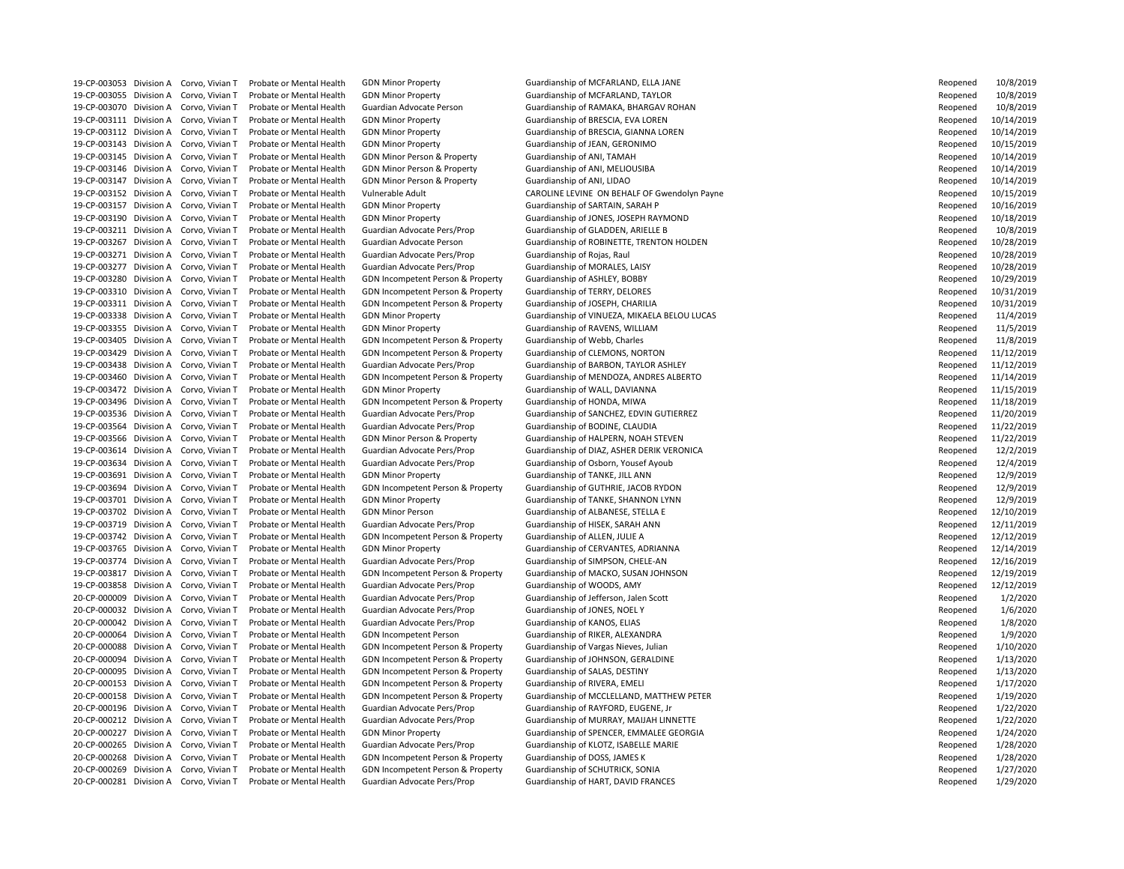19-CP-003055 Division A Corvo, Vivian T Probate or Mental Health GDN Minor Property Guardianship of MCFARLAND, TAYLOR 19-CP-003111 Division A Corvo, Vivian T Probate or Mental Health GDN Minor Property Cuardianship of BRESCIA, EVA LOREN 19-CP-003143 Division A Corvo, Vivian T Probate or Mental Health GDN Minor Property Cuardianship of JEAN, GERONIMO 19-CP-003145 Division A Corvo, Vivian T Probate or Mental Health GDN Minor Person & Property Guardianship of ANI, TAMAH 19-CP-003146 Division A Corvo, Vivian T Probate or Mental Health GDN Minor Person & Property Guardianship of ANI, MELIOUSIBA 19-CP-003147 Division A Corvo, Vivian T Probate or Mental Health GDN Minor Person & Property Guardianship of ANI, LIDAO 19-CP-003157 Division A Corvo, Vivian T Probate or Mental Health GDN Minor Property Guardianship of SARTAIN, SARAH P 19-CP-003211 Division A Corvo, Vivian T Probate or Mental Health Guardian Advocate Pers/Prop Guardianship of GLADDEN, ARIELLE B 19-CP-003271 Division A Corvo, Vivian T Probate or Mental Health Guardian Advocate Pers/Prop Guardianship of Rojas, Raul 19-CP-003277 Division A Corvo, Vivian T Probate or Mental Health Guardian Advocate Pers/Prop Guardianship of MORALES, LAISY 19-CP-003280 Division A Corvo, Vivian T Probate or Mental Health GDN Incompetent Person & Property Guardianship of ASHLEY, BOBBY 19-CP-003310 Division A Corvo, Vivian T Probate or Mental Health GDN Incompetent Person & Property Guardianship of TERRY, DELORES 19-CP-003311 Division A Corvo, Vivian T Probate or Mental Health GDN Incompetent Person & Property Guardianship of JOSEPH, CHARILIA 19-CP-003355 Division A Corvo, Vivian T Probate or Mental Health GDN Minor Property Guardianship of RAVENS, WILLIAM 19-CP-003405 Division A Corvo, Vivian T Probate or Mental Health GDN Incompetent Person & Property Guardianship of Webb, Charles 19-CP-003429 Division A Corvo, Vivian T Probate or Mental Health GDN Incompetent Person & Property Guardianship of CLEMONS, NORTON 19-CP-003472 Division A Corvo, Vivian T Probate or Mental Health GDN Minor Property Cuardianship of WALL, DAVIANNA 19-CP-003496 Division A Corvo, Vivian T Probate or Mental Health GDN Incompetent Person & Property Guardianship of HONDA, MIWA 19-CP-003564 Division A Corvo, Vivian T Probate or Mental Health Guardian Advocate Pers/Prop Guardianship of BODINE, CLAUDIA 19-CP-003566 Division A Corvo, Vivian T Probate or Mental Health GDN Minor Person & Property Guardianship of HALPERN, NOAH STEVEN 19-CP-003634 Division A Corvo, Vivian T Probate or Mental Health Guardian Advocate Pers/Prop Guardianship of Osborn, Yousef Ayoub 19-CP-003691 Division A Corvo, Vivian T Probate or Mental Health GDN Minor Property **Guardianship of TANKE, JILL ANN** 19-CP-003694 Division A Corvo, Vivian T Probate or Mental Health GDN Incompetent Person & Property Guardianship of GUTHRIE, JACOB RYDON 19-CP-003701 Division A Corvo, Vivian T Probate or Mental Health GDN Minor Property Cuardianship of TANKE, SHANNON LYNN 19-CP-003702 Division A Corvo, Vivian T Probate or Mental Health GDN Minor Person Guardianship of ALBANESE, STELLA E 19-CP-003719 Division A Corvo, Vivian T Probate or Mental Health Guardian Advocate Pers/Prop Guardianship of HISEK, SARAH ANN 19-CP-003742 Division A Corvo, Vivian T Probate or Mental Health GDN Incompetent Person & Property Guardianship of ALLEN, JULIE A 19-CP-003765 Division A Corvo, Vivian T Probate or Mental Health GDN Minor Property Cuardianship of CERVANTES, ADRIANNA 19-CP-003774 Division A Corvo, Vivian T Probate or Mental Health Guardian Advocate Pers/Prop Guardianship of SIMPSON, CHELE-AN 19-CP-003858 Division A Corvo, Vivian T Probate or Mental Health Guardian Advocate Pers/Prop Guardianship of WOODS, AMY 20-CP-000009 Division A Corvo, Vivian T Probate or Mental Health Guardian Advocate Pers/Prop Guardianship of Jefferson, Jalen Scott 20-CP-000032 Division A Corvo, Vivian T Probate or Mental Health Guardian Advocate Pers/Prop Guardianship of JONES, NOEL Y 20-CP-000042 Division A Corvo, Vivian T Probate or Mental Health Guardian Advocate Pers/Prop Guardianship of KANOS, ELIAS 20-CP-000064 Division A Corvo, Vivian T Probate or Mental Health GDN Incompetent Person Guardianship of RIKER, ALEXANDRA 20-CP-000088 Division A Corvo, Vivian T Probate or Mental Health GDN Incompetent Person & Property Guardianship of Vargas Nieves, Julian 20-CP-000094 Division A Corvo, Vivian T Probate or Mental Health GDN Incompetent Person & Property Guardianship of JOHNSON, GERALDINE 20-CP-000095 Division A Corvo, Vivian T Probate or Mental Health GDN Incompetent Person & Property Guardianship of SALAS, DESTINY 20-CP-000153 Division A Corvo, Vivian T Probate or Mental Health GDN Incompetent Person & Property Guardianship of RIVERA, EMELI 20-CP-000196 Division A Corvo, Vivian T Probate or Mental Health Guardian Advocate Pers/Prop Guardianship of RAYFORD, EUGENE, Jr 20-CP-000265 Division A Corvo, Vivian T Probate or Mental Health Guardian Advocate Pers/Prop Guardianship of KLOTZ, ISABELLE MARIE 20-CP-000268 Division A Corvo, Vivian T Probate or Mental Health GDN Incompetent Person & Property Guardianship of DOSS, JAMES K 20-CP-000269 Division A Corvo, Vivian T Probate or Mental Health GDN Incompetent Person & Property Guardianship of SCHUTRICK, SONIA 20-CP-000281 Division A Corvo, Vivian T Probate or Mental Health Guardian Advocate Pers/Prop Guardianship of HART, DAVID FRANCES

19-CP-003053 Division A Corvo, Vivian T Probate or Mental Health GDN Minor Property Cuardianship of MCFARLAND, ELLA JANE 19-CP-003070 Division A Corvo, Vivian T Probate or Mental Health Guardian Advocate Person Guardianship of RAMAKA, BHARGAV ROHAN 19-CP-003112 Division A Corvo, Vivian T Probate or Mental Health GDN Minor Property **Guardianship of BRESCIA, GIANNA LOREN** 19-CP-003152 Division A Corvo, Vivian T Probate or Mental Health Vulnerable Adult CAROLINE LEVINE ON BEHALF OF Gwendolyn Payne 19-CP-003190 Division A Corvo, Vivian T Probate or Mental Health GDN Minor Property **Guardianship of JONES, JOSEPH RAYMOND** 19-CP-003267 Division A Corvo, Vivian T Probate or Mental Health Guardian Advocate Person Guardianship of ROBINETTE, TRENTON HOLDEN 19-CP-003338 Division A Corvo, Vivian T Probate or Mental Health GDN Minor Property Guardianship of VINUEZA, MIKAELA BELOU LUCAS 19-CP-003438 Division A Corvo, Vivian T Probate or Mental Health Guardian Advocate Pers/Prop Guardianship of BARBON, TAYLOR ASHLEY 19-CP-003460 Division A Corvo, Vivian T Probate or Mental Health GDN Incompetent Person & Property Guardianship of MENDOZA, ANDRES ALBERTO 19-CP-003536 Division A Corvo, Vivian T Probate or Mental Health Guardian Advocate Pers/Prop Guardianship of SANCHEZ, EDVIN GUTIERREZ 19-CP-003614 Division A Corvo, Vivian T Probate or Mental Health Guardian Advocate Pers/Prop Guardianship of DIAZ, ASHER DERIK VERONICA 19-CP-003817 Division A Corvo, Vivian T Probate or Mental Health GDN Incompetent Person & Property Guardianship of MACKO, SUSAN JOHNSON 20-CP-000158 Division A Corvo, Vivian T Probate or Mental Health GDN Incompetent Person & Property Guardianship of MCCLELLAND, MATTHEW PETER 20-CP-000212 Division A Corvo, Vivian T Probate or Mental Health Guardian Advocate Pers/Prop Guardianship of MURRAY, MAIJAH LINNETTE 20-CP-000227 Division A Corvo, Vivian T Probate or Mental Health GDN Minor Property **Guardianship of SPENCER, EMMALEE GEORGIA** 

| Reopened             | 10/8/2019              |
|----------------------|------------------------|
| Reopened             | 10/8/2019              |
| Reopened             | 10/8/2019              |
| Reopened             | 10/14/2019             |
| Reopened             | 10/14/2019             |
| Reopened             | 10/15/2019             |
| Reopened             | 10/14/2019             |
| Reopened             | 10/14/2019             |
| Reopened             | 10/14/2019             |
| Reopened             | 10/15/2019             |
| Reopened             | 10/16/2019             |
| Reopened             | 10/18/2019             |
| Reopened             | 10/8/2019              |
| Reopened             | 10/28/2019             |
| Reopened             | 10/28/2019             |
| Reopened             | 10/28/2019             |
| Reopened             | 10/29/2019             |
| Reopened             | 10/31/2019             |
| Reopened             | 10/31/2019             |
| Reopened             | 11/4/2019              |
| Reopened             | 11/5/2019              |
| Reopened             | 11/8/2019              |
| Reopened             | 11/12/2019             |
| Reopened             | 11/12/2019             |
| Reopened             | 11/14/2019             |
| Reopened             | 11/15/2019             |
| Reopened             | 11/18/2019             |
|                      | 11/20/2019             |
| Reopened             | 11/22/2019             |
| Reopened             | 11/22/2019             |
| Reopened             |                        |
| Reopened<br>Reopened | 12/2/2019              |
|                      | 12/4/2019              |
| Reopened             | 12/9/2019<br>12/9/2019 |
| Reopened             |                        |
| Reopened             | 12/9/2019              |
| Reopened             | 12/10/2019             |
| Reopened             | 12/11/2019             |
| Reopened             | 12/12/2019             |
| Reopened             | 12/14/2019             |
| Reopened             | 12/16/2019             |
| Reopened             | 12/19/2019             |
| Reopened             | 12/12/2019             |
| Reopened             | 1/2/2020               |
| Reopened             | 1/6/2020               |
| Reopened             | 1/8/2020               |
| Reopened             | 1/9/2020               |
| Reopened             | 1/10/2020              |
| Reopened             | 1/13/2020              |
| Reopened             | 1/13/2020              |
| Reopened             | 1/17/2020              |
| Reopened             | 1/19/2020              |
| Reopened             | 1/22/2020              |
| Reopened             | 1/22/2020              |
| Reopened             | 1/24/2020              |
| Reopened             | 1/28/2020              |
| Reopened             | 1/28/2020              |
| Reopened             | 1/27/2020              |
| Reopened             | 1/29/2020              |
|                      |                        |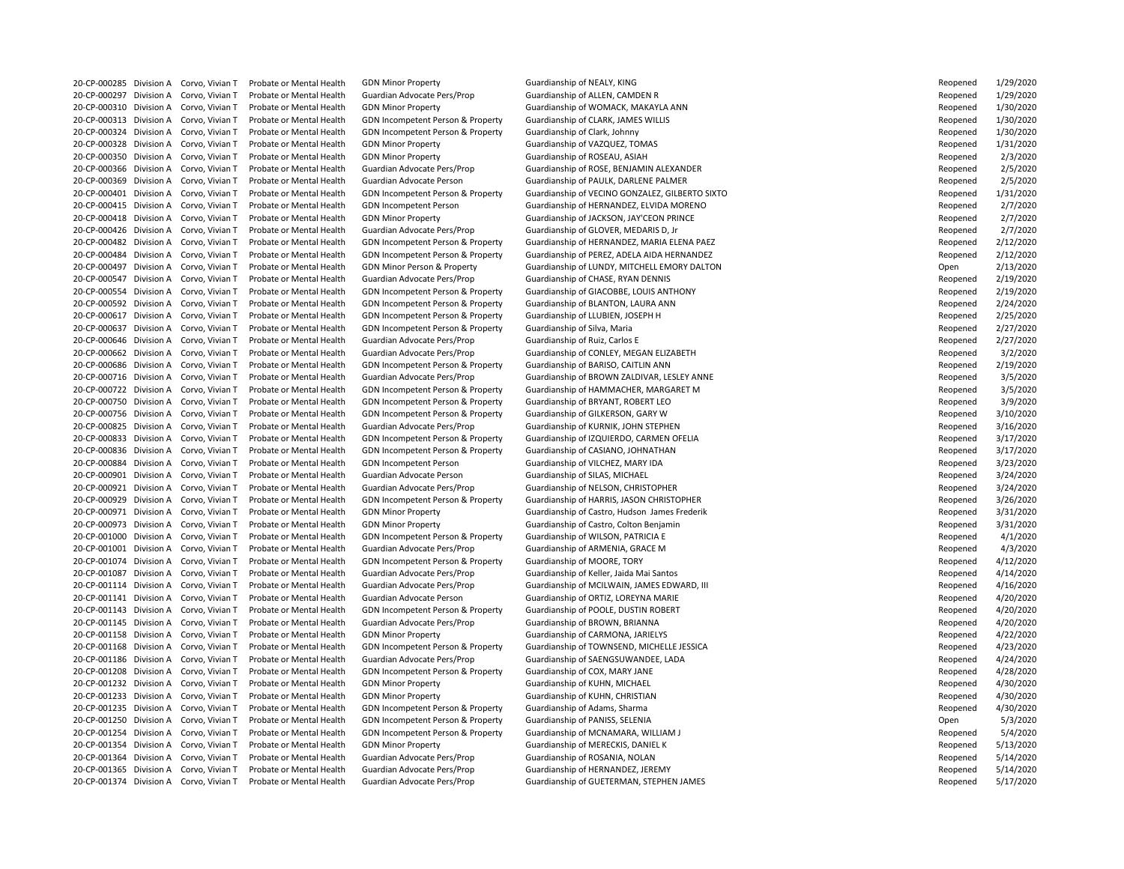20-CP-000285 Division A Corvo, Vivian T Probate or Mental Health GDN Minor Property Cuardianship of NEALY, KING 20-CP-000297 Division A Corvo, Vivian T Probate or Mental Health Guardian Advocate Pers/Prop Guardianship of ALLEN, CAMDEN R 20-CP-000313 Division A Corvo, Vivian T Probate or Mental Health GDN Incompetent Person & Property Guardianship of CLARK, JAMES WILLIS 20-CP-000324 Division A Corvo, Vivian T Probate or Mental Health GDN Incompetent Person & Property Guardianship of Clark, Johnny 20-CP-000328 Division A Corvo, Vivian T Probate or Mental Health GDN Minor Property Guardianship of VAZQUEZ, TOMAS 20-CP-000350 Division A Corvo, Vivian T Probate or Mental Health GDN Minor Property Cuardianship of ROSEAU, ASIAH 20-CP-000426 Division A Corvo, Vivian T Probate or Mental Health Guardian Advocate Pers/Prop Guardianship of GLOVER, MEDARIS D, Jr 20-CP-000547 Division A Corvo, Vivian T Probate or Mental Health Guardian Advocate Pers/Prop Guardianship of CHASE, RYAN DENNIS 20-CP-000592 Division A Corvo, Vivian T Probate or Mental Health GDN Incompetent Person & Property Guardianship of BLANTON, LAURA ANN 20-CP-000617 Division A Corvo, Vivian T Probate or Mental Health GDN Incompetent Person & Property Guardianship of LLUBIEN, JOSEPH H 20-CP-000637 Division A Corvo, Vivian T Probate or Mental Health GDN Incompetent Person & Property Guardianship of Silva, Maria 20-CP-000646 Division A Corvo, Vivian T Probate or Mental Health Guardian Advocate Pers/Prop Guardianship of Ruiz, Carlos E 20-CP-000686 Division A Corvo, Vivian T Probate or Mental Health GDN Incompetent Person & Property Guardianship of BARISO, CAITLIN ANN 20-CP-000750 Division A Corvo, Vivian T Probate or Mental Health GDN Incompetent Person & Property Guardianship of BRYANT, ROBERT LEO 20-CP-000756 Division A Corvo, Vivian T Probate or Mental Health GDN Incompetent Person & Property Guardianship of GILKERSON, GARY W 20-CP-000825 Division A Corvo, Vivian T Probate or Mental Health Guardian Advocate Pers/Prop Guardianship of KURNIK, JOHN STEPHEN 20-CP-000836 Division A Corvo, Vivian T Probate or Mental Health GDN Incompetent Person & Property Guardianship of CASIANO, JOHNATHAN 20-CP-000884 Division A Corvo, Vivian T Probate or Mental Health GDN Incompetent Person Guardianship of VILCHEZ, MARY IDA 20-CP-000901 Division A Corvo, Vivian T Probate or Mental Health Guardian Advocate Person Guardianship of SILAS, MICHAEL 20-CP-000921 Division A Corvo, Vivian T Probate or Mental Health Guardian Advocate Pers/Prop Guardianship of NELSON, CHRISTOPHER 20-CP-000973 Division A Corvo, Vivian T Probate or Mental Health GDN Minor Property Sunner Guardianship of Castro, Colton Benjamin 20-CP-001000 Division A Corvo, Vivian T Probate or Mental Health GDN Incompetent Person & Property Guardianship of WILSON, PATRICIA E 20-CP-001001 Division A Corvo, Vivian T Probate or Mental Health Guardian Advocate Pers/Prop Guardianship of ARMENIA, GRACE M 20-CP-001074 Division A Corvo, Vivian T Probate or Mental Health GDN Incompetent Person & Property Guardianship of MOORE, TORY 20-CP-001087 Division A Corvo, Vivian T Probate or Mental Health Guardian Advocate Pers/Prop Guardianship of Keller, Jaida Mai Santos 20-CP-001141 Division A Corvo, Vivian T Probate or Mental Health Guardian Advocate Person Guardianship of ORTIZ, LOREYNA MARIE 20-CP-001143 Division A Corvo, Vivian T Probate or Mental Health GDN Incompetent Person & Property Guardianship of POOLE, DUSTIN ROBERT 20-CP-001145 Division A Corvo, Vivian T Probate or Mental Health Guardian Advocate Pers/Prop Guardianship of BROWN, BRIANNA 20-CP-001158 Division A Corvo, Vivian T Probate or Mental Health GDN Minor Property Guardianship of CARMONA, JARIELYS 20-CP-001186 Division A Corvo, Vivian T Probate or Mental Health Guardian Advocate Pers/Prop Guardianship of SAENGSUWANDEE, LADA 20-CP-001208 Division A Corvo, Vivian T Probate or Mental Health GDN Incompetent Person & Property Guardianship of COX, MARY JANE 20-CP-001232 Division A Corvo, Vivian T Probate or Mental Health GDN Minor Property Guardianship of KUHN, MICHAEL 20-CP-001233 Division A Corvo, Vivian T Probate or Mental Health GDN Minor Property Cuardianship of KUHN, CHRISTIAN 20-CP-001235 Division A Corvo, Vivian T Probate or Mental Health GDN Incompetent Person & Property Guardianship of Adams, Sharma 20-CP-001250 Division A Corvo, Vivian T Probate or Mental Health GDN Incompetent Person & Property Guardianship of PANISS, SELENIA 20-CP-001254 Division A Corvo, Vivian T Probate or Mental Health GDN Incompetent Person & Property Guardianship of MCNAMARA, WILLIAM J 20-CP-001354 Division A Corvo, Vivian T Probate or Mental Health GDN Minor Property Current Guardianship of MERECKIS, DANIEL K 20-CP-001364 Division A Corvo, Vivian T Probate or Mental Health Guardian Advocate Pers/Prop Guardianship of ROSANIA, NOLAN 20-CP-001365 Division A Corvo, Vivian T Probate or Mental Health Guardian Advocate Pers/Prop Guardianship of HERNANDEZ, JEREMY

20-CP-000310 Division A Corvo, Vivian T Probate or Mental Health GDN Minor Property Suardianship of WOMACK, MAKAYLA ANN 20-CP-000366 Division A Corvo, Vivian T Probate or Mental Health Guardian Advocate Pers/Prop Guardianship of ROSE, BENJAMIN ALEXANDER 20-CP-000369 Division A Corvo, Vivian T Probate or Mental Health Guardian Advocate Person Guardianship of PAULK, DARLENE PALMER 20-CP-000401 Division A Corvo, Vivian T Probate or Mental Health GDN Incompetent Person & Property Guardianship of VECINO GONZALEZ, GILBERTO SIXTO 20-CP-000415 Division A Corvo, Vivian T Probate or Mental Health GDN Incompetent Person Guardianship of HERNANDEZ, ELVIDA MORENO 20-CP-000418 Division A Corvo, Vivian T Probate or Mental Health GDN Minor Property **Guardianship of JACKSON, JAY'CEON PRINCE** 20-CP-000482 Division A Corvo, Vivian T Probate or Mental Health GDN Incompetent Person & Property Guardianship of HERNANDEZ, MARIA ELENA PAEZ 20-CP-000484 Division A Corvo, Vivian T Probate or Mental Health GDN Incompetent Person & Property Guardianship of PEREZ, ADELA AIDA HERNANDEZ 20-CP-000497 Division A Corvo, Vivian T Probate or Mental Health GDN Minor Person & Property Guardianship of LUNDY, MITCHELL EMORY DALTON 20-CP-000554 Division A Corvo, Vivian T Probate or Mental Health GDN Incompetent Person & Property Guardianship of GIACOBBE, LOUIS ANTHONY 20-CP-000662 Division A Corvo, Vivian T Probate or Mental Health Guardian Advocate Pers/Prop Guardianship of CONLEY, MEGAN ELIZABETH 20-CP-000716 Division A Corvo, Vivian T Probate or Mental Health Guardian Advocate Pers/Prop Guardianship of BROWN ZALDIVAR, LESLEY ANNE 20-CP-000722 Division A Corvo, Vivian T Probate or Mental Health GDN Incompetent Person & Property Guardianship of HAMMACHER, MARGARET M 20-CP-000833 Division A Corvo, Vivian T Probate or Mental Health GDN Incompetent Person & Property Guardianship of IZQUIERDO, CARMEN OFELIA 20-CP-000929 Division A Corvo, Vivian T Probate or Mental Health GDN Incompetent Person & Property Guardianship of HARRIS, JASON CHRISTOPHER 20-CP-000971 Division A Corvo, Vivian T Probate or Mental Health GDN Minor Property Sunner Guardianship of Castro, Hudson James Frederik 20-CP-001114 Division A Corvo, Vivian T Probate or Mental Health Guardian Advocate Pers/Prop Guardianship of MCILWAIN, JAMES EDWARD, III 20-CP-001168 Division A Corvo, Vivian T Probate or Mental Health GDN Incompetent Person & Property Guardianship of TOWNSEND, MICHELLE JESSICA 20-CP-001374 Division A Corvo, Vivian T Probate or Mental Health Guardian Advocate Pers/Prop Guardianship of GUETERMAN, STEPHEN JAMES

| Reopened | 1/29/2020 |
|----------|-----------|
| Reopened | 1/29/2020 |
| Reopened | 1/30/2020 |
| Reopened | 1/30/2020 |
| Reopened | 1/30/2020 |
| Reopened | 1/31/2020 |
| Reopened | 2/3/2020  |
| Reopened | 2/5/2020  |
| Reopened | 2/5/2020  |
| Reopened | 1/31/2020 |
| Reopened | 2/7/2020  |
| Reopened | 2/7/2020  |
| Reopened | 2/7/2020  |
| Reopened | 2/12/2020 |
|          | 2/12/2020 |
| Reopened |           |
| Open     | 2/13/2020 |
| Reopened | 2/19/2020 |
| Reopened | 2/19/2020 |
| Reopened | 2/24/2020 |
| Reopened | 2/25/2020 |
| Reopened | 2/27/2020 |
| Reopened | 2/27/2020 |
| Reopened | 3/2/2020  |
| Reopened | 2/19/2020 |
| Reopened | 3/5/2020  |
| Reopened | 3/5/2020  |
| Reopened | 3/9/2020  |
| Reopened | 3/10/2020 |
| Reopened | 3/16/2020 |
| Reopened | 3/17/2020 |
| Reopened | 3/17/2020 |
| Reopened | 3/23/2020 |
| Reopened | 3/24/2020 |
| Reopened | 3/24/2020 |
| Reopened | 3/26/2020 |
| Reopened | 3/31/2020 |
| Reopened | 3/31/2020 |
| Reopened | 4/1/2020  |
| Reopened | 4/3/2020  |
| Reopened | 4/12/2020 |
| Reopened | 4/14/2020 |
| Reopened | 4/16/2020 |
| Reopened | 4/20/2020 |
| Reopened | 4/20/2020 |
| Reopened | 4/20/2020 |
| Reopened | 4/22/2020 |
| Reopened | 4/23/2020 |
| Reopened | 4/24/2020 |
| Reopened | 4/28/2020 |
| Reopened | 4/30/2020 |
| Reopened | 4/30/2020 |
| Reopened | 4/30/2020 |
| Open     | 5/3/2020  |
| Reopened | 5/4/2020  |
| Reopened | 5/13/2020 |
| Reopened | 5/14/2020 |
| Reopened | 5/14/2020 |
| Reopened | 5/17/2020 |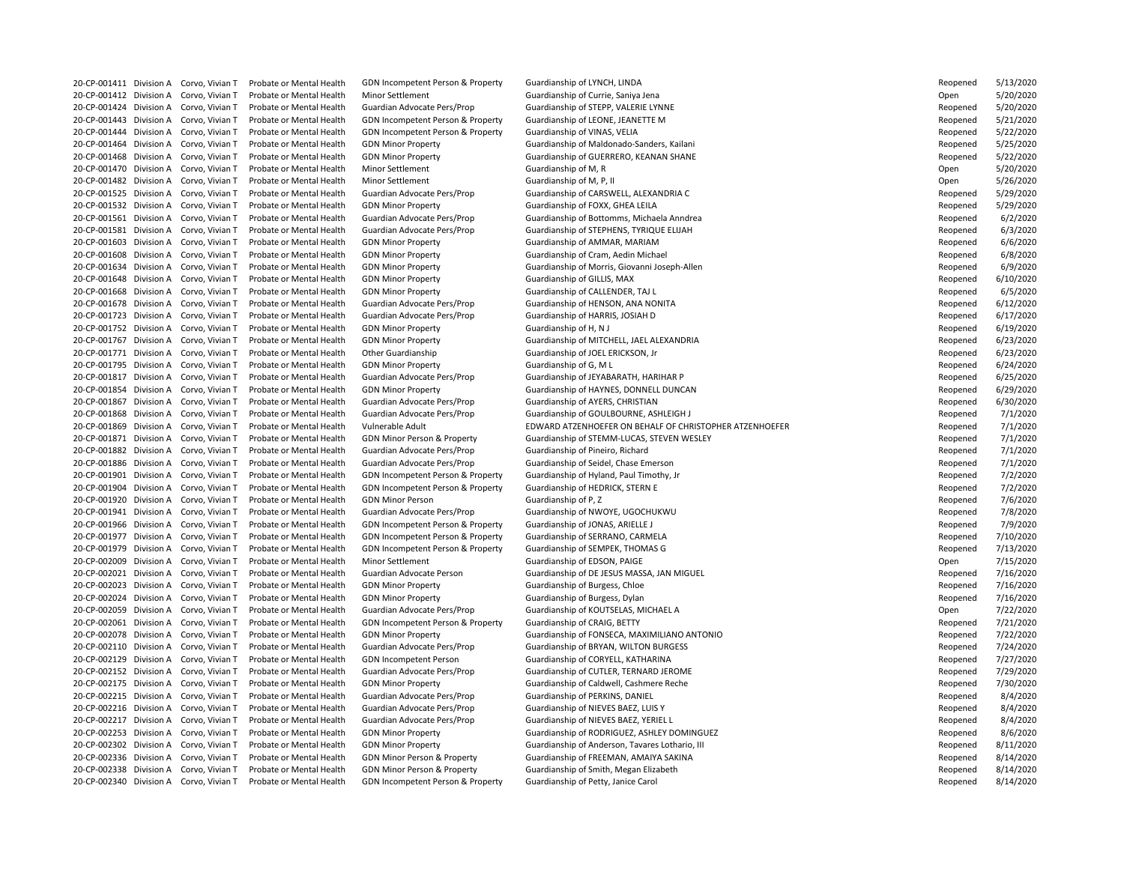20-CP-001412 Division A Corvo, Vivian T Probate or Mental Health Minor Settlement Guardianship of Currie, Saniya Jena 20-CP-001443 Division A Corvo, Vivian T Probate or Mental Health GDN Incompetent Person & Property Guardianship of LEONE, JEANETTE M 20-CP-001444 Division A Corvo, Vivian T Probate or Mental Health GDN Incompetent Person & Property Guardianship of VINAS, VELIA 20-CP-001470 Division A Corvo, Vivian T Probate or Mental Health Minor Settlement Guardianship of M, R 20-CP-001482 Division A Corvo, Vivian T Probate or Mental Health Minor Settlement Guardianship of M, P, II 20-CP-001532 Division A Corvo, Vivian T Probate or Mental Health GDN Minor Property Guardianship of FOXX, GHEA LEILA 20-CP-001603 Division A Corvo, Vivian T Probate or Mental Health GDN Minor Property Guardianship of AMMAR, MARIAM 20-CP-001608 Division A Corvo, Vivian T Probate or Mental Health GDN Minor Property Summan Guardianship of Cram, Aedin Michael 20-CP-001648 Division A Corvo, Vivian T Probate or Mental Health GDN Minor Property Guardianship of GILLIS, MAX 20-CP-001668 Division A Corvo, Vivian T Probate or Mental Health GDN Minor Property Cuardianship of CALLENDER, TAJ L 20-CP-001678 Division A Corvo, Vivian T Probate or Mental Health Guardian Advocate Pers/Prop Guardianship of HENSON, ANA NONITA 20-CP-001723 Division A Corvo, Vivian T Probate or Mental Health Guardian Advocate Pers/Prop Guardianship of HARRIS, JOSIAH D 20-CP-001752 Division A Corvo, Vivian T Probate or Mental Health GDN Minor Property Guardianship of H, N J 20-CP-001771 Division A Corvo, Vivian T Probate or Mental Health Other Guardianship Guardianship of JOEL ERICKSON, Jr 20-CP-001795 Division A Corvo, Vivian T Probate or Mental Health GDN Minor Property Guardianship of G, M L 20-CP-001867 Division A Corvo, Vivian T Probate or Mental Health Guardian Advocate Pers/Prop Guardianship of AYERS, CHRISTIAN 20-CP-001882 Division A Corvo, Vivian T Probate or Mental Health Guardian Advocate Pers/Prop Guardianship of Pineiro, Richard 20-CP-001886 Division A Corvo, Vivian T Probate or Mental Health Guardian Advocate Pers/Prop Guardianship of Seidel, Chase Emerson 20-CP-001901 Division A Corvo, Vivian T Probate or Mental Health GDN Incompetent Person & Property Guardianship of Hyland, Paul Timothy, Jr 20-CP-001904 Division A Corvo, Vivian T Probate or Mental Health GDN Incompetent Person & Property Guardianship of HEDRICK, STERN E 20-CP-001920 Division A Corvo, Vivian T Probate or Mental Health GDN Minor Person Guardianship of P, Z 20-CP-001941 Division A Corvo, Vivian T Probate or Mental Health Guardian Advocate Pers/Prop Guardianship of NWOYE, UGOCHUKWU 20-CP-001966 Division A Corvo, Vivian T Probate or Mental Health GDN Incompetent Person & Property Guardianship of JONAS, ARIELLE J 20-CP-001977 Division A Corvo, Vivian T Probate or Mental Health GDN Incompetent Person & Property Guardianship of SERRANO, CARMELA 20-CP-001979 Division A Corvo, Vivian T Probate or Mental Health GDN Incompetent Person & Property Guardianship of SEMPEK, THOMAS G 20-CP-002009 Division A Corvo, Vivian T Probate or Mental Health Minor Settlement Guardianship of EDSON, PAIGE 20-CP-002023 Division A Corvo, Vivian T Probate or Mental Health GDN Minor Property Guardianship of Burgess, Chloe 20-CP-002024 Division A Corvo, Vivian T Probate or Mental Health GDN Minor Property Cuardianship of Burgess, Dylan 20-CP-002059 Division A Corvo, Vivian T Probate or Mental Health Guardian Advocate Pers/Prop Guardianship of KOUTSELAS, MICHAEL A 20-CP-002061 Division A Corvo, Vivian T Probate or Mental Health GDN Incompetent Person & Property Guardianship of CRAIG, BETTY 20-CP-002129 Division A Corvo, Vivian T Probate or Mental Health GDN Incompetent Person Guardianship of CORYELL, KATHARINA 20-CP-002215 Division A Corvo, Vivian T Probate or Mental Health Guardian Advocate Pers/Prop Guardianship of PERKINS, DANIEL 20-CP-002216 Division A Corvo, Vivian T Probate or Mental Health Guardian Advocate Pers/Prop Guardianship of NIEVES BAEZ, LUIS Y 20-CP-002217 Division A Corvo, Vivian T Probate or Mental Health Guardian Advocate Pers/Prop Guardianship of NIEVES BAEZ, YERIEL L 20-CP-002338 Division A Corvo, Vivian T Probate or Mental Health GDN Minor Person & Property Guardianship of Smith, Megan Elizabeth 20-CP-002340 Division A Corvo, Vivian T Probate or Mental Health GDN Incompetent Person & Property Guardianship of Petty, Janice Carol

20-CP-001411 Division A Corvo, Vivian T Probate or Mental Health GDN Incompetent Person & Property Guardianship of LYNCH, LINDA Reopened 5/13/2020 20-CP-001424 Division A Corvo, Vivian T Probate or Mental Health Guardian Advocate Pers/Prop Guardianship of STEPP, VALERIE LYNNE FORD FOR THE RESP AND REALLY RESP AND REALLY RESPUTE THE RESPUTE OF STEPP AND RESPEN VALERIE 20-CP-001464 Division A Corvo, Vivian T Probate or Mental Health GDN Minor Property Guardianship of Maldonado-Sanders, Kailani 20-CP-001468 Division A Corvo, Vivian T Probate or Mental Health GDN Minor Property **Guardianship of GUERRERO, KEANAN SHANE** 20-CP-001525 Division A Corvo, Vivian T Probate or Mental Health Guardian Advocate Pers/Prop Guardianship of CARSWELL, ALEXANDRIA C 20-CP-001561 Division A Corvo, Vivian T Probate or Mental Health Guardian Advocate Pers/Prop Guardianship of Bottomms, Michaela Anndrea 20-CP-001581 Division A Corvo, Vivian T Probate or Mental Health Guardian Advocate Pers/Prop Guardianship of STEPHENS, TYRIQUE ELIJAH 20-CP-001634 Division A Corvo, Vivian T Probate or Mental Health GDN Minor Property Guardianship of Morris, Giovanni Joseph-Allen 20-CP-001767 Division A Corvo, Vivian T Probate or Mental Health GDN Minor Property Cuardianship of MITCHELL, JAEL ALEXANDRIA 20-CP-001817 Division A Corvo, Vivian T Probate or Mental Health Guardian Advocate Pers/Prop Guardianship of JEYABARATH, HARIHAR P 20-CP-001854 Division A Corvo, Vivian T Probate or Mental Health GDN Minor Property **Guardianship of HAYNES, DONNELL DUNCAN** 20-CP-001868 Division A Corvo, Vivian T Probate or Mental Health Guardian Advocate Pers/Prop Guardianship of GOULBOURNE, ASHLEIGH J 20-CP-001869 Division A Corvo, Vivian T Probate or Mental Health Vulnerable Adult EDWARD ATZENHOEFER ON BEHALF OF CHRISTOPHER ATZENHOEFER 20-CP-001871 Division A Corvo, Vivian T Probate or Mental Health GDN Minor Person & Property Guardianship of STEMM-LUCAS, STEVEN WESLEY 20-CP-002021 Division A Corvo, Vivian T Probate or Mental Health Guardian Advocate Person Guardianship of DE JESUS MASSA, JAN MIGUEL 20-CP-002078 Division A Corvo, Vivian T Probate or Mental Health GDN Minor Property **Guardianship of FONSECA, MAXIMILIANO ANTONIO** 20-CP-002110 Division A Corvo, Vivian T Probate or Mental Health Guardian Advocate Pers/Prop Guardianship of BRYAN, WILTON BURGESS 20-CP-002152 Division A Corvo, Vivian T Probate or Mental Health Guardian Advocate Pers/Prop Guardianship of CUTLER, TERNARD JEROME 20-CP-002175 Division A Corvo, Vivian T Probate or Mental Health GDN Minor Property **Guardianship of Caldwell, Cashmere Reche** 20-CP-002253 Division A Corvo, Vivian T Probate or Mental Health GDN Minor Property Cuardianship of RODRIGUEZ, ASHLEY DOMINGUEZ 20-CP-002302 Division A Corvo, Vivian T Probate or Mental Health GDN Minor Property **Guardianship of Anderson, Tavares Lothario**, III 20-CP-002336 Division A Corvo, Vivian T Probate or Mental Health GDN Minor Person & Property Guardianship of FREEMAN, AMAIYA SAKINA

| keopenea              | 5/13/2020 |
|-----------------------|-----------|
| )pen                  | 5/20/2020 |
| }eopened              | 5/20/2020 |
| }eopened              | 5/21/2020 |
| }eopened              | 5/22/2020 |
| Reopened              | 5/25/2020 |
|                       | 5/22/2020 |
| }eopened              |           |
| )pen                  | 5/20/2020 |
| )pen                  | 5/26/2020 |
| }eopened              | 5/29/2020 |
| Reopened              | 5/29/2020 |
| <mark>≀eopened</mark> | 6/2/2020  |
| }eopened              | 6/3/2020  |
| Reopened              | 6/6/2020  |
| Reopened              | 6/8/2020  |
| }eopened              | 6/9/2020  |
| <mark>≀eopened</mark> | 6/10/2020 |
| Reopened              | 6/5/2020  |
| Reopened              | 6/12/2020 |
| Reopened              | 6/17/2020 |
|                       |           |
| Reopened              | 6/19/2020 |
| <mark>≀eopened</mark> | 6/23/2020 |
| Reopened              | 6/23/2020 |
| Reopened              | 6/24/2020 |
| Reopened              | 6/25/2020 |
| }eopened              | 6/29/2020 |
| Reopened              | 6/30/2020 |
| ≀eopened              | 7/1/2020  |
| <mark>≀eopened</mark> | 7/1/2020  |
| Reopened              | 7/1/2020  |
| ≀eopened              | 7/1/2020  |
| Reopened              | 7/1/2020  |
| Reopened              | 7/2/2020  |
| Reopened              | 7/2/2020  |
| Reopened              | 7/6/2020  |
|                       |           |
| Reopened              | 7/8/2020  |
| Reopened              | 7/9/2020  |
| Reopened              | 7/10/2020 |
| Reopened              | 7/13/2020 |
| )pen                  | 7/15/2020 |
| Reopened              | 7/16/2020 |
| Reopened              | 7/16/2020 |
| Reopened              | 7/16/2020 |
| )pen                  | 7/22/2020 |
| Reopened              | 7/21/2020 |
| Reopened              | 7/22/2020 |
| Reopened              | 7/24/2020 |
| Reopened              | 7/27/2020 |
| Reopened              | 7/29/2020 |
|                       |           |
| Reopened              | 7/30/2020 |
| Reopened              | 8/4/2020  |
| Reopened              | 8/4/2020  |
| Reopened              | 8/4/2020  |
| Reopened              | 8/6/2020  |
| Reopened              | 8/11/2020 |
| Reopened              | 8/14/2020 |
| Reopened              | 8/14/2020 |
| Reopened              | 8/14/2020 |
|                       |           |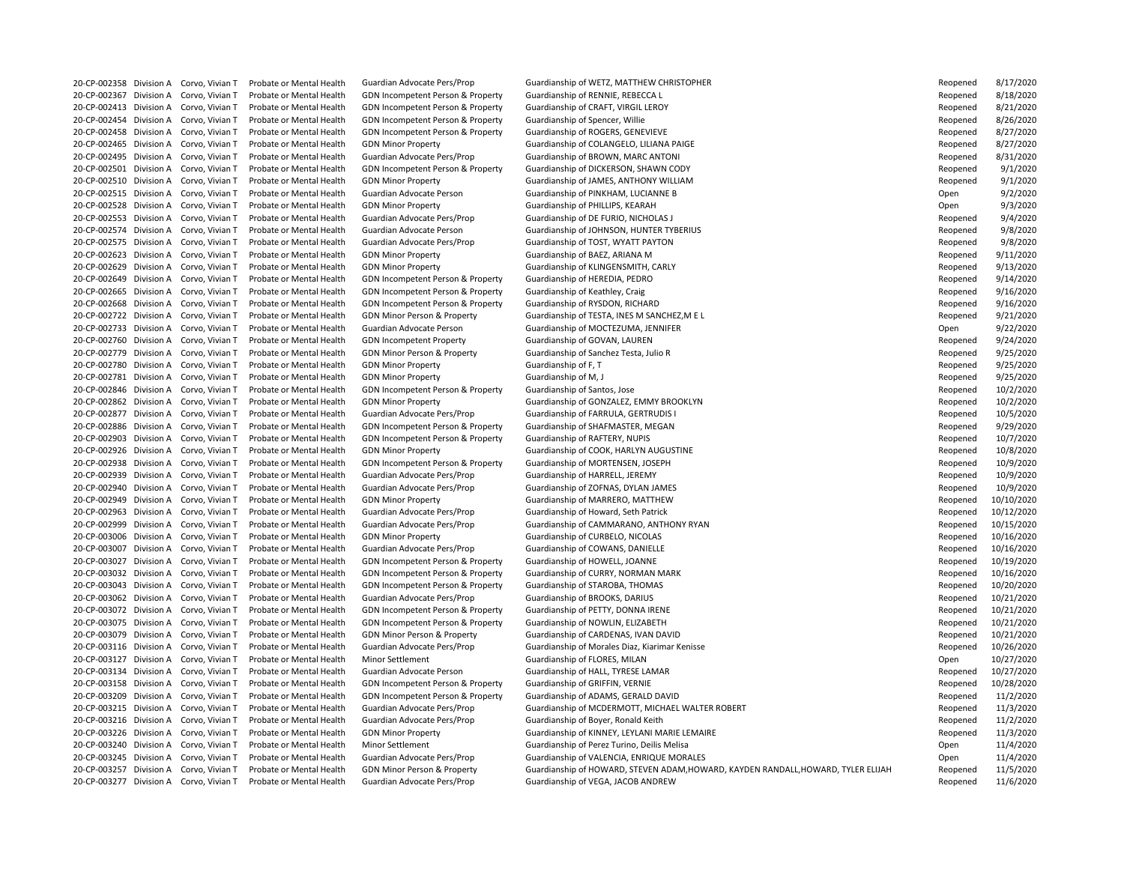20-CP-002367 Division A Corvo, Vivian T Probate or Mental Health GDN Incompetent Person & Property Guardianship of RENNIE, REBECCA L 20-CP-002413 Division A Corvo, Vivian T Probate or Mental Health GDN Incompetent Person & Property Guardianship of CRAFT, VIRGIL LEROY 20-CP-002454 Division A Corvo, Vivian T Probate or Mental Health GDN Incompetent Person & Property Guardianship of Spencer, Willie 20-CP-002458 Division A Corvo, Vivian T Probate or Mental Health GDN Incompetent Person & Property Guardianship of ROGERS, GENEVIEVE 20-CP-002495 Division A Corvo, Vivian T Probate or Mental Health Guardian Advocate Pers/Prop Guardianship of BROWN, MARC ANTONI 20-CP-002515 Division A Corvo, Vivian T Probate or Mental Health Guardian Advocate Person Guardianship of PINKHAM, LUCIANNE B 20-CP-002528 Division A Corvo, Vivian T Probate or Mental Health GDN Minor Property Cuardianship of PHILLIPS, KEARAH 20-CP-002553 Division A Corvo, Vivian T Probate or Mental Health Guardian Advocate Pers/Prop Guardianship of DE FURIO, NICHOLAS J 20-CP-002575 Division A Corvo, Vivian T Probate or Mental Health Guardian Advocate Pers/Prop Guardianship of TOST, WYATT PAYTON 20-CP-002623 Division A Corvo, Vivian T Probate or Mental Health GDN Minor Property Guardianship of BAEZ, ARIANA M 20-CP-002629 Division A Corvo, Vivian T Probate or Mental Health GDN Minor Property Guardianship of KLINGENSMITH, CARLY 20-CP-002649 Division A Corvo, Vivian T Probate or Mental Health GDN Incompetent Person & Property Guardianship of HEREDIA, PEDRO 20-CP-002665 Division A Corvo, Vivian T Probate or Mental Health GDN Incompetent Person & Property Guardianship of Keathley, Craig 20-CP-002668 Division A Corvo, Vivian T Probate or Mental Health GDN Incompetent Person & Property Guardianship of RYSDON, RICHARD 20-CP-002733 Division A Corvo, Vivian T Probate or Mental Health Guardian Advocate Person Guardianship of MOCTEZUMA, JENNIFER 20-CP-002760 Division A Corvo, Vivian T Probate or Mental Health GDN Incompetent Property Guardianship of GOVAN, LAUREN 20-CP-002779 Division A Corvo, Vivian T Probate or Mental Health GDN Minor Person & Property Guardianship of Sanchez Testa, Julio R 20-CP-002780 Division A Corvo, Vivian T Probate or Mental Health GDN Minor Property Guardianship of F, T 20-CP-002781 Division A Corvo, Vivian T Probate or Mental Health GDN Minor Property Guardianship of M, J 20-CP-002846 Division A Corvo, Vivian T Probate or Mental Health GDN Incompetent Person & Property Guardianship of Santos, Jose 20-CP-002877 Division A Corvo, Vivian T Probate or Mental Health Guardian Advocate Pers/Prop Guardianship of FARRULA, GERTRUDIS I 20-CP-002886 Division A Corvo, Vivian T Probate or Mental Health GDN Incompetent Person & Property Guardianship of SHAFMASTER, MEGAN 20-CP-002903 Division A Corvo, Vivian T Probate or Mental Health GDN Incompetent Person & Property Guardianship of RAFTERY, NUPIS 20-CP-002938 Division A Corvo, Vivian T Probate or Mental Health GDN Incompetent Person & Property Guardianship of MORTENSEN, JOSEPH 20-CP-002939 Division A Corvo, Vivian T Probate or Mental Health Guardian Advocate Pers/Prop Guardianship of HARRELL, JEREMY 20-CP-002940 Division A Corvo, Vivian T Probate or Mental Health Guardian Advocate Pers/Prop Guardianship of ZOFNAS, DYLAN JAMES 20-CP-002949 Division A Corvo, Vivian T Probate or Mental Health GDN Minor Property Cuardianship of MARRERO, MATTHEW 20-CP-002963 Division A Corvo, Vivian T Probate or Mental Health Guardian Advocate Pers/Prop Guardianship of Howard, Seth Patrick 20-CP-003006 Division A Corvo, Vivian T Probate or Mental Health GDN Minor Property Guardianship of CURBELO, NICOLAS 20-CP-003007 Division A Corvo, Vivian T Probate or Mental Health Guardian Advocate Pers/Prop Guardianship of COWANS, DANIELLE 20-CP-003027 Division A Corvo, Vivian T Probate or Mental Health GDN Incompetent Person & Property Guardianship of HOWELL, JOANNE 20-CP-003032 Division A Corvo, Vivian T Probate or Mental Health GDN Incompetent Person & Property Guardianship of CURRY, NORMAN MARK 20-CP-003043 Division A Corvo, Vivian T Probate or Mental Health GDN Incompetent Person & Property Guardianship of STAROBA, THOMAS 20-CP-003062 Division A Corvo, Vivian T Probate or Mental Health Guardian Advocate Pers/Prop Guardianship of BROOKS, DARIUS 20-CP-003072 Division A Corvo, Vivian T Probate or Mental Health GDN Incompetent Person & Property Guardianship of PETTY, DONNA IRENE 20-CP-003075 Division A Corvo, Vivian T Probate or Mental Health GDN Incompetent Person & Property Guardianship of NOWLIN, ELIZABETH 20-CP-003079 Division A Corvo, Vivian T Probate or Mental Health GDN Minor Person & Property Guardianship of CARDENAS, IVAN DAVID 20-CP-003127 Division A Corvo, Vivian T Probate or Mental Health Minor Settlement Guardianship of FLORES, MILAN 20-CP-003134 Division A Corvo, Vivian T Probate or Mental Health Guardian Advocate Person Guardianship of HALL, TYRESE LAMAR 20-CP-003158 Division A Corvo, Vivian T Probate or Mental Health GDN Incompetent Person & Property Guardianship of GRIFFIN, VERNIE 20-CP-003209 Division A Corvo, Vivian T Probate or Mental Health GDN Incompetent Person & Property Guardianship of ADAMS, GERALD DAVID 20-CP-003216 Division A Corvo, Vivian T Probate or Mental Health Guardian Advocate Pers/Prop Guardianship of Boyer, Ronald Keith 20-CP-003277 Division A Corvo, Vivian T Probate or Mental Health Guardian Advocate Pers/Prop Guardianship of VEGA, JACOB ANDREW

20-CP-002358 Division A Corvo, Vivian T Probate or Mental Health Guardian Advocate Pers/Prop Guardianship of WETZ, MATTHEW CHRISTOPHER 20-CP-002465 Division A Corvo, Vivian T Probate or Mental Health GDN Minor Property Guardianship of COLANGELO, LILIANA PAIGE 20-CP-002501 Division A Corvo, Vivian T Probate or Mental Health GDN Incompetent Person & Property Guardianship of DICKERSON, SHAWN CODY 20-CP-002510 Division A Corvo, Vivian T Probate or Mental Health GDN Minor Property Cuardianship of JAMES, ANTHONY WILLIAM 20-CP-002574 Division A Corvo, Vivian T Probate or Mental Health Guardian Advocate Person Guardianship of JOHNSON, HUNTER TYBERIUS 20-CP-002722 Division A Corvo, Vivian T Probate or Mental Health GDN Minor Person & Property Guardianship of TESTA, INES M SANCHEZ, M E L 20-CP-002862 Division A Corvo, Vivian T Probate or Mental Health GDN Minor Property **Guardianship of GONZALEZ, EMMY BROOKLYN** 20-CP-002926 Division A Corvo, Vivian T Probate or Mental Health GDN Minor Property Cuardianship of COOK, HARLYN AUGUSTINE 20-CP-002999 Division A Corvo, Vivian T Probate or Mental Health Guardian Advocate Pers/Prop Guardianship of CAMMARANO, ANTHONY RYAN 20-CP-003116 Division A Corvo, Vivian T Probate or Mental Health Guardian Advocate Pers/Prop Guardianship of Morales Diaz, Kiarimar Kenisse 20-CP-003215 Division A Corvo, Vivian T Probate or Mental Health Guardian Advocate Pers/Prop Guardianship of MCDERMOTT, MICHAEL WALTER ROBERT 20-CP-003226 Division A Corvo, Vivian T Probate or Mental Health GDN Minor Property Sunnianship of KINNEY, LEYLANI MARIE LEMAIRE 20-CP-003240 Division A Corvo, Vivian T Probate or Mental Health Minor Settlement Guardianship of Perez Turino, Deilis Melisa 20-CP-003245 Division A Corvo, Vivian T Probate or Mental Health Guardian Advocate Pers/Prop Guardianship of VALENCIA, ENRIQUE MORALES 20-CP-003257 Division A Corvo, Vivian T Probate or Mental Health GDN Minor Person & Property Guardianship of HOWARD, STEVEN ADAM,HOWARD, KAYDEN RANDALL,HOWARD, TYLER ELIJAH

| Reopened               | 8/17/2020  |
|------------------------|------------|
| Reopened               | 8/18/2020  |
| Reopened               | 8/21/2020  |
| Reopened               | 8/26/2020  |
| Reopened               | 8/27/2020  |
| Reopened               | 8/27/2020  |
| Reopened               | 8/31/2020  |
| Reopened               |            |
|                        | 9/1/2020   |
| Reopened               | 9/1/2020   |
| <b>Open</b>            | 9/2/2020   |
| Open                   | 9/3/2020   |
| Reopened               | 9/4/2020   |
| Reopened               | 9/8/2020   |
| Reopened               | 9/8/2020   |
| Reopened               | 9/11/2020  |
| Reopened               | 9/13/2020  |
| Reopened               | 9/14/2020  |
| Reopened               | 9/16/2020  |
| Reopened               | 9/16/2020  |
| Reopened               | 9/21/2020  |
| Open                   | 9/22/2020  |
| Reopened               | 9/24/2020  |
|                        |            |
| Reopened               | 9/25/2020  |
| Reopened               | 9/25/2020  |
| Reopened               | 9/25/2020  |
| Reopened               | 10/2/2020  |
| Reopened               | 10/2/2020  |
| Reopened               | 10/5/2020  |
| Reopened               | 9/29/2020  |
| Reopened               | 10/7/2020  |
| Reopened               | 10/8/2020  |
| Reopened               | 10/9/2020  |
| Reopened               | 10/9/2020  |
| Reopened               | 10/9/2020  |
| Reopened               | 10/10/2020 |
| Reopened               | 10/12/2020 |
| Reopened               | 10/15/2020 |
|                        |            |
| Reopened               | 10/16/2020 |
| Reopened               | 10/16/2020 |
| Reopened               | 10/19/2020 |
| Reopened               | 10/16/2020 |
| Reopened               | 10/20/2020 |
| Reopened               | 10/21/2020 |
| Reopened               | 10/21/2020 |
| Reopened               | 10/21/2020 |
| Reopened               | 10/21/2020 |
| Reopened               | 10/26/2020 |
| <b>Open</b>            | 10/27/2020 |
| Reopene <mark>d</mark> | 10/27/2020 |
| Reopened               | 10/28/2020 |
| Reopened               | 11/2/2020  |
|                        | 11/3/2020  |
| Reopened               |            |
| Reopened               | 11/2/2020  |
| Reopened               | 11/3/2020  |
| <b>Open</b>            | 11/4/2020  |
| Open                   | 11/4/2020  |
| Reopened               | 11/5/2020  |
| Reopened               | 11/6/2020  |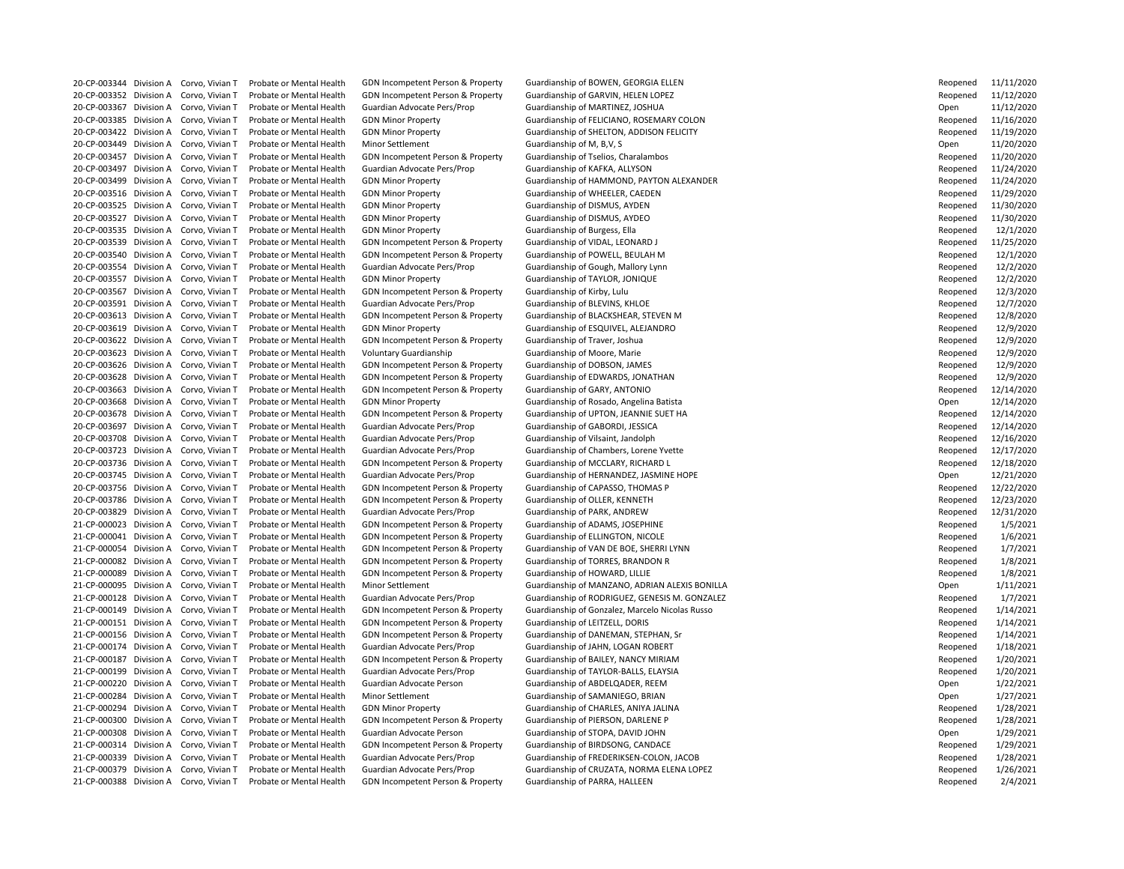20-CP-003352 Division A Corvo, Vivian T Probate or Mental Health GDN Incompetent Person & Property Guardianship of GARVIN, HELEN LOPEZ 20-CP-003367 Division A Corvo, Vivian T Probate or Mental Health Guardian Advocate Pers/Prop Guardianship of MARTINEZ, JOSHUA 20-CP-003457 Division A Corvo, Vivian T Probate or Mental Health GDN Incompetent Person & Property Guardianship of Tselios, Charalambos 20-CP-003497 Division A Corvo, Vivian T Probate or Mental Health Guardian Advocate Pers/Prop Guardianship of KAFKA, ALLYSON 20-CP-003516 Division A Corvo, Vivian T Probate or Mental Health GDN Minor Property Guardianship of WHEELER, CAEDEN 20-CP-003525 Division A Corvo, Vivian T Probate or Mental Health GDN Minor Property Guardianship of DISMUS, AYDEN 20-CP-003527 Division A Corvo, Vivian T Probate or Mental Health GDN Minor Property Guardianship of DISMUS, AYDEO 20-CP-003535 Division A Corvo, Vivian T Probate or Mental Health GDN Minor Property Cuardianship of Burgess, Ella 20-CP-003539 Division A Corvo, Vivian T Probate or Mental Health GDN Incompetent Person & Property Guardianship of VIDAL, LEONARD J 20-CP-003540 Division A Corvo, Vivian T Probate or Mental Health GDN Incompetent Person & Property Guardianship of POWELL, BEULAH M 20-CP-003554 Division A Corvo, Vivian T Probate or Mental Health Guardian Advocate Pers/Prop Guardianship of Gough, Mallory Lynn 20-CP-003557 Division A Corvo, Vivian T Probate or Mental Health GDN Minor Property Guardianship of TAYLOR, JONIQUE 20-CP-003567 Division A Corvo, Vivian T Probate or Mental Health GDN Incompetent Person & Property Guardianship of Kirby, Lulu 20-CP-003591 Division A Corvo, Vivian T Probate or Mental Health Guardian Advocate Pers/Prop Guardianship of BLEVINS, KHLOE 20-CP-003613 Division A Corvo, Vivian T Probate or Mental Health GDN Incompetent Person & Property Guardianship of BLACKSHEAR, STEVEN M 20-CP-003619 Division A Corvo, Vivian T Probate or Mental Health GDN Minor Property Cuardianship of ESQUIVEL, ALEJANDRO 20-CP-003622 Division A Corvo, Vivian T Probate or Mental Health GDN Incompetent Person & Property Guardianship of Traver, Joshua 20-CP-003623 Division A Corvo, Vivian T Probate or Mental Health Voluntary Guardianship Guardianship of Moore, Marie 20-CP-003626 Division A Corvo, Vivian T Probate or Mental Health GDN Incompetent Person & Property Guardianship of DOBSON, JAMES 20-CP-003628 Division A Corvo, Vivian T Probate or Mental Health GDN Incompetent Person & Property Guardianship of EDWARDS, JONATHAN 20-CP-003663 Division A Corvo, Vivian T Probate or Mental Health GDN Incompetent Person & Property Guardianship of GARY, ANTONIO 20-CP-003668 Division A Corvo, Vivian T Probate or Mental Health GDN Minor Property Cuardianship of Rosado, Angelina Batista 20-CP-003697 Division A Corvo, Vivian T Probate or Mental Health Guardian Advocate Pers/Prop Guardianship of GABORDI, JESSICA 20-CP-003708 Division A Corvo, Vivian T Probate or Mental Health Guardian Advocate Pers/Prop Guardianship of Vilsaint, Jandolph 20-CP-003723 Division A Corvo, Vivian T Probate or Mental Health Guardian Advocate Pers/Prop Guardianship of Chambers, Lorene Yvette 20-CP-003736 Division A Corvo, Vivian T Probate or Mental Health GDN Incompetent Person & Property Guardianship of MCCLARY, RICHARD L 20-CP-003756 Division A Corvo, Vivian T Probate or Mental Health GDN Incompetent Person & Property Guardianship of CAPASSO, THOMAS P 20-CP-003786 Division A Corvo, Vivian T Probate or Mental Health GDN Incompetent Person & Property Guardianship of OLLER, KENNETH 20-CP-003829 Division A Corvo, Vivian T Probate or Mental Health Guardian Advocate Pers/Prop Guardianship of PARK, ANDREW 21-CP-000023 Division A Corvo, Vivian T Probate or Mental Health GDN Incompetent Person & Property Guardianship of ADAMS, JOSEPHINE 21-CP-000041 Division A Corvo, Vivian T Probate or Mental Health GDN Incompetent Person & Property Guardianship of ELLINGTON, NICOLE 21-CP-000082 Division A Corvo, Vivian T Probate or Mental Health GDN Incompetent Person & Property Guardianship of TORRES, BRANDON R 21-CP-000089 Division A Corvo, Vivian T Probate or Mental Health GDN Incompetent Person & Property Guardianship of HOWARD, LILLIE 21-CP-000151 Division A Corvo, Vivian T Probate or Mental Health GDN Incompetent Person & Property Guardianship of LEITZELL, DORIS 21-CP-000156 Division A Corvo, Vivian T Probate or Mental Health GDN Incompetent Person & Property Guardianship of DANEMAN, STEPHAN, Sr 21-CP-000174 Division A Corvo, Vivian T Probate or Mental Health Guardian Advocate Pers/Prop Guardianship of JAHN, LOGAN ROBERT 21-CP-000187 Division A Corvo, Vivian T Probate or Mental Health GDN Incompetent Person & Property Guardianship of BAILEY, NANCY MIRIAM 21-CP-000199 Division A Corvo, Vivian T Probate or Mental Health Guardian Advocate Pers/Prop Guardianship of TAYLOR-BALLS, ELAYSIA 21-CP-000220 Division A Corvo, Vivian T Probate or Mental Health Guardian Advocate Person Guardianship of ABDELQADER, REEM 21-CP-000284 Division A Corvo, Vivian T Probate or Mental Health Minor Settlement Guardianship of SAMANIEGO, BRIAN 21-CP-000294 Division A Corvo, Vivian T Probate or Mental Health GDN Minor Property Suardianship of CHARLES, ANIYA JALINA 21-CP-000300 Division A Corvo, Vivian T Probate or Mental Health GDN Incompetent Person & Property Guardianship of PIERSON, DARLENE P 21-CP-000308 Division A Corvo, Vivian T Probate or Mental Health Guardian Advocate Person Guardianship of STOPA, DAVID JOHN 21-CP-000314 Division A Corvo, Vivian T Probate or Mental Health GDN Incompetent Person & Property Guardianship of BIRDSONG, CANDACE 21-CP-000388 Division A Corvo, Vivian T Probate or Mental Health GDN Incompetent Person & Property Guardianship of PARRA, HALLEEN

20-CP-003344 Division A Corvo, Vivian T Probate or Mental Health GDN Incompetent Person & Property Guardianship of BOWEN, GEORGIA ELLEN

20-CP-003385 Division A Corvo, Vivian T Probate or Mental Health GDN Minor Property Guardianship of FELICIANO, ROSEMARY COLON 20-CP-003422 Division A Corvo, Vivian T Probate or Mental Health GDN Minor Property Cuardianship of SHELTON, ADDISON FELICITY 20-CP-003449 Division A Corvo, Vivian T Probate or Mental Health Minor Settlement Guardianship of M, B,V, S Cuardianship of M, B,V, S Cuardianship of M, B,V, S Cuardianship of M, B,V, S 20-CP-003499 Division A Corvo, Vivian T Probate or Mental Health GDN Minor Property Cuardianship of HAMMOND, PAYTON ALEXANDER 20-CP-003678 Division A Corvo, Vivian T Probate or Mental Health GDN Incompetent Person & Property Guardianship of UPTON, JEANNIE SUET HA 20-CP-003745 Division A Corvo, Vivian T Probate or Mental Health Guardian Advocate Pers/Prop Guardianship of HERNANDEZ, JASMINE HOPE 21-CP-000054 Division A Corvo, Vivian T Probate or Mental Health GDN Incompetent Person & Property Guardianship of VAN DE BOE, SHERRI LYNN 21-CP-000095 Division A Corvo, Vivian T Probate or Mental Health Minor Settlement Guardianship of MANZANO, ADRIAN ALEXIS BONILLA 21-CP-000128 Division A Corvo, Vivian T Probate or Mental Health Guardian Advocate Pers/Prop Guardianship of RODRIGUEZ, GENESIS M. GONZALEZ 21-CP-000149 Division A Corvo, Vivian T Probate or Mental Health GDN Incompetent Person & Property Guardianship of Gonzalez, Marcelo Nicolas Russo 21-CP-000339 Division A Corvo, Vivian T Probate or Mental Health Guardian Advocate Pers/Prop Guardianship of FREDERIKSEN-COLON, JACOB 21-CP-000379 Division A Corvo, Vivian T Probate or Mental Health Guardian Advocate Pers/Prop Guardianship of CRUZATA, NORMA ELENA LOPEZ

| Reopened | 11/11/2020 |
|----------|------------|
| Reopened | 11/12/2020 |
| Open     | 11/12/2020 |
| Reopened | 11/16/2020 |
| Reopened | 11/19/2020 |
| Open     | 11/20/2020 |
| Reopened | 11/20/2020 |
| Reopened | 11/24/2020 |
| Reopened | 11/24/2020 |
| Reopened | 11/29/2020 |
| Reopened | 11/30/2020 |
| Reopened | 11/30/2020 |
| Reopened | 12/1/2020  |
|          | 11/25/2020 |
| Reopened |            |
| Reopened | 12/1/2020  |
| Reopened | 12/2/2020  |
| Reopened | 12/2/2020  |
| Reopened | 12/3/2020  |
| Reopened | 12/7/2020  |
| Reopened | 12/8/2020  |
| Reopened | 12/9/2020  |
| Reopened | 12/9/2020  |
| Reopened | 12/9/2020  |
| Reopened | 12/9/2020  |
| Reopened | 12/9/2020  |
| Reopened | 12/14/2020 |
| Open     | 12/14/2020 |
| Reopened | 12/14/2020 |
| Reopened | 12/14/2020 |
| Reopened | 12/16/2020 |
| Reopened | 12/17/2020 |
| Reopened | 12/18/2020 |
| Open     | 12/21/2020 |
| Reopened | 12/22/2020 |
| Reopened | 12/23/2020 |
| Reopened | 12/31/2020 |
| Reopened | 1/5/2021   |
| Reopened | 1/6/2021   |
| Reopened | 1/7/2021   |
| Reopened | 1/8/2021   |
| Reopened | 1/8/2021   |
| Open     | 1/11/2021  |
| Reopened | 1/7/2021   |
| Reopened | 1/14/2021  |
| Reopened | 1/14/2021  |
| Reopened | 1/14/2021  |
| Reopened | 1/18/2021  |
| Reopened | 1/20/2021  |
| Reopened | 1/20/2021  |
| Open     | 1/22/2021  |
| Open     | 1/27/2021  |
| Reopened | 1/28/2021  |
| Reopened | 1/28/2021  |
| Open     | 1/29/2021  |
| Reopened | 1/29/2021  |
| Reopened | 1/28/2021  |
| Reopened | 1/26/2021  |
| Reopened | 2/4/2021   |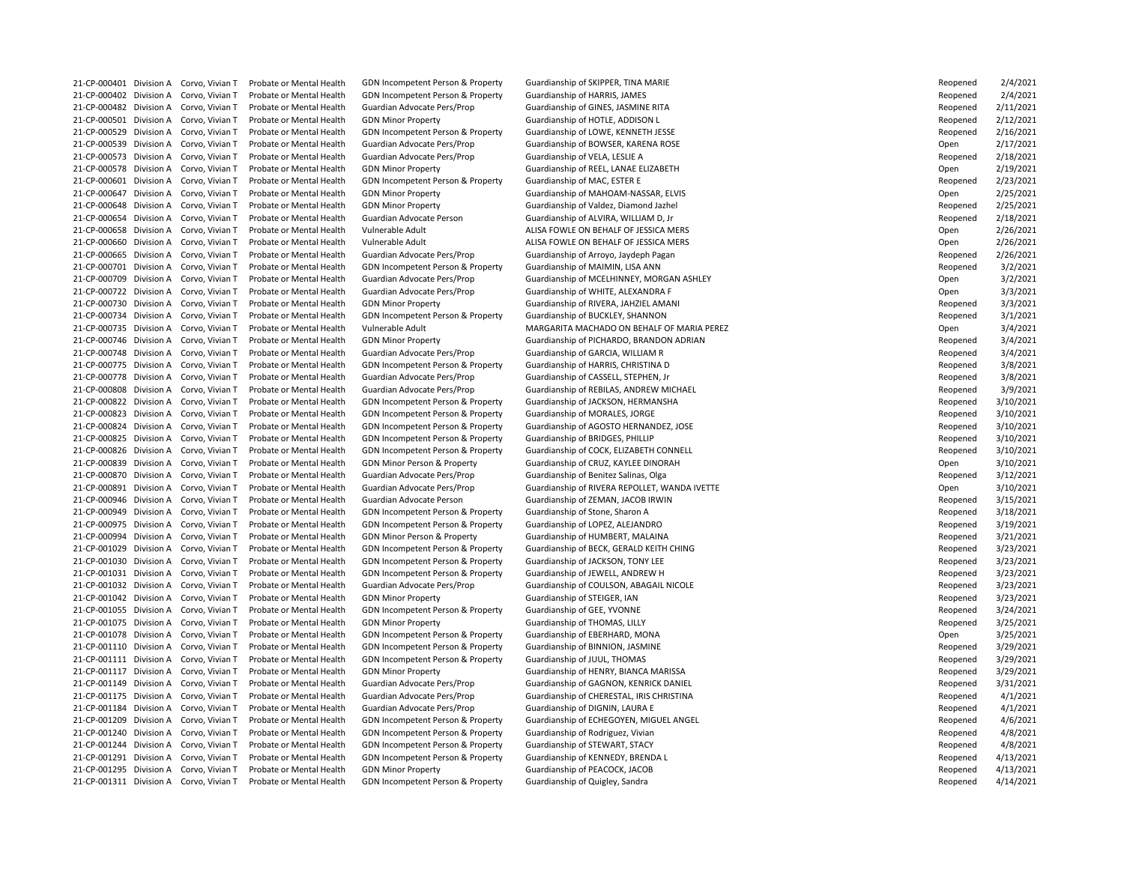21-CP-000402 Division A Corvo, Vivian T Probate or Mental Health GDN Incompetent Person & Property Guardianship of HARRIS, JAMES 21-CP-000482 Division A Corvo, Vivian T Probate or Mental Health Guardian Advocate Pers/Prop Guardianship of GINES, JASMINE RITA 21-CP-000501 Division A Corvo, Vivian T Probate or Mental Health GDN Minor Property Guardianship of HOTLE, ADDISON L 21-CP-000529 Division A Corvo, Vivian T Probate or Mental Health GDN Incompetent Person & Property Guardianship of LOWE, KENNETH JESSE 21-CP-000539 Division A Corvo, Vivian T Probate or Mental Health Guardian Advocate Pers/Prop Guardianship of BOWSER, KARENA ROSE 21-CP-000573 Division A Corvo, Vivian T Probate or Mental Health Guardian Advocate Pers/Prop Guardianship of VELA, LESLIE A 21-CP-000578 Division A Corvo, Vivian T Probate or Mental Health GDN Minor Property Cuardianship of REEL, LANAE ELIZABETH 21-CP-000601 Division A Corvo, Vivian T Probate or Mental Health GDN Incompetent Person & Property Guardianship of MAC, ESTER E 21-CP-000647 Division A Corvo, Vivian T Probate or Mental Health GDN Minor Property Guardianship of MAHOAM-NASSAR, ELVIS 21-CP-000648 Division A Corvo, Vivian T Probate or Mental Health GDN Minor Property **Guardianship of Valdez, Diamond Jazhel** 21-CP-000654 Division A Corvo, Vivian T Probate or Mental Health Guardian Advocate Person Guardianship of ALVIRA, WILLIAM D, Jr 21-CP-000658 Division A Corvo, Vivian T Probate or Mental Health Vulnerable Adult ALISA FOWLE ON BEHALF OF JESSICA MERS 21-CP-000660 Division A Corvo, Vivian T Probate or Mental Health Vulnerable Adult ALISA FOWLE ON BEHALF OF JESSICA MERS 21-CP-000665 Division A Corvo, Vivian T Probate or Mental Health Guardian Advocate Pers/Prop Guardianship of Arroyo, Jaydeph Pagan 21-CP-000701 Division A Corvo, Vivian T Probate or Mental Health GDN Incompetent Person & Property Guardianship of MAIMIN, LISA ANN 21-CP-000722 Division A Corvo, Vivian T Probate or Mental Health Guardian Advocate Pers/Prop Guardianship of WHITE, ALEXANDRA F 21-CP-000730 Division A Corvo, Vivian T Probate or Mental Health GDN Minor Property Sunning Guardianship of RIVERA, JAHZIEL AMANI 21-CP-000734 Division A Corvo, Vivian T Probate or Mental Health GDN Incompetent Person & Property Guardianship of BUCKLEY, SHANNON 21-CP-000748 Division A Corvo, Vivian T Probate or Mental Health Guardian Advocate Pers/Prop Guardianship of GARCIA, WILLIAM R 21-CP-000775 Division A Corvo, Vivian T Probate or Mental Health GDN Incompetent Person & Property Guardianship of HARRIS, CHRISTINA D 21-CP-000778 Division A Corvo, Vivian T Probate or Mental Health Guardian Advocate Pers/Prop Guardianship of CASSELL, STEPHEN, Jr 21-CP-000822 Division A Corvo, Vivian T Probate or Mental Health GDN Incompetent Person & Property Guardianship of JACKSON, HERMANSHA 21-CP-000823 Division A Corvo, Vivian T Probate or Mental Health GDN Incompetent Person & Property Guardianship of MORALES, JORGE 21-CP-000825 Division A Corvo, Vivian T Probate or Mental Health GDN Incompetent Person & Property Guardianship of BRIDGES, PHILLIP 21-CP-000839 Division A Corvo, Vivian T Probate or Mental Health GDN Minor Person & Property Guardianship of CRUZ, KAYLEE DINORAH 21-CP-000870 Division A Corvo, Vivian T Probate or Mental Health Guardian Advocate Pers/Prop Guardianship of Benitez Salinas, Olga 21-CP-000946 Division A Corvo, Vivian T Probate or Mental Health Guardian Advocate Person Guardianship of ZEMAN, JACOB IRWIN 21-CP-000949 Division A Corvo, Vivian T Probate or Mental Health GDN Incompetent Person & Property Guardianship of Stone, Sharon A 21-CP-000975 Division A Corvo, Vivian T Probate or Mental Health GDN Incompetent Person & Property Guardianship of LOPEZ, ALEJANDRO 21-CP-000994 Division A Corvo, Vivian T Probate or Mental Health GDN Minor Person & Property Guardianship of HUMBERT, MALAINA 21-CP-001030 Division A Corvo, Vivian T Probate or Mental Health GDN Incompetent Person & Property Guardianship of JACKSON, TONY LEE 21-CP-001031 Division A Corvo, Vivian T Probate or Mental Health GDN Incompetent Person & Property Guardianship of JEWELL, ANDREW H 21-CP-001042 Division A Corvo, Vivian T Probate or Mental Health GDN Minor Property Cuardianship of STEIGER, IAN 21-CP-001055 Division A Corvo, Vivian T Probate or Mental Health GDN Incompetent Person & Property Guardianship of GEE, YVONNE 21-CP-001075 Division A Corvo, Vivian T Probate or Mental Health GDN Minor Property Cuardianship of THOMAS, LILLY 21-CP-001078 Division A Corvo, Vivian T Probate or Mental Health GDN Incompetent Person & Property Guardianship of EBERHARD, MONA 21-CP-001110 Division A Corvo, Vivian T Probate or Mental Health GDN Incompetent Person & Property Guardianship of BINNION, JASMINE 21-CP-001111 Division A Corvo, Vivian T Probate or Mental Health GDN Incompetent Person & Property Guardianship of JUUL, THOMAS 21-CP-001117 Division A Corvo, Vivian T Probate or Mental Health GDN Minor Property Guardianship of HENRY, BIANCA MARISSA 21-CP-001149 Division A Corvo, Vivian T Probate or Mental Health Guardian Advocate Pers/Prop Guardianship of GAGNON, KENRICK DANIEL 21-CP-001184 Division A Corvo, Vivian T Probate or Mental Health Guardian Advocate Pers/Prop Guardianship of DIGNIN, LAURA E 21-CP-001240 Division A Corvo, Vivian T Probate or Mental Health GDN Incompetent Person & Property Guardianship of Rodriguez, Vivian 21-CP-001244 Division A Corvo, Vivian T Probate or Mental Health GDN Incompetent Person & Property Guardianship of STEWART, STACY 21-CP-001291 Division A Corvo, Vivian T Probate or Mental Health GDN Incompetent Person & Property Guardianship of KENNEDY, BRENDA L 21-CP-001295 Division A Corvo, Vivian T Probate or Mental Health GDN Minor Property **Guardianship of PEACOCK, JACOB** 21-CP-001311 Division A Corvo, Vivian T Probate or Mental Health GDN Incompetent Person & Property Guardianship of Quigley, Sandra

21-CP-000401 Division A Corvo, Vivian T Probate or Mental Health GDN Incompetent Person & Property Guardianship of SKIPPER, TINA MARIE

21-CP-000709 Division A Corvo, Vivian T Probate or Mental Health Guardian Advocate Pers/Prop Guardianship of MCELHINNEY, MORGAN ASHLEY 21-CP-000735 Division A Corvo, Vivian T Probate or Mental Health Vulnerable Adult MARGARITA MACHADO ON BEHALF OF MARIA PEREZ 21-CP-000746 Division A Corvo, Vivian T Probate or Mental Health GDN Minor Property **Guardianship of PICHARDO, BRANDON ADRIAN** 21-CP-000808 Division A Corvo, Vivian T Probate or Mental Health Guardian Advocate Pers/Prop Guardianship of REBILAS, ANDREW MICHAEL 21-CP-000824 Division A Corvo, Vivian T Probate or Mental Health GDN Incompetent Person & Property Guardianship of AGOSTO HERNANDEZ, JOSE 21-CP-000826 Division A Corvo, Vivian T Probate or Mental Health GDN Incompetent Person & Property Guardianship of COCK, ELIZABETH CONNELL 21-CP-000891 Division A Corvo, Vivian T Probate or Mental Health Guardian Advocate Pers/Prop Guardianship of RIVERA REPOLLET, WANDA IVETTE 21-CP-001029 Division A Corvo, Vivian T Probate or Mental Health GDN Incompetent Person & Property Guardianship of BECK, GERALD KEITH CHING 21-CP-001032 Division A Corvo, Vivian T Probate or Mental Health Guardian Advocate Pers/Prop Guardianship of COULSON, ABAGAIL NICOLE 21-CP-001175 Division A Corvo, Vivian T Probate or Mental Health Guardian Advocate Pers/Prop Guardianship of CHERESTAL, IRIS CHRISTINA 21-CP-001209 Division A Corvo, Vivian T Probate or Mental Health GDN Incompetent Person & Property Guardianship of ECHEGOYEN, MIGUEL ANGEL

| Reopened    | 2/4/2021  |
|-------------|-----------|
| Reopened    | 2/4/2021  |
| Reopened    | 2/11/2021 |
| Reopened    | 2/12/2021 |
| Reopened    | 2/16/2021 |
| Эреn        | 2/17/2021 |
| Reopened    | 2/18/2021 |
| Open        | 2/19/2021 |
| Reopened    | 2/23/2021 |
| <b>Open</b> | 2/25/2021 |
|             |           |
| Reopened    | 2/25/2021 |
| Reopened    | 2/18/2021 |
| Open        | 2/26/2021 |
| Open        | 2/26/2021 |
| Reopened    | 2/26/2021 |
| Reopened    | 3/2/2021  |
| Open        | 3/2/2021  |
| <b>Open</b> | 3/3/2021  |
| Reopened    | 3/3/2021  |
| Reopened    | 3/1/2021  |
| Open        | 3/4/2021  |
| Reopened    | 3/4/2021  |
| Reopened    | 3/4/2021  |
| Reopened    | 3/8/2021  |
| Reopened    | 3/8/2021  |
| Reopened    | 3/9/2021  |
| Reopened    | 3/10/2021 |
|             |           |
| Reopened    | 3/10/2021 |
| Reopened    | 3/10/2021 |
| Reopened    | 3/10/2021 |
| Reopened    | 3/10/2021 |
| Open        | 3/10/2021 |
| Reopened    | 3/12/2021 |
| Open        | 3/10/2021 |
| Reopened    | 3/15/2021 |
| Reopened    | 3/18/2021 |
| Reopened    | 3/19/2021 |
| Reopened    | 3/21/2021 |
| Reopened    | 3/23/2021 |
| Reopened    | 3/23/2021 |
| Reopened    | 3/23/2021 |
| Reopened    | 3/23/2021 |
| Reopened    | 3/23/2021 |
| Reopened    | 3/24/2021 |
| Reopened    | 3/25/2021 |
| Open        | 3/25/2021 |
| Reopened    | 3/29/2021 |
|             |           |
| Reopened    | 3/29/2021 |
| Reopened    | 3/29/2021 |
| Reopened    | 3/31/2021 |
| Reopened    | 4/1/2021  |
| Reopened    | 4/1/2021  |
| Reopened    | 4/6/2021  |
| Reopened    | 4/8/2021  |
| Reopened    | 4/8/2021  |
| Reopened    | 4/13/2021 |
| Reopened    | 4/13/2021 |
| Reopened    | 4/14/2021 |
|             |           |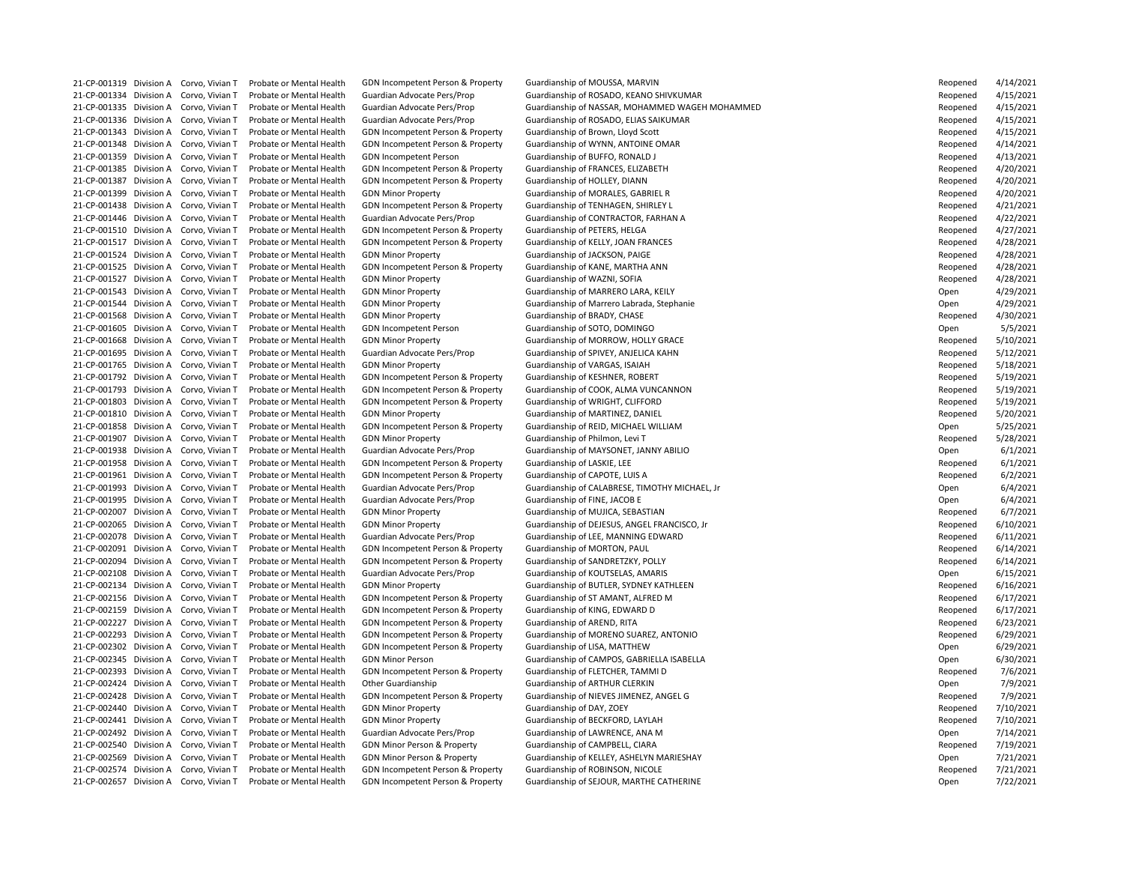21-CP-001343 Division A Corvo, Vivian T Probate or Mental Health GDN Incompetent Person & Property Guardianship of Brown, Lloyd Scott 21-CP-001348 Division A Corvo, Vivian T Probate or Mental Health GDN Incompetent Person & Property Guardianship of WYNN, ANTOINE OMAR 21-CP-001359 Division A Corvo, Vivian T Probate or Mental Health GDN Incompetent Person Guardianship of BUFFO, RONALD J 21-CP-001385 Division A Corvo, Vivian T Probate or Mental Health GDN Incompetent Person & Property Guardianship of FRANCES, ELIZABETH 21-CP-001387 Division A Corvo, Vivian T Probate or Mental Health GDN Incompetent Person & Property Guardianship of HOLLEY, DIANN 21-CP-001399 Division A Corvo, Vivian T Probate or Mental Health GDN Minor Property Guardianship of MORALES, GABRIEL R 21-CP-001438 Division A Corvo, Vivian T Probate or Mental Health GDN Incompetent Person & Property Guardianship of TENHAGEN, SHIRLEY L 21-CP-001446 Division A Corvo, Vivian T Probate or Mental Health Guardian Advocate Pers/Prop Guardianship of CONTRACTOR, FARHAN A 21-CP-001510 Division A Corvo, Vivian T Probate or Mental Health GDN Incompetent Person & Property Guardianship of PETERS, HELGA 21-CP-001517 Division A Corvo, Vivian T Probate or Mental Health GDN Incompetent Person & Property Guardianship of KELLY, JOAN FRANCES 21-CP-001524 Division A Corvo, Vivian T Probate or Mental Health GDN Minor Property **Guardianship of JACKSON, PAIGE** 21-CP-001525 Division A Corvo, Vivian T Probate or Mental Health GDN Incompetent Person & Property Guardianship of KANE, MARTHA ANN 21-CP-001527 Division A Corvo, Vivian T Probate or Mental Health GDN Minor Property Cuardianship of WAZNI, SOFIA 21-CP-001543 Division A Corvo, Vivian T Probate or Mental Health GDN Minor Property Cuardianship of MARRERO LARA, KEILY 21-CP-001568 Division A Corvo, Vivian T Probate or Mental Health GDN Minor Property Guardianship of BRADY, CHASE 21-CP-001605 Division A Corvo, Vivian T Probate or Mental Health GDN Incompetent Person Guardianship of SOTO, DOMINGO 21-CP-001668 Division A Corvo, Vivian T Probate or Mental Health GDN Minor Property Cuardianship of MORROW, HOLLY GRACE 21-CP-001695 Division A Corvo, Vivian T Probate or Mental Health Guardian Advocate Pers/Prop Guardianship of SPIVEY, ANJELICA KAHN 21-CP-001765 Division A Corvo, Vivian T Probate or Mental Health GDN Minor Property Guardianship of VARGAS, ISAIAH 21-CP-001792 Division A Corvo, Vivian T Probate or Mental Health GDN Incompetent Person & Property Guardianship of KESHNER, ROBERT 21-CP-001803 Division A Corvo, Vivian T Probate or Mental Health GDN Incompetent Person & Property Guardianship of WRIGHT, CLIFFORD 21-CP-001810 Division A Corvo, Vivian T Probate or Mental Health GDN Minor Property Suardianship of MARTINEZ, DANIEL 21-CP-001858 Division A Corvo, Vivian T Probate or Mental Health GDN Incompetent Person & Property Guardianship of REID, MICHAEL WILLIAM 21-CP-001907 Division A Corvo, Vivian T Probate or Mental Health GDN Minor Property Cuardianship of Philmon, Levi T 21-CP-001958 Division A Corvo, Vivian T Probate or Mental Health GDN Incompetent Person & Property Guardianship of LASKIE, LEE 21-CP-001961 Division A Corvo, Vivian T Probate or Mental Health GDN Incompetent Person & Property Guardianship of CAPOTE, LUIS A 21-CP-001995 Division A Corvo, Vivian T Probate or Mental Health Guardian Advocate Pers/Prop Guardianship of FINE, JACOB E 21-CP-002007 Division A Corvo, Vivian T Probate or Mental Health GDN Minor Property Cuardianship of MUJICA, SEBASTIAN 21-CP-002078 Division A Corvo, Vivian T Probate or Mental Health Guardian Advocate Pers/Prop Guardianship of LEE, MANNING EDWARD 21-CP-002091 Division A Corvo, Vivian T Probate or Mental Health GDN Incompetent Person & Property Guardianship of MORTON, PAUL 21-CP-002094 Division A Corvo, Vivian T Probate or Mental Health GDN Incompetent Person & Property Guardianship of SANDRETZKY, POLLY 21-CP-002108 Division A Corvo, Vivian T Probate or Mental Health Guardian Advocate Pers/Prop Guardianship of KOUTSELAS, AMARIS 21-CP-002156 Division A Corvo, Vivian T Probate or Mental Health GDN Incompetent Person & Property Guardianship of ST AMANT, ALFRED M 21-CP-002159 Division A Corvo, Vivian T Probate or Mental Health GDN Incompetent Person & Property Guardianship of KING, EDWARD D 21-CP-002227 Division A Corvo, Vivian T Probate or Mental Health GDN Incompetent Person & Property Guardianship of AREND, RITA 21-CP-002302 Division A Corvo, Vivian T Probate or Mental Health GDN Incompetent Person & Property Guardianship of LISA, MATTHEW 21-CP-002393 Division A Corvo, Vivian T Probate or Mental Health GDN Incompetent Person & Property Guardianship of FLETCHER, TAMMI D 21-CP-002424 Division A Corvo, Vivian T Probate or Mental Health Other Guardianship Guardianship of ARTHUR CLERKIN 21-CP-002440 Division A Corvo, Vivian T Probate or Mental Health GDN Minor Property Cuardianship of DAY, ZOEY 21-CP-002441 Division A Corvo, Vivian T Probate or Mental Health GDN Minor Property Suardianship of BECKFORD, LAYLAH 21-CP-002492 Division A Corvo, Vivian T Probate or Mental Health Guardian Advocate Pers/Prop Guardianship of LAWRENCE, ANA M 21-CP-002540 Division A Corvo, Vivian T Probate or Mental Health GDN Minor Person & Property Guardianship of CAMPBELL, CIARA 21-CP-002574 Division A Corvo, Vivian T Probate or Mental Health GDN Incompetent Person & Property Guardianship of ROBINSON, NICOLE

21-CP-001319 Division A Corvo, Vivian T Probate or Mental Health GDN Incompetent Person & Property Guardianship of MOUSSA, MARVIN

21-CP-001334 Division A Corvo, Vivian T Probate or Mental Health Guardian Advocate Pers/Prop Guardianship of ROSADO, KEANO SHIVKUMAR 21-CP-001335 Division A Corvo, Vivian T Probate or Mental Health Guardian Advocate Pers/Prop Guardianship of NASSAR, MOHAMMED WAGEH MOHAMMED 21-CP-001336 Division A Corvo, Vivian T Probate or Mental Health Guardian Advocate Pers/Prop Guardianship of ROSADO, ELIAS SAIKUMAR 21-CP-001544 Division A Corvo, Vivian T Probate or Mental Health GDN Minor Property **Guardianship of Marrero Labrada, Stephanie** 21-CP-001793 Division A Corvo, Vivian T Probate or Mental Health GDN Incompetent Person & Property Guardianship of COOK, ALMA VUNCANNON 21-CP-001938 Division A Corvo, Vivian T Probate or Mental Health Guardian Advocate Pers/Prop Guardianship of MAYSONET, JANNY ABILIO 21-CP-001993 Division A Corvo, Vivian T Probate or Mental Health Guardian Advocate Pers/Prop Guardianship of CALABRESE, TIMOTHY MICHAEL, Jr 21-CP-002065 Division A Corvo, Vivian T Probate or Mental Health GDN Minor Property Suardianship of DEJESUS, ANGEL FRANCISCO, Jr 21-CP-002134 Division A Corvo, Vivian T Probate or Mental Health GDN Minor Property Guardianship of BUTLER, SYDNEY KATHLEEN 21-CP-002293 Division A Corvo, Vivian T Probate or Mental Health GDN Incompetent Person & Property Guardianship of MORENO SUAREZ, ANTONIO 21-CP-002345 Division A Corvo, Vivian T Probate or Mental Health GDN Minor Person Guardianship of CAMPOS, GABRIELLA ISABELLA 21-CP-002428 Division A Corvo, Vivian T Probate or Mental Health GDN Incompetent Person & Property Guardianship of NIEVES JIMENEZ, ANGEL G 21-CP-002569 Division A Corvo, Vivian T Probate or Mental Health GDN Minor Person & Property Guardianship of KELLEY, ASHELYN MARIESHAY 21-CP-002657 Division A Corvo, Vivian T Probate or Mental Health GDN Incompetent Person & Property Guardianship of SEJOUR, MARTHE CATHERINE

| Reopened | 4/14/2021 |
|----------|-----------|
| Reopened | 4/15/2021 |
| Reopened | 4/15/2021 |
| Reopened | 4/15/2021 |
| Reopened | 4/15/2021 |
| Reopened | 4/14/2021 |
| Reopened | 4/13/2021 |
| Reopened | 4/20/2021 |
| Reopened | 4/20/2021 |
|          |           |
| Reopened | 4/20/2021 |
| Reopened | 4/21/2021 |
| Reopened | 4/22/2021 |
| Reopened | 4/27/2021 |
| Reopened | 4/28/2021 |
| Reopened | 4/28/2021 |
| Reopened | 4/28/2021 |
| Reopened | 4/28/2021 |
| Open     | 4/29/2021 |
| Open     | 4/29/2021 |
| Reopened | 4/30/2021 |
| Open     | 5/5/2021  |
| Reopened | 5/10/2021 |
| Reopened | 5/12/2021 |
| Reopened | 5/18/2021 |
| Reopened | 5/19/2021 |
|          | 5/19/2021 |
| Reopened |           |
| Reopened | 5/19/2021 |
| Reopened | 5/20/2021 |
| Open     | 5/25/2021 |
| Reopened | 5/28/2021 |
| Open     | 6/1/2021  |
| Reopened | 6/1/2021  |
| Reopened | 6/2/2021  |
| Open     | 6/4/2021  |
| Open     | 6/4/2021  |
| Reopened | 6/7/2021  |
| Reopened | 6/10/2021 |
| Reopened | 6/11/2021 |
| Reopened | 6/14/2021 |
| Reopened | 6/14/2021 |
| Open     | 6/15/2021 |
| Reopened | 6/16/2021 |
| Reopened | 6/17/2021 |
| Reopened | 6/17/2021 |
| Reopened | 6/23/2021 |
|          | 6/29/2021 |
| Reopened |           |
| Open     | 6/29/2021 |
| Open     | 6/30/2021 |
| Reopened | 7/6/2021  |
| Open     | 7/9/2021  |
| Reopened | 7/9/2021  |
| Reopened | 7/10/2021 |
| Reopened | 7/10/2021 |
| Open     | 7/14/2021 |
| Reopened | 7/19/2021 |
| Open     | 7/21/2021 |
| Reopened | 7/21/2021 |
| Open     | 7/22/2021 |
|          |           |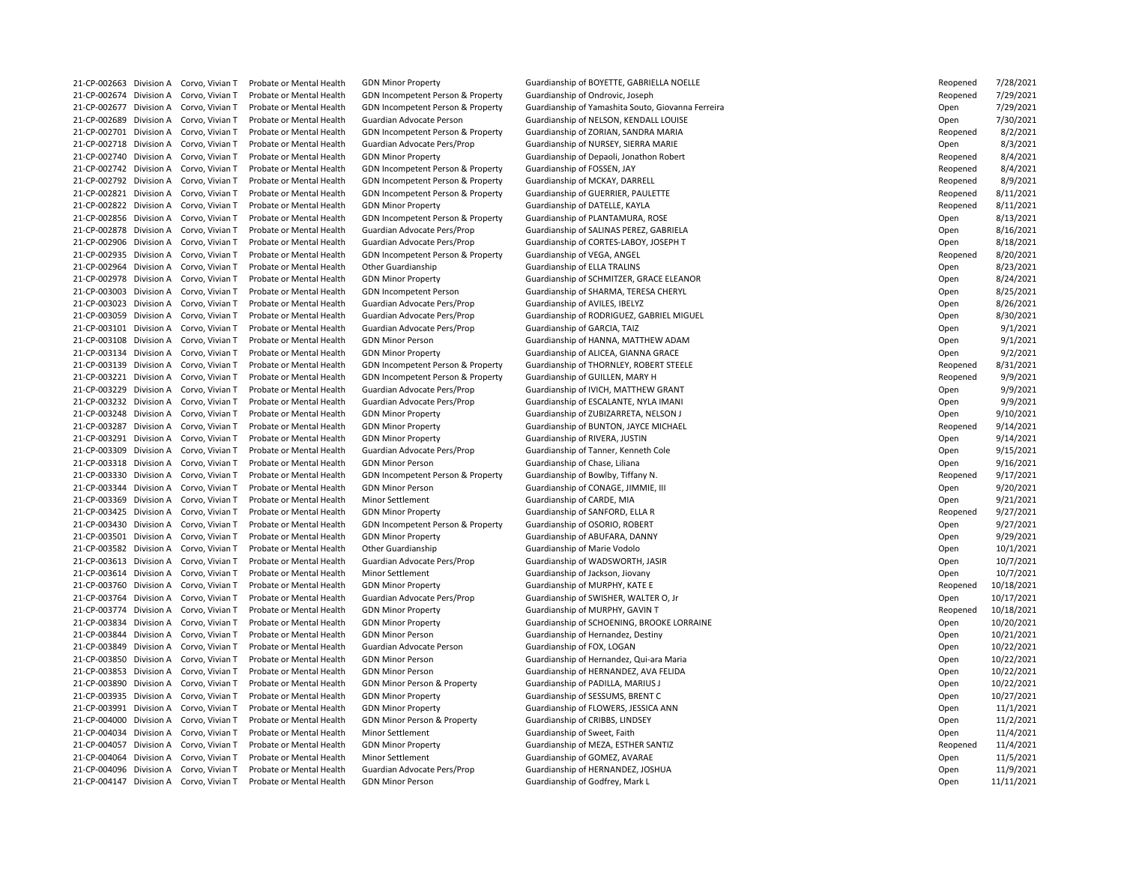21-CP-002674 Division A Corvo, Vivian T Probate or Mental Health GDN Incompetent Person & Property Guardianship of Ondrovic, Joseph 21-CP-002701 Division A Corvo, Vivian T Probate or Mental Health GDN Incompetent Person & Property Guardianship of ZORIAN, SANDRA MARIA 21-CP-002718 Division A Corvo, Vivian T Probate or Mental Health Guardian Advocate Pers/Prop Guardianship of NURSEY, SIERRA MARIE 21-CP-002742 Division A Corvo, Vivian T Probate or Mental Health GDN Incompetent Person & Property Guardianship of FOSSEN, JAY 21-CP-002792 Division A Corvo, Vivian T Probate or Mental Health GDN Incompetent Person & Property Guardianship of MCKAY, DARRELL 21-CP-002821 Division A Corvo, Vivian T Probate or Mental Health GDN Incompetent Person & Property Guardianship of GUERRIER, PAULETTE 21-CP-002822 Division A Corvo, Vivian T Probate or Mental Health GDN Minor Property Guardianship of DATELLE, KAYLA 21-CP-002856 Division A Corvo, Vivian T Probate or Mental Health GDN Incompetent Person & Property Guardianship of PLANTAMURA, ROSE 21-CP-002935 Division A Corvo, Vivian T Probate or Mental Health GDN Incompetent Person & Property Guardianship of VEGA, ANGEL 21-CP-002964 Division A Corvo, Vivian T Probate or Mental Health Other Guardianship Guardianship of ELLA TRALINS 21-CP-003023 Division A Corvo, Vivian T Probate or Mental Health Guardian Advocate Pers/Prop Guardianship of AVILES, IBELYZ 21-CP-003101 Division A Corvo, Vivian T Probate or Mental Health Guardian Advocate Pers/Prop Guardianship of GARCIA, TAIZ 21-CP-003134 Division A Corvo, Vivian T Probate or Mental Health GDN Minor Property Suardianship of ALICEA, GIANNA GRACE 21-CP-003221 Division A Corvo, Vivian T Probate or Mental Health GDN Incompetent Person & Property Guardianship of GUILLEN, MARY H 21-CP-003229 Division A Corvo, Vivian T Probate or Mental Health Guardian Advocate Pers/Prop Guardianship of IVICH, MATTHEW GRANT 21-CP-003232 Division A Corvo, Vivian T Probate or Mental Health Guardian Advocate Pers/Prop Guardianship of ESCALANTE, NYLA IMANI 21-CP-003248 Division A Corvo, Vivian T Probate or Mental Health GDN Minor Property Cuardianship of ZUBIZARRETA, NELSON J 21-CP-003291 Division A Corvo, Vivian T Probate or Mental Health GDN Minor Property Cuardianship of RIVERA, JUSTIN 21-CP-003309 Division A Corvo, Vivian T Probate or Mental Health Guardian Advocate Pers/Prop Guardianship of Tanner, Kenneth Cole 21-CP-003318 Division A Corvo, Vivian T Probate or Mental Health GDN Minor Person Guardianship of Chase, Liliana 21-CP-003330 Division A Corvo, Vivian T Probate or Mental Health GDN Incompetent Person & Property Guardianship of Bowlby, Tiffany N. 21-CP-003344 Division A Corvo, Vivian T Probate or Mental Health GDN Minor Person Guardianship of CONAGE, JIMMIE, III 21-CP-003369 Division A Corvo, Vivian T Probate or Mental Health Minor Settlement Guardianship of CARDE, MIA 21-CP-003425 Division A Corvo, Vivian T Probate or Mental Health GDN Minor Property Cuardianship of SANFORD, ELLA R 21-CP-003430 Division A Corvo, Vivian T Probate or Mental Health GDN Incompetent Person & Property Guardianship of OSORIO, ROBERT 21-CP-003501 Division A Corvo, Vivian T Probate or Mental Health GDN Minor Property Cuardianship of ABUFARA, DANNY 21-CP-003582 Division A Corvo, Vivian T Probate or Mental Health Other Guardianship Guardianship of Marie Vodolo 21-CP-003613 Division A Corvo, Vivian T Probate or Mental Health Guardian Advocate Pers/Prop Guardianship of WADSWORTH, JASIR 21-CP-003614 Division A Corvo, Vivian T Probate or Mental Health Minor Settlement Guardianship of Jackson, Jiovany 21-CP-003760 Division A Corvo, Vivian T Probate or Mental Health GDN Minor Property Guardianship of MURPHY, KATE E 21-CP-003764 Division A Corvo, Vivian T Probate or Mental Health Guardian Advocate Pers/Prop Guardianship of SWISHER, WALTER O, Jr 21-CP-003774 Division A Corvo, Vivian T Probate or Mental Health GDN Minor Property Guardianship of MURPHY, GAVIN T 21-CP-003844 Division A Corvo, Vivian T Probate or Mental Health GDN Minor Person Sunny Guardianship of Hernandez, Destiny 21-CP-003849 Division A Corvo, Vivian T Probate or Mental Health Guardian Advocate Person Guardianship of FOX, LOGAN 21-CP-003890 Division A Corvo, Vivian T Probate or Mental Health GDN Minor Person & Property Guardianship of PADILLA, MARIUS J 21-CP-003935 Division A Corvo, Vivian T Probate or Mental Health GDN Minor Property Guardianship of SESSUMS, BRENT C 21-CP-003991 Division A Corvo, Vivian T Probate or Mental Health GDN Minor Property Guardianship of FLOWERS, JESSICA ANN 21-CP-004000 Division A Corvo, Vivian T Probate or Mental Health GDN Minor Person & Property Guardianship of CRIBBS, LINDSEY 21-CP-004034 Division A Corvo, Vivian T Probate or Mental Health Minor Settlement Guardianship of Sweet, Faith 21-CP-004057 Division A Corvo, Vivian T Probate or Mental Health GDN Minor Property Guardianship of MEZA, ESTHER SANTIZ 21-CP-004064 Division A Corvo, Vivian T Probate or Mental Health Minor Settlement Guardianship of GOMEZ, AVARAE 21-CP-004096 Division A Corvo, Vivian T Probate or Mental Health Guardian Advocate Pers/Prop Guardianship of HERNANDEZ, JOSHUA 21-CP-004147 Division A Corvo, Vivian T Probate or Mental Health GDN Minor Person Guardianship of Godfrey, Mark L

21-CP-002663 Division A Corvo, Vivian T Probate or Mental Health GDN Minor Property Cuardianship of BOYETTE, GABRIELLA NOELLE

21-CP-002677 Division A Corvo, Vivian T Probate or Mental Health GDN Incompetent Person & Property Guardianship of Yamashita Souto, Giovanna Ferreira 21-CP-002689 Division A Corvo, Vivian T Probate or Mental Health Guardian Advocate Person Guardianship of NELSON, KENDALL LOUISE 21-CP-002740 Division A Corvo, Vivian T Probate or Mental Health GDN Minor Property Cuardianship of Depaoli, Jonathon Robert 21-CP-002878 Division A Corvo, Vivian T Probate or Mental Health Guardian Advocate Pers/Prop Guardianship of SALINAS PEREZ, GABRIELA 21-CP-002906 Division A Corvo, Vivian T Probate or Mental Health Guardian Advocate Pers/Prop Guardianship of CORTES-LABOY, JOSEPH T 21-CP-002978 Division A Corvo, Vivian T Probate or Mental Health GDN Minor Property Sunny Guardianship of SCHMITZER, GRACE ELEANOR 21-CP-003003 Division A Corvo, Vivian T Probate or Mental Health GDN Incompetent Person Guardianship of SHARMA, TERESA CHERYL 21-CP-003059 Division A Corvo, Vivian T Probate or Mental Health Guardian Advocate Pers/Prop Guardianship of RODRIGUEZ, GABRIEL MIGUEL 21-CP-003108 Division A Corvo, Vivian T Probate or Mental Health GDN Minor Person Guardianship of HANNA, MATTHEW ADAM 21-CP-003139 Division A Corvo, Vivian T Probate or Mental Health GDN Incompetent Person & Property Guardianship of THORNLEY, ROBERT STEELE 21-CP-003287 Division A Corvo, Vivian T Probate or Mental Health GDN Minor Property Guardianship of BUNTON, JAYCE MICHAEL 21-CP-003834 Division A Corvo, Vivian T Probate or Mental Health GDN Minor Property **Guardianship of SCHOENING, BROOKE LORRAINE** 21-CP-003850 Division A Corvo, Vivian T Probate or Mental Health GDN Minor Person Guardianship of Hernandez, Qui-ara Maria 21-CP-003853 Division A Corvo, Vivian T Probate or Mental Health GDN Minor Person Guardianship of HERNANDEZ, AVA FELIDA

| Reopened | 7/28/2021  |
|----------|------------|
| Reopened | 7/29/2021  |
| Open     | 7/29/2021  |
| Open     | 7/30/2021  |
| Reopened | 8/2/2021   |
| Open     | 8/3/2021   |
| Reopened | 8/4/2021   |
| Reopened | 8/4/2021   |
| Reopened | 8/9/2021   |
| Reopened | 8/11/2021  |
| Reopened | 8/11/2021  |
| Open     | 8/13/2021  |
| Open     | 8/16/2021  |
|          | 8/18/2021  |
| Open     |            |
| Reopened | 8/20/2021  |
| Open     | 8/23/2021  |
| Open     | 8/24/2021  |
| Open     | 8/25/2021  |
| Open     | 8/26/2021  |
| Open     | 8/30/2021  |
| Open     | 9/1/2021   |
| Open     | 9/1/2021   |
| Open     | 9/2/2021   |
| Reopened | 8/31/2021  |
| Reopened | 9/9/2021   |
| Open     | 9/9/2021   |
| Open     | 9/9/2021   |
| Open     | 9/10/2021  |
| Reopened | 9/14/2021  |
| Open     | 9/14/2021  |
| Open     | 9/15/2021  |
| Open     | 9/16/2021  |
| Reopened | 9/17/2021  |
| Open     | 9/20/2021  |
| Open     | 9/21/2021  |
| Reopened | 9/27/2021  |
| Open     | 9/27/2021  |
| Open     | 9/29/2021  |
| Open     | 10/1/2021  |
| Open     | 10/7/2021  |
| Open     | 10/7/2021  |
| Reopened | 10/18/2021 |
| Open     | 10/17/2021 |
| Reopened | 10/18/2021 |
| Open     | 10/20/2021 |
| Open     | 10/21/2021 |
| Open     | 10/22/2021 |
| Open     | 10/22/2021 |
| Open     | 10/22/2021 |
| Open     | 10/22/2021 |
| Open     | 10/27/2021 |
| Open     | 11/1/2021  |
| Open     | 11/2/2021  |
| Open     | 11/4/2021  |
| Reopened | 11/4/2021  |
| Open     | 11/5/2021  |
| Open     | 11/9/2021  |
| Open     | 11/11/2021 |
|          |            |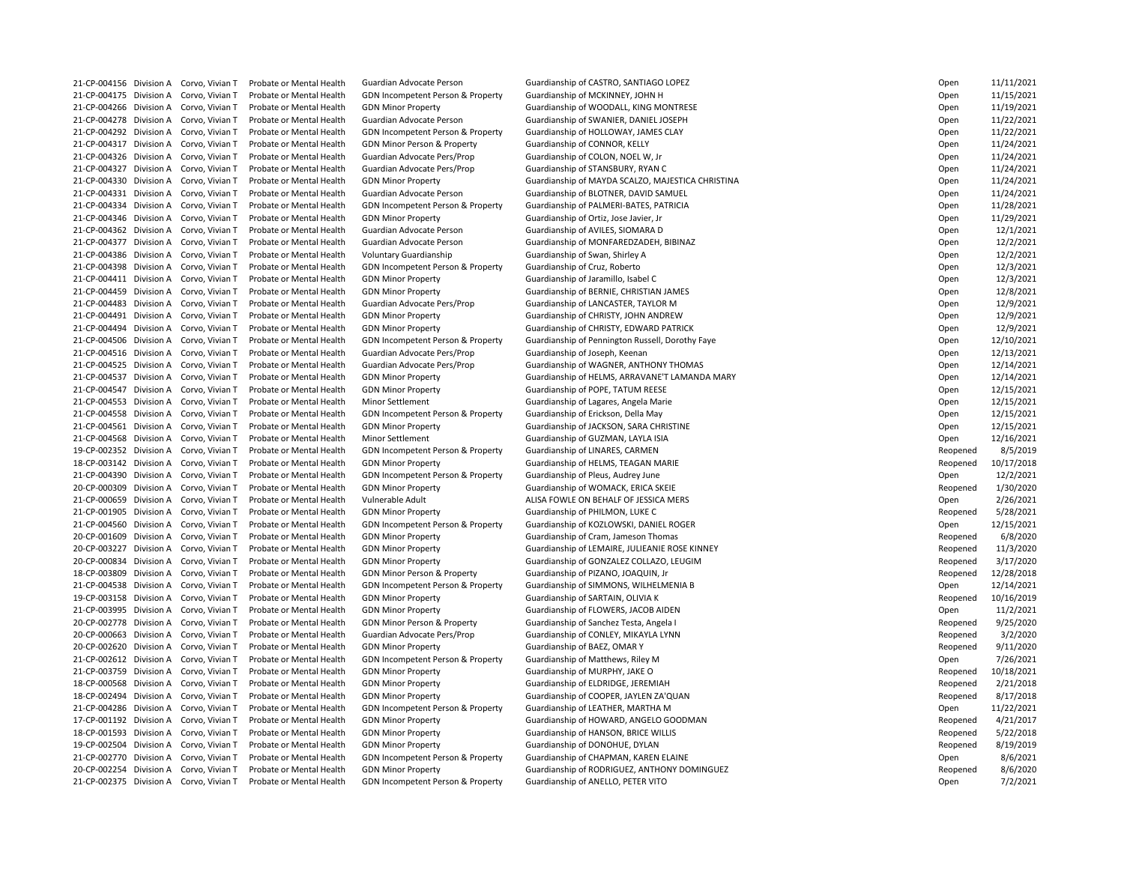21-CP-004175 Division A Corvo, Vivian T Probate or Mental Health GDN Incompetent Person & Property Guardianship of MCKINNEY, JOHN H 21-CP-004278 Division A Corvo, Vivian T Probate or Mental Health Guardian Advocate Person Guardianship of SWANIER, DANIEL JOSEPH 21-CP-004292 Division A Corvo, Vivian T Probate or Mental Health GDN Incompetent Person & Property Guardianship of HOLLOWAY, JAMES CLAY 21-CP-004317 Division A Corvo, Vivian T Probate or Mental Health GDN Minor Person & Property Guardianship of CONNOR, KELLY 21-CP-004326 Division A Corvo, Vivian T Probate or Mental Health Guardian Advocate Pers/Prop Guardianship of COLON, NOEL W, Jr 21-CP-004327 Division A Corvo, Vivian T Probate or Mental Health Guardian Advocate Pers/Prop Guardianship of STANSBURY, RYAN C 21-CP-004331 Division A Corvo, Vivian T Probate or Mental Health Guardian Advocate Person Guardianship of BLOTNER, DAVID SAMUEL 21-CP-004334 Division A Corvo, Vivian T Probate or Mental Health GDN Incompetent Person & Property Guardianship of PALMERI-BATES, PATRICIA 21-CP-004346 Division A Corvo, Vivian T Probate or Mental Health GDN Minor Property Sunner Guardianship of Ortiz, Jose Javier, Jr 21-CP-004362 Division A Corvo, Vivian T Probate or Mental Health Guardian Advocate Person Guardianship of AVILES, SIOMARA D 21-CP-004386 Division A Corvo, Vivian T Probate or Mental Health Voluntary Guardianship Guardianship of Swan, Shirley A 21-CP-004398 Division A Corvo, Vivian T Probate or Mental Health GDN Incompetent Person & Property Guardianship of Cruz, Roberto 21-CP-004411 Division A Corvo, Vivian T Probate or Mental Health GDN Minor Property Cuardianship of Jaramillo, Isabel C 21-CP-004459 Division A Corvo, Vivian T Probate or Mental Health GDN Minor Property Guardianship of BERNIE, CHRISTIAN JAMES 21-CP-004483 Division A Corvo, Vivian T Probate or Mental Health Guardian Advocate Pers/Prop Guardianship of LANCASTER, TAYLOR M 21-CP-004491 Division A Corvo, Vivian T Probate or Mental Health GDN Minor Property Cuardianship of CHRISTY, JOHN ANDREW 21-CP-004516 Division A Corvo, Vivian T Probate or Mental Health Guardian Advocate Pers/Prop Guardianship of Joseph, Keenan 21-CP-004547 Division A Corvo, Vivian T Probate or Mental Health GDN Minor Property Cuardianship of POPE, TATUM REESE 21-CP-004553 Division A Corvo, Vivian T Probate or Mental Health Minor Settlement Guardianship of Lagares, Angela Marie 21-CP-004558 Division A Corvo, Vivian T Probate or Mental Health GDN Incompetent Person & Property Guardianship of Erickson, Della May 21-CP-004561 Division A Corvo, Vivian T Probate or Mental Health GDN Minor Property Guardianship of JACKSON, SARA CHRISTINE 21-CP-004568 Division A Corvo, Vivian T Probate or Mental Health Minor Settlement Guardianship of GUZMAN, LAYLA ISIA 19-CP-002352 Division A Corvo, Vivian T Probate or Mental Health GDN Incompetent Person & Property Guardianship of LINARES, CARMEN 18-CP-003142 Division A Corvo, Vivian T Probate or Mental Health GDN Minor Property Cuardianship of HELMS, TEAGAN MARIE 21-CP-004390 Division A Corvo, Vivian T Probate or Mental Health GDN Incompetent Person & Property Guardianship of Pleus, Audrey June 20-CP-000309 Division A Corvo, Vivian T Probate or Mental Health GDN Minor Property Current Guardianship of WOMACK, ERICA SKEIE 21-CP-000659 Division A Corvo, Vivian T Probate or Mental Health Vulnerable Adult ALISA FOWLE ON BEHALF OF JESSICA MERS 21-CP-001905 Division A Corvo, Vivian T Probate or Mental Health GDN Minor Property Current Guardianship of PHILMON, LUKE C 20-CP-001609 Division A Corvo, Vivian T Probate or Mental Health GDN Minor Property **Guardianship of Cram, Jameson Thomas** 18-CP-003809 Division A Corvo, Vivian T Probate or Mental Health GDN Minor Person & Property Guardianship of PIZANO, JOAQUIN, Jr 19-CP-003158 Division A Corvo, Vivian T Probate or Mental Health GDN Minor Property Cumber of Guardianship of SARTAIN, OLIVIA K 21-CP-003995 Division A Corvo, Vivian T Probate or Mental Health GDN Minor Property Cuardianship of FLOWERS, JACOB AIDEN 20-CP-002778 Division A Corvo, Vivian T Probate or Mental Health GDN Minor Person & Property Guardianship of Sanchez Testa, Angela I 20-CP-000663 Division A Corvo, Vivian T Probate or Mental Health Guardian Advocate Pers/Prop Guardianship of CONLEY, MIKAYLA LYNN 20-CP-002620 Division A Corvo, Vivian T Probate or Mental Health GDN Minor Property From Guardianship of BAEZ, OMAR Y 21-CP-002612 Division A Corvo, Vivian T Probate or Mental Health GDN Incompetent Person & Property Guardianship of Matthews, Riley M 21-CP-003759 Division A Corvo, Vivian T Probate or Mental Health GDN Minor Property Cuardianship of MURPHY, JAKE O 18-CP-000568 Division A Corvo, Vivian T Probate or Mental Health GDN Minor Property Cuardianship of ELDRIDGE, JEREMIAH 18-CP-002494 Division A Corvo, Vivian T Probate or Mental Health GDN Minor Property Cuardianship of COOPER, JAYLEN ZA'QUAN 21-CP-004286 Division A Corvo, Vivian T Probate or Mental Health GDN Incompetent Person & Property Guardianship of LEATHER, MARTHA M 18-CP-001593 Division A Corvo, Vivian T Probate or Mental Health GDN Minor Property Guardianship of HANSON, BRICE WILLIS 19-CP-002504 Division A Corvo, Vivian T Probate or Mental Health GDN Minor Property Cuardianship of DONOHUE, DYLAN 21-CP-002770 Division A Corvo, Vivian T Probate or Mental Health GDN Incompetent Person & Property Guardianship of CHAPMAN, KAREN ELAINE 21-CP-002375 Division A Corvo, Vivian T Probate or Mental Health GDN Incompetent Person & Property Guardianship of ANELLO, PETER VITO

21-CP-004156 Division A Corvo, Vivian T Probate or Mental Health Guardian Advocate Person Guardianship of CASTRO, SANTIAGO LOPEZ 21-CP-004266 Division A Corvo, Vivian T Probate or Mental Health GDN Minor Property Sunner Guardianship of WOODALL, KING MONTRESE 21-CP-004330 Division A Corvo, Vivian T Probate or Mental Health GDN Minor Property Guardianship of MAYDA SCALZO, MAJESTICA CHRISTINA 21-CP-004377 Division A Corvo, Vivian T Probate or Mental Health Guardian Advocate Person Guardianship of MONFAREDZADEH, BIBINAZ 21-CP-004494 Division A Corvo, Vivian T Probate or Mental Health GDN Minor Property **Guardianship of CHRISTY, EDWARD PATRICK** 21-CP-004506 Division A Corvo, Vivian T Probate or Mental Health GDN Incompetent Person & Property Guardianship of Pennington Russell, Dorothy Faye 21-CP-004525 Division A Corvo, Vivian T Probate or Mental Health Guardian Advocate Pers/Prop Guardianship of WAGNER, ANTHONY THOMAS 21-CP-004537 Division A Corvo, Vivian T Probate or Mental Health GDN Minor Property Guardianship of HELMS, ARRAVANE'T LAMANDA MARY 21-CP-004560 Division A Corvo, Vivian T Probate or Mental Health GDN Incompetent Person & Property Guardianship of KOZLOWSKI, DANIEL ROGER 20-CP-003227 Division A Corvo, Vivian T Probate or Mental Health GDN Minor Property Cuardianship of LEMAIRE, JULIEANIE ROSE KINNEY 20-CP-000834 Division A Corvo, Vivian T Probate or Mental Health GDN Minor Property Guardianship of GONZALEZ COLLAZO, LEUGIM 21-CP-004538 Division A Corvo, Vivian T Probate or Mental Health GDN Incompetent Person & Property Guardianship of SIMMONS, WILHELMENIA B 17-CP-001192 Division A Corvo, Vivian T Probate or Mental Health GDN Minor Property Suardianship of HOWARD, ANGELO GOODMAN 20-CP-002254 Division A Corvo, Vivian T Probate or Mental Health GDN Minor Property **Guardianship of RODRIGUEZ, ANTHONY DOMINGUEZ** 

| Open     | 11/11/2021 |
|----------|------------|
| Open     | 11/15/2021 |
| Open     | 11/19/2021 |
| Open     | 11/22/2021 |
| Open     | 11/22/2021 |
| Open     | 11/24/2021 |
| Open     | 11/24/2021 |
| Open     | 11/24/2021 |
| Open     | 11/24/2021 |
| Open     | 11/24/2021 |
| Open     | 11/28/2021 |
| Open     | 11/29/2021 |
| Open     | 12/1/2021  |
| Open     | 12/2/2021  |
| Open     | 12/2/2021  |
|          | 12/3/2021  |
| Open     |            |
| Open     | 12/3/2021  |
| Open     | 12/8/2021  |
| Open     | 12/9/2021  |
| Open     | 12/9/2021  |
| Open     | 12/9/2021  |
| Open     | 12/10/2021 |
| Open     | 12/13/2021 |
| Open     | 12/14/2021 |
| Open     | 12/14/2021 |
| Open     | 12/15/2021 |
| Open     | 12/15/2021 |
| Open     | 12/15/2021 |
| Open     | 12/15/2021 |
| Open     | 12/16/2021 |
| Reopened | 8/5/2019   |
| Reopened | 10/17/2018 |
| Open     | 12/2/2021  |
| Reopened | 1/30/2020  |
| Open     | 2/26/2021  |
| Reopened | 5/28/2021  |
| Open     | 12/15/2021 |
| Reopened | 6/8/2020   |
| Reopened | 11/3/2020  |
| Reopened | 3/17/2020  |
| Reopened | 12/28/2018 |
| Open     | 12/14/2021 |
| Reopened | 10/16/2019 |
| Open     | 11/2/2021  |
| Reopened | 9/25/2020  |
| Reopened | 3/2/2020   |
| Reopened | 9/11/2020  |
| Open     | 7/26/2021  |
| Reopened | 10/18/2021 |
|          | 2/21/2018  |
| Reopened |            |
| Reopened | 8/17/2018  |
| Open     | 11/22/2021 |
| Reopened | 4/21/2017  |
| Reopened | 5/22/2018  |
| Reopened | 8/19/2019  |
| Open     | 8/6/2021   |
| Reopened | 8/6/2020   |
| Open     | 7/2/2021   |